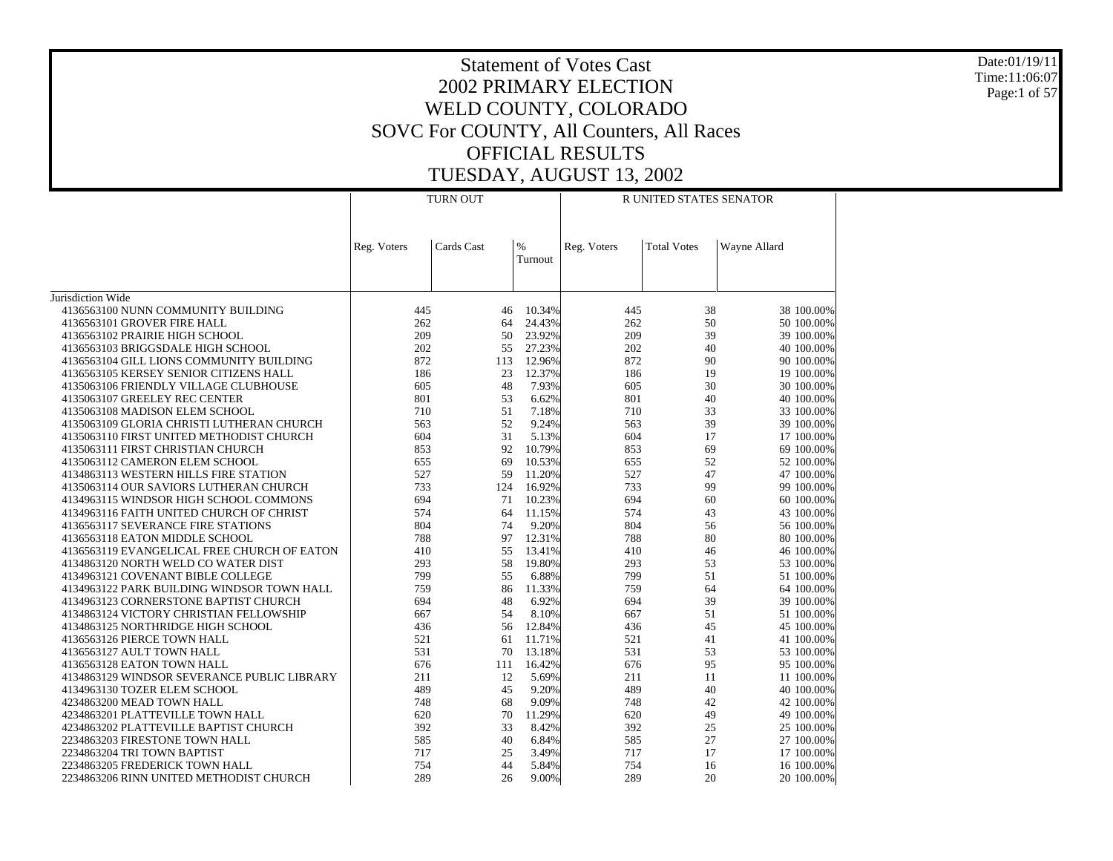Date:01/19/11 Time:11:06:07 Page:1 of 57

|                                                                                  |             | <b>TURN OUT</b> |                 |             | R UNITED STATES SENATOR |                          |
|----------------------------------------------------------------------------------|-------------|-----------------|-----------------|-------------|-------------------------|--------------------------|
|                                                                                  | Reg. Voters | Cards Cast      | $\%$<br>Turnout | Reg. Voters | <b>Total Votes</b>      | Wayne Allard             |
| Jurisdiction Wide                                                                |             |                 |                 |             |                         |                          |
| 4136563100 NUNN COMMUNITY BUILDING                                               | 445         | 46              | 10.34%          | 445         | 38                      | 38 100.00%               |
| 4136563101 GROVER FIRE HALL                                                      | 262         | 64              | 24.43%          | 262         | 50                      | 50 100.00%               |
| 4136563102 PRAIRIE HIGH SCHOOL                                                   | 209         | 50              | 23.92%          | 209         | 39                      | 39 100.00%               |
| 4136563103 BRIGGSDALE HIGH SCHOOL                                                | 202         | 55              | 27.23%          | 202         | 40                      | 40 100.00%               |
| 4136563104 GILL LIONS COMMUNITY BUILDING                                         | 872         | 113             | 12.96%          | 872         | 90                      | 90 100,00%               |
| 4136563105 KERSEY SENIOR CITIZENS HALL                                           | 186         | 23              | 12.37%          | 186         | 19                      | 19 100,00%               |
| 4135063106 FRIENDLY VILLAGE CLUBHOUSE                                            | 605         | 48              | 7.93%           | 605         | 30                      | 30 100.00%               |
| 4135063107 GREELEY REC CENTER                                                    | 801         | 53              | 6.62%           | 801         | 40                      | 40 100.00%               |
| 4135063108 MADISON ELEM SCHOOL<br>4135063109 GLORIA CHRISTI LUTHERAN CHURCH      | 710<br>563  | 51<br>52        | 7.18%<br>9.24%  | 710<br>563  | 33<br>39                | 33 100.00%<br>39 100.00% |
| 4135063110 FIRST UNITED METHODIST CHURCH                                         | 604         | 31              | 5.13%           | 604         | 17                      | 17 100,00%               |
| 4135063111 FIRST CHRISTIAN CHURCH                                                | 853         | 92              | 10.79%          | 853         | 69                      | 69 100.00%               |
| 4135063112 CAMERON ELEM SCHOOL                                                   | 655         | 69              | 10.53%          | 655         | 52                      | 52 100.00%               |
| 4134863113 WESTERN HILLS FIRE STATION                                            | 527         | 59              | 11.20%          | 527         | 47                      | 47 100.00%               |
| 4135063114 OUR SAVIORS LUTHERAN CHURCH                                           | 733         | 124             | 16.92%          | 733         | 99                      | 99 100.00%               |
| 4134963115 WINDSOR HIGH SCHOOL COMMONS                                           | 694         | 71              | 10.23%          | 694         | 60                      | 60 100.00%               |
| 4134963116 FAITH UNITED CHURCH OF CHRIST                                         | 574         | 64              | 11.15%          | 574         | 43                      | 43 100,00%               |
| 4136563117 SEVERANCE FIRE STATIONS                                               | 804         | 74              | 9.20%           | 804         | 56                      | 56 100.00%               |
| 4136563118 EATON MIDDLE SCHOOL                                                   | 788         | 97              | 12.31%          | 788         | 80                      | 80 100.00%               |
| 4136563119 EVANGELICAL FREE CHURCH OF EATON                                      | 410         | 55              | 13.41%          | 410         | 46                      | 46 100,00%               |
| 4134863120 NORTH WELD CO WATER DIST                                              | 293         | 58              | 19.80%          | 293         | 53                      | 53 100.00%               |
| 4134963121 COVENANT BIBLE COLLEGE                                                | 799         | 55              | 6.88%           | 799         | 51                      | 51 100,00%               |
| 4134963122 PARK BUILDING WINDSOR TOWN HALL                                       | 759         | 86              | 11.33%          | 759         | 64                      | 64 100.00%               |
| 4134963123 CORNERSTONE BAPTIST CHURCH<br>4134863124 VICTORY CHRISTIAN FELLOWSHIP | 694<br>667  | 48<br>54        | 6.92%<br>8.10%  | 694<br>667  | 39<br>51                | 39 100.00%<br>51 100,00% |
| 4134863125 NORTHRIDGE HIGH SCHOOL                                                | 436         | 56              | 12.84%          | 436         | 45                      | 45 100,00%               |
| 4136563126 PIERCE TOWN HALL                                                      | 521         | 61              | 11.71%          | 521         | 41                      | 41 100,00%               |
| 4136563127 AULT TOWN HALL                                                        | 531         | 70              | 13.18%          | 531         | 53                      | 53 100.00%               |
| 4136563128 EATON TOWN HALL                                                       | 676         | 111             | 16.42%          | 676         | 95                      | 95 100.00%               |
| 4134863129 WINDSOR SEVERANCE PUBLIC LIBRARY                                      | 211         | 12              | 5.69%           | 211         | 11                      | 11 100,00%               |
| 4134963130 TOZER ELEM SCHOOL                                                     | 489         | 45              | 9.20%           | 489         | 40                      | 40 100,00%               |
| 4234863200 MEAD TOWN HALL                                                        | 748         | 68              | 9.09%           | 748         | 42                      | 42 100,00%               |
| 4234863201 PLATTEVILLE TOWN HALL                                                 | 620         | 70              | 11.29%          | 620         | 49                      | 49 100.00%               |
| 4234863202 PLATTEVILLE BAPTIST CHURCH                                            | 392         | 33              | 8.42%           | 392         | 25                      | 25 100.00%               |
| 2234863203 FIRESTONE TOWN HALL                                                   | 585         | 40              | 6.84%           | 585         | 27                      | 27 100.00%               |
| 2234863204 TRI TOWN BAPTIST                                                      | 717         | 25              | 3.49%           | 717         | 17                      | 17 100.00%               |
| 2234863205 FREDERICK TOWN HALL                                                   | 754         | 44              | 5.84%           | 754         | 16                      | 16 100.00%               |
| 2234863206 RINN UNITED METHODIST CHURCH                                          | 289         | 26              | 9.00%           | 289         | 20                      | 20 100.00%               |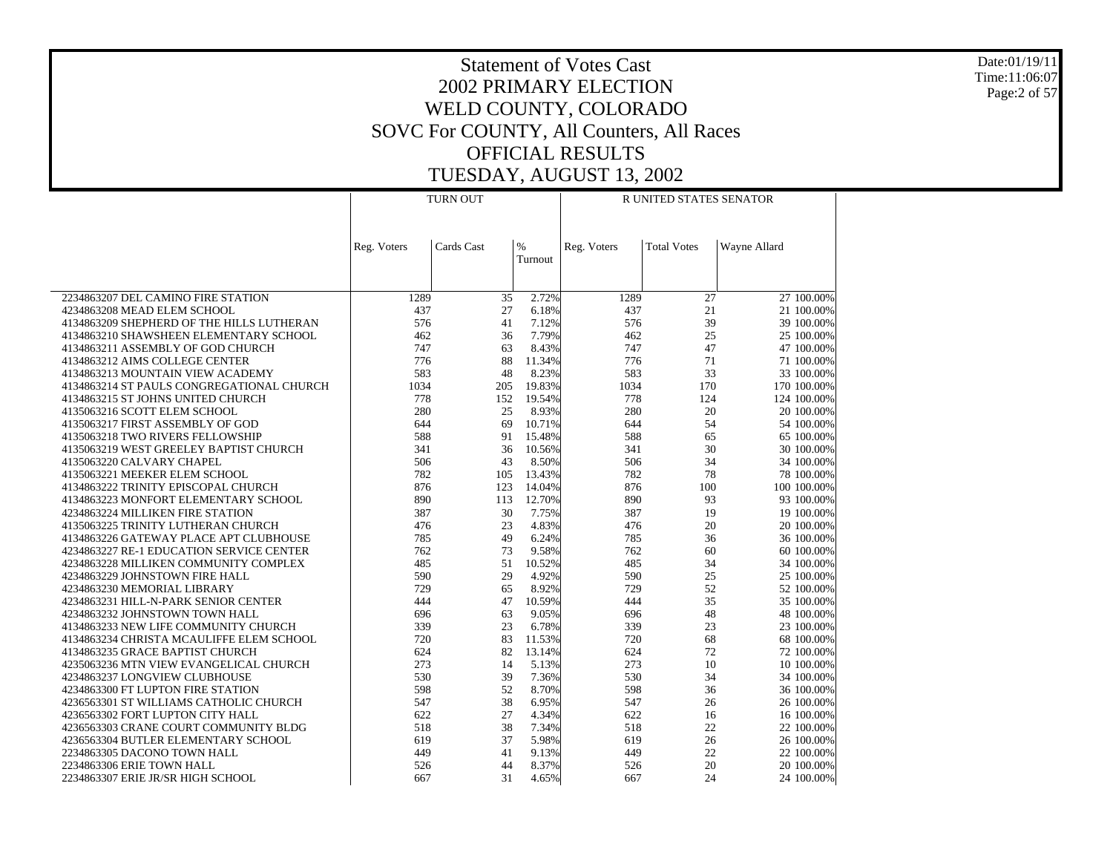Date:01/19/11 Time:11:06:07 Page:2 of 57

|                                                                               |             | <b>TURN OUT</b> |                 | R UNITED STATES SENATOR |                    |                           |  |  |
|-------------------------------------------------------------------------------|-------------|-----------------|-----------------|-------------------------|--------------------|---------------------------|--|--|
|                                                                               | Reg. Voters | Cards Cast      | $\%$<br>Turnout | Reg. Voters             | <b>Total Votes</b> | Wayne Allard              |  |  |
|                                                                               |             |                 |                 |                         |                    |                           |  |  |
| 2234863207 DEL CAMINO FIRE STATION                                            | 1289        | 35              | 2.72%           | 1289                    | 27                 | 27 100.00%                |  |  |
| 4234863208 MEAD ELEM SCHOOL                                                   | 437         | 27              | 6.18%           | 437                     | 21                 | 21 100.00%                |  |  |
| 4134863209 SHEPHERD OF THE HILLS LUTHERAN                                     | 576         | 41              | 7.12%           | 576                     | 39                 | 39 100.00%                |  |  |
| 4134863210 SHAWSHEEN ELEMENTARY SCHOOL                                        | 462         | 36              | 7.79%           | 462                     | 25                 | 25 100.00%                |  |  |
| 4134863211 ASSEMBLY OF GOD CHURCH                                             | 747         | 63              | 8.43%           | 747                     | 47                 | 47 100.00%                |  |  |
| 4134863212 AIMS COLLEGE CENTER                                                | 776         | 88              | 11.34%          | 776                     | 71                 | 71 100.00%                |  |  |
| 4134863213 MOUNTAIN VIEW ACADEMY<br>4134863214 ST PAULS CONGREGATIONAL CHURCH | 583<br>1034 | 48<br>205       | 8.23%<br>19.83% | 583<br>1034             | 33<br>170          | 33 100.00%<br>170 100.00% |  |  |
| 4134863215 ST JOHNS UNITED CHURCH                                             | 778         | 152             | 19.54%          | 778                     | 124                | 124 100.00%               |  |  |
| 4135063216 SCOTT ELEM SCHOOL                                                  | 280         | 25              | 8.93%           | 280                     | 20                 | 20 100.00%                |  |  |
| 4135063217 FIRST ASSEMBLY OF GOD                                              | 644         | 69              | 10.71%          | 644                     | 54                 | 54 100.00%                |  |  |
| 4135063218 TWO RIVERS FELLOWSHIP                                              | 588         | 91              | 15.48%          | 588                     | 65                 | 65 100.00%                |  |  |
| 4135063219 WEST GREELEY BAPTIST CHURCH                                        | 341         | 36              | 10.56%          | 341                     | 30                 | 30 100.00%                |  |  |
| 4135063220 CALVARY CHAPEL                                                     | 506         | 43              | 8.50%           | 506                     | 34                 | 34 100.00%                |  |  |
| 4135063221 MEEKER ELEM SCHOOL                                                 | 782         | 105             | 13.43%          | 782                     | 78                 | 78 100.00%                |  |  |
| 4134863222 TRINITY EPISCOPAL CHURCH                                           | 876         | 123             | 14.04%          | 876                     | 100                | 100 100.00%               |  |  |
| 4134863223 MONFORT ELEMENTARY SCHOOL                                          | 890         | 113             | 12.70%          | 890                     | 93                 | 93 100.00%                |  |  |
| 4234863224 MILLIKEN FIRE STATION                                              | 387         | 30              | 7.75%           | 387                     | 19                 | 19 100.00%                |  |  |
| 4135063225 TRINITY LUTHERAN CHURCH                                            | 476         | 23              | 4.83%           | 476                     | 20                 | 20 100.00%                |  |  |
| 4134863226 GATEWAY PLACE APT CLUBHOUSE                                        | 785         | 49              | 6.24%           | 785                     | 36                 | 36 100.00%                |  |  |
| 4234863227 RE-1 EDUCATION SERVICE CENTER                                      | 762         | 73              | 9.58%           | 762                     | 60                 | 60 100.00%                |  |  |
| 4234863228 MILLIKEN COMMUNITY COMPLEX                                         | 485<br>590  | 51<br>29        | 10.52%<br>4.92% | 485<br>590              | 34                 | 34 100.00%                |  |  |
| 4234863229 JOHNSTOWN FIRE HALL<br>4234863230 MEMORIAL LIBRARY                 | 729         | 65              | 8.92%           | 729                     | 25<br>52           | 25 100.00%<br>52 100.00%  |  |  |
| 4234863231 HILL-N-PARK SENIOR CENTER                                          | 444         | 47              | 10.59%          | 444                     | 35                 | 35 100.00%                |  |  |
| 4234863232 JOHNSTOWN TOWN HALL                                                | 696         | 63              | 9.05%           | 696                     | 48                 | 48 100.00%                |  |  |
| 4134863233 NEW LIFE COMMUNITY CHURCH                                          | 339         | 23              | 6.78%           | 339                     | 23                 | 23 100.00%                |  |  |
| 4134863234 CHRISTA MCAULIFFE ELEM SCHOOL                                      | 720         | 83              | 11.53%          | 720                     | 68                 | 68 100.00%                |  |  |
| 4134863235 GRACE BAPTIST CHURCH                                               | 624         | 82              | 13.14%          | 624                     | 72                 | 72 100.00%                |  |  |
| 4235063236 MTN VIEW EVANGELICAL CHURCH                                        | 273         | 14              | 5.13%           | 273                     | 10                 | 10 100.00%                |  |  |
| 4234863237 LONGVIEW CLUBHOUSE                                                 | 530         | 39              | 7.36%           | 530                     | 34                 | 34 100.00%                |  |  |
| 4234863300 FT LUPTON FIRE STATION                                             | 598         | 52              | 8.70%           | 598                     | 36                 | 36 100.00%                |  |  |
| 4236563301 ST WILLIAMS CATHOLIC CHURCH                                        | 547         | 38              | 6.95%           | 547                     | 26                 | 26 100.00%                |  |  |
| 4236563302 FORT LUPTON CITY HALL                                              | 622         | 27              | 4.34%           | 622                     | 16                 | 16 100.00%                |  |  |
| 4236563303 CRANE COURT COMMUNITY BLDG                                         | 518         | 38              | 7.34%           | 518                     | 22                 | 22 100.00%                |  |  |
| 4236563304 BUTLER ELEMENTARY SCHOOL                                           | 619         | 37              | 5.98%           | 619                     | 26                 | 26 100.00%                |  |  |
| 2234863305 DACONO TOWN HALL                                                   | 449         | 41              | 9.13%           | 449                     | 22                 | 22 100.00%                |  |  |
| 2234863306 ERIE TOWN HALL                                                     | 526<br>667  | 44<br>31        | 8.37%<br>4.65%  | 526                     | 20<br>24           | 20 100.00%<br>24 100.00%  |  |  |
| 2234863307 ERIE JR/SR HIGH SCHOOL                                             |             |                 |                 | 667                     |                    |                           |  |  |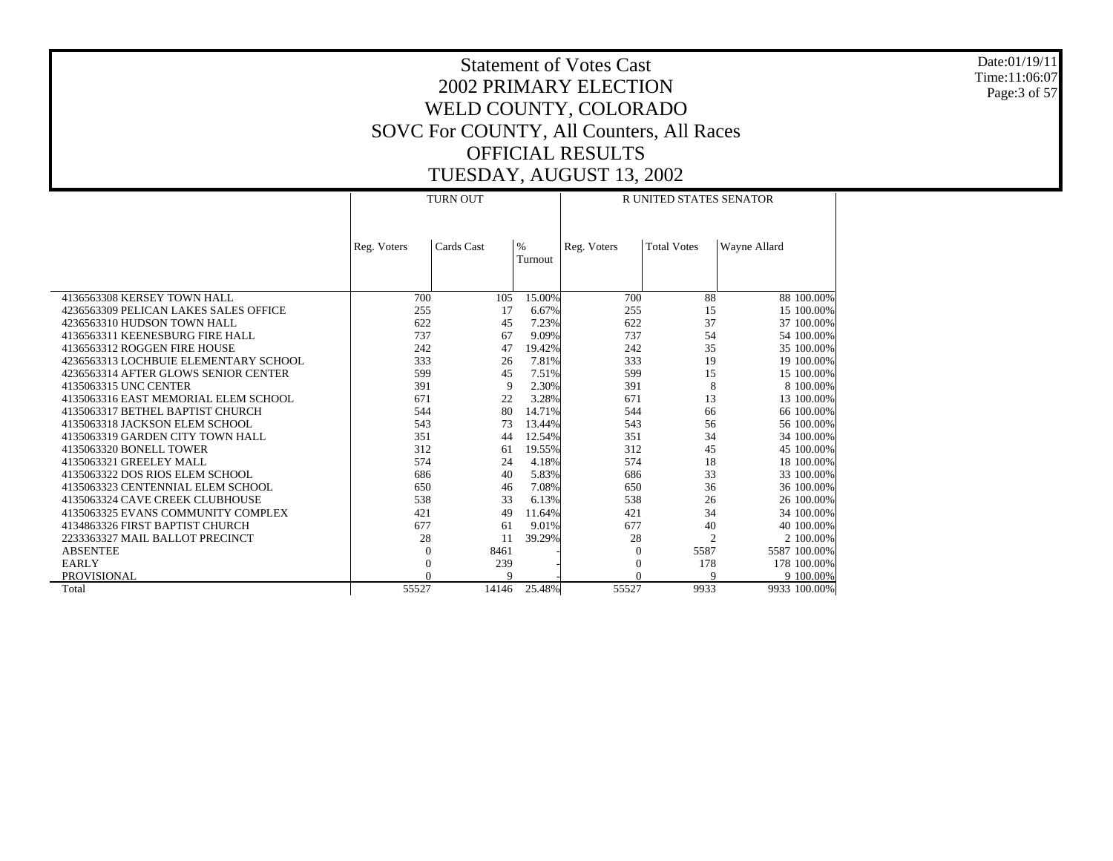Date:01/19/11 Time:11:06:07 Page:3 of 57

|                                       |             | <b>TURN OUT</b> |         |             | <b>R UNITED STATES SENATOR</b> |              |
|---------------------------------------|-------------|-----------------|---------|-------------|--------------------------------|--------------|
|                                       |             |                 |         |             |                                |              |
|                                       |             |                 |         |             |                                |              |
|                                       | Reg. Voters | Cards Cast      | $\%$    | Reg. Voters | <b>Total Votes</b>             | Wayne Allard |
|                                       |             |                 | Turnout |             |                                |              |
|                                       |             |                 |         |             |                                |              |
|                                       |             |                 |         |             |                                |              |
| 4136563308 KERSEY TOWN HALL           | 700         | 105             | 15.00%  | 700         | 88                             | 88 100.00%   |
| 4236563309 PELICAN LAKES SALES OFFICE | 255         | 17              | 6.67%   | 255         | 15                             | 15 100.00%   |
| 4236563310 HUDSON TOWN HALL           | 622         | 45              | 7.23%   | 622         | 37                             | 37 100.00%   |
| 4136563311 KEENESBURG FIRE HALL       | 737         | 67              | 9.09%   | 737         | 54                             | 54 100.00%   |
| 4136563312 ROGGEN FIRE HOUSE          | 242         | 47              | 19.42%  | 242         | 35                             | 35 100.00%   |
| 4236563313 LOCHBUIE ELEMENTARY SCHOOL | 333         | 26              | 7.81%   | 333         | 19                             | 19 100.00%   |
| 4236563314 AFTER GLOWS SENIOR CENTER  | 599         | 45              | 7.51%   | 599         | 15                             | 15 100.00%   |
| 4135063315 UNC CENTER                 | 391         | 9               | 2.30%   | 391         | 8                              | 8 100,00%    |
| 4135063316 EAST MEMORIAL ELEM SCHOOL  | 671         | 22              | 3.28%   | 671         | 13                             | 13 100.00%   |
| 4135063317 BETHEL BAPTIST CHURCH      | 544         | 80              | 14.71%  | 544         | 66                             | 66 100.00%   |
| 4135063318 JACKSON ELEM SCHOOL        | 543         | 73              | 13.44%  | 543         | 56                             | 56 100.00%   |
| 4135063319 GARDEN CITY TOWN HALL      | 351         | 44              | 12.54%  | 351         | 34                             | 34 100,00%   |
| 4135063320 BONELL TOWER               | 312         | 61              | 19.55%  | 312         | 45                             | 45 100.00%   |
| 4135063321 GREELEY MALL               | 574         | 24              | 4.18%   | 574         | 18                             | 18 100.00%   |
| 4135063322 DOS RIOS ELEM SCHOOL       | 686         | 40              | 5.83%   | 686         | 33                             | 33 100.00%   |
| 4135063323 CENTENNIAL ELEM SCHOOL     | 650         | 46              | 7.08%   | 650         | 36                             | 36 100.00%   |
| 4135063324 CAVE CREEK CLUBHOUSE       | 538         | 33              | 6.13%   | 538         | 26                             | 26 100.00%   |
| 4135063325 EVANS COMMUNITY COMPLEX    | 421         | 49              | 11.64%  | 421         | 34                             | 34 100.00%   |
| 4134863326 FIRST BAPTIST CHURCH       | 677         | 61              | 9.01%   | 677         | 40                             | 40 100,00%   |
| 2233363327 MAIL BALLOT PRECINCT       | 28          | 11              | 39.29%  | 28          | $\overline{c}$                 | 2 100,00%    |
| <b>ABSENTEE</b>                       | $\Omega$    | 8461            |         | $\Omega$    | 5587                           | 5587 100.00% |
| EARLY                                 | $\Omega$    | 239             |         | $\Omega$    | 178                            | 178 100.00%  |
| PROVISIONAL                           |             | $\mathbf Q$     |         | $\Omega$    | $\mathbf Q$                    | 9 100.00%    |
| Total                                 | 55527       | 14146           | 25.48%  | 55527       | 9933                           | 9933 100.00% |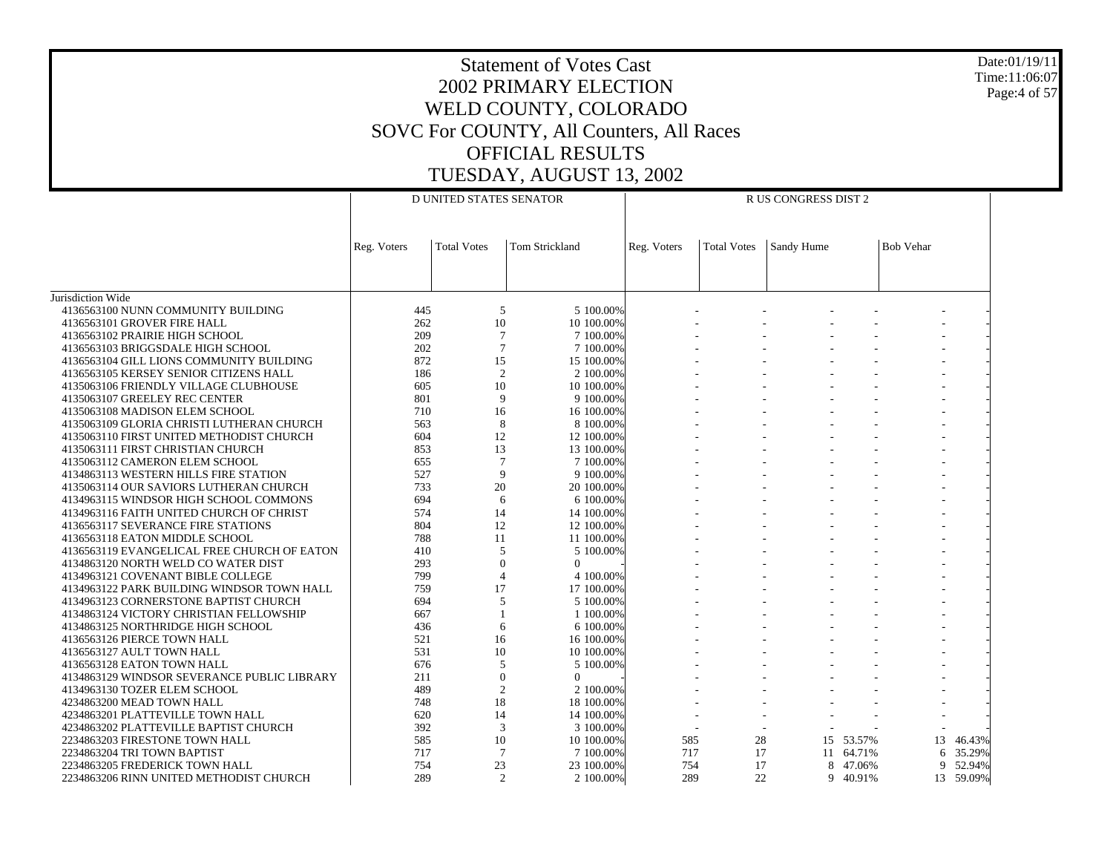# Statement of Votes Cast2002 PRIMARY ELECTIONWELD COUNTY, COLORADO SOVC For COUNTY, All Counters, All Races OFFICIAL RESULTSTUESDAY, AUGUST 13, 2002

Jurisdiction Wide 4136563100 NUNN COMMUNITY BUILDING 4136563101 GROVER FIRE HALL 4136563102 PRAIRIE HIGH SCHOOL 4136563103 BRIGGSDALE HIGH SCHOOL 4136563104 GILL LIONS COMMUNITY BUILDING 4136563105 KERSEY SENIOR CITIZENS HALL 4135063106 FRIENDLY VILLAGE CLUBHOUSE 4135063107 GREELEY REC CENTER 4135063108 MADISON ELEM SCHOOL 4135063109 GLORIA CHRISTI LUTHERAN CHURCH 4135063110 FIRST UNITED METHODIST CHURCH 4135063111 FIRST CHRISTIAN CHURCH 4135063112 CAMERON ELEM SCHOOL 4134863113 WESTERN HILLS FIRE STATION 4135063114 OUR SAVIORS LUTHERAN CHURCH 4134963115 WINDSOR HIGH SCHOOL COMMONS 4134963116 FAITH UNITED CHURCH OF CHRIST 4136563117 SEVERANCE FIRE STATIONS 4136563118 EATON MIDDLE SCHOOL 4136563119 EVANGELICAL FREE CHURCH OF EATON 4134863120 NORTH WELD CO WATER DIST 4134963121 COVENANT BIBLE COLLEGE 4134963122 PARK BUILDING WINDSOR TOWN HALL 4134963123 CORNERSTONE BAPTIST CHURCH 4134863124 VICTORY CHRISTIAN FELLOWSHIP 4134863125 NORTHRIDGE HIGH SCHOOL 4136563126 PIERCE TOWN HALL 4136563127 AULT TOWN HALL 4136563128 EATON TOWN HALL 4134863129 WINDSOR SEVERANCE PUBLIC LIBRARY 4134963130 TOZER ELEM SCHOOL 4234863200 MEAD TOWN HALL 4234863201 PLATTEVILLE TOWN HALL 4234863202 PLATTEVILLE BAPTIST CHURCH 2234863203 FIRESTONE TOWN HALL 2234863204 TRI TOWN BAPTIST 2234863205 FREDERICK TOWN HALL 2234863206 RINN UNITED METHODIST CHURCHReg. Voters | Total Votes | Tom Strickland D UNITED STATES SENATORReg. Voters | Total Votes | Sandy Hume | Bob Vehar R US CONGRESS DIST 2445 5 5 100.00% - - - - - - 262 10 10 100.00% - - - - - - 209 7 7 100.00% - - - - - - 202 7 7 100.00% - - - - - - 872 15 15 100.00% - - - - - - 186 2 2 100.00% - - - - - - 605 10 10 100.00% - - - - - - 801 9 9 100.00% - - - - - - 710 16 16 100.00% - - - - - - 563 8 8 100.00% - - - - - - 604 12 12 100.00% - - - - - - 853 13 13 100.00% - - - - - - 655 7 7 100.00% - - - - - - 527 9 9 100.00% - - - - - - 733 20 20 100.00% - - - - - - 694 6 6 100.00% - - - - - - 574 14 14 100.00% - - - - - - 804 12 12 100.00% - - - - - - 78811 100.00% - - - - - - 410 5 5 100.00% - - - - - - 293 $\begin{array}{ccccccccccc} 3 & & & 0 & & 0 & & | & & \text{---} & & \text{---} & & \text{---} & & \text{---} & & \text{---} & \text{---} & \text{---} & \text{---} & \text{---} & \text{---} & \text{---} & \text{---} & \text{---} & \text{---} & \text{---} & \text{---} & \text{---} & \text{---} & \text{---} & \text{---} & \text{---} & \text{---} & \text{---} & \text{---} & \text{---} & \text{---} & \text{---} & \text{---} & \text{---} & \text{---} & \text{---} & \text{---}$ 799 4 4 100.00% - - - - - - 759 17 17 100.00% - - - - - - 694 5 5 100.00% - - - - - - 6671 100.00% - - - - - - 436 6 6 100.00% - - - - - - 521 16 16 100.00% - - - - - - 531 10 10 100.00% - - - - - - 676 5 5 100.00% - - - - - - 211 $1$  0 0 - - - - - - - -489 2 2 100.00% - - - - - - 748 18 18 100.00% - - - - - - 620 14 14 100.00% - - - - - - 392 3 3 100.00% - - - - - - 585 10 10 100.00% 585 28 15 53.57% 13 46.43% 717 7 7 100.00% 717 17 11 64.71% 6 35.29% 754 23 23 100.00% 754 17 8 47.06% 9 52.94% 289 2 2 100.00%289 22 9 40.91% 13 59.09%

Date:01/19/11Time:11:06:07Page:4 of 57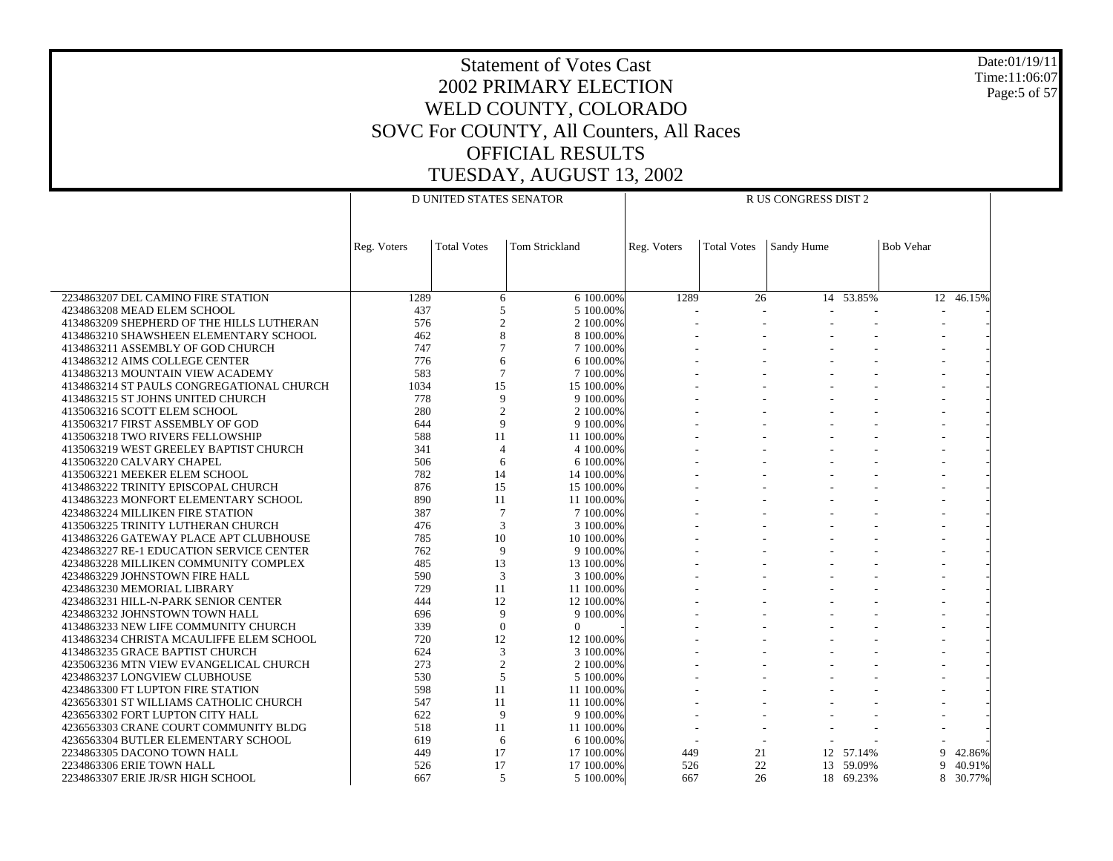Date:01/19/11 Time:11:06:07 Page:5 of 57

|                                                                                     |             | D UNITED STATES SENATOR |                        |             |                    | R US CONGRESS DIST 2 |               |                  |               |
|-------------------------------------------------------------------------------------|-------------|-------------------------|------------------------|-------------|--------------------|----------------------|---------------|------------------|---------------|
|                                                                                     |             |                         |                        |             |                    |                      |               |                  |               |
|                                                                                     |             |                         |                        |             |                    |                      |               |                  |               |
|                                                                                     | Reg. Voters | <b>Total Votes</b>      | <b>Tom Strickland</b>  | Reg. Voters | <b>Total Votes</b> | Sandy Hume           |               | <b>Bob Vehar</b> |               |
|                                                                                     |             |                         |                        |             |                    |                      |               |                  |               |
|                                                                                     |             |                         |                        |             |                    |                      |               |                  |               |
| 2234863207 DEL CAMINO FIRE STATION                                                  | 1289        | 6                       | 6 100,00%              | 1289        | 26                 |                      | $14 - 53.85%$ |                  | $12 - 46.15%$ |
| 4234863208 MEAD ELEM SCHOOL                                                         | 437<br>576  | 5<br>$\overline{c}$     | 5 100,00%              |             |                    |                      |               |                  |               |
| 4134863209 SHEPHERD OF THE HILLS LUTHERAN<br>4134863210 SHAWSHEEN ELEMENTARY SCHOOL | 462         | 8                       | 2 100.00%<br>8 100.00% |             |                    |                      |               |                  |               |
| 4134863211 ASSEMBLY OF GOD CHURCH                                                   | 747         | 7                       | 7 100,00%              |             |                    |                      |               |                  |               |
| 4134863212 AIMS COLLEGE CENTER                                                      | 776         | 6                       | 6 100,00%              |             |                    |                      |               |                  |               |
| 4134863213 MOUNTAIN VIEW ACADEMY                                                    | 583         | 7                       | 7 100,00%              |             |                    |                      |               |                  |               |
| 4134863214 ST PAULS CONGREGATIONAL CHURCH                                           | 1034        | 15                      | 15 100.00%             |             |                    |                      |               |                  |               |
| 4134863215 ST JOHNS UNITED CHURCH                                                   | 778         | 9                       | 9 100.00%              |             |                    |                      |               |                  |               |
| 4135063216 SCOTT ELEM SCHOOL                                                        | 280         | $\overline{c}$          | 2 100,00%              |             |                    |                      |               |                  |               |
| 4135063217 FIRST ASSEMBLY OF GOD                                                    | 644         | 9                       | 9 100,00%              |             |                    |                      |               |                  |               |
| 4135063218 TWO RIVERS FELLOWSHIP                                                    | 588         | 11                      | 11 100,00%             |             |                    |                      |               |                  |               |
| 4135063219 WEST GREELEY BAPTIST CHURCH                                              | 341         | $\overline{4}$          | 4 100.00%              |             |                    |                      |               |                  |               |
| 4135063220 CALVARY CHAPEL                                                           | 506         | 6                       | 6 100,00%              |             |                    |                      |               |                  |               |
| 4135063221 MEEKER ELEM SCHOOL                                                       | 782         | 14                      | 14 100,00%             |             |                    |                      |               |                  |               |
| 4134863222 TRINITY EPISCOPAL CHURCH                                                 | 876         | 15                      | 15 100,00%             |             |                    |                      |               |                  |               |
| 4134863223 MONFORT ELEMENTARY SCHOOL                                                | 890         | 11                      | 11 100.00%             |             |                    |                      |               |                  |               |
| 4234863224 MILLIKEN FIRE STATION                                                    | 387         | $\overline{7}$          | 7 100.00%              |             |                    |                      |               |                  |               |
| 4135063225 TRINITY LUTHERAN CHURCH                                                  | 476         | 3                       | 3 100,00%              |             |                    |                      |               |                  |               |
| 4134863226 GATEWAY PLACE APT CLUBHOUSE                                              | 785         | 10                      | 10 100,00%             |             |                    |                      |               |                  |               |
| 4234863227 RE-1 EDUCATION SERVICE CENTER                                            | 762         | 9                       | 9 100,00%              |             |                    |                      |               |                  |               |
| 4234863228 MILLIKEN COMMUNITY COMPLEX                                               | 485         | 13                      | 13 100.00%             |             |                    |                      |               |                  |               |
| 4234863229 JOHNSTOWN FIRE HALL                                                      | 590         | 3                       | 3 100,00%              |             |                    |                      |               |                  |               |
| 4234863230 MEMORIAL LIBRARY                                                         | 729         | 11                      | 11 100.00%             |             |                    |                      |               |                  |               |
| 4234863231 HILL-N-PARK SENIOR CENTER                                                | 444         | 12                      | 12 100,00%             |             |                    |                      |               |                  |               |
| 4234863232 JOHNSTOWN TOWN HALL<br>4134863233 NEW LIFE COMMUNITY CHURCH              | 696<br>339  | 9<br>$\mathbf{0}$       | 9 100,00%<br>$\Omega$  |             |                    |                      |               |                  |               |
| 4134863234 CHRISTA MCAULIFFE ELEM SCHOOL                                            | 720         | 12                      | 12 100,00%             |             |                    |                      |               |                  |               |
| 4134863235 GRACE BAPTIST CHURCH                                                     | 624         | 3                       | 3 100.00%              |             |                    |                      |               |                  |               |
| 4235063236 MTN VIEW EVANGELICAL CHURCH                                              | 273         | 2                       | 2 100,00%              |             |                    |                      |               |                  |               |
| 4234863237 LONGVIEW CLUBHOUSE                                                       | 530         | 5                       | 5 100.00%              |             |                    |                      |               |                  |               |
| 4234863300 FT LUPTON FIRE STATION                                                   | 598         | 11                      | 11 100,00%             |             |                    |                      |               |                  |               |
| 4236563301 ST WILLIAMS CATHOLIC CHURCH                                              | 547         | 11                      | 11 100,00%             |             |                    |                      |               |                  |               |
| 4236563302 FORT LUPTON CITY HALL                                                    | 622         | 9                       | 9 100,00%              |             |                    |                      |               |                  |               |
| 4236563303 CRANE COURT COMMUNITY BLDG                                               | 518         | 11                      | 11 100,00%             |             |                    |                      |               |                  |               |
| 4236563304 BUTLER ELEMENTARY SCHOOL                                                 | 619         | 6                       | 6 100.00%              |             |                    |                      |               |                  |               |
| 2234863305 DACONO TOWN HALL                                                         | 449         | 17                      | 17 100,00%             | 449         | 21                 | 12                   | 57.14%        | 9                | 42.86%        |
| 2234863306 ERIE TOWN HALL                                                           | 526         | 17                      | 17 100,00%             | 526         | 22                 |                      | 13 59.09%     | 9                | 40.91%        |
| 2234863307 ERIE JR/SR HIGH SCHOOL                                                   | 667         | $\overline{5}$          | 5 100.00%              | 667         | 26                 |                      | 18 69.23%     |                  | 8 30.77%      |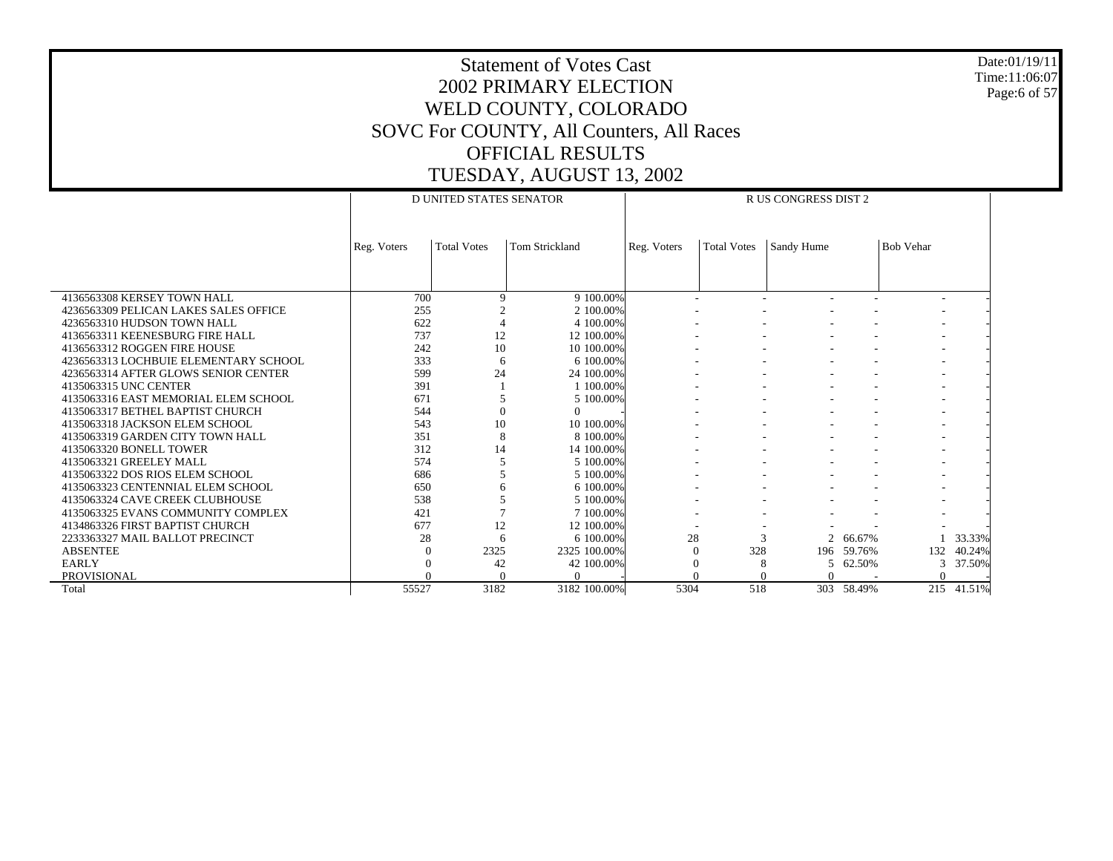Date:01/19/11 Time:11:06:07 Page:6 of 57

|                                       |             | <b>D UNITED STATES SENATOR</b> |                       |             |                    | R US CONGRESS DIST 2 |            |                  |        |
|---------------------------------------|-------------|--------------------------------|-----------------------|-------------|--------------------|----------------------|------------|------------------|--------|
|                                       |             |                                |                       |             |                    |                      |            |                  |        |
|                                       | Reg. Voters | <b>Total Votes</b>             | <b>Tom Strickland</b> | Reg. Voters | <b>Total Votes</b> | Sandy Hume           |            | <b>Bob Vehar</b> |        |
|                                       |             |                                |                       |             |                    |                      |            |                  |        |
|                                       |             |                                |                       |             |                    |                      |            |                  |        |
|                                       |             |                                |                       |             |                    |                      |            |                  |        |
| 4136563308 KERSEY TOWN HALL           | 700         | $\mathbf Q$                    | 9 100.00%             |             |                    |                      |            |                  |        |
| 4236563309 PELICAN LAKES SALES OFFICE | 255         |                                | 2 100,00%             |             |                    |                      |            |                  |        |
| 4236563310 HUDSON TOWN HALL           | 622         |                                | 4 100,00%             |             |                    |                      |            |                  |        |
| 4136563311 KEENESBURG FIRE HALL       | 737         | 12                             | 12 100,00%            |             |                    |                      |            |                  |        |
| 4136563312 ROGGEN FIRE HOUSE          | 242         | 10                             | 10 100.00%            |             |                    |                      |            |                  |        |
| 4236563313 LOCHBUIE ELEMENTARY SCHOOL | 333         | 6                              | 6 100,00%             |             |                    |                      |            |                  |        |
| 4236563314 AFTER GLOWS SENIOR CENTER  | 599         | 24                             | 24 100,00%            |             |                    |                      |            |                  |        |
| 4135063315 UNC CENTER                 | 391         |                                | 1 100,00%             |             |                    |                      |            |                  |        |
| 4135063316 EAST MEMORIAL ELEM SCHOOL  | 671         |                                | 5 100,00%             |             |                    |                      |            |                  |        |
| 4135063317 BETHEL BAPTIST CHURCH      | 544         | $\Omega$                       | $\Omega$              |             |                    |                      |            |                  |        |
| 4135063318 JACKSON ELEM SCHOOL        | 543         | 10                             | 10 100,00%            |             |                    |                      |            |                  |        |
| 4135063319 GARDEN CITY TOWN HALL      | 351         | 8                              | 8 100,00%             |             |                    |                      |            |                  |        |
| 4135063320 BONELL TOWER               | 312         | 14                             | 14 100,00%            |             |                    |                      |            |                  |        |
| 4135063321 GREELEY MALL               | 574         |                                | 5 100,00%             |             |                    |                      |            |                  |        |
| 4135063322 DOS RIOS ELEM SCHOOL       | 686         |                                | 5 100,00%             |             |                    |                      |            |                  |        |
| 4135063323 CENTENNIAL ELEM SCHOOL     | 650         |                                | 6 100,00%             |             |                    |                      |            |                  |        |
| 4135063324 CAVE CREEK CLUBHOUSE       | 538         |                                | 5 100.00%             |             |                    |                      |            |                  |        |
| 4135063325 EVANS COMMUNITY COMPLEX    | 421         |                                | 7 100,00%             |             |                    |                      |            |                  |        |
| 4134863326 FIRST BAPTIST CHURCH       | 677         | 12                             | 12 100,00%            |             |                    |                      |            |                  |        |
| 2233363327 MAIL BALLOT PRECINCT       | 28          | 6                              | 6 100,00%             | 28          | $\mathbf{3}$       | $\overline{2}$       | 66.67%     |                  | 33.33% |
| <b>ABSENTEE</b>                       | 0           | 2325                           | 2325 100.00%          |             | 328                |                      | 196 59.76% | 132              | 40.24% |
| <b>EARLY</b>                          |             | 42                             | 42 100.00%            |             | 8                  | 5                    | 62.50%     | 3                | 37.50% |
| PROVISIONAL                           |             |                                | ∩                     |             |                    | $\Omega$             |            |                  |        |
| Total                                 | 55527       | 3182                           | 3182 100.00%          | 5304        | 518                | 303                  | 58.49%     | 215              | 41.51% |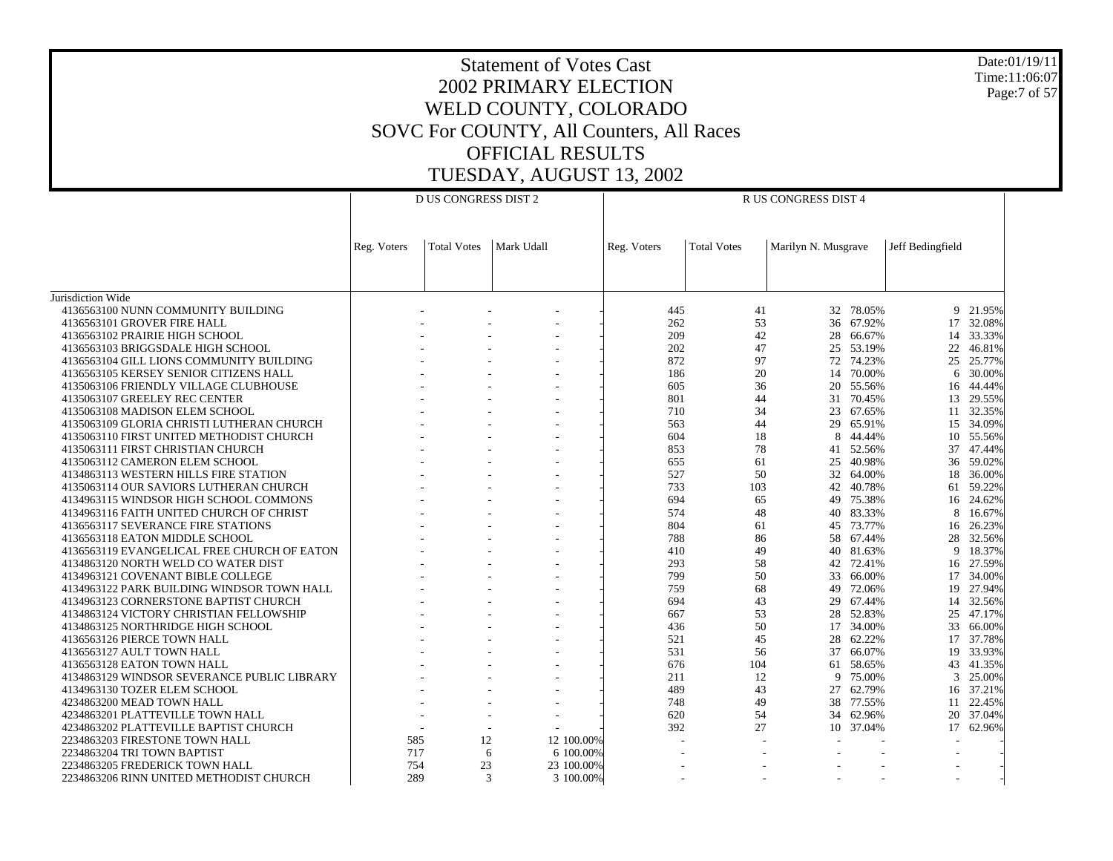Date:01/19/11 Time:11:06:07 Page:7 of 57

|                                                                                  |             | D US CONGRESS DIST 2 |                         |             |                    | R US CONGRESS DIST 4 |                  |                  |                  |
|----------------------------------------------------------------------------------|-------------|----------------------|-------------------------|-------------|--------------------|----------------------|------------------|------------------|------------------|
|                                                                                  | Reg. Voters | <b>Total Votes</b>   | Mark Udall              | Reg. Voters | <b>Total Votes</b> | Marilyn N. Musgrave  |                  | Jeff Bedingfield |                  |
|                                                                                  |             |                      |                         |             |                    |                      |                  |                  |                  |
| Jurisdiction Wide<br>4136563100 NUNN COMMUNITY BUILDING                          |             |                      |                         | 445         | 41                 | 32                   | 78.05%           |                  | 9 21.95%         |
| 4136563101 GROVER FIRE HALL                                                      |             |                      |                         | 262         | 53                 | 36                   | 67.92%           | 17               | 32.08%           |
| 4136563102 PRAIRIE HIGH SCHOOL                                                   |             |                      |                         | 209         | 42                 | 28                   | 66.67%           | 14               | 33.33%           |
| 4136563103 BRIGGSDALE HIGH SCHOOL                                                |             |                      |                         | 202         | 47                 | 25                   | 53.19%           | 22               | 46.81%           |
| 4136563104 GILL LIONS COMMUNITY BUILDING                                         |             |                      |                         | 872         | 97                 | 72                   | 74.23%           | 25               | 25.77%           |
| 4136563105 KERSEY SENIOR CITIZENS HALL                                           |             |                      |                         | 186         | 20                 | 14                   | 70.00%           | 6                | 30.00%           |
| 4135063106 FRIENDLY VILLAGE CLUBHOUSE                                            |             |                      |                         | 605         | 36                 | 20                   | 55.56%           | 16               | 44.44%           |
| 4135063107 GREELEY REC CENTER                                                    |             |                      |                         | 801         | 44                 | 31                   | 70.45%           | 13               | 29.55%           |
| 4135063108 MADISON ELEM SCHOOL                                                   |             |                      |                         | 710         | 34                 | 23                   | 67.65%           |                  | 11 32.35%        |
| 4135063109 GLORIA CHRISTI LUTHERAN CHURCH                                        |             |                      |                         | 563         | 44                 | 29                   | 65.91%           | 15               | 34.09%           |
| 4135063110 FIRST UNITED METHODIST CHURCH                                         |             |                      |                         | 604         | 18<br>78           | 8                    | 44.44%           |                  | 10 55.56%        |
| 4135063111 FIRST CHRISTIAN CHURCH<br>4135063112 CAMERON ELEM SCHOOL              |             |                      |                         | 853<br>655  | 61                 | 41<br>25             | 52.56%<br>40.98% | 37<br>36         | 47.44%<br>59.02% |
| 4134863113 WESTERN HILLS FIRE STATION                                            |             |                      |                         | 527         | 50                 | 32                   | 64.00%           | 18               | 36.00%           |
| 4135063114 OUR SAVIORS LUTHERAN CHURCH                                           |             |                      |                         | 733         | 103                | 42                   | 40.78%           | 61               | 59.22%           |
| 4134963115 WINDSOR HIGH SCHOOL COMMONS                                           |             |                      |                         | 694         | 65                 | 49                   | 75.38%           |                  | 16 24.62%        |
| 4134963116 FAITH UNITED CHURCH OF CHRIST                                         |             |                      |                         | 574         | 48                 | 40                   | 83.33%           | 8                | 16.67%           |
| 4136563117 SEVERANCE FIRE STATIONS                                               |             |                      |                         | 804         | 61                 | 45                   | 73.77%           | 16               | 26.23%           |
| 4136563118 EATON MIDDLE SCHOOL                                                   |             |                      |                         | 788         | 86                 | 58                   | 67.44%           | 28               | 32.56%           |
| 4136563119 EVANGELICAL FREE CHURCH OF EATON                                      |             |                      |                         | 410         | 49                 | 40                   | 81.63%           | 9                | 18.37%           |
| 4134863120 NORTH WELD CO WATER DIST                                              |             |                      |                         | 293         | 58                 | 42                   | 72.41%           |                  | 16 27.59%        |
| 4134963121 COVENANT BIBLE COLLEGE                                                |             |                      |                         | 799         | 50                 | 33                   | 66.00%           | 17               | 34.00%           |
| 4134963122 PARK BUILDING WINDSOR TOWN HALL                                       |             |                      |                         | 759         | 68<br>43           | 49                   | 72.06%           | 19               | 27.94%           |
| 4134963123 CORNERSTONE BAPTIST CHURCH<br>4134863124 VICTORY CHRISTIAN FELLOWSHIP |             |                      |                         | 694<br>667  | 53                 | 29<br>28             | 67.44%<br>52.83% | 14<br>25         | 32.56%<br>47.17% |
| 4134863125 NORTHRIDGE HIGH SCHOOL                                                |             |                      |                         | 436         | 50                 | 17                   | 34.00%           | 33               | 66.00%           |
| 4136563126 PIERCE TOWN HALL                                                      |             |                      |                         | 521         | 45                 | 28                   | 62.22%           | 17               | 37.78%           |
| 4136563127 AULT TOWN HALL                                                        |             |                      |                         | 531         | 56                 | 37                   | 66.07%           | 19               | 33.93%           |
| 4136563128 EATON TOWN HALL                                                       |             |                      |                         | 676         | 104                | 61                   | 58.65%           | 43               | 41.35%           |
| 4134863129 WINDSOR SEVERANCE PUBLIC LIBRARY                                      |             |                      |                         | 211         | 12                 | 9                    | 75.00%           | 3                | 25.00%           |
| 4134963130 TOZER ELEM SCHOOL                                                     |             |                      |                         | 489         | 43                 | 27                   | 62.79%           | 16               | 37.21%           |
| 4234863200 MEAD TOWN HALL                                                        |             |                      |                         | 748         | 49                 | 38                   | 77.55%           | 11               | 22.45%           |
| 4234863201 PLATTEVILLE TOWN HALL                                                 |             |                      |                         | 620         | 54                 | 34                   | 62.96%           | 20               | 37.04%           |
| 4234863202 PLATTEVILLE BAPTIST CHURCH                                            |             |                      |                         | 392         | 27                 |                      | 10 37.04%        | 17               | 62.96%           |
| 2234863203 FIRESTONE TOWN HALL                                                   | 585<br>717  | 12<br>6              | 12 100.00%              |             |                    |                      |                  |                  |                  |
| 2234863204 TRI TOWN BAPTIST<br>2234863205 FREDERICK TOWN HALL                    | 754         | 23                   | 6 100.00%<br>23 100.00% |             |                    |                      |                  |                  |                  |
| 2234863206 RINN UNITED METHODIST CHURCH                                          | 289         | $\mathcal{R}$        | 3 100.00%               |             |                    |                      |                  | ٠                |                  |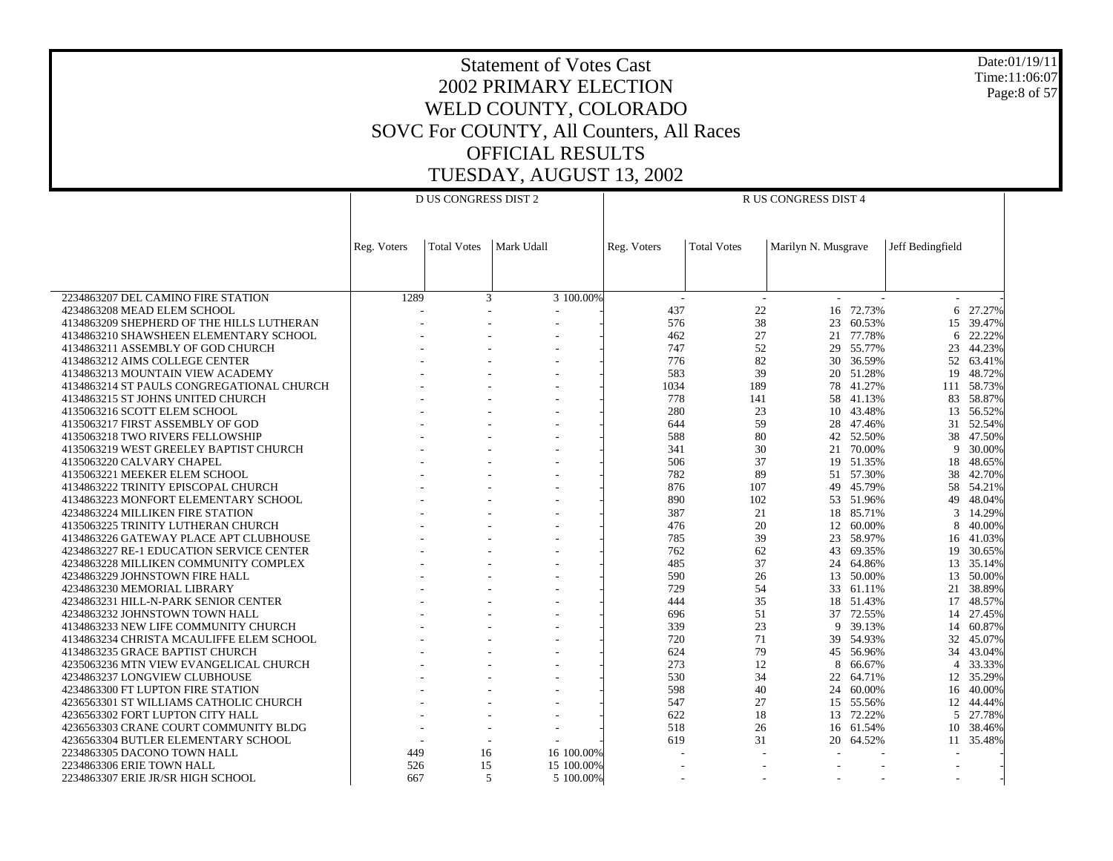Date:01/19/11 Time:11:06:07 Page:8 of 57

|                                                                        | <b>D US CONGRESS DIST 2</b> |                    |            |            |             | R US CONGRESS DIST 4     |                     |                     |                  |                  |
|------------------------------------------------------------------------|-----------------------------|--------------------|------------|------------|-------------|--------------------------|---------------------|---------------------|------------------|------------------|
|                                                                        |                             |                    |            |            |             |                          |                     |                     |                  |                  |
|                                                                        |                             |                    |            |            |             |                          |                     |                     |                  |                  |
|                                                                        | Reg. Voters                 | <b>Total Votes</b> | Mark Udall |            | Reg. Voters | <b>Total Votes</b>       | Marilyn N. Musgrave |                     | Jeff Bedingfield |                  |
|                                                                        |                             |                    |            |            |             |                          |                     |                     |                  |                  |
|                                                                        |                             |                    |            |            |             |                          |                     |                     |                  |                  |
|                                                                        |                             |                    |            |            |             |                          |                     |                     |                  |                  |
| 2234863207 DEL CAMINO FIRE STATION                                     | 1289                        |                    | 3          | 3 100.00%  |             | $\sim$                   |                     |                     |                  |                  |
| 4234863208 MEAD ELEM SCHOOL                                            |                             |                    | ÷          |            | 437         | 22                       | 16                  | 72.73%              | 6                | 27.27%           |
| 4134863209 SHEPHERD OF THE HILLS LUTHERAN                              |                             |                    |            |            | 576         | 38                       | 23                  | 60.53%              |                  | 15 39.47%        |
| 4134863210 SHAWSHEEN ELEMENTARY SCHOOL                                 |                             |                    |            |            | 462         | 27                       | 21                  | 77.78%              | 6                | 22.22%           |
| 4134863211 ASSEMBLY OF GOD CHURCH<br>4134863212 AIMS COLLEGE CENTER    |                             |                    |            |            | 747<br>776  | 52<br>82                 | 30                  | 29 55.77%<br>36.59% | 23<br>52         | 44.23%<br>63.41% |
| 4134863213 MOUNTAIN VIEW ACADEMY                                       |                             |                    |            |            | 583         | 39                       |                     | 20 51.28%           | 19               | 48.72%           |
| 4134863214 ST PAULS CONGREGATIONAL CHURCH                              |                             |                    |            |            | 1034        | 189                      | 78                  | 41.27%              |                  | 111 58.73%       |
| 4134863215 ST JOHNS UNITED CHURCH                                      |                             |                    |            |            | 778         | 141                      | 58                  | 41.13%              | 83               | 58.87%           |
| 4135063216 SCOTT ELEM SCHOOL                                           |                             |                    |            |            | 280         | 23                       | 10                  | 43.48%              | 13               | 56.52%           |
| 4135063217 FIRST ASSEMBLY OF GOD                                       |                             |                    |            |            | 644         | 59                       | 28                  | 47.46%              | 31               | 52.54%           |
| 4135063218 TWO RIVERS FELLOWSHIP                                       |                             |                    |            |            | 588         | 80                       |                     | 42 52.50%           |                  | 38 47.50%        |
| 4135063219 WEST GREELEY BAPTIST CHURCH                                 |                             |                    |            |            | 341         | 30                       | 21                  | 70.00%              | 9                | 30.00%           |
| 4135063220 CALVARY CHAPEL                                              |                             |                    |            |            | 506         | 37                       |                     | 19 51.35%           | 18               | 48.65%           |
| 4135063221 MEEKER ELEM SCHOOL                                          |                             |                    |            |            | 782         | 89                       |                     | 51 57.30%           | 38               | 42.70%           |
| 4134863222 TRINITY EPISCOPAL CHURCH                                    |                             |                    |            |            | 876         | 107                      | 49                  | 45.79%              | 58               | 54.21%           |
| 4134863223 MONFORT ELEMENTARY SCHOOL                                   |                             |                    |            |            | 890         | 102                      |                     | 53 51.96%           | 49               | 48.04%           |
| 4234863224 MILLIKEN FIRE STATION                                       |                             |                    |            |            | 387         | 21                       | 18                  | 85.71%              | 3                | 14.29%           |
| 4135063225 TRINITY LUTHERAN CHURCH                                     |                             |                    |            |            | 476         | 20                       | 12                  | 60.00%              | 8                | 40.00%           |
| 4134863226 GATEWAY PLACE APT CLUBHOUSE                                 |                             |                    |            |            | 785         | 39                       | 23                  | 58.97%              | 16               | 41.03%           |
| 4234863227 RE-1 EDUCATION SERVICE CENTER                               |                             |                    |            |            | 762         | 62                       | 43                  | 69.35%              | 19               | 30.65%           |
| 4234863228 MILLIKEN COMMUNITY COMPLEX                                  |                             |                    |            |            | 485         | 37                       | 24                  | 64.86%              |                  | 13 35.14%        |
| 4234863229 JOHNSTOWN FIRE HALL                                         |                             |                    |            |            | 590         | 26                       | 13                  | 50.00%              | 13               | 50.00%           |
| 4234863230 MEMORIAL LIBRARY                                            |                             |                    |            |            | 729         | 54                       | 33                  | 61.11%              | 21               | 38.89%           |
| 4234863231 HILL-N-PARK SENIOR CENTER<br>4234863232 JOHNSTOWN TOWN HALL |                             |                    |            |            | 444         | 35<br>51                 | 18                  | 51.43%<br>37 72.55% | 17               | 48.57%           |
| 4134863233 NEW LIFE COMMUNITY CHURCH                                   |                             |                    |            |            | 696<br>339  | 23                       | 9                   | 39.13%              | 14<br>14         | 27.45%<br>60.87% |
| 4134863234 CHRISTA MCAULIFFE ELEM SCHOOL                               |                             |                    |            |            | 720         | 71                       | 39                  | 54.93%              | 32               | 45.07%           |
| 4134863235 GRACE BAPTIST CHURCH                                        |                             |                    |            |            | 624         | 79                       | 45                  | 56.96%              | 34               | 43.04%           |
| 4235063236 MTN VIEW EVANGELICAL CHURCH                                 |                             |                    |            |            | 273         | 12                       | 8                   | 66.67%              | $\overline{4}$   | 33.33%           |
| 4234863237 LONGVIEW CLUBHOUSE                                          |                             |                    |            |            | 530         | 34                       | 22                  | 64.71%              |                  | 12 35.29%        |
| 4234863300 FT LUPTON FIRE STATION                                      |                             |                    |            |            | 598         | 40                       | 24                  | 60.00%              | 16               | 40.00%           |
| 4236563301 ST WILLIAMS CATHOLIC CHURCH                                 |                             |                    |            |            | 547         | 27                       |                     | 15 55.56%           |                  | 12 44.44%        |
| 4236563302 FORT LUPTON CITY HALL                                       |                             |                    |            |            | 622         | 18                       | 13                  | 72.22%              | 5                | 27.78%           |
| 4236563303 CRANE COURT COMMUNITY BLDG                                  |                             |                    |            |            | 518         | 26                       |                     | 16 61.54%           | 10               | 38.46%           |
| 4236563304 BUTLER ELEMENTARY SCHOOL                                    |                             |                    |            |            | 619         | 31                       | 20                  | 64.52%              |                  | 11 35.48%        |
| 2234863305 DACONO TOWN HALL                                            | 449                         | 16                 |            | 16 100,00% |             | $\overline{a}$           |                     |                     |                  |                  |
| 2234863306 ERIE TOWN HALL                                              | 526                         | 15                 |            | 15 100.00% | ٠           |                          |                     |                     |                  |                  |
| 2234863307 ERIE JR/SR HIGH SCHOOL                                      | 667                         |                    | 5          | 5 100.00%  |             | $\overline{\phantom{a}}$ |                     |                     | $\sim$           |                  |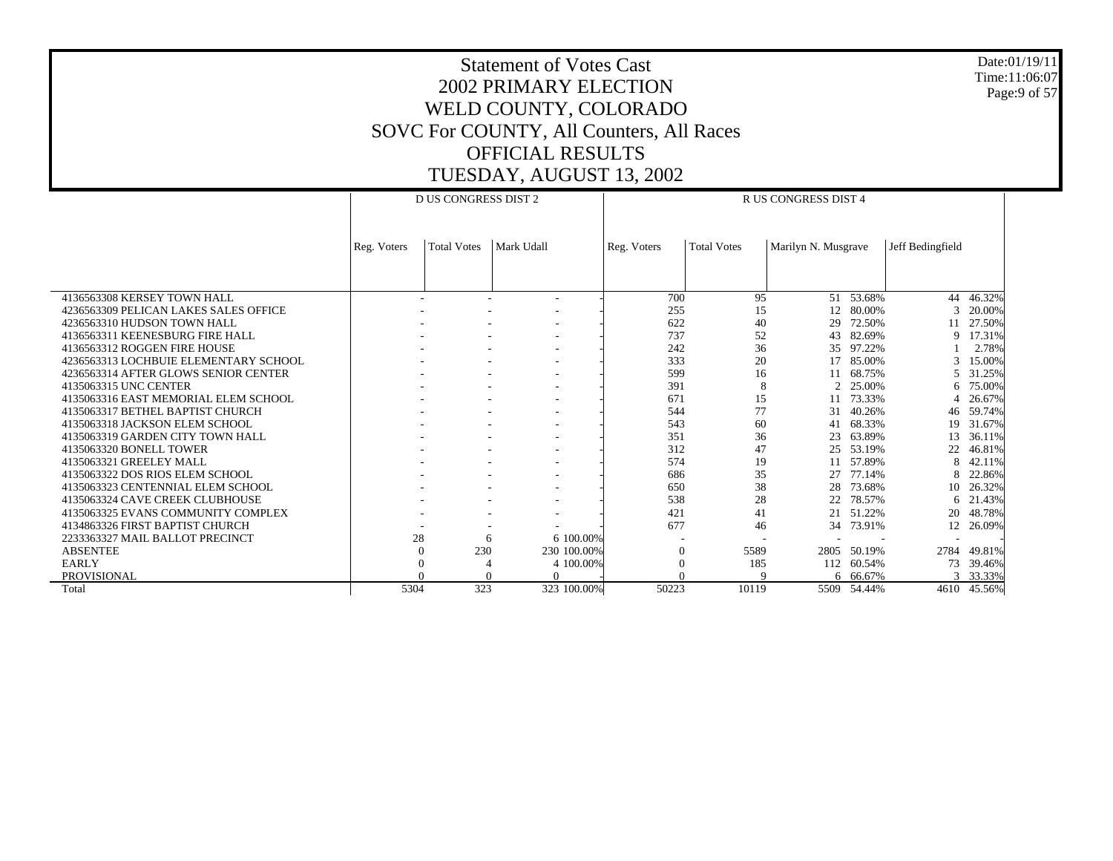Date:01/19/11 Time:11:06:07 Page:9 of 57

|                                       |             | <b>D US CONGRESS DIST 2</b> |            |             |             |                    | R US CONGRESS DIST 4 |             |                  |             |
|---------------------------------------|-------------|-----------------------------|------------|-------------|-------------|--------------------|----------------------|-------------|------------------|-------------|
|                                       | Reg. Voters | <b>Total Votes</b>          | Mark Udall |             | Reg. Voters | <b>Total Votes</b> | Marilyn N. Musgrave  |             | Jeff Bedingfield |             |
|                                       |             |                             |            |             |             |                    |                      |             |                  |             |
| 4136563308 KERSEY TOWN HALL           |             |                             |            |             | 700         | 95                 | 51                   | 53.68%      | 44               | 46.32%      |
| 4236563309 PELICAN LAKES SALES OFFICE |             |                             |            |             | 255         | 15                 | 12                   | 80.00%      | 3                | 20.00%      |
| 4236563310 HUDSON TOWN HALL           |             |                             |            |             | 622         | 40                 | 29                   | 72.50%      | 11               | 27.50%      |
| 4136563311 KEENESBURG FIRE HALL       |             |                             |            |             | 737         | 52                 | 43                   | 82.69%      | 9                | 17.31%      |
| 4136563312 ROGGEN FIRE HOUSE          |             |                             |            |             | 242         | 36                 | 35                   | 97.22%      |                  | 2.78%       |
| 4236563313 LOCHBUIE ELEMENTARY SCHOOL |             |                             |            |             | 333         | 20                 |                      | 85.00%      | 3                | 15.00%      |
| 4236563314 AFTER GLOWS SENIOR CENTER  |             |                             |            |             | 599         | 16                 |                      | 68.75%      | 5                | 31.25%      |
| 4135063315 UNC CENTER                 |             |                             |            |             | 391         | 8                  | $\overline{2}$       | 25.00%      | 6                | 75.00%      |
| 4135063316 EAST MEMORIAL ELEM SCHOOL  |             |                             |            |             | 671         | 15                 |                      | 73.33%      |                  | 26.67%      |
| 4135063317 BETHEL BAPTIST CHURCH      |             |                             |            |             | 544         | 77                 | 31                   | 40.26%      | 46               | 59.74%      |
| 4135063318 JACKSON ELEM SCHOOL        |             |                             |            |             | 543         | 60                 | 41                   | 68.33%      | 19               | 31.67%      |
| 4135063319 GARDEN CITY TOWN HALL      |             |                             |            |             | 351         | 36                 | 23                   | 63.89%      | 13               | 36.11%      |
| 4135063320 BONELL TOWER               |             |                             |            |             | 312         | 47                 | 25                   | 53.19%      | 22               | 46.81%      |
| 4135063321 GREELEY MALL               |             |                             |            |             | 574         | 19                 | 11                   | 57.89%      | 8                | 42.11%      |
| 4135063322 DOS RIOS ELEM SCHOOL       |             |                             |            |             | 686         | 35                 | 27                   | 77.14%      | 8                | 22.86%      |
| 4135063323 CENTENNIAL ELEM SCHOOL     |             |                             |            |             | 650         | 38                 | 28                   | 73.68%      | 10               | 26.32%      |
| 4135063324 CAVE CREEK CLUBHOUSE       |             |                             |            |             | 538         | 28                 | 22                   | 78.57%      | 6                | 21.43%      |
| 4135063325 EVANS COMMUNITY COMPLEX    |             |                             |            |             | 421         | 41                 | 21                   | 51.22%      | 20               | 48.78%      |
| 4134863326 FIRST BAPTIST CHURCH       |             |                             |            |             | 677         | 46                 | 34                   | 73.91%      | 12               | 26.09%      |
| 2233363327 MAIL BALLOT PRECINCT       |             | 28                          | 6          | 6 100,00%   |             |                    |                      |             |                  |             |
| <b>ABSENTEE</b>                       |             | 230<br>$\overline{0}$       |            | 230 100.00% | 0           | 5589               | 2805                 | 50.19%      | 2784             | 49.81%      |
| <b>EARLY</b>                          |             | $\theta$                    |            | 4 100.00%   |             | 185                | 112                  | 60.54%      | 73               | 39.46%      |
| <b>PROVISIONAL</b>                    |             |                             |            | $\Omega$    |             |                    |                      | 6 66.67%    | 3                | 33.33%      |
| Total                                 | 5304        | 323                         |            | 323 100.00% | 50223       | 10119              |                      | 5509 54.44% |                  | 4610 45.56% |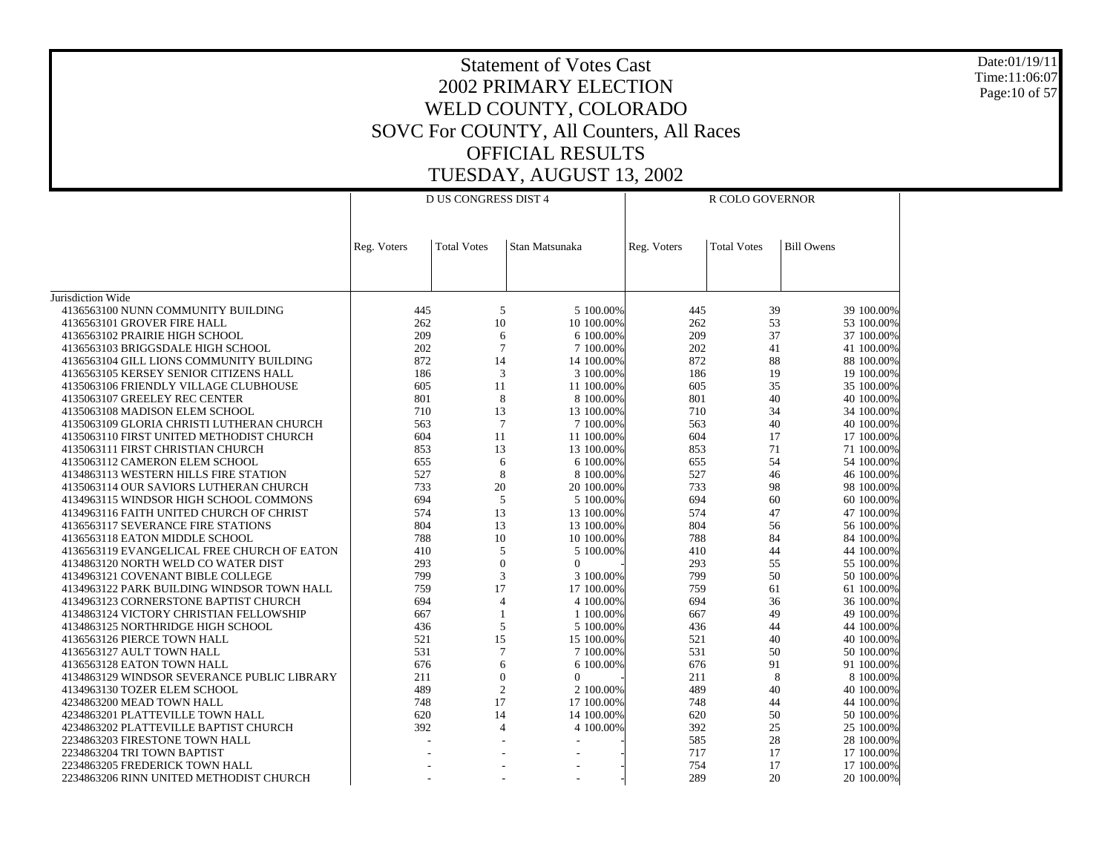Date:01/19/11 Time:11:06:07 Page:10 of 57

|                                                                                     |             | <b>D US CONGRESS DIST 4</b> |                         |             | R COLO GOVERNOR    |                          |
|-------------------------------------------------------------------------------------|-------------|-----------------------------|-------------------------|-------------|--------------------|--------------------------|
|                                                                                     |             |                             |                         |             |                    |                          |
|                                                                                     | Reg. Voters | <b>Total Votes</b>          | Stan Matsunaka          | Reg. Voters | <b>Total Votes</b> | <b>Bill Owens</b>        |
|                                                                                     |             |                             |                         |             |                    |                          |
| Jurisdiction Wide                                                                   |             |                             |                         |             |                    |                          |
| 4136563100 NUNN COMMUNITY BUILDING                                                  | 445         | 5                           | 5 100.00%               | 445         | 39                 | 39 100.00%               |
| 4136563101 GROVER FIRE HALL                                                         | 262<br>209  | 10                          | 10 100.00%              | 262<br>209  | 53<br>37           | 53 100.00%               |
| 4136563102 PRAIRIE HIGH SCHOOL<br>4136563103 BRIGGSDALE HIGH SCHOOL                 | 202         | 6<br>$\overline{7}$         | 6 100,00%<br>7 100,00%  | 202         | 41                 | 37 100.00%<br>41 100,00% |
| 4136563104 GILL LIONS COMMUNITY BUILDING                                            | 872         | 14                          | 14 100.00%              | 872         | 88                 | 88 100.00%               |
| 4136563105 KERSEY SENIOR CITIZENS HALL                                              | 186         | 3                           | 3 100.00%               | 186         | 19                 | 19 100.00%               |
| 4135063106 FRIENDLY VILLAGE CLUBHOUSE                                               | 605         | 11                          | 11 100.00%              | 605         | 35                 | 35 100.00%               |
| 4135063107 GREELEY REC CENTER                                                       | 801         | 8                           | 8 100.00%               | 801         | 40                 | 40 100.00%               |
| 4135063108 MADISON ELEM SCHOOL                                                      | 710         | 13                          | 13 100.00%              | 710         | 34                 | 34 100.00%               |
| 4135063109 GLORIA CHRISTI LUTHERAN CHURCH                                           | 563         | $\overline{7}$              | 7 100.00%               | 563         | 40                 | 40 100.00%               |
| 4135063110 FIRST UNITED METHODIST CHURCH                                            | 604         | 11                          | 11 100,00%              | 604         | 17                 | 17 100.00%               |
| 4135063111 FIRST CHRISTIAN CHURCH<br>4135063112 CAMERON ELEM SCHOOL                 | 853<br>655  | 13<br>6                     | 13 100.00%<br>6 100.00% | 853<br>655  | 71<br>54           | 71 100.00%<br>54 100.00% |
| 4134863113 WESTERN HILLS FIRE STATION                                               | 527         | 8                           | 8 100.00%               | 527         | 46                 | 46 100.00%               |
| 4135063114 OUR SAVIORS LUTHERAN CHURCH                                              | 733         | 20                          | 20 100.00%              | 733         | 98                 | 98 100.00%               |
| 4134963115 WINDSOR HIGH SCHOOL COMMONS                                              | 694         | 5                           | 5 100.00%               | 694         | 60                 | 60 100.00%               |
| 4134963116 FAITH UNITED CHURCH OF CHRIST                                            | 574         | 13                          | 13 100.00%              | 574         | 47                 | 47 100.00%               |
| 4136563117 SEVERANCE FIRE STATIONS                                                  | 804         | 13                          | 13 100,00%              | 804         | 56                 | 56 100.00%               |
| 4136563118 EATON MIDDLE SCHOOL                                                      | 788         | 10                          | 10 100.00%              | 788         | 84                 | 84 100.00%               |
| 4136563119 EVANGELICAL FREE CHURCH OF EATON                                         | 410         | 5                           | 5 100,00%               | 410         | 44                 | 44 100.00%               |
| 4134863120 NORTH WELD CO WATER DIST                                                 | 293         | $\overline{0}$              | $\theta$                | 293         | 55                 | 55 100.00%               |
| 4134963121 COVENANT BIBLE COLLEGE                                                   | 799         | 3<br>17                     | 3 100.00%               | 799         | 50                 | 50 100.00%               |
| 4134963122 PARK BUILDING WINDSOR TOWN HALL<br>4134963123 CORNERSTONE BAPTIST CHURCH | 759<br>694  | $\overline{4}$              | 17 100.00%<br>4 100.00% | 759<br>694  | 61<br>36           | 61 100.00%<br>36 100.00% |
| 4134863124 VICTORY CHRISTIAN FELLOWSHIP                                             | 667         | $\overline{1}$              | 1 100.00%               | 667         | 49                 | 49 100.00%               |
| 4134863125 NORTHRIDGE HIGH SCHOOL                                                   | 436         | 5                           | 5 100.00%               | 436         | 44                 | 44 100.00%               |
| 4136563126 PIERCE TOWN HALL                                                         | 521         | 15                          | 15 100,00%              | 521         | 40                 | 40 100.00%               |
| 4136563127 AULT TOWN HALL                                                           | 531         | $\overline{7}$              | 7 100.00%               | 531         | 50                 | 50 100.00%               |
| 4136563128 EATON TOWN HALL                                                          | 676         | 6                           | 6 100.00%               | 676         | 91                 | 91 100.00%               |
| 4134863129 WINDSOR SEVERANCE PUBLIC LIBRARY                                         | 211         | $\overline{0}$              | $\Omega$                | 211         | 8                  | 8 100.00%                |
| 4134963130 TOZER ELEM SCHOOL                                                        | 489         | $\overline{2}$              | 2 100.00%               | 489         | 40                 | 40 100.00%               |
| 4234863200 MEAD TOWN HALL                                                           | 748         | 17                          | 17 100.00%              | 748         | 44                 | 44 100.00%               |
| 4234863201 PLATTEVILLE TOWN HALL                                                    | 620         | 14<br>$\overline{4}$        | 14 100.00%              | 620         | 50                 | 50 100.00%               |
| 4234863202 PLATTEVILLE BAPTIST CHURCH<br>2234863203 FIRESTONE TOWN HALL             | 392         |                             | 4 100.00%               | 392<br>585  | 25<br>28           | 25 100.00%<br>28 100.00% |
| 2234863204 TRI TOWN BAPTIST                                                         |             |                             |                         | 717         | 17                 | 17 100.00%               |
| 2234863205 FREDERICK TOWN HALL                                                      |             |                             |                         | 754         | 17                 | 17 100.00%               |
| 2234863206 RINN UNITED METHODIST CHURCH                                             |             |                             |                         | 289         | 20                 | 20 100.00%               |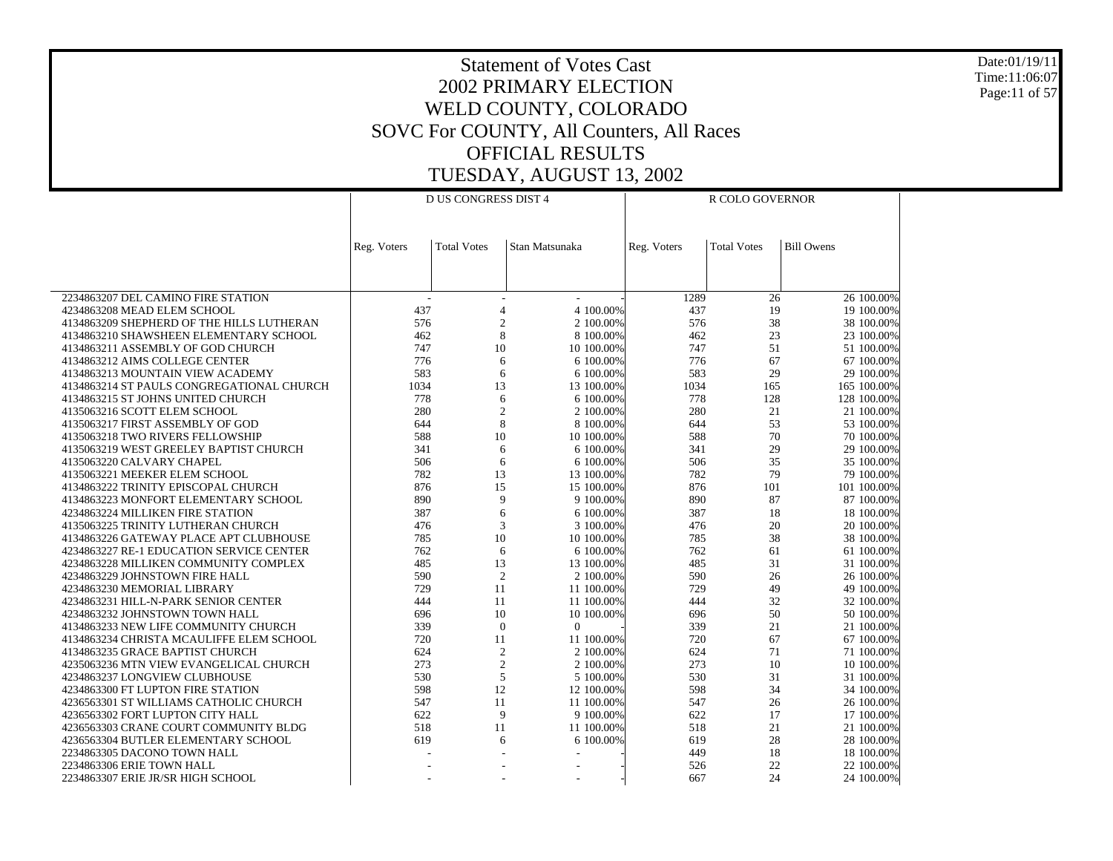Date:01/19/11 Time:11:06:07 Page:11 of 57

|                                                                             |                | <b>D US CONGRESS DIST 4</b> |                          |             | R COLO GOVERNOR    |                          |
|-----------------------------------------------------------------------------|----------------|-----------------------------|--------------------------|-------------|--------------------|--------------------------|
|                                                                             |                |                             |                          |             |                    |                          |
|                                                                             |                |                             |                          |             |                    |                          |
|                                                                             | Reg. Voters    | <b>Total Votes</b>          | Stan Matsunaka           | Reg. Voters | <b>Total Votes</b> | <b>Bill Owens</b>        |
|                                                                             |                |                             |                          |             |                    |                          |
|                                                                             |                |                             |                          |             |                    |                          |
| 2234863207 DEL CAMINO FIRE STATION                                          | $\overline{a}$ |                             | $\overline{\phantom{a}}$ | 1289        | 26                 | 26 100.00%               |
| 4234863208 MEAD ELEM SCHOOL                                                 | 437            | $\overline{4}$              | 4 100,00%                | 437         | 19                 | 19 100.00%               |
| 4134863209 SHEPHERD OF THE HILLS LUTHERAN                                   | 576            | $\overline{c}$              | 2 100,00%                | 576         | 38                 | 38 100.00%               |
| 4134863210 SHAWSHEEN ELEMENTARY SCHOOL                                      | 462            | 8                           | 8 100,00%                | 462         | 23                 | 23 100.00%               |
| 4134863211 ASSEMBLY OF GOD CHURCH                                           | 747            | 10                          | 10 100.00%               | 747         | 51                 | 51 100.00%               |
| 4134863212 AIMS COLLEGE CENTER                                              | 776            | 6                           | 6 100.00%                | 776         | 67                 | 67 100.00%               |
| 4134863213 MOUNTAIN VIEW ACADEMY                                            | 583            | 6                           | 6 100.00%                | 583         | 29                 | 29 100.00%               |
| 4134863214 ST PAULS CONGREGATIONAL CHURCH                                   | 1034           | 13                          | 13 100.00%               | 1034        | 165                | 165 100.00%              |
| 4134863215 ST JOHNS UNITED CHURCH                                           | 778            | 6                           | 6 100,00%                | 778         | 128                | 128 100.00%              |
| 4135063216 SCOTT ELEM SCHOOL                                                | 280            | $\overline{2}$              | 2 100,00%                | 280         | 21                 | 21 100,00%               |
| 4135063217 FIRST ASSEMBLY OF GOD                                            | 644            | 8                           | 8 100.00%                | 644         | 53                 | 53 100.00%               |
| 4135063218 TWO RIVERS FELLOWSHIP                                            | 588            | 10                          | 10 100.00%               | 588         | 70<br>29           | 70 100.00%               |
| 4135063219 WEST GREELEY BAPTIST CHURCH<br>4135063220 CALVARY CHAPEL         | 341<br>506     | 6<br>6                      | 6 100.00%<br>6 100.00%   | 341<br>506  | 35                 | 29 100.00%<br>35 100.00% |
| 4135063221 MEEKER ELEM SCHOOL                                               | 782            | 13                          | 13 100.00%               | 782         | 79                 | 79 100.00%               |
| 4134863222 TRINITY EPISCOPAL CHURCH                                         | 876            | 15                          | 15 100,00%               | 876         | 101                | 101 100.00%              |
| 4134863223 MONFORT ELEMENTARY SCHOOL                                        | 890            | 9                           | 9 100,00%                | 890         | 87                 | 87 100,00%               |
| 4234863224 MILLIKEN FIRE STATION                                            | 387            | 6                           | 6 100.00%                | 387         | 18                 | 18 100.00%               |
| 4135063225 TRINITY LUTHERAN CHURCH                                          | 476            | 3                           | 3 100.00%                | 476         | 20                 | 20 100.00%               |
| 4134863226 GATEWAY PLACE APT CLUBHOUSE                                      | 785            | 10                          | 10 100.00%               | 785         | 38                 | 38 100.00%               |
| 4234863227 RE-1 EDUCATION SERVICE CENTER                                    | 762            | 6                           | 6 100.00%                | 762         | 61                 | 61 100.00%               |
| 4234863228 MILLIKEN COMMUNITY COMPLEX                                       | 485            | 13                          | 13 100.00%               | 485         | 31                 | 31 100.00%               |
| 4234863229 JOHNSTOWN FIRE HALL                                              | 590            | $\overline{2}$              | 2 100,00%                | 590         | 26                 | 26 100.00%               |
| 4234863230 MEMORIAL LIBRARY                                                 | 729            | 11                          | 11 100,00%               | 729         | 49                 | 49 100,00%               |
| 4234863231 HILL-N-PARK SENIOR CENTER                                        | 444            | 11                          | 11 100.00%               | 444         | 32                 | 32 100.00%               |
| 4234863232 JOHNSTOWN TOWN HALL                                              | 696            | 10                          | 10 100.00%               | 696         | 50                 | 50 100.00%               |
| 4134863233 NEW LIFE COMMUNITY CHURCH                                        | 339<br>720     | $\mathbf{0}$<br>11          | $\overline{0}$           | 339<br>720  | 21<br>67           | 21 100.00%               |
| 4134863234 CHRISTA MCAULIFFE ELEM SCHOOL<br>4134863235 GRACE BAPTIST CHURCH | 624            | $\overline{2}$              | 11 100.00%<br>2 100.00%  | 624         | 71                 | 67 100.00%<br>71 100.00% |
| 4235063236 MTN VIEW EVANGELICAL CHURCH                                      | 273            | $\overline{c}$              | 2 100,00%                | 273         | 10                 | 10 100.00%               |
| 4234863237 LONGVIEW CLUBHOUSE                                               | 530            | 5                           | 5 100,00%                | 530         | 31                 | 31 100,00%               |
| 4234863300 FT LUPTON FIRE STATION                                           | 598            | 12                          | 12 100.00%               | 598         | 34                 | 34 100.00%               |
| 4236563301 ST WILLIAMS CATHOLIC CHURCH                                      | 547            | 11                          | 11 100.00%               | 547         | 26                 | 26 100.00%               |
| 4236563302 FORT LUPTON CITY HALL                                            | 622            | 9                           | 9 100.00%                | 622         | 17                 | 17 100.00%               |
| 4236563303 CRANE COURT COMMUNITY BLDG                                       | 518            | 11                          | 11 100.00%               | 518         | 21                 | 21 100.00%               |
| 4236563304 BUTLER ELEMENTARY SCHOOL                                         | 619            | 6                           | 6 100.00%                | 619         | 28                 | 28 100.00%               |
| 2234863305 DACONO TOWN HALL                                                 |                |                             |                          | 449         | 18                 | 18 100.00%               |
| 2234863306 ERIE TOWN HALL                                                   |                |                             |                          | 526         | 22                 | 22 100.00%               |
| 2234863307 ERIE JR/SR HIGH SCHOOL                                           |                |                             | $\overline{a}$           | 667         | 24                 | 24 100.00%               |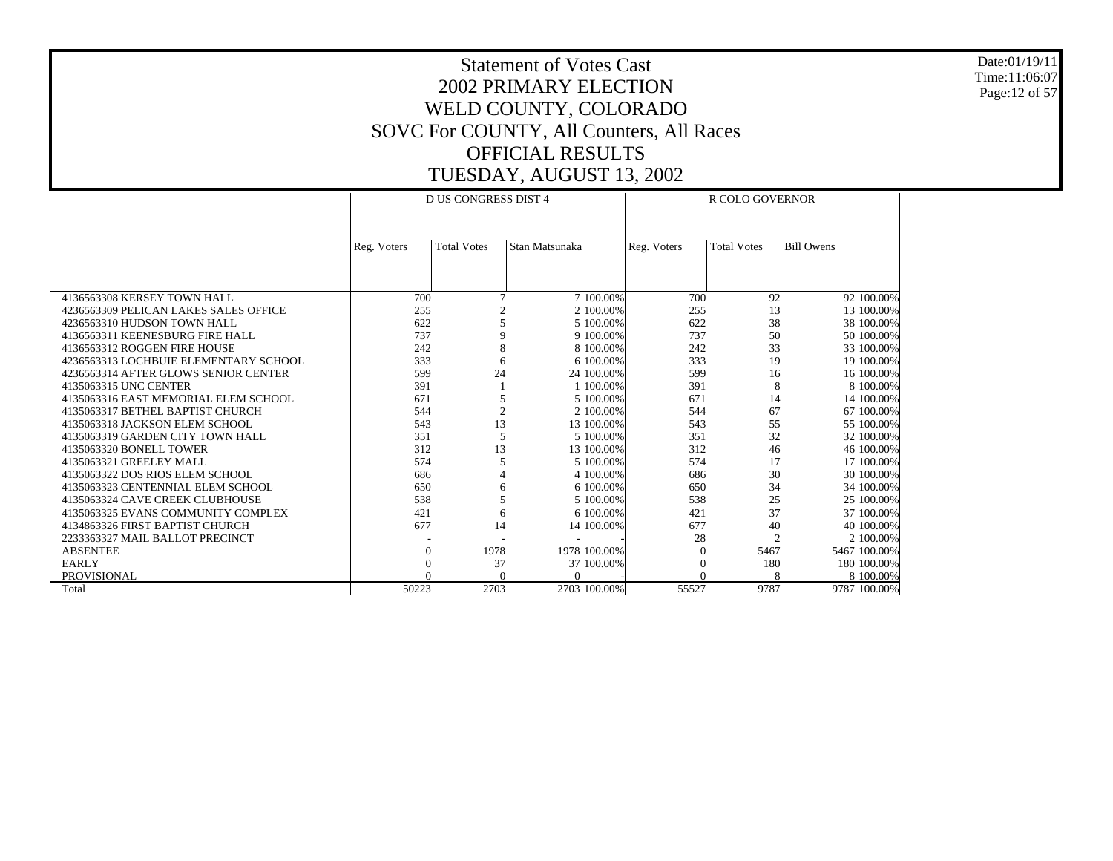Date:01/19/11 Time:11:06:07 Page:12 of 57

|                                       |             | <b>D US CONGRESS DIST 4</b> |                |             | <b>R COLO GOVERNOR</b> |                   |
|---------------------------------------|-------------|-----------------------------|----------------|-------------|------------------------|-------------------|
|                                       |             |                             |                |             |                        |                   |
|                                       | Reg. Voters | <b>Total Votes</b>          | Stan Matsunaka | Reg. Voters | <b>Total Votes</b>     | <b>Bill Owens</b> |
|                                       |             |                             |                |             |                        |                   |
|                                       |             |                             |                |             |                        |                   |
| 4136563308 KERSEY TOWN HALL           | 700         | 7                           | 7 100,00%      | 700         | 92                     | 92 100.00%        |
| 4236563309 PELICAN LAKES SALES OFFICE | 255         | $\mathfrak{D}$              | 2 100,00%      | 255         | 13                     | 13 100.00%        |
| 4236563310 HUDSON TOWN HALL           | 622         | 5                           | 5 100,00%      | 622         | 38                     | 38 100.00%        |
| 4136563311 KEENESBURG FIRE HALL       | 737         | 9                           | 9 100.00%      | 737         | 50                     | 50 100.00%        |
| 4136563312 ROGGEN FIRE HOUSE          | 242         | 8                           | 8 100,00%      | 242         | 33                     | 33 100.00%        |
| 4236563313 LOCHBUIE ELEMENTARY SCHOOL | 333         | 6                           | 6 100,00%      | 333         | 19                     | 19 100.00%        |
| 4236563314 AFTER GLOWS SENIOR CENTER  | 599         | 24                          | 24 100,00%     | 599         | 16                     | 16 100.00%        |
| 4135063315 UNC CENTER                 | 391         |                             | 1 100,00%      | 391         | 8                      | 8 100.00%         |
| 4135063316 EAST MEMORIAL ELEM SCHOOL  | 671         | 5                           | 5 100,00%      | 671         | 14                     | 14 100.00%        |
| 4135063317 BETHEL BAPTIST CHURCH      | 544         | $\overline{c}$              | 2 100.00%      | 544         | 67                     | 67 100.00%        |
| 4135063318 JACKSON ELEM SCHOOL        | 543         | 13                          | 13 100.00%     | 543         | 55                     | 55 100.00%        |
| 4135063319 GARDEN CITY TOWN HALL      | 351         | 5                           | 5 100,00%      | 351         | 32                     | 32 100.00%        |
| 4135063320 BONELL TOWER               | 312         | 13                          | 13 100.00%     | 312         | 46                     | 46 100.00%        |
| 4135063321 GREELEY MALL               | 574         | 5                           | 5 100,00%      | 574         | 17                     | 17 100.00%        |
| 4135063322 DOS RIOS ELEM SCHOOL       | 686         |                             | 4 100.00%      | 686         | 30                     | 30 100.00%        |
| 4135063323 CENTENNIAL ELEM SCHOOL     | 650         | 6                           | 6 100.00%      | 650         | 34                     | 34 100.00%        |
| 4135063324 CAVE CREEK CLUBHOUSE       | 538         | $\overline{\phantom{0}}$    | 5 100,00%      | 538         | 25                     | 25 100,00%        |
| 4135063325 EVANS COMMUNITY COMPLEX    | 421         | 6                           | 6 100.00%      | 421         | 37                     | 37 100.00%        |
| 4134863326 FIRST BAPTIST CHURCH       | 677         | 14                          | 14 100.00%     | 677         | 40                     | 40 100.00%        |
| 2233363327 MAIL BALLOT PRECINCT       |             |                             |                | 28          | $\overline{c}$         | 2 100.00%         |
| <b>ABSENTEE</b>                       | $\Omega$    | 1978                        | 1978 100.00%   | $\Omega$    | 5467                   | 5467 100.00%      |
| <b>EARLY</b>                          |             | 37                          | 37 100.00%     | $\Omega$    | 180                    | 180 100.00%       |
| PROVISIONAL                           |             | $\Omega$                    | $\Omega$       | $\Omega$    | 8                      | 8 100,00%         |
| Total                                 | 50223       | 2703                        | 2703 100.00%   | 55527       | 9787                   | 9787 100.00%      |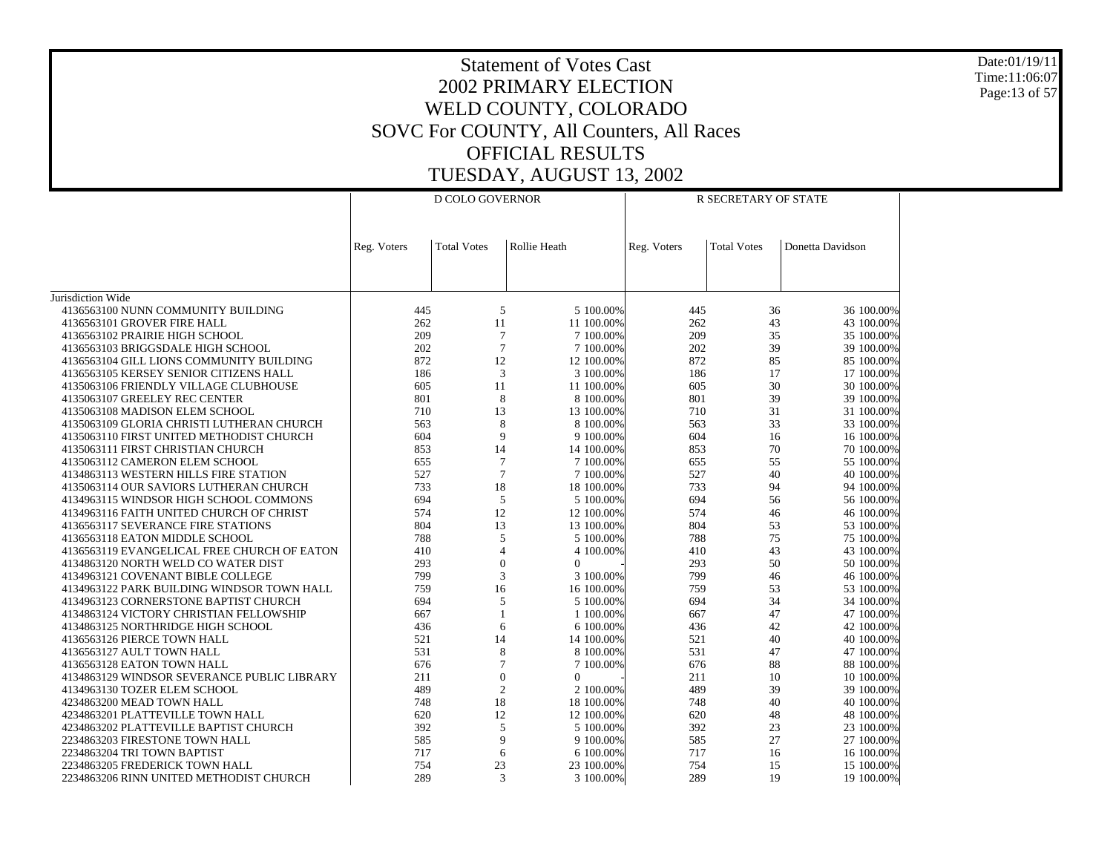Date:01/19/11 Time:11:06:07 Page:13 of 57

|                                                                               |             | D COLO GOVERNOR    |                         |             | R SECRETARY OF STATE |                          |
|-------------------------------------------------------------------------------|-------------|--------------------|-------------------------|-------------|----------------------|--------------------------|
|                                                                               |             |                    |                         |             |                      |                          |
|                                                                               |             |                    |                         |             |                      |                          |
|                                                                               | Reg. Voters | <b>Total Votes</b> | Rollie Heath            | Reg. Voters | <b>Total Votes</b>   | Donetta Davidson         |
|                                                                               |             |                    |                         |             |                      |                          |
|                                                                               |             |                    |                         |             |                      |                          |
| Jurisdiction Wide                                                             |             |                    |                         |             |                      |                          |
| 4136563100 NUNN COMMUNITY BUILDING                                            | 445         | 5                  | 5 100,00%               | 445         | 36                   | 36 100.00%               |
| 4136563101 GROVER FIRE HALL                                                   | 262         | 11                 | 11 100,00%              | 262         | 43                   | 43 100.00%               |
| 4136563102 PRAIRIE HIGH SCHOOL                                                | 209         | $\tau$             | 7 100.00%               | 209         | 35                   | 35 100.00%               |
| 4136563103 BRIGGSDALE HIGH SCHOOL                                             | 202         | $\overline{7}$     | 7 100,00%               | 202         | 39                   | 39 100.00%               |
| 4136563104 GILL LIONS COMMUNITY BUILDING                                      | 872         | 12                 | 12 100.00%              | 872         | 85                   | 85 100.00%               |
| 4136563105 KERSEY SENIOR CITIZENS HALL                                        | 186         | 3                  | 3 100.00%               | 186         | 17                   | 17 100.00%               |
| 4135063106 FRIENDLY VILLAGE CLUBHOUSE                                         | 605         | 11                 | 11 100.00%              | 605         | 30                   | 30 100.00%               |
| 4135063107 GREELEY REC CENTER                                                 | 801         | 8                  | 8 100,00%               | 801         | 39                   | 39 100.00%               |
| 4135063108 MADISON ELEM SCHOOL                                                | 710         | 13                 | 13 100,00%              | 710         | 31                   | 31 100.00%               |
| 4135063109 GLORIA CHRISTI LUTHERAN CHURCH                                     | 563<br>604  | 8<br>9             | 8 100.00%<br>9 100.00%  | 563<br>604  | 33<br>16             | 33 100.00%<br>16 100.00% |
| 4135063110 FIRST UNITED METHODIST CHURCH<br>4135063111 FIRST CHRISTIAN CHURCH | 853         | 14                 | 14 100.00%              | 853         | 70                   | 70 100.00%               |
| 4135063112 CAMERON ELEM SCHOOL                                                | 655         | $\tau$             | 7 100.00%               | 655         | 55                   | 55 100.00%               |
| 4134863113 WESTERN HILLS FIRE STATION                                         | 527         | $\overline{7}$     | 7 100.00%               | 527         | 40                   | 40 100.00%               |
| 4135063114 OUR SAVIORS LUTHERAN CHURCH                                        | 733         | 18                 | 18 100,00%              | 733         | 94                   | 94 100.00%               |
| 4134963115 WINDSOR HIGH SCHOOL COMMONS                                        | 694         | 5                  | 5 100.00%               | 694         | 56                   | 56 100.00%               |
| 4134963116 FAITH UNITED CHURCH OF CHRIST                                      | 574         | 12                 | 12 100.00%              | 574         | 46                   | 46 100.00%               |
| 4136563117 SEVERANCE FIRE STATIONS                                            | 804         | 13                 | 13 100.00%              | 804         | 53                   | 53 100.00%               |
| 4136563118 EATON MIDDLE SCHOOL                                                | 788         | 5                  | 5 100.00%               | 788         | 75                   | 75 100.00%               |
| 4136563119 EVANGELICAL FREE CHURCH OF EATON                                   | 410         | $\overline{4}$     | 4 100.00%               | 410         | 43                   | 43 100.00%               |
| 4134863120 NORTH WELD CO WATER DIST                                           | 293         | $\overline{0}$     | $\Omega$                | 293         | 50                   | 50 100.00%               |
| 4134963121 COVENANT BIBLE COLLEGE                                             | 799         | 3                  | 3 100,00%               | 799         | 46                   | 46 100.00%               |
| 4134963122 PARK BUILDING WINDSOR TOWN HALL                                    | 759         | 16                 | 16 100.00%              | 759         | 53                   | 53 100.00%               |
| 4134963123 CORNERSTONE BAPTIST CHURCH                                         | 694         | 5                  | 5 100.00%               | 694         | 34                   | 34 100.00%               |
| 4134863124 VICTORY CHRISTIAN FELLOWSHIP                                       | 667         | 1<br>6             | 1 100.00%               | 667<br>436  | 47<br>42             | 47 100.00%               |
| 4134863125 NORTHRIDGE HIGH SCHOOL<br>4136563126 PIERCE TOWN HALL              | 436<br>521  | 14                 | 6 100.00%<br>14 100.00% | 521         | 40                   | 42 100.00%<br>40 100.00% |
| 4136563127 AULT TOWN HALL                                                     | 531         | 8                  | 8 100.00%               | 531         | 47                   | 47 100.00%               |
| 4136563128 EATON TOWN HALL                                                    | 676         | $\overline{7}$     | 7 100.00%               | 676         | 88                   | 88 100.00%               |
| 4134863129 WINDSOR SEVERANCE PUBLIC LIBRARY                                   | 211         | $\overline{0}$     | $\Omega$                | 211         | 10                   | 10 100.00%               |
| 4134963130 TOZER ELEM SCHOOL                                                  | 489         | $\overline{c}$     | 2 100.00%               | 489         | 39                   | 39 100.00%               |
| 4234863200 MEAD TOWN HALL                                                     | 748         | 18                 | 18 100.00%              | 748         | 40                   | 40 100.00%               |
| 4234863201 PLATTEVILLE TOWN HALL                                              | 620         | 12                 | 12 100.00%              | 620         | 48                   | 48 100.00%               |
| 4234863202 PLATTEVILLE BAPTIST CHURCH                                         | 392         | 5                  | 5 100,00%               | 392         | 23                   | 23 100.00%               |
| 2234863203 FIRESTONE TOWN HALL                                                | 585         | 9                  | 9 100.00%               | 585         | 27                   | 27 100.00%               |
| 2234863204 TRI TOWN BAPTIST                                                   | 717         | 6                  | 6 100,00%               | 717         | 16                   | 16 100.00%               |
| 2234863205 FREDERICK TOWN HALL                                                | 754         | 23                 | 23 100.00%              | 754         | 15                   | 15 100.00%               |
| 2234863206 RINN UNITED METHODIST CHURCH                                       | 289         | 3                  | 3 100.00%               | 289         | 19                   | 19 100.00%               |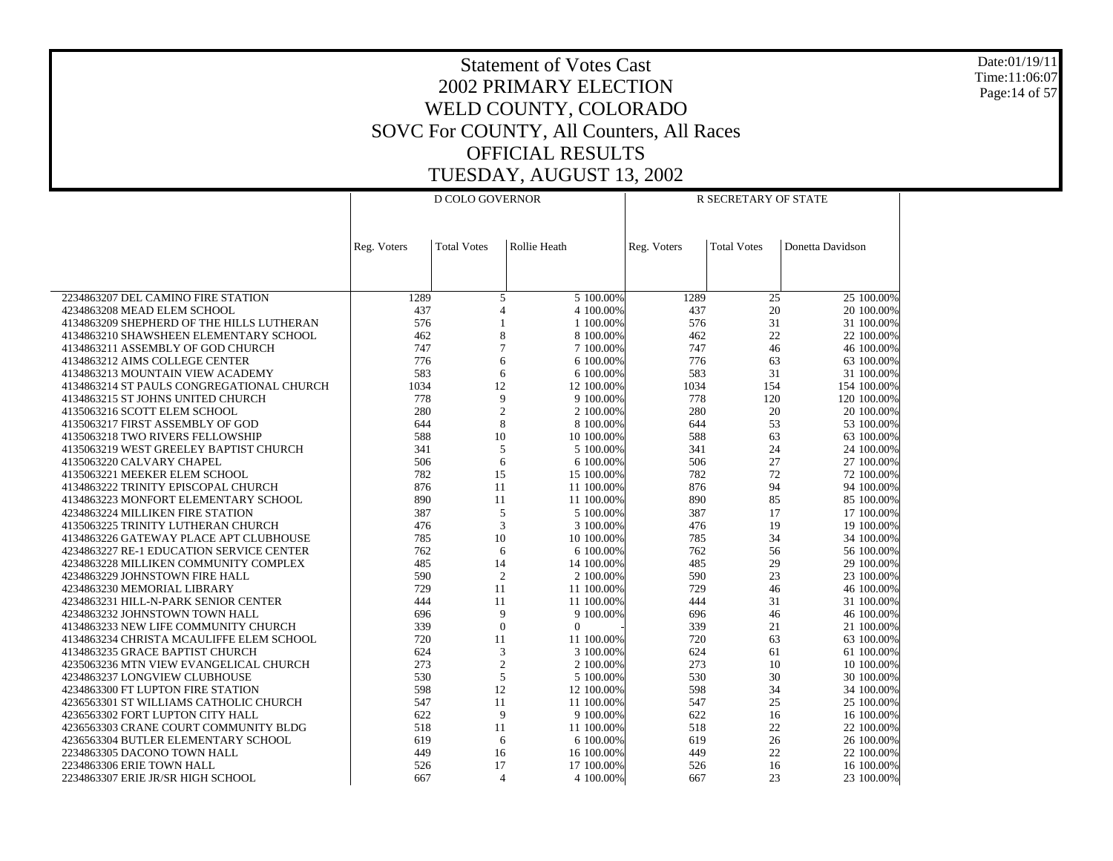Date:01/19/11 Time:11:06:07 Page:14 of 57

|                                                                        |             | D COLO GOVERNOR     |              | R SECRETARY OF STATE     |             |                    |                          |
|------------------------------------------------------------------------|-------------|---------------------|--------------|--------------------------|-------------|--------------------|--------------------------|
|                                                                        |             |                     |              |                          |             |                    |                          |
|                                                                        | Reg. Voters | <b>Total Votes</b>  | Rollie Heath |                          | Reg. Voters | <b>Total Votes</b> | Donetta Davidson         |
|                                                                        |             |                     |              |                          |             |                    |                          |
| 2234863207 DEL CAMINO FIRE STATION                                     | 1289        |                     |              | 5 100.00%                | 1289        | 25                 | 25 100.00%               |
| 4234863208 MEAD ELEM SCHOOL                                            | 437         | 5<br>$\overline{4}$ |              | 4 100.00%                | 437         | 20                 | 20 100.00%               |
| 4134863209 SHEPHERD OF THE HILLS LUTHERAN                              | 576         | 1                   |              | 1 100.00%                | 576         | 31                 | 31 100.00%               |
| 4134863210 SHAWSHEEN ELEMENTARY SCHOOL                                 | 462         | 8                   |              | 8 100,00%                | 462         | 22                 | 22 100.00%               |
| 4134863211 ASSEMBLY OF GOD CHURCH                                      | 747         | $\overline{7}$      |              | 7 100,00%                | 747         | 46                 | 46 100.00%               |
| 4134863212 AIMS COLLEGE CENTER                                         | 776         | 6                   |              | 6 100.00%                | 776         | 63                 | 63 100.00%               |
| 4134863213 MOUNTAIN VIEW ACADEMY                                       | 583         | 6                   |              | 6 100.00%                | 583         | 31                 | 31 100.00%               |
| 4134863214 ST PAULS CONGREGATIONAL CHURCH                              | 1034        | 12                  |              | 12 100.00%               | 1034        | 154                | 154 100.00%              |
| 4134863215 ST JOHNS UNITED CHURCH                                      | 778         | 9                   |              | 9 100.00%                | 778         | 120                | 120 100.00%              |
| 4135063216 SCOTT ELEM SCHOOL<br>4135063217 FIRST ASSEMBLY OF GOD       | 280         | $\overline{c}$<br>8 |              | 2 100.00%                | 280         | 20<br>53           | 20 100.00%               |
| 4135063218 TWO RIVERS FELLOWSHIP                                       | 644<br>588  | 10                  |              | 8 100.00%<br>10 100,00%  | 644<br>588  | 63                 | 53 100.00%<br>63 100.00% |
| 4135063219 WEST GREELEY BAPTIST CHURCH                                 | 341         | 5                   |              | 5 100.00%                | 341         | 24                 | 24 100.00%               |
| 4135063220 CALVARY CHAPEL                                              | 506         | 6                   |              | 6 100.00%                | 506         | 27                 | 27 100.00%               |
| 4135063221 MEEKER ELEM SCHOOL                                          | 782         | 15                  |              | 15 100.00%               | 782         | 72                 | 72 100.00%               |
| 4134863222 TRINITY EPISCOPAL CHURCH                                    | 876         | 11                  |              | 11 100.00%               | 876         | 94                 | 94 100.00%               |
| 4134863223 MONFORT ELEMENTARY SCHOOL                                   | 890         | 11                  |              | 11 100.00%               | 890         | 85                 | 85 100.00%               |
| 4234863224 MILLIKEN FIRE STATION                                       | 387         | 5                   |              | 5 100.00%                | 387         | 17                 | 17 100.00%               |
| 4135063225 TRINITY LUTHERAN CHURCH                                     | 476         | 3                   |              | 3 100,00%                | 476         | 19                 | 19 100.00%               |
| 4134863226 GATEWAY PLACE APT CLUBHOUSE                                 | 785         | 10                  |              | 10 100,00%               | 785         | 34                 | 34 100.00%               |
| 4234863227 RE-1 EDUCATION SERVICE CENTER                               | 762         | 6                   |              | 6 100.00%                | 762         | 56                 | 56 100.00%               |
| 4234863228 MILLIKEN COMMUNITY COMPLEX                                  | 485         | 14                  |              | 14 100.00%               | 485         | 29                 | 29 100.00%               |
| 4234863229 JOHNSTOWN FIRE HALL                                         | 590         | $\overline{2}$      |              | 2 100.00%                | 590         | 23                 | 23 100.00%               |
| 4234863230 MEMORIAL LIBRARY                                            | 729<br>444  | 11<br>11            |              | 11 100.00%<br>11 100.00% | 729<br>444  | 46<br>31           | 46 100.00%<br>31 100.00% |
| 4234863231 HILL-N-PARK SENIOR CENTER<br>4234863232 JOHNSTOWN TOWN HALL | 696         | 9                   |              | 9 100.00%                | 696         | 46                 | 46 100.00%               |
| 4134863233 NEW LIFE COMMUNITY CHURCH                                   | 339         | $\overline{0}$      | $\Omega$     |                          | 339         | 21                 | 21 100.00%               |
| 4134863234 CHRISTA MCAULIFFE ELEM SCHOOL                               | 720         | 11                  |              | 11 100.00%               | 720         | 63                 | 63 100.00%               |
| 4134863235 GRACE BAPTIST CHURCH                                        | 624         | 3                   |              | 3 100.00%                | 624         | 61                 | 61 100.00%               |
| 4235063236 MTN VIEW EVANGELICAL CHURCH                                 | 273         | $\mathfrak{2}$      |              | 2 100.00%                | 273         | 10                 | 10 100.00%               |
| 4234863237 LONGVIEW CLUBHOUSE                                          | 530         | 5                   |              | 5 100.00%                | 530         | 30                 | 30 100.00%               |
| 4234863300 FT LUPTON FIRE STATION                                      | 598         | 12                  |              | 12 100.00%               | 598         | 34                 | 34 100.00%               |
| 4236563301 ST WILLIAMS CATHOLIC CHURCH                                 | 547         | 11                  |              | 11 100.00%               | 547         | 25                 | 25 100.00%               |
| 4236563302 FORT LUPTON CITY HALL                                       | 622         | 9                   |              | 9 100.00%                | 622         | 16                 | 16 100.00%               |
| 4236563303 CRANE COURT COMMUNITY BLDG                                  | 518         | 11                  |              | 11 100,00%               | 518         | 22                 | 22 100.00%               |
| 4236563304 BUTLER ELEMENTARY SCHOOL                                    | 619         | 6                   |              | 6 100.00%                | 619         | 26                 | 26 100.00%               |
| 2234863305 DACONO TOWN HALL<br>2234863306 ERIE TOWN HALL               | 449<br>526  | 16<br>17            |              | 16 100.00%<br>17 100.00% | 449<br>526  | 22<br>16           | 22 100.00%<br>16 100.00% |
| 2234863307 ERIE JR/SR HIGH SCHOOL                                      | 667         | $\overline{4}$      |              | 4 100.00%                | 667         | 23                 | 23 100.00%               |
|                                                                        |             |                     |              |                          |             |                    |                          |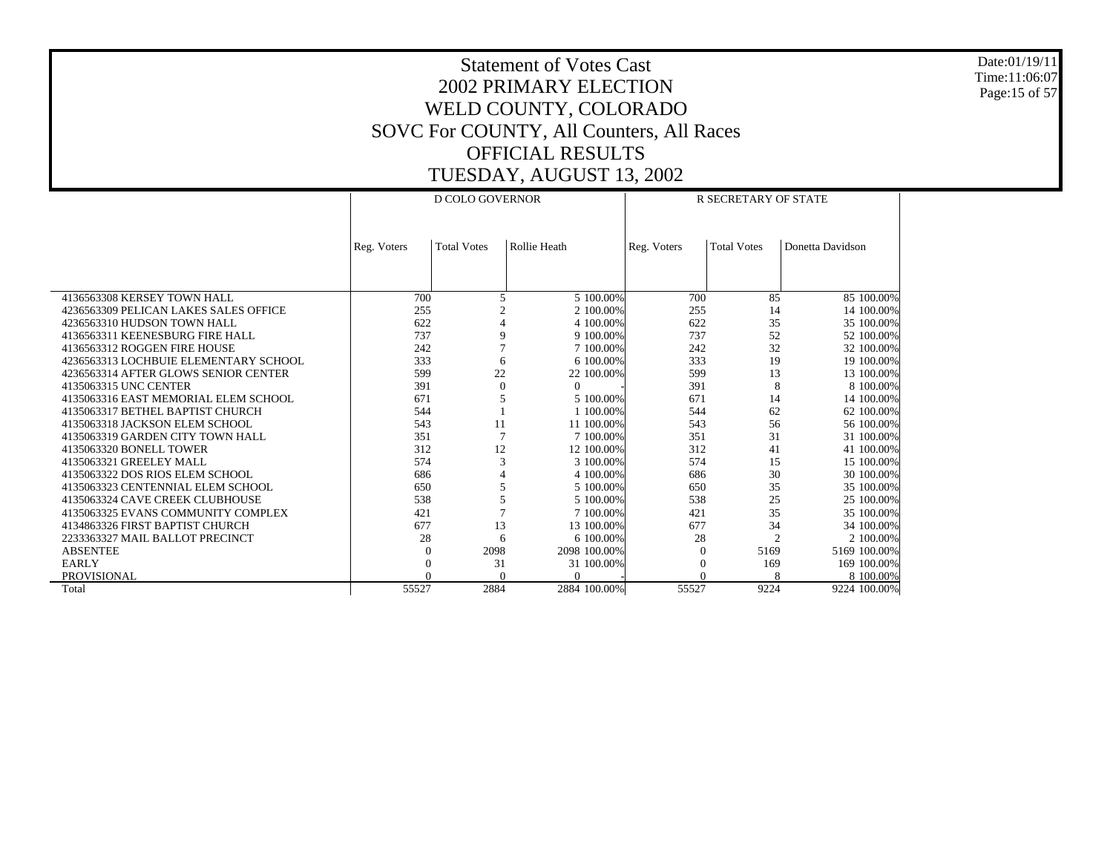Date:01/19/11 Time:11:06:07 Page:15 of 57

|                                       |             | <b>D COLO GOVERNOR</b> |              |             | R SECRETARY OF STATE |                  |
|---------------------------------------|-------------|------------------------|--------------|-------------|----------------------|------------------|
|                                       |             |                        |              |             |                      |                  |
|                                       | Reg. Voters | <b>Total Votes</b>     | Rollie Heath | Reg. Voters | <b>Total Votes</b>   | Donetta Davidson |
|                                       |             |                        |              |             |                      |                  |
|                                       |             |                        |              |             |                      |                  |
| 4136563308 KERSEY TOWN HALL           | 700         | 5                      | 5 100,00%    | 700         | 85                   | 85 100.00%       |
| 4236563309 PELICAN LAKES SALES OFFICE | 255         |                        | 2 100.00%    | 255         | 14                   | 14 100.00%       |
| 4236563310 HUDSON TOWN HALL           | 622         |                        | 4 100,00%    | 622         | 35                   | 35 100.00%       |
| 4136563311 KEENESBURG FIRE HALL       | 737         | 9                      | 9 100.00%    | 737         | 52                   | 52 100.00%       |
| 4136563312 ROGGEN FIRE HOUSE          | 242         |                        | 7 100,00%    | 242         | 32                   | 32 100.00%       |
| 4236563313 LOCHBUIE ELEMENTARY SCHOOL | 333         | 6                      | 6 100,00%    | 333         | 19                   | 19 100.00%       |
| 4236563314 AFTER GLOWS SENIOR CENTER  | 599         | 22                     | 22 100.00%   | 599         | 13                   | 13 100.00%       |
| 4135063315 UNC CENTER                 | 391         | $\theta$               | $\Omega$     | 391         | 8                    | 8 100,00%        |
| 4135063316 EAST MEMORIAL ELEM SCHOOL  | 671         | 5                      | 5 100.00%    | 671         | 14                   | 14 100.00%       |
| 4135063317 BETHEL BAPTIST CHURCH      | 544         |                        | 1 100,00%    | 544         | 62                   | 62 100.00%       |
| 4135063318 JACKSON ELEM SCHOOL        | 543         | 11                     | 11 100.00%   | 543         | 56                   | 56 100.00%       |
| 4135063319 GARDEN CITY TOWN HALL      | 351         | 7                      | 7 100,00%    | 351         | 31                   | 31 100.00%       |
| 4135063320 BONELL TOWER               | 312         | 12                     | 12 100.00%   | 312         | 41                   | 41 100.00%       |
| 4135063321 GREELEY MALL               | 574         | 3                      | 3 100,00%    | 574         | 15                   | 15 100.00%       |
| 4135063322 DOS RIOS ELEM SCHOOL       | 686         |                        | 4 100,00%    | 686         | 30                   | 30 100.00%       |
| 4135063323 CENTENNIAL ELEM SCHOOL     | 650         |                        | 5 100.00%    | 650         | 35                   | 35 100.00%       |
| 4135063324 CAVE CREEK CLUBHOUSE       | 538         | 5                      | 5 100,00%    | 538         | 25                   | 25 100.00%       |
| 4135063325 EVANS COMMUNITY COMPLEX    | 421         |                        | 7 100,00%    | 421         | 35                   | 35 100.00%       |
| 4134863326 FIRST BAPTIST CHURCH       | 677         | 13                     | 13 100.00%   | 677         | 34                   | 34 100.00%       |
| 2233363327 MAIL BALLOT PRECINCT       | 28          | 6                      | 6 100,00%    | 28          | $\overline{c}$       | 2 100.00%        |
| <b>ABSENTEE</b>                       | $\Omega$    | 2098                   | 2098 100,00% | $\Omega$    | 5169                 | 5169 100.00%     |
| <b>EARLY</b>                          |             | 31                     | 31 100.00%   | $\Omega$    | 169                  | 169 100.00%      |
| PROVISIONAL                           |             | $\Omega$               | $\Omega$     | $\Omega$    | 8                    | 8 100,00%        |
| Total                                 | 55527       | 2884                   | 2884 100.00% | 55527       | 9224                 | 9224 100.00%     |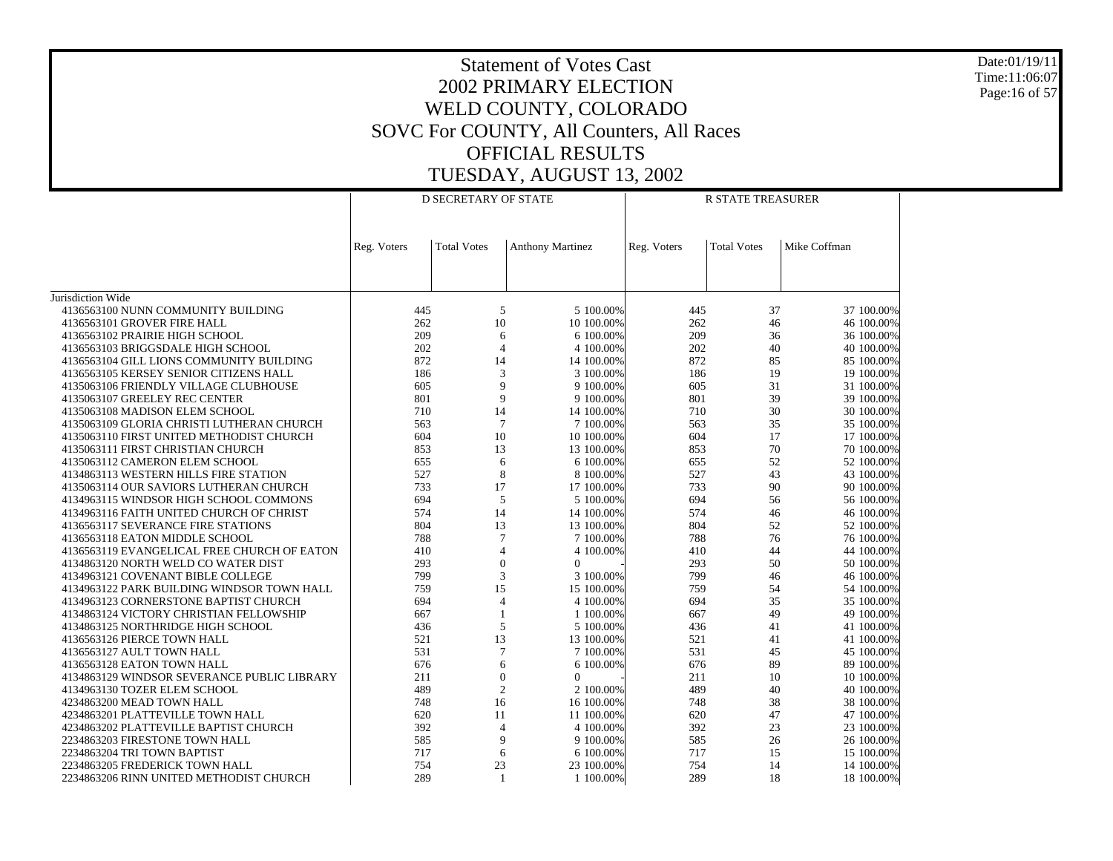Date:01/19/11 Time:11:06:07 Page:16 of 57

| <b>D SECRETARY OF STATE</b><br><b>R STATE TREASURER</b>                                                                                                                                        |            |
|------------------------------------------------------------------------------------------------------------------------------------------------------------------------------------------------|------------|
|                                                                                                                                                                                                |            |
|                                                                                                                                                                                                |            |
| <b>Total Votes</b><br><b>Total Votes</b><br>Mike Coffman                                                                                                                                       |            |
| <b>Anthony Martinez</b><br>Reg. Voters<br>Reg. Voters                                                                                                                                          |            |
|                                                                                                                                                                                                |            |
|                                                                                                                                                                                                |            |
| Jurisdiction Wide                                                                                                                                                                              |            |
| 4136563100 NUNN COMMUNITY BUILDING<br>5<br>5 100.00%<br>37<br>37 100.00%<br>445<br>445                                                                                                         |            |
| 262<br>10<br>4136563101 GROVER FIRE HALL<br>10 100.00%<br>262<br>46                                                                                                                            | 46 100.00% |
| 209<br>209<br>4136563102 PRAIRIE HIGH SCHOOL<br>6<br>6 100,00%<br>36<br>36 100.00%                                                                                                             |            |
| $\overline{4}$<br>4136563103 BRIGGSDALE HIGH SCHOOL<br>202<br>4 100,00%<br>202<br>40<br>40 100.00%                                                                                             |            |
| 872<br>872<br>85<br>14<br>85 100.00%<br>4136563104 GILL LIONS COMMUNITY BUILDING<br>14 100.00%                                                                                                 |            |
| 3<br>19<br>186<br>186<br>4136563105 KERSEY SENIOR CITIZENS HALL<br>3 100,00%                                                                                                                   | 19 100.00% |
| 9<br>31<br>605<br>605<br>4135063106 FRIENDLY VILLAGE CLUBHOUSE<br>9 100.00%                                                                                                                    | 31 100.00% |
| 9<br>801<br>801<br>39<br>4135063107 GREELEY REC CENTER<br>9 100.00%                                                                                                                            | 39 100.00% |
| 710<br>14<br>30<br>4135063108 MADISON ELEM SCHOOL<br>14 100.00%<br>710                                                                                                                         | 30 100.00% |
| $\overline{7}$<br>563<br>35<br>4135063109 GLORIA CHRISTI LUTHERAN CHURCH<br>563<br>7 100,00%<br>604<br>10<br>604<br>17<br>4135063110 FIRST UNITED METHODIST CHURCH<br>10 100,00%<br>17 100.00% | 35 100.00% |
| 13<br>70<br>4135063111 FIRST CHRISTIAN CHURCH<br>853<br>853<br>70 100.00%<br>13 100.00%                                                                                                        |            |
| 6<br>52<br>4135063112 CAMERON ELEM SCHOOL<br>655<br>655<br>52 100.00%<br>6 100.00%                                                                                                             |            |
| 8<br>43<br>527<br>527<br>4134863113 WESTERN HILLS FIRE STATION<br>8 100.00%                                                                                                                    | 43 100.00% |
| 17<br>733<br>733<br>90<br>4135063114 OUR SAVIORS LUTHERAN CHURCH<br>17 100.00%                                                                                                                 | 90 100.00% |
| 694<br>5<br>694<br>4134963115 WINDSOR HIGH SCHOOL COMMONS<br>5 100.00%<br>56                                                                                                                   | 56 100.00% |
| 574<br>14<br>574<br>46<br>4134963116 FAITH UNITED CHURCH OF CHRIST<br>14 100.00%                                                                                                               | 46 100.00% |
| 804<br>13<br>804<br>52<br>4136563117 SEVERANCE FIRE STATIONS<br>13 100,00%                                                                                                                     | 52 100.00% |
| $\overline{7}$<br>76<br>788<br>7 100,00%<br>788<br>76 100.00%<br>4136563118 EATON MIDDLE SCHOOL                                                                                                |            |
| $\overline{4}$<br>44<br>4136563119 EVANGELICAL FREE CHURCH OF EATON<br>410<br>4 100.00%<br>410<br>44 100.00%                                                                                   |            |
| $\overline{0}$<br>50<br>293<br>$\mathbf{0}$<br>293<br>4134863120 NORTH WELD CO WATER DIST                                                                                                      | 50 100.00% |
| 3<br>799<br>3 100,00%<br>799<br>46<br>4134963121 COVENANT BIBLE COLLEGE                                                                                                                        | 46 100.00% |
| 15<br>759<br>759<br>54<br>4134963122 PARK BUILDING WINDSOR TOWN HALL<br>15 100.00%                                                                                                             | 54 100.00% |
| $\overline{4}$<br>694<br>35<br>35 100.00%<br>4134963123 CORNERSTONE BAPTIST CHURCH<br>694<br>4 100.00%                                                                                         |            |
| 49<br>4134863124 VICTORY CHRISTIAN FELLOWSHIP<br>667<br>$\mathbf{1}$<br>1 100.00%<br>667                                                                                                       | 49 100.00% |
| 5<br>4134863125 NORTHRIDGE HIGH SCHOOL<br>436<br>5 100,00%<br>436<br>41<br>41 100.00%                                                                                                          |            |
| 13<br>41<br>4136563126 PIERCE TOWN HALL<br>521<br>13 100.00%<br>521                                                                                                                            | 41 100.00% |
| $\overline{7}$<br>45<br>531<br>531<br>4136563127 AULT TOWN HALL<br>7 100.00%                                                                                                                   | 45 100.00% |
| 6<br>676<br>676<br>89<br>4136563128 EATON TOWN HALL<br>6 100.00%                                                                                                                               | 89 100.00% |
| 211<br>$\mathbf{0}$<br>211<br>10<br>10 100.00%<br>4134863129 WINDSOR SEVERANCE PUBLIC LIBRARY<br>$\Omega$                                                                                      |            |
| $\mathfrak{2}$<br>489<br>2 100.00%<br>489<br>40<br>40 100.00%<br>4134963130 TOZER ELEM SCHOOL                                                                                                  |            |
| 16<br>38<br>4234863200 MEAD TOWN HALL<br>748<br>16 100.00%<br>748<br>47                                                                                                                        | 38 100.00% |
| 4234863201 PLATTEVILLE TOWN HALL<br>620<br>11<br>11 100.00%<br>620<br>47 100.00%<br>392<br>$\overline{4}$<br>392<br>23<br>4234863202 PLATTEVILLE BAPTIST CHURCH<br>23 100.00%                  |            |
| 4 100,00%<br>9<br>26<br>585<br>585<br>2234863203 FIRESTONE TOWN HALL<br>9 100.00%                                                                                                              | 26 100.00% |
| 717<br>6<br>717<br>15<br>2234863204 TRI TOWN BAPTIST<br>6 100,00%<br>15 100,00%                                                                                                                |            |
| 754<br>23<br>754<br>14<br>2234863205 FREDERICK TOWN HALL<br>23 100.00%                                                                                                                         | 14 100.00% |
| 289<br>$\mathbf{1}$<br>289<br>18<br>2234863206 RINN UNITED METHODIST CHURCH<br>1 100.00%                                                                                                       | 18 100.00% |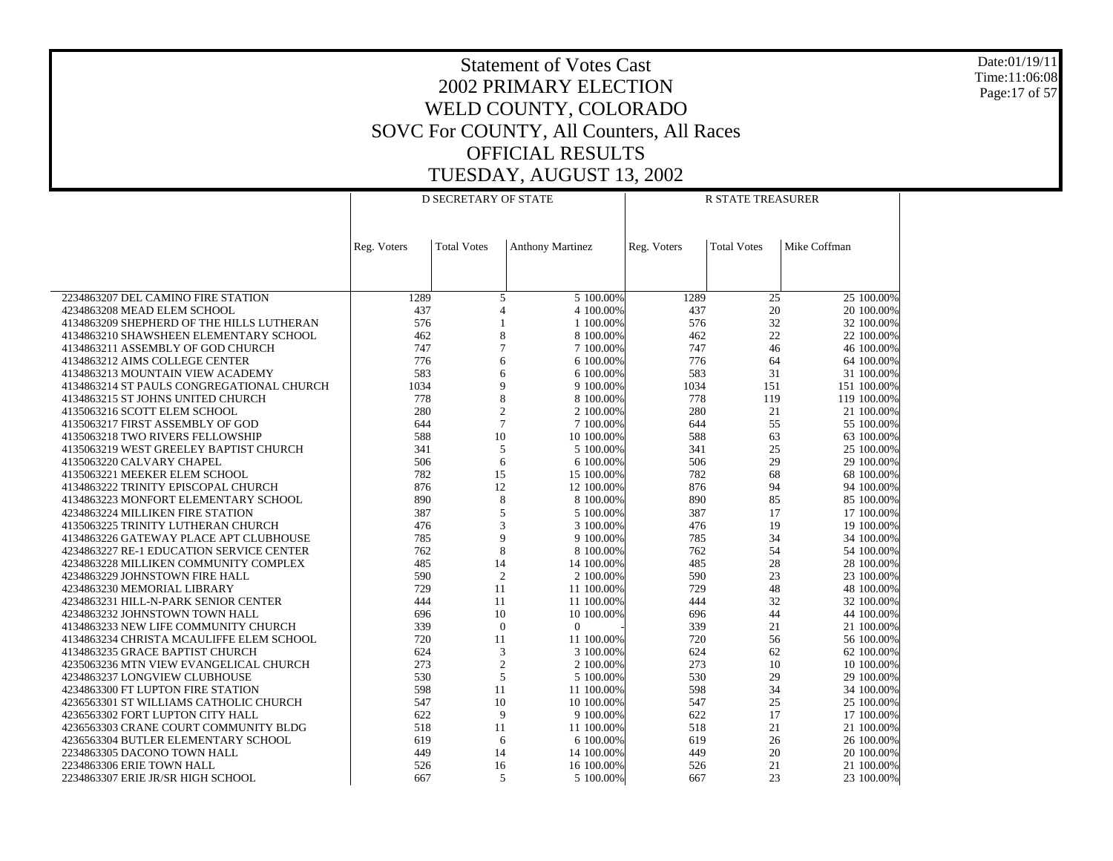Date:01/19/11 Time:11:06:08 Page:17 of 57

|                                                                     |             | <b>D SECRETARY OF STATE</b> |                          | <b>R STATE TREASURER</b> |                    |                          |  |  |
|---------------------------------------------------------------------|-------------|-----------------------------|--------------------------|--------------------------|--------------------|--------------------------|--|--|
|                                                                     |             |                             |                          |                          |                    |                          |  |  |
|                                                                     |             |                             |                          |                          |                    |                          |  |  |
|                                                                     | Reg. Voters | <b>Total Votes</b>          | <b>Anthony Martinez</b>  | Reg. Voters              | <b>Total Votes</b> | Mike Coffman             |  |  |
|                                                                     |             |                             |                          |                          |                    |                          |  |  |
|                                                                     |             |                             |                          |                          |                    |                          |  |  |
| 2234863207 DEL CAMINO FIRE STATION                                  | 1289        | 5                           | 5 100.00%                | 1289                     | 25                 | 25 100.00%               |  |  |
| 4234863208 MEAD ELEM SCHOOL                                         | 437         | 4                           | 4 100.00%                | 437                      | 20                 | 20 100.00%               |  |  |
| 4134863209 SHEPHERD OF THE HILLS LUTHERAN                           | 576         |                             | 1 100.00%                | 576                      | 32                 | 32 100.00%               |  |  |
| 4134863210 SHAWSHEEN ELEMENTARY SCHOOL                              | 462         | 8                           | 8 100.00%                | 462                      | 22                 | 22 100.00%               |  |  |
| 4134863211 ASSEMBLY OF GOD CHURCH                                   | 747         | $\overline{7}$              | 7 100,00%                | 747                      | 46                 | 46 100.00%               |  |  |
| 4134863212 AIMS COLLEGE CENTER<br>4134863213 MOUNTAIN VIEW ACADEMY  | 776<br>583  | 6<br>6                      | 6 100.00%<br>6 100.00%   | 776<br>583               | 64<br>31           | 64 100.00%<br>31 100.00% |  |  |
| 4134863214 ST PAULS CONGREGATIONAL CHURCH                           | 1034        | 9                           | 9 100.00%                | 1034                     | 151                | 151 100.00%              |  |  |
| 4134863215 ST JOHNS UNITED CHURCH                                   | 778         | 8                           | 8 100.00%                | 778                      | 119                | 119 100,00%              |  |  |
| 4135063216 SCOTT ELEM SCHOOL                                        | 280         | $\overline{c}$              | 2 100.00%                | 280                      | 21                 | 21 100.00%               |  |  |
| 4135063217 FIRST ASSEMBLY OF GOD                                    | 644         | $\overline{7}$              | 7 100,00%                | 644                      | 55                 | 55 100.00%               |  |  |
| 4135063218 TWO RIVERS FELLOWSHIP                                    | 588         | 10                          | 10 100,00%               | 588                      | 63                 | 63 100.00%               |  |  |
| 4135063219 WEST GREELEY BAPTIST CHURCH                              | 341         | 5                           | 5 100.00%                | 341                      | 25                 | 25 100.00%               |  |  |
| 4135063220 CALVARY CHAPEL                                           | 506         | 6                           | 6 100,00%                | 506                      | 29                 | 29 100.00%               |  |  |
| 4135063221 MEEKER ELEM SCHOOL                                       | 782         | 15                          | 15 100.00%               | 782                      | 68                 | 68 100.00%               |  |  |
| 4134863222 TRINITY EPISCOPAL CHURCH                                 | 876         | 12                          | 12 100,00%               | 876                      | 94                 | 94 100.00%               |  |  |
| 4134863223 MONFORT ELEMENTARY SCHOOL                                | 890         | 8                           | 8 100.00%                | 890                      | 85                 | 85 100.00%               |  |  |
| 4234863224 MILLIKEN FIRE STATION                                    | 387         | 5                           | 5 100.00%                | 387                      | 17                 | 17 100.00%               |  |  |
| 4135063225 TRINITY LUTHERAN CHURCH                                  | 476         | 3                           | 3 100,00%                | 476                      | 19                 | 19 100.00%               |  |  |
| 4134863226 GATEWAY PLACE APT CLUBHOUSE                              | 785         | 9                           | 9 100.00%                | 785                      | 34                 | 34 100.00%               |  |  |
| 4234863227 RE-1 EDUCATION SERVICE CENTER                            | 762         | 8                           | 8 100,00%                | 762                      | 54                 | 54 100,00%               |  |  |
| 4234863228 MILLIKEN COMMUNITY COMPLEX                               | 485         | 14                          | 14 100.00%               | 485                      | 28                 | 28 100.00%               |  |  |
| 4234863229 JOHNSTOWN FIRE HALL                                      | 590         | $\overline{2}$              | 2 100,00%                | 590                      | 23                 | 23 100.00%               |  |  |
| 4234863230 MEMORIAL LIBRARY<br>4234863231 HILL-N-PARK SENIOR CENTER | 729<br>444  | 11<br>11                    | 11 100.00%<br>11 100.00% | 729<br>444               | 48<br>32           | 48 100.00%<br>32 100.00% |  |  |
| 4234863232 JOHNSTOWN TOWN HALL                                      | 696         | 10                          | 10 100.00%               | 696                      | 44                 | 44 100.00%               |  |  |
| 4134863233 NEW LIFE COMMUNITY CHURCH                                | 339         | $\mathbf{0}$                | $\Omega$                 | 339                      | 21                 | 21 100.00%               |  |  |
| 4134863234 CHRISTA MCAULIFFE ELEM SCHOOL                            | 720         | 11                          | 11 100,00%               | 720                      | 56                 | 56 100.00%               |  |  |
| 4134863235 GRACE BAPTIST CHURCH                                     | 624         | 3                           | 3 100.00%                | 624                      | 62                 | 62 100.00%               |  |  |
| 4235063236 MTN VIEW EVANGELICAL CHURCH                              | 273         | $\overline{2}$              | 2 100,00%                | 273                      | 10                 | 10 100,00%               |  |  |
| 4234863237 LONGVIEW CLUBHOUSE                                       | 530         | 5                           | 5 100.00%                | 530                      | 29                 | 29 100.00%               |  |  |
| 4234863300 FT LUPTON FIRE STATION                                   | 598         | 11                          | 11 100.00%               | 598                      | 34                 | 34 100.00%               |  |  |
| 4236563301 ST WILLIAMS CATHOLIC CHURCH                              | 547         | 10                          | 10 100.00%               | 547                      | 25                 | 25 100.00%               |  |  |
| 4236563302 FORT LUPTON CITY HALL                                    | 622         | 9                           | 9 100.00%                | 622                      | 17                 | 17 100.00%               |  |  |
| 4236563303 CRANE COURT COMMUNITY BLDG                               | 518         | 11                          | 11 100.00%               | 518                      | 21                 | 21 100.00%               |  |  |
| 4236563304 BUTLER ELEMENTARY SCHOOL                                 | 619         | 6                           | 6 100.00%                | 619                      | 26                 | 26 100.00%               |  |  |
| 2234863305 DACONO TOWN HALL                                         | 449         | 14                          | 14 100,00%               | 449                      | 20                 | 20 100,00%               |  |  |
| 2234863306 ERIE TOWN HALL                                           | 526         | 16                          | 16 100.00%               | 526                      | 21                 | 21 100.00%               |  |  |
| 2234863307 ERIE JR/SR HIGH SCHOOL                                   | 667         | 5                           | 5 100.00%                | 667                      | 23                 | 23 100.00%               |  |  |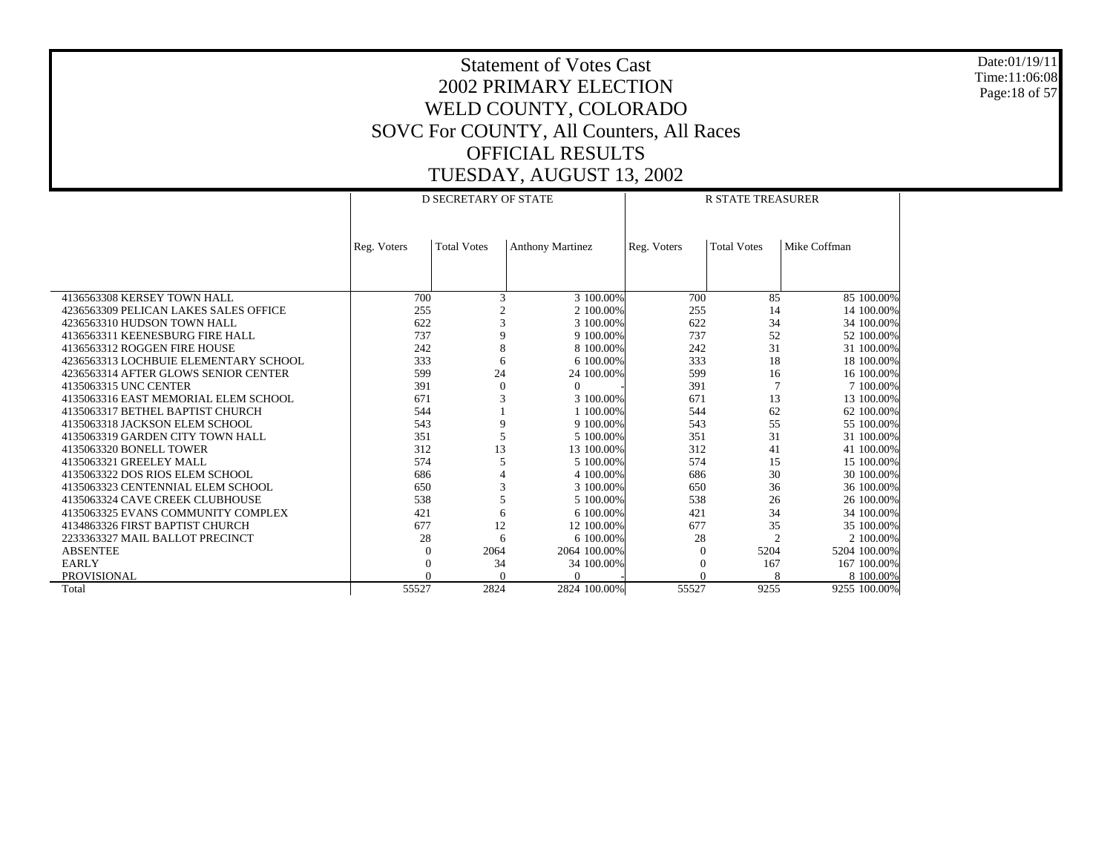Date:01/19/11 Time:11:06:08 Page:18 of 57

|                                       |             | <b>D SECRETARY OF STATE</b> |                         | <b>R STATE TREASURER</b> |                    |              |  |
|---------------------------------------|-------------|-----------------------------|-------------------------|--------------------------|--------------------|--------------|--|
|                                       |             |                             |                         |                          |                    |              |  |
|                                       | Reg. Voters | <b>Total Votes</b>          | <b>Anthony Martinez</b> | Reg. Voters              | <b>Total Votes</b> | Mike Coffman |  |
|                                       |             |                             |                         |                          |                    |              |  |
|                                       |             |                             |                         |                          |                    |              |  |
| 4136563308 KERSEY TOWN HALL           | 700         | 3                           | 3 100.00%               | 700                      | 85                 | 85 100.00%   |  |
| 4236563309 PELICAN LAKES SALES OFFICE | 255         |                             | 2 100,00%               | 255                      | 14                 | 14 100.00%   |  |
| 4236563310 HUDSON TOWN HALL           | 622         | 3                           | 3 100,00%               | 622                      | 34                 | 34 100.00%   |  |
| 4136563311 KEENESBURG FIRE HALL       | 737         | 9                           | 9 100.00%               | 737                      | 52                 | 52 100.00%   |  |
| 4136563312 ROGGEN FIRE HOUSE          | 242         | 8                           | 8 100,00%               | 242                      | 31                 | 31 100.00%   |  |
| 4236563313 LOCHBUIE ELEMENTARY SCHOOL | 333         | 6                           | 6 100.00%               | 333                      | 18                 | 18 100.00%   |  |
| 4236563314 AFTER GLOWS SENIOR CENTER  | 599         | 24                          | 24 100.00%              | 599                      | 16                 | 16 100.00%   |  |
| 4135063315 UNC CENTER                 | 391         | $\Omega$                    | $\Omega$                | 391                      | $\overline{7}$     | 7 100.00%    |  |
| 4135063316 EAST MEMORIAL ELEM SCHOOL  | 671         | 3                           | 3 100.00%               | 671                      | 13                 | 13 100.00%   |  |
| 4135063317 BETHEL BAPTIST CHURCH      | 544         |                             | 1 100,00%               | 544                      | 62                 | 62 100.00%   |  |
| 4135063318 JACKSON ELEM SCHOOL        | 543         | 9                           | 9 100.00%               | 543                      | 55                 | 55 100.00%   |  |
| 4135063319 GARDEN CITY TOWN HALL      | 351         | 5                           | 5 100,00%               | 351                      | 31                 | 31 100.00%   |  |
| 4135063320 BONELL TOWER               | 312         | 13                          | 13 100.00%              | 312                      | 41                 | 41 100,00%   |  |
| 4135063321 GREELEY MALL               | 574         | 5                           | 5 100,00%               | 574                      | 15                 | 15 100.00%   |  |
| 4135063322 DOS RIOS ELEM SCHOOL       | 686         |                             | 4 100,00%               | 686                      | 30                 | 30 100.00%   |  |
| 4135063323 CENTENNIAL ELEM SCHOOL     | 650         | 3                           | 3 100,00%               | 650                      | 36                 | 36 100.00%   |  |
| 4135063324 CAVE CREEK CLUBHOUSE       | 538         | 5                           | 5 100,00%               | 538                      | 26                 | 26 100.00%   |  |
| 4135063325 EVANS COMMUNITY COMPLEX    | 421         | 6                           | 6 100,00%               | 421                      | 34                 | 34 100.00%   |  |
| 4134863326 FIRST BAPTIST CHURCH       | 677         | 12                          | 12 100.00%              | 677                      | 35                 | 35 100.00%   |  |
| 2233363327 MAIL BALLOT PRECINCT       | 28          | 6                           | 6 100.00%               | 28                       | $\overline{2}$     | 2 100.00%    |  |
| <b>ABSENTEE</b>                       | $\Omega$    | 2064                        | 2064 100,00%            | $\Omega$                 | 5204               | 5204 100,00% |  |
| <b>EARLY</b>                          |             | 34                          | 34 100.00%              |                          | 167                | 167 100.00%  |  |
| PROVISIONAL                           |             | $\Omega$                    | $\Omega$                | $\Omega$                 |                    | 8 100.00%    |  |
| Total                                 | 55527       | 2824                        | 2824 100.00%            | 55527                    | 9255               | 9255 100.00% |  |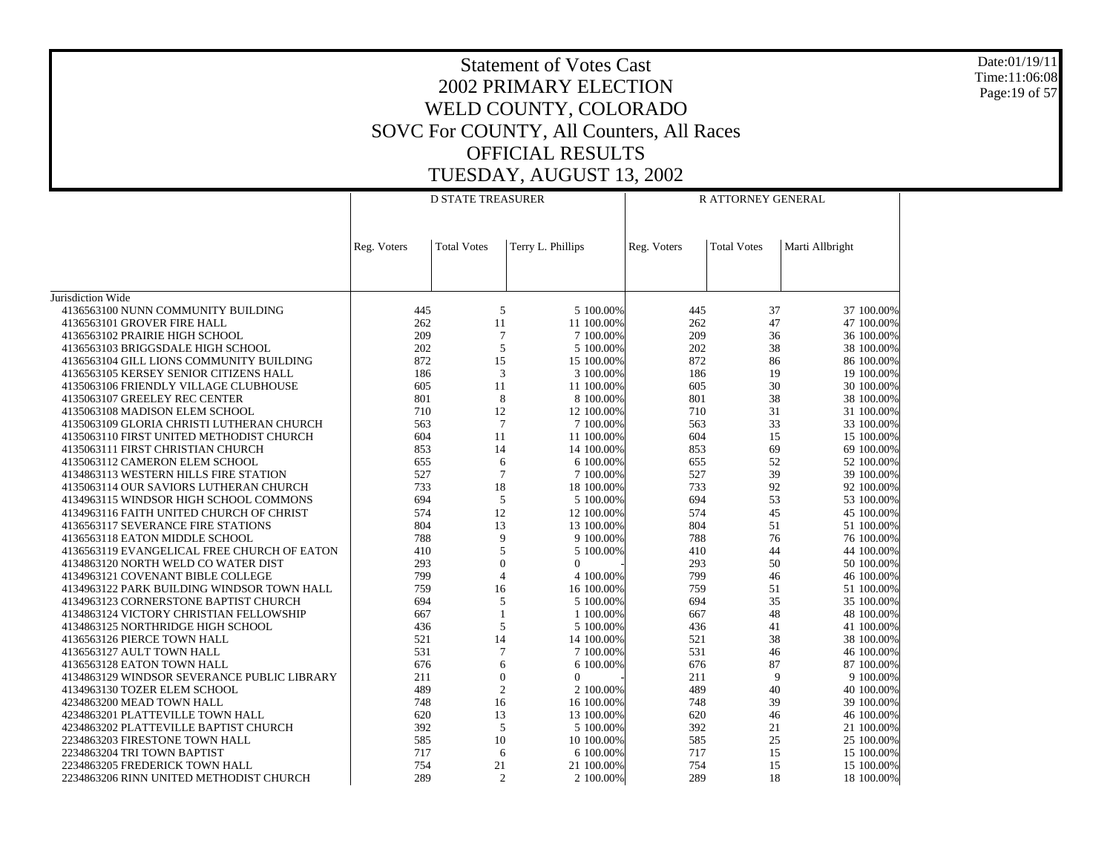Date:01/19/11 Time:11:06:08 Page:19 of 57

|                                                                                    |             | <b>D STATE TREASURER</b>         |                         |             | R ATTORNEY GENERAL |                          |
|------------------------------------------------------------------------------------|-------------|----------------------------------|-------------------------|-------------|--------------------|--------------------------|
|                                                                                    |             |                                  |                         |             |                    |                          |
|                                                                                    | Reg. Voters | <b>Total Votes</b>               | Terry L. Phillips       | Reg. Voters | <b>Total Votes</b> | Marti Allbright          |
|                                                                                    |             |                                  |                         |             |                    |                          |
|                                                                                    |             |                                  |                         |             |                    |                          |
| Jurisdiction Wide<br>4136563100 NUNN COMMUNITY BUILDING                            | 445         | 5                                | 5 100.00%               | 445         | 37                 | 37 100.00%               |
| 4136563101 GROVER FIRE HALL                                                        | 262         | 11                               | 11 100,00%              | 262         | 47                 | 47 100.00%               |
| 4136563102 PRAIRIE HIGH SCHOOL                                                     | 209         | $\tau$                           | 7 100,00%               | 209         | 36                 | 36 100.00%               |
| 4136563103 BRIGGSDALE HIGH SCHOOL                                                  | 202         | 5                                | 5 100,00%               | 202         | 38                 | 38 100.00%               |
| 4136563104 GILL LIONS COMMUNITY BUILDING                                           | 872         | 15                               | 15 100.00%              | 872         | 86                 | 86 100.00%               |
| 4136563105 KERSEY SENIOR CITIZENS HALL                                             | 186         | 3                                | 3 100.00%               | 186         | 19                 | 19 100.00%               |
| 4135063106 FRIENDLY VILLAGE CLUBHOUSE                                              | 605         | 11                               | 11 100.00%              | 605         | 30                 | 30 100.00%               |
| 4135063107 GREELEY REC CENTER                                                      | 801         | 8                                | 8 100,00%               | 801         | 38                 | 38 100.00%               |
| 4135063108 MADISON ELEM SCHOOL                                                     | 710         | 12                               | 12 100.00%              | 710         | 31                 | 31 100.00%               |
| 4135063109 GLORIA CHRISTI LUTHERAN CHURCH                                          | 563         | $7\phantom{.0}$                  | 7 100,00%               | 563         | 33                 | 33 100.00%               |
| 4135063110 FIRST UNITED METHODIST CHURCH                                           | 604         | 11                               | 11 100.00%              | 604         | 15                 | 15 100.00%               |
| 4135063111 FIRST CHRISTIAN CHURCH                                                  | 853         | 14                               | 14 100.00%              | 853         | 69                 | 69 100.00%               |
| 4135063112 CAMERON ELEM SCHOOL                                                     | 655         | 6                                | 6 100.00%               | 655         | 52                 | 52 100.00%               |
| 4134863113 WESTERN HILLS FIRE STATION                                              | 527         | $\overline{7}$                   | 7 100.00%               | 527<br>733  | 39                 | 39 100.00%               |
| 4135063114 OUR SAVIORS LUTHERAN CHURCH                                             | 733<br>694  | 18<br>5                          | 18 100,00%              | 694         | 92<br>53           | 92 100.00%               |
| 4134963115 WINDSOR HIGH SCHOOL COMMONS<br>4134963116 FAITH UNITED CHURCH OF CHRIST | 574         | 12                               | 5 100.00%<br>12 100,00% | 574         | 45                 | 53 100.00%<br>45 100.00% |
| 4136563117 SEVERANCE FIRE STATIONS                                                 | 804         | 13                               | 13 100.00%              | 804         | 51                 | 51 100.00%               |
| 4136563118 EATON MIDDLE SCHOOL                                                     | 788         | 9                                | 9 100.00%               | 788         | 76                 | 76 100.00%               |
| 4136563119 EVANGELICAL FREE CHURCH OF EATON                                        | 410         | 5                                | 5 100.00%               | 410         | 44                 | 44 100.00%               |
| 4134863120 NORTH WELD CO WATER DIST                                                | 293         | $\overline{0}$                   | $\mathbf{0}$            | 293         | 50                 | 50 100.00%               |
| 4134963121 COVENANT BIBLE COLLEGE                                                  | 799         | $\overline{4}$                   | 4 100,00%               | 799         | 46                 | 46 100.00%               |
| 4134963122 PARK BUILDING WINDSOR TOWN HALL                                         | 759         | 16                               | 16 100.00%              | 759         | 51                 | 51 100.00%               |
| 4134963123 CORNERSTONE BAPTIST CHURCH                                              | 694         | 5                                | 5 100.00%               | 694         | 35                 | 35 100.00%               |
| 4134863124 VICTORY CHRISTIAN FELLOWSHIP                                            | 667         | $\mathbf{1}$                     | 1 100.00%               | 667         | 48                 | 48 100.00%               |
| 4134863125 NORTHRIDGE HIGH SCHOOL                                                  | 436         | 5                                | 5 100.00%               | 436         | 41                 | 41 100.00%               |
| 4136563126 PIERCE TOWN HALL                                                        | 521         | 14                               | 14 100.00%              | 521         | 38                 | 38 100.00%               |
| 4136563127 AULT TOWN HALL                                                          | 531         | $\overline{7}$                   | 7 100.00%               | 531         | 46                 | 46 100.00%               |
| 4136563128 EATON TOWN HALL                                                         | 676         | 6                                | 6 100,00%               | 676         | 87                 | 87 100.00%               |
| 4134863129 WINDSOR SEVERANCE PUBLIC LIBRARY                                        | 211<br>489  | $\overline{0}$<br>$\overline{c}$ | $\Omega$<br>2 100,00%   | 211<br>489  | 9<br>40            | 9 100.00%<br>40 100.00%  |
| 4134963130 TOZER ELEM SCHOOL<br>4234863200 MEAD TOWN HALL                          | 748         | 16                               | 16 100.00%              | 748         | 39                 | 39 100.00%               |
| 4234863201 PLATTEVILLE TOWN HALL                                                   | 620         | 13                               | 13 100.00%              | 620         | 46                 | 46 100.00%               |
| 4234863202 PLATTEVILLE BAPTIST CHURCH                                              | 392         | 5                                | 5 100,00%               | 392         | 21                 | 21 100.00%               |
| 2234863203 FIRESTONE TOWN HALL                                                     | 585         | 10                               | 10 100.00%              | 585         | 25                 | 25 100.00%               |
| 2234863204 TRI TOWN BAPTIST                                                        | 717         | 6                                | 6 100.00%               | 717         | 15                 | 15 100,00%               |
| 2234863205 FREDERICK TOWN HALL                                                     | 754         | 21                               | 21 100.00%              | 754         | 15                 | 15 100.00%               |
| 2234863206 RINN UNITED METHODIST CHURCH                                            | 289         | $\overline{2}$                   | 2 100.00%               | 289         | 18                 | 18 100.00%               |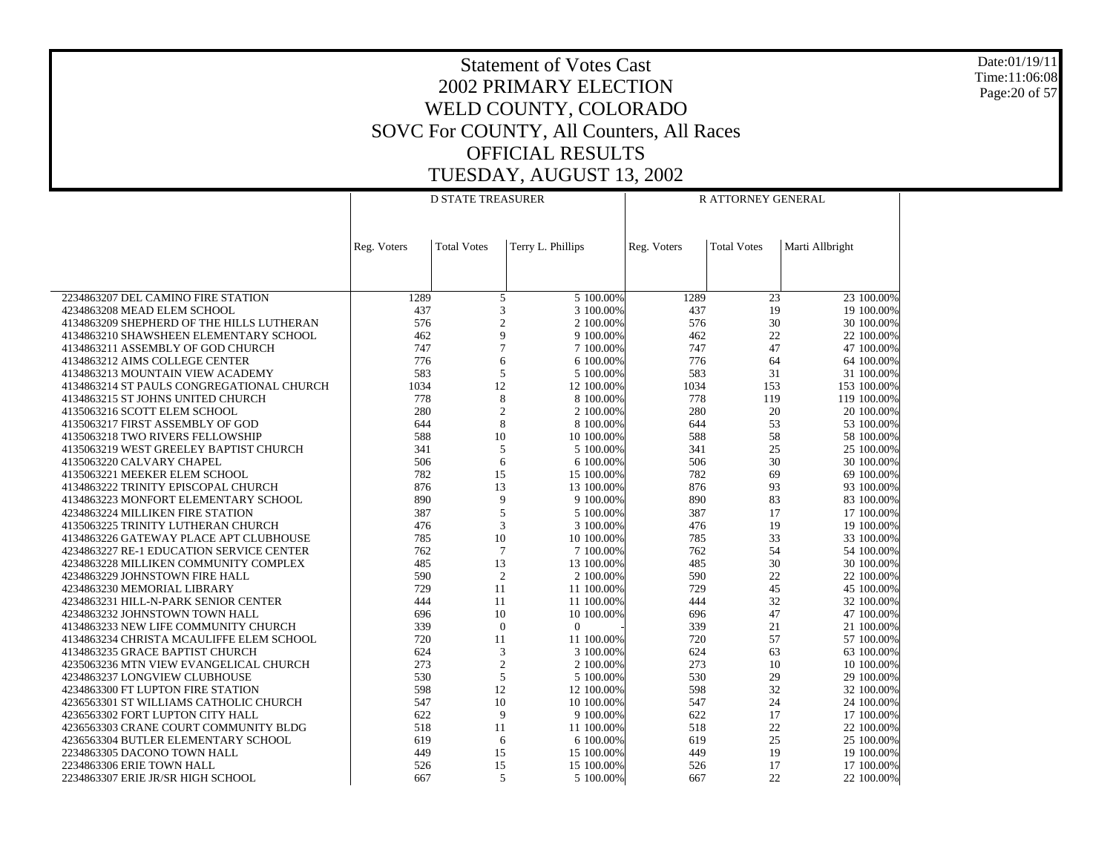Date:01/19/11 Time:11:06:08 Page:20 of 57

|                                                                             |             | <b>D STATE TREASURER</b> |                   |                         |             | R ATTORNEY GENERAL |                 |                          |
|-----------------------------------------------------------------------------|-------------|--------------------------|-------------------|-------------------------|-------------|--------------------|-----------------|--------------------------|
|                                                                             |             |                          |                   |                         |             |                    |                 |                          |
|                                                                             | Reg. Voters | <b>Total Votes</b>       | Terry L. Phillips |                         | Reg. Voters | <b>Total Votes</b> | Marti Allbright |                          |
|                                                                             |             |                          |                   |                         |             |                    |                 |                          |
|                                                                             |             |                          |                   |                         |             |                    |                 |                          |
| 2234863207 DEL CAMINO FIRE STATION                                          | 1289        | 5                        |                   | 5 100.00%               | 1289        | $\overline{23}$    |                 | $23$ 100.00%             |
| 4234863208 MEAD ELEM SCHOOL                                                 | 437         | 3                        |                   | 3 100,00%               | 437         | 19                 |                 | 19 100.00%               |
| 4134863209 SHEPHERD OF THE HILLS LUTHERAN                                   | 576         | $\boldsymbol{2}$         |                   | 2 100.00%               | 576         | 30                 |                 | 30 100.00%               |
| 4134863210 SHAWSHEEN ELEMENTARY SCHOOL<br>4134863211 ASSEMBLY OF GOD CHURCH | 462<br>747  | 9<br>$\overline{7}$      |                   | 9 100.00%               | 462<br>747  | 22<br>47           |                 | 22 100.00%               |
| 4134863212 AIMS COLLEGE CENTER                                              | 776         | 6                        |                   | 7 100.00%<br>6 100.00%  | 776         | 64                 |                 | 47 100.00%<br>64 100.00% |
| 4134863213 MOUNTAIN VIEW ACADEMY                                            | 583         | 5                        |                   | 5 100,00%               | 583         | 31                 |                 | 31 100.00%               |
| 4134863214 ST PAULS CONGREGATIONAL CHURCH                                   | 1034        | 12                       |                   | 12 100.00%              | 1034        | 153                |                 | 153 100.00%              |
| 4134863215 ST JOHNS UNITED CHURCH                                           | 778         | 8                        |                   | 8 100.00%               | 778         | 119                |                 | 119 100.00%              |
| 4135063216 SCOTT ELEM SCHOOL                                                | 280         | $\mathfrak{2}$           |                   | 2 100.00%               | 280         | 20                 |                 | 20 100.00%               |
| 4135063217 FIRST ASSEMBLY OF GOD                                            | 644         | 8                        |                   | 8 100.00%               | 644         | 53                 |                 | 53 100.00%               |
| 4135063218 TWO RIVERS FELLOWSHIP                                            | 588         | 10                       |                   | 10 100.00%              | 588         | 58                 |                 | 58 100.00%               |
| 4135063219 WEST GREELEY BAPTIST CHURCH                                      | 341         | 5                        |                   | 5 100.00%               | 341         | 25                 |                 | 25 100.00%               |
| 4135063220 CALVARY CHAPEL                                                   | 506         | 6                        |                   | 6 100.00%               | 506         | 30                 |                 | 30 100.00%               |
| 4135063221 MEEKER ELEM SCHOOL                                               | 782         | 15                       |                   | 15 100.00%              | 782         | 69                 |                 | 69 100.00%               |
| 4134863222 TRINITY EPISCOPAL CHURCH                                         | 876         | 13                       |                   | 13 100.00%              | 876         | 93                 |                 | 93 100.00%               |
| 4134863223 MONFORT ELEMENTARY SCHOOL                                        | 890         | 9                        |                   | 9 100.00%               | 890         | 83                 |                 | 83 100.00%               |
| 4234863224 MILLIKEN FIRE STATION                                            | 387         | 5                        |                   | 5 100.00%               | 387         | 17                 |                 | 17 100.00%               |
| 4135063225 TRINITY LUTHERAN CHURCH                                          | 476         | 3                        |                   | 3 100,00%               | 476         | 19                 |                 | 19 100.00%               |
| 4134863226 GATEWAY PLACE APT CLUBHOUSE                                      | 785         | 10                       |                   | 10 100.00%              | 785         | 33                 |                 | 33 100.00%               |
| 4234863227 RE-1 EDUCATION SERVICE CENTER                                    | 762         | $7\phantom{.0}$          |                   | 7 100.00%               | 762         | 54                 |                 | 54 100.00%               |
| 4234863228 MILLIKEN COMMUNITY COMPLEX                                       | 485         | 13                       |                   | 13 100.00%              | 485         | 30<br>22           |                 | 30 100.00%               |
| 4234863229 JOHNSTOWN FIRE HALL<br>4234863230 MEMORIAL LIBRARY               | 590<br>729  | $\overline{2}$<br>11     |                   | 2 100.00%<br>11 100,00% | 590<br>729  | 45                 |                 | 22 100.00%<br>45 100.00% |
| 4234863231 HILL-N-PARK SENIOR CENTER                                        | 444         | 11                       |                   | 11 100,00%              | 444         | 32                 |                 | 32 100.00%               |
| 4234863232 JOHNSTOWN TOWN HALL                                              | 696         | 10                       |                   | 10 100.00%              | 696         | 47                 |                 | 47 100.00%               |
| 4134863233 NEW LIFE COMMUNITY CHURCH                                        | 339         | $\theta$                 | $\theta$          |                         | 339         | 21                 |                 | 21 100.00%               |
| 4134863234 CHRISTA MCAULIFFE ELEM SCHOOL                                    | 720         | 11                       |                   | 11 100.00%              | 720         | 57                 |                 | 57 100.00%               |
| 4134863235 GRACE BAPTIST CHURCH                                             | 624         | $\mathfrak{Z}$           |                   | 3 100.00%               | 624         | 63                 |                 | 63 100.00%               |
| 4235063236 MTN VIEW EVANGELICAL CHURCH                                      | 273         | $\mathfrak{2}$           |                   | 2 100,00%               | 273         | 10                 |                 | 10 100.00%               |
| 4234863237 LONGVIEW CLUBHOUSE                                               | 530         | 5                        |                   | 5 100,00%               | 530         | 29                 |                 | 29 100.00%               |
| 4234863300 FT LUPTON FIRE STATION                                           | 598         | 12                       |                   | 12 100.00%              | 598         | 32                 |                 | 32 100.00%               |
| 4236563301 ST WILLIAMS CATHOLIC CHURCH                                      | 547         | 10                       |                   | 10 100.00%              | 547         | 24                 |                 | 24 100.00%               |
| 4236563302 FORT LUPTON CITY HALL                                            | 622         | 9                        |                   | 9 100.00%               | 622         | 17                 |                 | 17 100.00%               |
| 4236563303 CRANE COURT COMMUNITY BLDG                                       | 518         | 11                       |                   | 11 100.00%              | 518         | 22                 |                 | 22 100.00%               |
| 4236563304 BUTLER ELEMENTARY SCHOOL                                         | 619         | 6                        |                   | 6 100.00%               | 619         | 25                 |                 | 25 100.00%               |
| 2234863305 DACONO TOWN HALL                                                 | 449         | 15                       |                   | 15 100,00%              | 449         | 19                 |                 | 19 100.00%               |
| 2234863306 ERIE TOWN HALL                                                   | 526         | 15                       |                   | 15 100.00%              | 526         | 17                 |                 | 17 100.00%               |
| 2234863307 ERIE JR/SR HIGH SCHOOL                                           | 667         | 5                        |                   | 5 100.00%               | 667         | 22                 |                 | 22 100.00%               |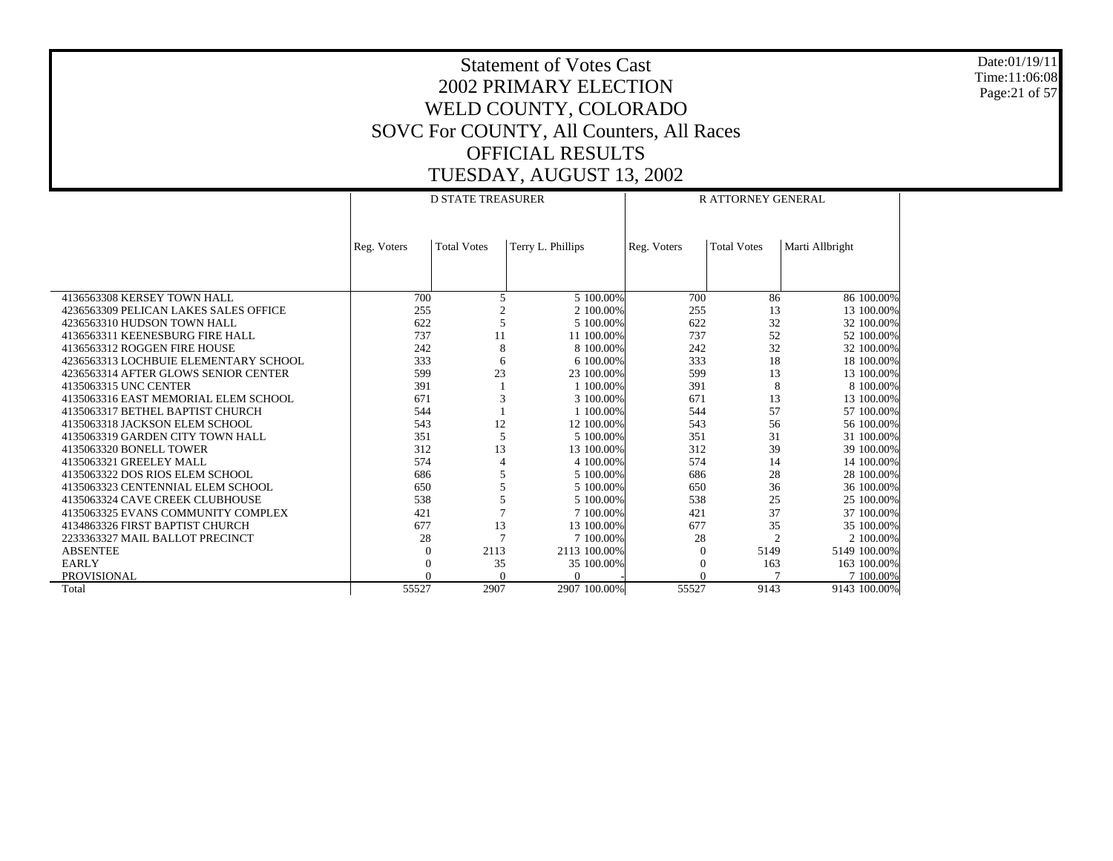Date:01/19/11 Time:11:06:08 Page:21 of 57

|                                       |             | <b>D STATE TREASURER</b> |                   | <b>R ATTORNEY GENERAL</b> |                    |                 |  |
|---------------------------------------|-------------|--------------------------|-------------------|---------------------------|--------------------|-----------------|--|
|                                       |             |                          |                   |                           |                    |                 |  |
|                                       | Reg. Voters | <b>Total Votes</b>       | Terry L. Phillips | Reg. Voters               | <b>Total Votes</b> | Marti Allbright |  |
|                                       |             |                          |                   |                           |                    |                 |  |
|                                       |             |                          |                   |                           |                    |                 |  |
| 4136563308 KERSEY TOWN HALL           | 700         | 5                        | 5 100,00%         | 700                       | 86                 | 86 100.00%      |  |
| 4236563309 PELICAN LAKES SALES OFFICE | 255         |                          | 2 100,00%         | 255                       | 13                 | 13 100.00%      |  |
| 4236563310 HUDSON TOWN HALL           | 622         | 5                        | 5 100,00%         | 622                       | 32                 | 32 100.00%      |  |
| 4136563311 KEENESBURG FIRE HALL       | 737         | 11                       | 11 100.00%        | 737                       | 52                 | 52 100.00%      |  |
| 4136563312 ROGGEN FIRE HOUSE          | 242         | 8                        | 8 100.00%         | 242                       | 32                 | 32 100.00%      |  |
| 4236563313 LOCHBUIE ELEMENTARY SCHOOL | 333         | 6                        | 6 100.00%         | 333                       | 18                 | 18 100.00%      |  |
| 4236563314 AFTER GLOWS SENIOR CENTER  | 599         | 23                       | 23 100,00%        | 599                       | 13                 | 13 100.00%      |  |
| 4135063315 UNC CENTER                 | 391         |                          | 1 100,00%         | 391                       | 8                  | 8 100,00%       |  |
| 4135063316 EAST MEMORIAL ELEM SCHOOL  | 671         | 3                        | 3 100,00%         | 671                       | 13                 | 13 100.00%      |  |
| 4135063317 BETHEL BAPTIST CHURCH      | 544         |                          | 1 100,00%         | 544                       | 57                 | 57 100.00%      |  |
| 4135063318 JACKSON ELEM SCHOOL        | 543         | 12                       | 12 100.00%        | 543                       | 56                 | 56 100.00%      |  |
| 4135063319 GARDEN CITY TOWN HALL      | 351         | 5                        | 5 100,00%         | 351                       | 31                 | 31 100.00%      |  |
| 4135063320 BONELL TOWER               | 312         | 13                       | 13 100.00%        | 312                       | 39                 | 39 100.00%      |  |
| 4135063321 GREELEY MALL               | 574         | 4                        | 4 100.00%         | 574                       | 14                 | 14 100.00%      |  |
| 4135063322 DOS RIOS ELEM SCHOOL       | 686         |                          | 5 100,00%         | 686                       | 28                 | 28 100.00%      |  |
| 4135063323 CENTENNIAL ELEM SCHOOL     | 650         |                          | 5 100.00%         | 650                       | 36                 | 36 100.00%      |  |
| 4135063324 CAVE CREEK CLUBHOUSE       | 538         | 5                        | 5 100,00%         | 538                       | 25                 | 25 100,00%      |  |
| 4135063325 EVANS COMMUNITY COMPLEX    | 421         |                          | 7 100,00%         | 421                       | 37                 | 37 100.00%      |  |
| 4134863326 FIRST BAPTIST CHURCH       | 677         | 13                       | 13 100.00%        | 677                       | 35                 | 35 100.00%      |  |
| 2233363327 MAIL BALLOT PRECINCT       | 28          |                          | 7 100,00%         | 28                        | $\overline{c}$     | 2 100,00%       |  |
| <b>ABSENTEE</b>                       | $\Omega$    | 2113                     | 2113 100.00%      | $\Omega$                  | 5149               | 5149 100.00%    |  |
| <b>EARLY</b>                          |             | 35                       | 35 100.00%        | $\theta$                  | 163                | 163 100.00%     |  |
| PROVISIONAL                           |             | $\theta$                 | $\Omega$          | $\Omega$                  |                    | 7 100.00%       |  |
| Total                                 | 55527       | 2907                     | 2907 100.00%      | 55527                     | 9143               | 9143 100.00%    |  |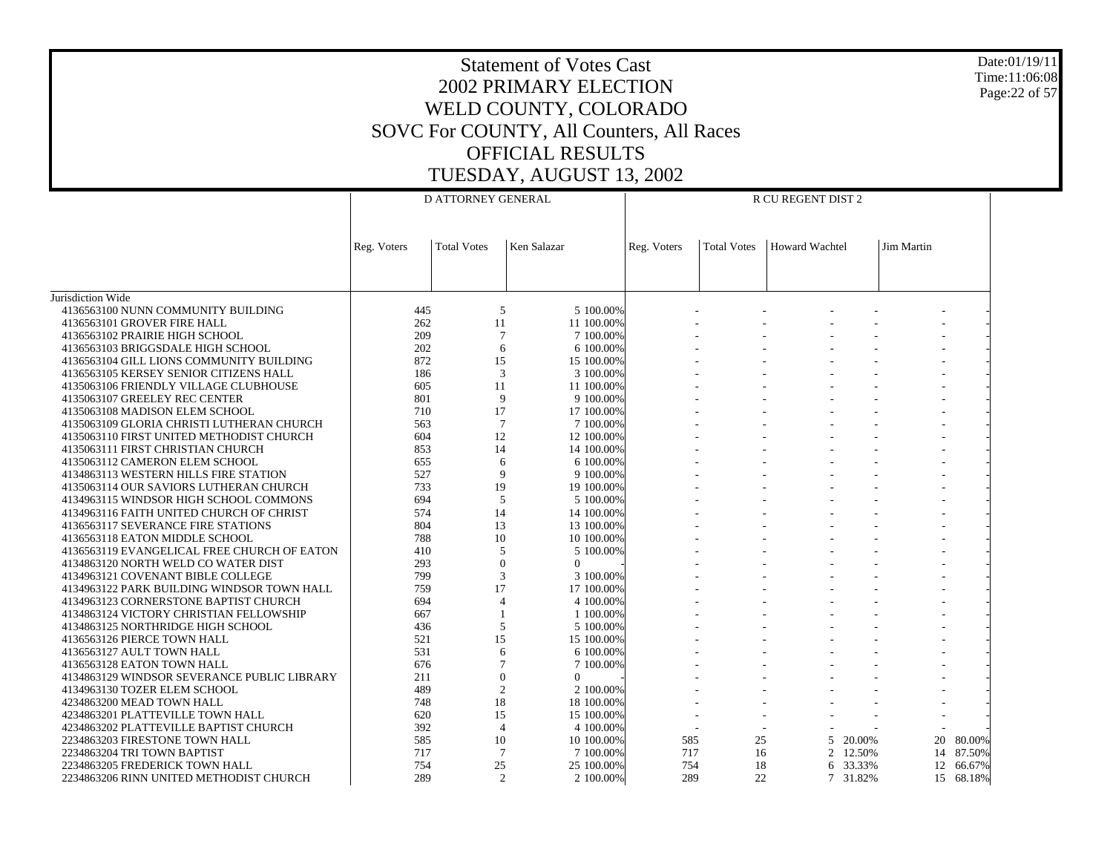# Statement of Votes Cast2002 PRIMARY ELECTIONWELD COUNTY, COLORADO SOVC For COUNTY, All Counters, All Races OFFICIAL RESULTSTUESDAY, AUGUST 13, 2002

Jurisdiction Wide 4136563100 NUNN COMMUNITY BUILDING 4136563101 GROVER FIRE HALL 4136563102 PRAIRIE HIGH SCHOOL 4136563103 BRIGGSDALE HIGH SCHOOL 4136563104 GILL LIONS COMMUNITY BUILDING 4136563105 KERSEY SENIOR CITIZENS HALL 4135063106 FRIENDLY VILLAGE CLUBHOUSE 4135063107 GREELEY REC CENTER 4135063108 MADISON ELEM SCHOOL 4135063109 GLORIA CHRISTI LUTHERAN CHURCH 4135063110 FIRST UNITED METHODIST CHURCH 4135063111 FIRST CHRISTIAN CHURCH 4135063112 CAMERON ELEM SCHOOL 4134863113 WESTERN HILLS FIRE STATION 4135063114 OUR SAVIORS LUTHERAN CHURCH 4134963115 WINDSOR HIGH SCHOOL COMMONS 4134963116 FAITH UNITED CHURCH OF CHRIST 4136563117 SEVERANCE FIRE STATIONS 4136563118 EATON MIDDLE SCHOOL 4136563119 EVANGELICAL FREE CHURCH OF EATON 4134863120 NORTH WELD CO WATER DIST 4134963121 COVENANT BIBLE COLLEGE 4134963122 PARK BUILDING WINDSOR TOWN HALL 4134963123 CORNERSTONE BAPTIST CHURCH 4134863124 VICTORY CHRISTIAN FELLOWSHIP 4134863125 NORTHRIDGE HIGH SCHOOL 4136563126 PIERCE TOWN HALL 4136563127 AULT TOWN HALL 4136563128 EATON TOWN HALL 4134863129 WINDSOR SEVERANCE PUBLIC LIBRARY 4134963130 TOZER ELEM SCHOOL 4234863200 MEAD TOWN HALL 4234863201 PLATTEVILLE TOWN HALL 4234863202 PLATTEVILLE BAPTIST CHURCH 2234863203 FIRESTONE TOWN HALL 2234863204 TRI TOWN BAPTIST 2234863205 FREDERICK TOWN HALL 2234863206 RINN UNITED METHODIST CHURCHReg. Voters | Total Votes | Ken Salazar D ATTORNEY GENERALReg. Voters | Total Votes | Howard Wachtel | Jim Martin R CU REGENT DIST 2445 5 5 100.00% - - - - - - 26211 100.00% - - - - - - 209 7 7 100.00% - - - - - - 202 6 6 100.00% - - - - - - 872 15 15 100.00% - - - - - - 186 3 3 100.00% - - - - - - 605 11 11 100.00% - - - - - - 801 9 9 100.00% - - - - - - 710 17 17 100.00% - - - - - - 563 7 7 100.00% - - - - - - 604 12 12 100.00% - - - - - - 853 14 14 100.00% - - - - - - 655 6 6 100.00% - - - - - - 527 9 9 100.00% - - - - - - 733 19 19 100.00% - - - - - - 694 5 5 100.00% - - - - - - 574 14 14 100.00% - - - - - - 804 13 13 100.00% - - - - - - 788 10 10 100.00% - - - - - - 410 5 5 100.00% - - - - - - 293 $\begin{array}{ccccccccccc} 3 & & & 0 & & 0 & & | & & \text{---} & & \text{---} & & \text{---} & & \text{---} & & \text{---} & \text{---} & \text{---} & \text{---} & \text{---} & \text{---} & \text{---} & \text{---} & \text{---} & \text{---} & \text{---} & \text{---} & \text{---} & \text{---} & \text{---} & \text{---} & \text{---} & \text{---} & \text{---} & \text{---} & \text{---} & \text{---} & \text{---} & \text{---} & \text{---} & \text{---} & \text{---} & \text{---}$ 799 3 3 100.00% - - - - - - 759 17 17 100.00% - - - - - - 694 4 4 100.00% - - - - - - 6671 100.00% - - - - - - 436 5 5 100.00% - - - - - - 521 15 15 100.00% - - - - - - 531 6 6 100.00% - - - - - - 676 7 7 100.00% - - - - - - 211 $1$  0 0 - - - - - - - -489 2 2 100.00% - - - - - - 748 18 18 100.00% - - - - - - 620 15 15 100.00% - - - - - - 392 4 4 100.00% - - - - - - 585 10 10 100.00% 585 25 5 20.00% 20 80.00% 717 7 7 100.00% 717 16 2 12.50% 14 87.50% 754 25 25 100.00% 754 18 6 33.33% 12 66.67% 289 2 2 100.00%289 22 7 31.82% 15 68.18%

Date:01/19/11Time:11:06:08Page:22 of 57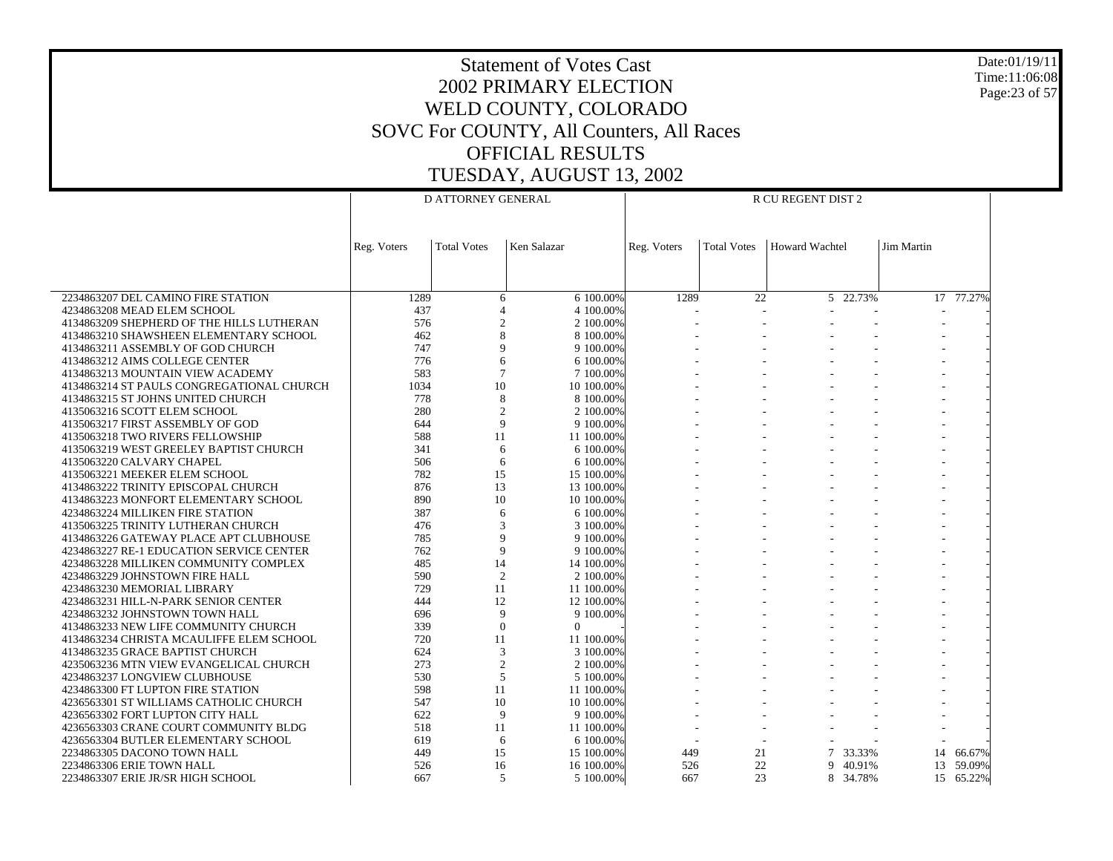Date:01/19/11 Time:11:06:08 Page:23 of 57

|                                                                    |             | D ATTORNEY GENERAL             |             |                         | R CU REGENT DIST 2 |                    |                       |                   |               |
|--------------------------------------------------------------------|-------------|--------------------------------|-------------|-------------------------|--------------------|--------------------|-----------------------|-------------------|---------------|
|                                                                    |             |                                |             |                         |                    |                    |                       |                   |               |
|                                                                    |             |                                |             |                         |                    |                    |                       |                   |               |
|                                                                    | Reg. Voters | <b>Total Votes</b>             | Ken Salazar |                         | Reg. Voters        | <b>Total Votes</b> | <b>Howard Wachtel</b> | <b>Jim Martin</b> |               |
|                                                                    |             |                                |             |                         |                    |                    |                       |                   |               |
|                                                                    |             |                                |             |                         |                    |                    |                       |                   |               |
| 2234863207 DEL CAMINO FIRE STATION                                 | 1289        | 6                              |             | 6 100.00%               | 1289               | 22                 | 5 22.73%              |                   | $17 - 77.27%$ |
| 4234863208 MEAD ELEM SCHOOL                                        | 437         | $\overline{4}$                 |             | 4 100,00%               |                    |                    |                       |                   |               |
| 4134863209 SHEPHERD OF THE HILLS LUTHERAN                          | 576         | $\overline{c}$                 |             | 2 100.00%               |                    |                    |                       |                   |               |
| 4134863210 SHAWSHEEN ELEMENTARY SCHOOL                             | 462         | 8                              |             | 8 100,00%               |                    |                    |                       |                   |               |
| 4134863211 ASSEMBLY OF GOD CHURCH                                  | 747         | 9                              |             | 9 100,00%               |                    |                    |                       |                   |               |
| 4134863212 AIMS COLLEGE CENTER                                     | 776         | 6                              |             | 6 100.00%               |                    |                    |                       |                   |               |
| 4134863213 MOUNTAIN VIEW ACADEMY                                   | 583         | $\overline{7}$                 |             | 7 100,00%               |                    |                    |                       |                   |               |
| 4134863214 ST PAULS CONGREGATIONAL CHURCH                          | 1034        | 10                             |             | 10 100,00%              |                    |                    |                       |                   |               |
| 4134863215 ST JOHNS UNITED CHURCH                                  | 778         | 8                              |             | 8 100,00%               |                    |                    |                       |                   |               |
| 4135063216 SCOTT ELEM SCHOOL<br>4135063217 FIRST ASSEMBLY OF GOD   | 280<br>644  | $\overline{c}$<br>$\mathbf{Q}$ |             | 2 100.00%<br>9 100,00%  |                    |                    |                       |                   |               |
| 4135063218 TWO RIVERS FELLOWSHIP                                   | 588         | 11                             |             | 11 100,00%              |                    |                    |                       |                   |               |
| 4135063219 WEST GREELEY BAPTIST CHURCH                             | 341         | 6                              |             | 6 100,00%               |                    |                    |                       |                   |               |
| 4135063220 CALVARY CHAPEL                                          | 506         | 6                              |             | 6 100,00%               |                    |                    |                       |                   |               |
| 4135063221 MEEKER ELEM SCHOOL                                      | 782         | 15                             |             | 15 100.00%              |                    |                    |                       |                   |               |
| 4134863222 TRINITY EPISCOPAL CHURCH                                | 876         | 13                             |             | 13 100,00%              |                    |                    |                       |                   |               |
| 4134863223 MONFORT ELEMENTARY SCHOOL                               | 890         | 10                             |             | 10 100.00%              |                    |                    |                       |                   |               |
| 4234863224 MILLIKEN FIRE STATION                                   | 387         | 6                              |             | 6 100.00%               |                    |                    |                       |                   |               |
| 4135063225 TRINITY LUTHERAN CHURCH                                 | 476         | 3                              |             | 3 100,00%               |                    |                    |                       |                   |               |
| 4134863226 GATEWAY PLACE APT CLUBHOUSE                             | 785         | $\mathbf{Q}$                   |             | 9 100.00%               |                    |                    |                       |                   |               |
| 4234863227 RE-1 EDUCATION SERVICE CENTER                           | 762         | $\mathbf Q$                    |             | 9 100,00%               |                    |                    |                       |                   |               |
| 4234863228 MILLIKEN COMMUNITY COMPLEX                              | 485         | 14                             |             | 14 100.00%              |                    |                    |                       |                   |               |
| 4234863229 JOHNSTOWN FIRE HALL                                     | 590         | 2                              |             | 2 100.00%               |                    |                    |                       |                   |               |
| 4234863230 MEMORIAL LIBRARY                                        | 729         | 11                             |             | 11 100.00%              |                    |                    |                       |                   |               |
| 4234863231 HILL-N-PARK SENIOR CENTER                               | 444         | 12                             |             | 12 100,00%              |                    |                    |                       |                   |               |
| 4234863232 JOHNSTOWN TOWN HALL                                     | 696         | 9                              |             | 9 100.00%               |                    |                    |                       |                   |               |
| 4134863233 NEW LIFE COMMUNITY CHURCH                               | 339         | $\mathbf{0}$                   | $\Omega$    |                         |                    |                    |                       |                   |               |
| 4134863234 CHRISTA MCAULIFFE ELEM SCHOOL                           | 720         | 11                             |             | 11 100,00%              |                    |                    |                       |                   |               |
| 4134863235 GRACE BAPTIST CHURCH                                    | 624         | $\mathfrak{Z}$                 |             | 3 100.00%               |                    |                    |                       |                   |               |
| 4235063236 MTN VIEW EVANGELICAL CHURCH                             | 273         | $\overline{2}$<br>5            |             | 2 100,00%               |                    |                    |                       |                   |               |
| 4234863237 LONGVIEW CLUBHOUSE<br>4234863300 FT LUPTON FIRE STATION | 530<br>598  | 11                             |             | 5 100,00%<br>11 100,00% |                    |                    |                       |                   |               |
| 4236563301 ST WILLIAMS CATHOLIC CHURCH                             | 547         | 10                             |             | 10 100,00%              |                    |                    |                       |                   |               |
| 4236563302 FORT LUPTON CITY HALL                                   | 622         | 9                              |             | 9 100.00%               |                    |                    |                       |                   |               |
| 4236563303 CRANE COURT COMMUNITY BLDG                              | 518         | 11                             |             | 11 100.00%              |                    |                    |                       |                   |               |
| 4236563304 BUTLER ELEMENTARY SCHOOL                                | 619         | 6                              |             | 6 100.00%               |                    |                    |                       |                   |               |
| 2234863305 DACONO TOWN HALL                                        | 449         | 15                             |             | 15 100,00%              | 449                | 21                 | 7<br>33.33%           | 14                | 66.67%        |
| 2234863306 ERIE TOWN HALL                                          | 526         | 16                             |             | 16 100,00%              | 526                | 22                 | 40.91%<br>9.          | 13                | 59.09%        |
| 2234863307 ERIE JR/SR HIGH SCHOOL                                  | 667         | 5                              |             | 5 100.00%               | 667                | 23                 | 8 34.78%              |                   | 15 65.22%     |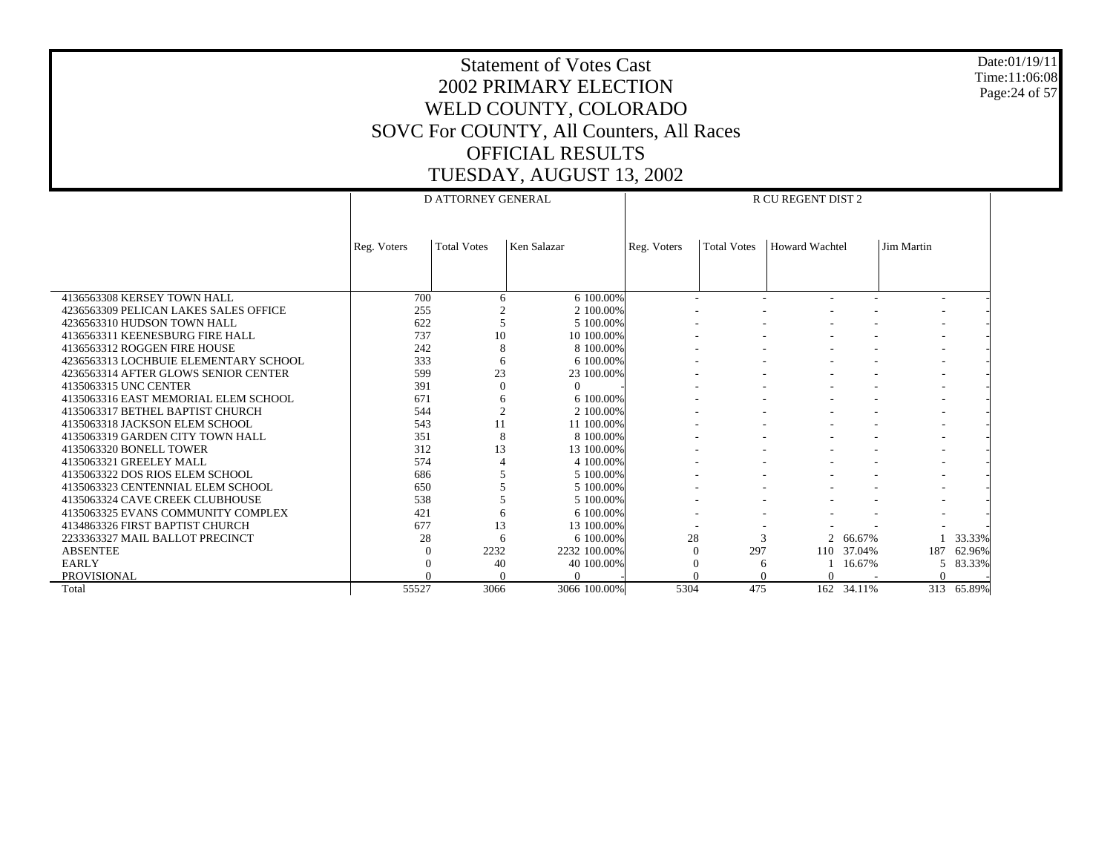Date:01/19/11 Time:11:06:08 Page:24 of 57

|                                       |             | <b>D ATTORNEY GENERAL</b> |              |             |                    | <b>R CU REGENT DIST 2</b> |        |            |            |
|---------------------------------------|-------------|---------------------------|--------------|-------------|--------------------|---------------------------|--------|------------|------------|
|                                       |             |                           |              |             |                    |                           |        |            |            |
|                                       | Reg. Voters | <b>Total Votes</b>        | Ken Salazar  | Reg. Voters | <b>Total Votes</b> | <b>Howard Wachtel</b>     |        | Jim Martin |            |
|                                       |             |                           |              |             |                    |                           |        |            |            |
|                                       |             |                           |              |             |                    |                           |        |            |            |
| 4136563308 KERSEY TOWN HALL           | 700         | 6                         | 6 100,00%    |             |                    |                           |        |            |            |
| 4236563309 PELICAN LAKES SALES OFFICE | 255         |                           | 2 100,00%    |             |                    |                           |        |            |            |
| 4236563310 HUDSON TOWN HALL           | 622         |                           | 5 100,00%    |             |                    |                           |        |            |            |
| 4136563311 KEENESBURG FIRE HALL       | 737         | 10                        | 10 100.00%   |             |                    |                           |        |            |            |
| 4136563312 ROGGEN FIRE HOUSE          | 242         | 8                         | 8 100,00%    |             |                    |                           |        |            |            |
| 4236563313 LOCHBUIE ELEMENTARY SCHOOL | 333         | 6                         | 6 100,00%    |             |                    |                           |        |            |            |
| 4236563314 AFTER GLOWS SENIOR CENTER  | 599         | 23                        | 23 100.00%   |             |                    |                           |        |            |            |
| 4135063315 UNC CENTER                 | 391         | $\Omega$                  | $\Omega$     |             |                    |                           |        |            |            |
| 4135063316 EAST MEMORIAL ELEM SCHOOL  | 671         | 6                         | 6 100,00%    |             |                    |                           |        |            |            |
| 4135063317 BETHEL BAPTIST CHURCH      | 544         |                           | 2 100,00%    |             |                    |                           |        |            |            |
| 4135063318 JACKSON ELEM SCHOOL        | 543         | 11                        | 11 100,00%   |             |                    |                           |        |            |            |
| 4135063319 GARDEN CITY TOWN HALL      | 351         | 8                         | 8 100,00%    |             |                    |                           |        |            |            |
| 4135063320 BONELL TOWER               | 312         | 13                        | 13 100,00%   |             |                    |                           |        |            |            |
| 4135063321 GREELEY MALL               | 574         |                           | 4 100,00%    |             |                    |                           |        |            |            |
| 4135063322 DOS RIOS ELEM SCHOOL       | 686         |                           | 5 100,00%    |             |                    |                           |        |            |            |
| 4135063323 CENTENNIAL ELEM SCHOOL     | 650         |                           | 5 100,00%    |             |                    |                           |        |            |            |
| 4135063324 CAVE CREEK CLUBHOUSE       | 538         |                           | 5 100,00%    |             |                    |                           |        |            |            |
| 4135063325 EVANS COMMUNITY COMPLEX    | 421         |                           | 6 100,00%    |             |                    |                           |        |            |            |
| 4134863326 FIRST BAPTIST CHURCH       | 677         | 13                        | 13 100,00%   |             |                    |                           |        |            |            |
| 2233363327 MAIL BALLOT PRECINCT       | 28          | 6                         | 6 100,00%    | 28          | $\mathcal{R}$      | 2                         | 66.67% |            | 33.33%     |
| <b>ABSENTEE</b>                       |             | 2232                      | 2232 100.00% |             | 297                | 110                       | 37.04% | 187        | 62.96%     |
| <b>EARLY</b>                          |             | 40                        | 40 100.00%   |             | 6                  |                           | 16.67% | 5.         | 83.33%     |
| PROVISIONAL                           |             |                           | U            |             |                    | $\Omega$                  |        |            |            |
| Total                                 | 55527       | 3066                      | 3066 100.00% | 5304        | 475                | 162                       | 34.11% |            | 313 65.89% |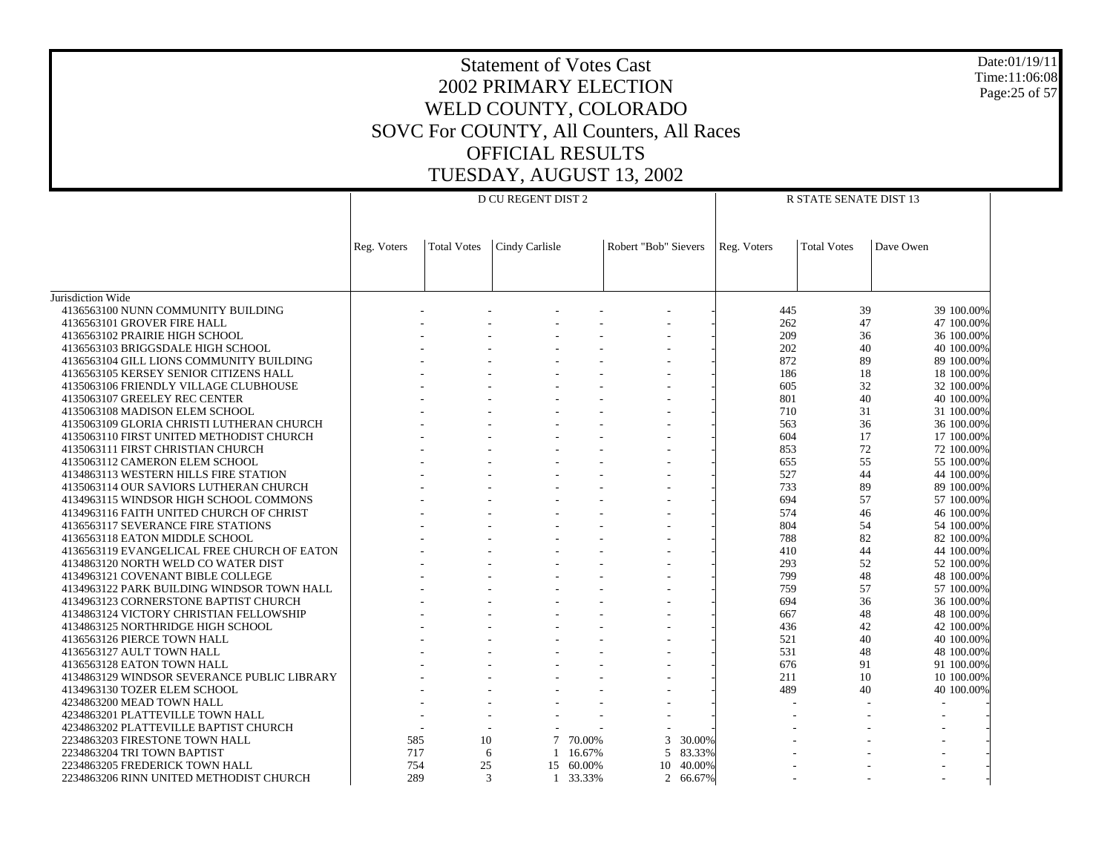Date:01/19/11 Time:11:06:08 Page:25 of 57

|                                             |             |                    | D CU REGENT DIST 2 |        |                      | R STATE SENATE DIST 13 |                    |            |  |
|---------------------------------------------|-------------|--------------------|--------------------|--------|----------------------|------------------------|--------------------|------------|--|
|                                             |             |                    |                    |        |                      |                        |                    |            |  |
|                                             |             |                    |                    |        |                      |                        |                    |            |  |
|                                             |             |                    |                    |        |                      |                        |                    |            |  |
|                                             | Reg. Voters | <b>Total Votes</b> | Cindy Carlisle     |        | Robert "Bob" Sievers | Reg. Voters            | <b>Total Votes</b> | Dave Owen  |  |
|                                             |             |                    |                    |        |                      |                        |                    |            |  |
|                                             |             |                    |                    |        |                      |                        |                    |            |  |
| Jurisdiction Wide                           |             |                    |                    |        |                      |                        |                    |            |  |
| 4136563100 NUNN COMMUNITY BUILDING          |             |                    |                    |        |                      | 445                    | 39                 | 39 100,00% |  |
| 4136563101 GROVER FIRE HALL                 |             |                    |                    |        |                      | 262                    | 47                 | 47 100,00% |  |
| 4136563102 PRAIRIE HIGH SCHOOL              |             |                    |                    |        |                      | 209                    | 36                 | 36 100,00% |  |
| 4136563103 BRIGGSDALE HIGH SCHOOL           |             |                    |                    |        |                      | 202                    | 40                 | 40 100.00% |  |
| 4136563104 GILL LIONS COMMUNITY BUILDING    |             |                    |                    |        |                      | 872                    | 89                 | 89 100.00% |  |
| 4136563105 KERSEY SENIOR CITIZENS HALL      |             |                    |                    |        |                      | 186                    | 18                 | 18 100.00% |  |
| 4135063106 FRIENDLY VILLAGE CLUBHOUSE       |             |                    |                    |        |                      | 605                    | 32                 | 32 100,00% |  |
| 4135063107 GREELEY REC CENTER               |             |                    |                    |        |                      | 801                    | 40                 | 40 100,00% |  |
| 4135063108 MADISON ELEM SCHOOL              |             |                    |                    |        |                      | 710                    | 31                 | 31 100,00% |  |
| 4135063109 GLORIA CHRISTI LUTHERAN CHURCH   |             |                    |                    |        |                      | 563                    | 36                 | 36 100,00% |  |
| 4135063110 FIRST UNITED METHODIST CHURCH    |             |                    |                    |        |                      | 604                    | 17                 | 17 100.00% |  |
| 4135063111 FIRST CHRISTIAN CHURCH           |             |                    |                    |        |                      | 853                    | 72                 | 72 100.00% |  |
| 4135063112 CAMERON ELEM SCHOOL              |             |                    |                    |        |                      | 655                    | 55                 | 55 100.00% |  |
| 4134863113 WESTERN HILLS FIRE STATION       |             |                    |                    |        |                      | 527                    | 44                 | 44 100,00% |  |
| 4135063114 OUR SAVIORS LUTHERAN CHURCH      |             |                    |                    |        |                      | 733                    | 89                 | 89 100,00% |  |
| 4134963115 WINDSOR HIGH SCHOOL COMMONS      |             |                    |                    |        |                      | 694                    | 57                 | 57 100,00% |  |
| 4134963116 FAITH UNITED CHURCH OF CHRIST    |             |                    |                    |        |                      | 574                    | 46                 | 46 100.00% |  |
| 4136563117 SEVERANCE FIRE STATIONS          |             |                    |                    |        |                      | 804                    | 54                 | 54 100.00% |  |
| 4136563118 EATON MIDDLE SCHOOL              |             |                    |                    |        |                      | 788                    | 82                 | 82 100.00% |  |
| 4136563119 EVANGELICAL FREE CHURCH OF EATON |             |                    |                    |        |                      | 410                    | 44                 | 44 100,00% |  |
| 4134863120 NORTH WELD CO WATER DIST         |             |                    |                    |        |                      | 293                    | 52                 | 52 100,00% |  |
| 4134963121 COVENANT BIBLE COLLEGE           |             |                    |                    |        |                      | 799                    | 48                 | 48 100,00% |  |
| 4134963122 PARK BUILDING WINDSOR TOWN HALL  |             |                    |                    |        |                      | 759                    | 57                 | 57 100,00% |  |
| 4134963123 CORNERSTONE BAPTIST CHURCH       |             |                    |                    |        |                      | 694                    | 36                 | 36 100.00% |  |
| 4134863124 VICTORY CHRISTIAN FELLOWSHIP     |             |                    |                    |        |                      | 667                    | 48                 | 48 100.00% |  |
| 4134863125 NORTHRIDGE HIGH SCHOOL           |             |                    |                    |        |                      | 436                    | 42                 | 42 100.00% |  |
| 4136563126 PIERCE TOWN HALL                 |             |                    |                    |        |                      | 521                    | 40                 | 40 100,00% |  |
| 4136563127 AULT TOWN HALL                   |             |                    |                    |        |                      | 531                    | 48                 | 48 100,00% |  |
| 4136563128 EATON TOWN HALL                  |             |                    |                    |        |                      | 676                    | 91                 | 91 100.00% |  |
| 4134863129 WINDSOR SEVERANCE PUBLIC LIBRARY |             |                    |                    |        |                      | 211                    | 10                 | 10 100.00% |  |
| 4134963130 TOZER ELEM SCHOOL                |             |                    |                    |        |                      | 489                    | 40                 | 40 100.00% |  |
| 4234863200 MEAD TOWN HALL                   |             |                    |                    |        |                      |                        |                    |            |  |
| 4234863201 PLATTEVILLE TOWN HALL            |             |                    |                    |        |                      |                        |                    |            |  |
| 4234863202 PLATTEVILLE BAPTIST CHURCH       |             |                    |                    |        |                      |                        |                    |            |  |
| 2234863203 FIRESTONE TOWN HALL              | 585         | 10                 | 7                  | 70.00% | 3                    | 30.00%                 |                    |            |  |
| 2234863204 TRI TOWN BAPTIST                 | 717         |                    | 6                  | 16.67% | 5                    | 83.33%                 |                    |            |  |
| 2234863205 FREDERICK TOWN HALL              | 754         | 25                 | 15                 | 60.00% | 10                   | 40.00%                 |                    |            |  |
| 2234863206 RINN UNITED METHODIST CHURCH     | 289         | 3                  | $\mathbf{1}$       | 33.33% | 2 66.67%             |                        |                    |            |  |
|                                             |             |                    |                    |        |                      |                        |                    |            |  |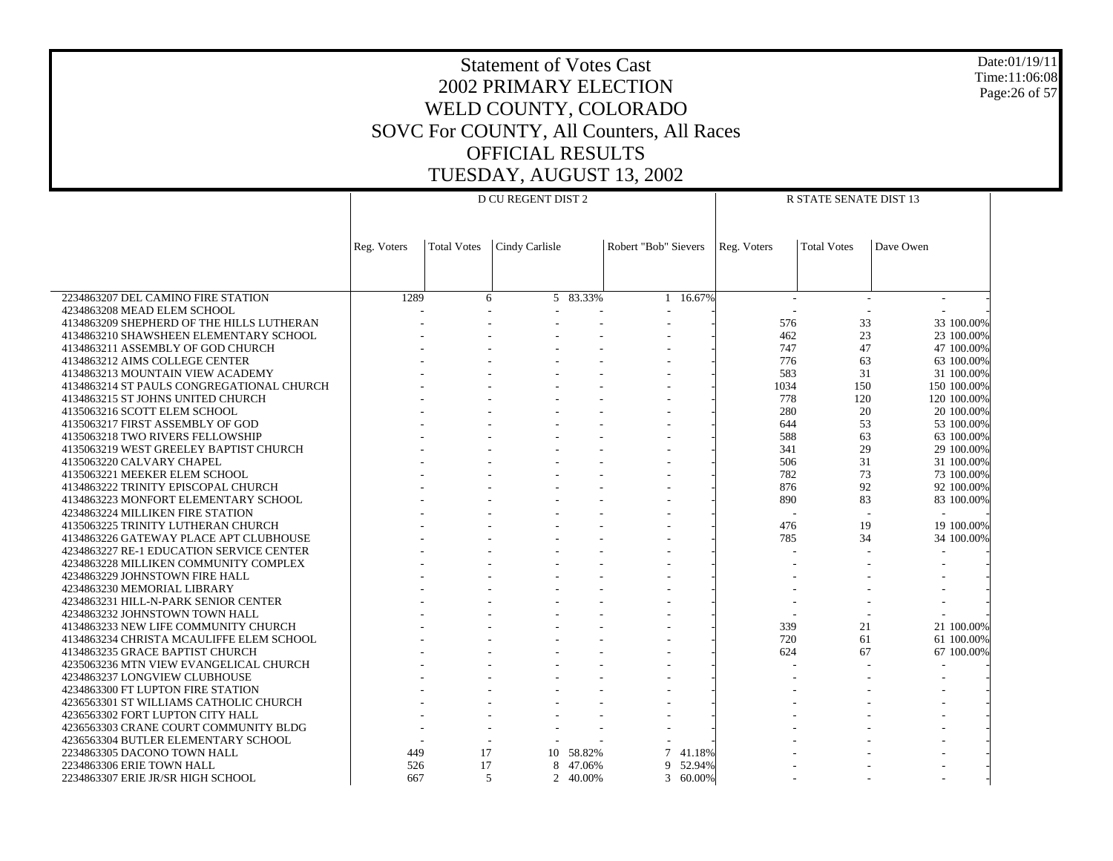Date:01/19/11 Time:11:06:08 Page:26 of 57

| <b>D CU REGENT DIST 2</b><br>R STATE SENATE DIST 13<br><b>Total Votes</b><br>Cindy Carlisle<br>Robert "Bob" Sievers<br>Reg. Voters<br><b>Total Votes</b><br>Dave Owen<br>Reg. Voters<br>2234863207 DEL CAMINO FIRE STATION<br>1289<br>5 83.33%<br>16.67%<br>6<br>$\mathbf{1}$<br>4234863208 MEAD ELEM SCHOOL<br>33<br>4134863209 SHEPHERD OF THE HILLS LUTHERAN<br>576<br>33 100.00% |  |
|--------------------------------------------------------------------------------------------------------------------------------------------------------------------------------------------------------------------------------------------------------------------------------------------------------------------------------------------------------------------------------------|--|
|                                                                                                                                                                                                                                                                                                                                                                                      |  |
|                                                                                                                                                                                                                                                                                                                                                                                      |  |
|                                                                                                                                                                                                                                                                                                                                                                                      |  |
|                                                                                                                                                                                                                                                                                                                                                                                      |  |
|                                                                                                                                                                                                                                                                                                                                                                                      |  |
|                                                                                                                                                                                                                                                                                                                                                                                      |  |
|                                                                                                                                                                                                                                                                                                                                                                                      |  |
|                                                                                                                                                                                                                                                                                                                                                                                      |  |
|                                                                                                                                                                                                                                                                                                                                                                                      |  |
| 462<br>23<br>23 100.00%<br>4134863210 SHAWSHEEN ELEMENTARY SCHOOL                                                                                                                                                                                                                                                                                                                    |  |
| 4134863211 ASSEMBLY OF GOD CHURCH<br>747<br>47<br>47 100,00%                                                                                                                                                                                                                                                                                                                         |  |
| 776<br>63<br>4134863212 AIMS COLLEGE CENTER<br>63 100.00%                                                                                                                                                                                                                                                                                                                            |  |
| 583<br>31<br>31 100,00%<br>4134863213 MOUNTAIN VIEW ACADEMY                                                                                                                                                                                                                                                                                                                          |  |
| 1034<br>150<br>4134863214 ST PAULS CONGREGATIONAL CHURCH<br>150 100.00%                                                                                                                                                                                                                                                                                                              |  |
| 778<br>120<br>120 100.00%<br>4134863215 ST JOHNS UNITED CHURCH                                                                                                                                                                                                                                                                                                                       |  |
| 280<br>4135063216 SCOTT ELEM SCHOOL<br>20<br>20 100.00%                                                                                                                                                                                                                                                                                                                              |  |
| 53<br>4135063217 FIRST ASSEMBLY OF GOD<br>644<br>53 100,00%                                                                                                                                                                                                                                                                                                                          |  |
| 4135063218 TWO RIVERS FELLOWSHIP<br>588<br>63<br>63 100.00%                                                                                                                                                                                                                                                                                                                          |  |
| 29<br>341<br>29 100.00%<br>4135063219 WEST GREELEY BAPTIST CHURCH                                                                                                                                                                                                                                                                                                                    |  |
| 506<br>31<br>31 100.00%<br>4135063220 CALVARY CHAPEL                                                                                                                                                                                                                                                                                                                                 |  |
| 782<br>73<br>4135063221 MEEKER ELEM SCHOOL<br>73 100.00%                                                                                                                                                                                                                                                                                                                             |  |
| 92<br>876<br>92 100.00%<br>4134863222 TRINITY EPISCOPAL CHURCH                                                                                                                                                                                                                                                                                                                       |  |
| 4134863223 MONFORT ELEMENTARY SCHOOL<br>890<br>83<br>83 100.00%                                                                                                                                                                                                                                                                                                                      |  |
| 4234863224 MILLIKEN FIRE STATION                                                                                                                                                                                                                                                                                                                                                     |  |
| 19 100.00%<br>4135063225 TRINITY LUTHERAN CHURCH<br>476<br>19                                                                                                                                                                                                                                                                                                                        |  |
| 34<br>4134863226 GATEWAY PLACE APT CLUBHOUSE<br>785<br>34 100.00%                                                                                                                                                                                                                                                                                                                    |  |
| 4234863227 RE-1 EDUCATION SERVICE CENTER                                                                                                                                                                                                                                                                                                                                             |  |
| 4234863228 MILLIKEN COMMUNITY COMPLEX                                                                                                                                                                                                                                                                                                                                                |  |
| 4234863229 JOHNSTOWN FIRE HALL                                                                                                                                                                                                                                                                                                                                                       |  |
| 4234863230 MEMORIAL LIBRARY                                                                                                                                                                                                                                                                                                                                                          |  |
| 4234863231 HILL-N-PARK SENIOR CENTER                                                                                                                                                                                                                                                                                                                                                 |  |
| 4234863232 JOHNSTOWN TOWN HALL                                                                                                                                                                                                                                                                                                                                                       |  |
| 339<br>21<br>21 100,00%<br>4134863233 NEW LIFE COMMUNITY CHURCH                                                                                                                                                                                                                                                                                                                      |  |
| 720<br>61<br>61 100.00%<br>4134863234 CHRISTA MCAULIFFE ELEM SCHOOL                                                                                                                                                                                                                                                                                                                  |  |
| 4134863235 GRACE BAPTIST CHURCH<br>624<br>67<br>67 100.00%                                                                                                                                                                                                                                                                                                                           |  |
| 4235063236 MTN VIEW EVANGELICAL CHURCH<br>4234863237 LONGVIEW CLUBHOUSE                                                                                                                                                                                                                                                                                                              |  |
| 4234863300 FT LUPTON FIRE STATION                                                                                                                                                                                                                                                                                                                                                    |  |
| 4236563301 ST WILLIAMS CATHOLIC CHURCH                                                                                                                                                                                                                                                                                                                                               |  |
| 4236563302 FORT LUPTON CITY HALL                                                                                                                                                                                                                                                                                                                                                     |  |
| 4236563303 CRANE COURT COMMUNITY BLDG                                                                                                                                                                                                                                                                                                                                                |  |
| 4236563304 BUTLER ELEMENTARY SCHOOL                                                                                                                                                                                                                                                                                                                                                  |  |
| 2234863305 DACONO TOWN HALL<br>449<br>17<br>10<br>58.82%<br>$\tau$<br>41.18%                                                                                                                                                                                                                                                                                                         |  |
| 2234863306 ERIE TOWN HALL<br>17<br>47.06%<br>52.94%<br>526<br>8<br>9                                                                                                                                                                                                                                                                                                                 |  |
| 5<br>60.00%<br>2234863307 ERIE JR/SR HIGH SCHOOL<br>667<br>$\overline{2}$<br>40.00%<br>3                                                                                                                                                                                                                                                                                             |  |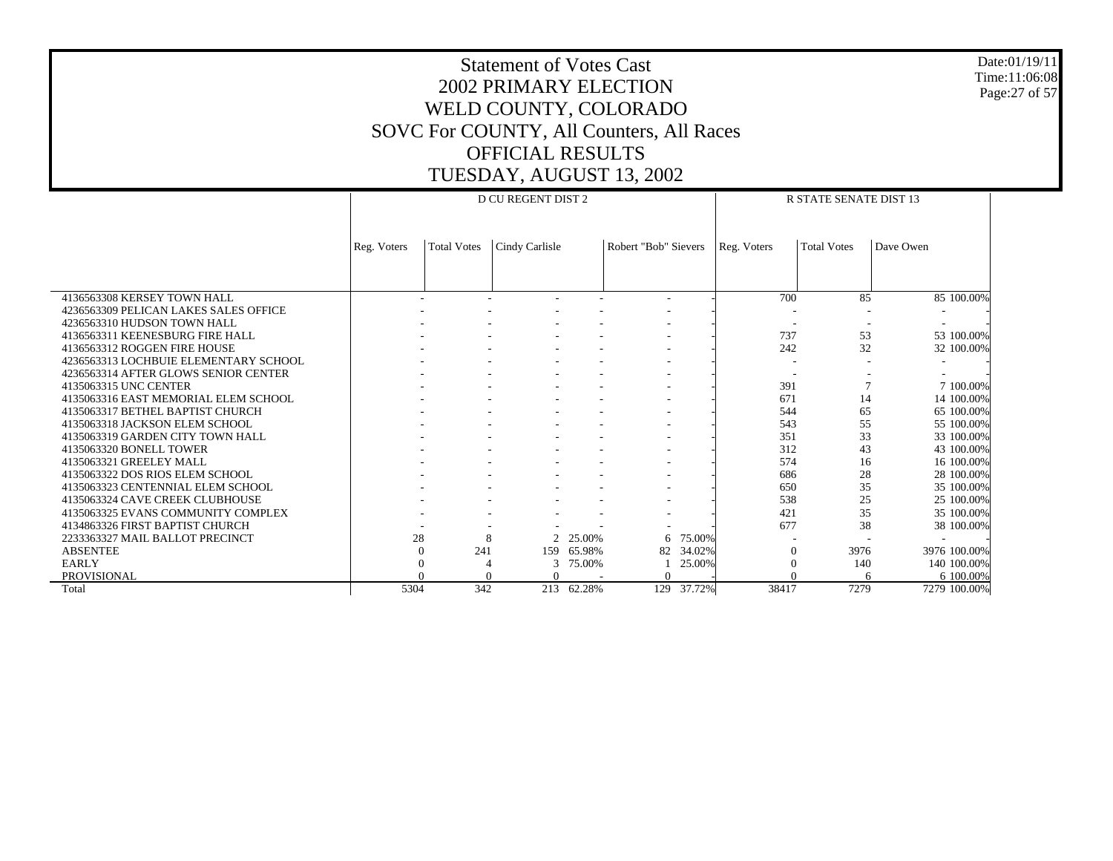Date:01/19/11 Time:11:06:08 Page:27 of 57

|                                       |             |                    | D CU REGENT DIST 2 |        |                      | <b>R STATE SENATE DIST 13</b> |             |                    |              |  |  |
|---------------------------------------|-------------|--------------------|--------------------|--------|----------------------|-------------------------------|-------------|--------------------|--------------|--|--|
|                                       |             |                    |                    |        |                      |                               |             |                    |              |  |  |
|                                       |             |                    |                    |        |                      |                               |             |                    |              |  |  |
|                                       | Reg. Voters | <b>Total Votes</b> | Cindy Carlisle     |        | Robert "Bob" Sievers |                               | Reg. Voters | <b>Total Votes</b> | Dave Owen    |  |  |
|                                       |             |                    |                    |        |                      |                               |             |                    |              |  |  |
|                                       |             |                    |                    |        |                      |                               |             |                    |              |  |  |
| 4136563308 KERSEY TOWN HALL           |             |                    |                    |        |                      |                               | 700         | 85                 | 85 100.00%   |  |  |
| 4236563309 PELICAN LAKES SALES OFFICE |             |                    |                    |        |                      |                               |             |                    |              |  |  |
| 4236563310 HUDSON TOWN HALL           |             |                    |                    |        |                      |                               |             |                    |              |  |  |
| 4136563311 KEENESBURG FIRE HALL       |             |                    |                    |        |                      |                               | 737         | 53                 | 53 100.00%   |  |  |
| 4136563312 ROGGEN FIRE HOUSE          |             |                    |                    |        |                      |                               | 242         | 32                 | 32 100.00%   |  |  |
| 4236563313 LOCHBUIE ELEMENTARY SCHOOL |             |                    |                    |        |                      |                               |             |                    |              |  |  |
| 4236563314 AFTER GLOWS SENIOR CENTER  |             |                    |                    |        |                      |                               |             |                    |              |  |  |
| 4135063315 UNC CENTER                 |             |                    |                    |        |                      |                               | 391         |                    | 7 100,00%    |  |  |
| 4135063316 EAST MEMORIAL ELEM SCHOOL  |             |                    |                    |        |                      |                               | 671         | 14                 | 14 100.00%   |  |  |
| 4135063317 BETHEL BAPTIST CHURCH      |             |                    |                    |        |                      |                               | 544         | 65                 | 65 100.00%   |  |  |
| 4135063318 JACKSON ELEM SCHOOL        |             |                    |                    |        |                      |                               | 543         | 55                 | 55 100,00%   |  |  |
| 4135063319 GARDEN CITY TOWN HALL      |             |                    |                    |        |                      |                               | 351         | 33                 | 33 100.00%   |  |  |
| 4135063320 BONELL TOWER               |             |                    |                    |        |                      |                               | 312         | 43                 | 43 100.00%   |  |  |
| 4135063321 GREELEY MALL               |             |                    |                    |        |                      |                               | 574         | 16                 | 16 100.00%   |  |  |
| 4135063322 DOS RIOS ELEM SCHOOL       |             |                    |                    |        |                      |                               | 686         | 28                 | 28 100.00%   |  |  |
| 4135063323 CENTENNIAL ELEM SCHOOL     |             |                    |                    |        |                      |                               | 650         | 35                 | 35 100.00%   |  |  |
| 4135063324 CAVE CREEK CLUBHOUSE       |             |                    |                    |        |                      |                               | 538         | 25                 | 25 100.00%   |  |  |
| 4135063325 EVANS COMMUNITY COMPLEX    |             |                    |                    |        |                      |                               | 421         | 35                 | 35 100.00%   |  |  |
| 4134863326 FIRST BAPTIST CHURCH       |             |                    |                    |        |                      |                               | 677         | 38                 | 38 100.00%   |  |  |
| 2233363327 MAIL BALLOT PRECINCT       | 28          | 8                  | $\mathfrak{D}$     | 25.00% | 6                    | 75.00%                        |             |                    |              |  |  |
| <b>ABSENTEE</b>                       | 0           | 241                | 159                | 65.98% | 82                   | 34.02%                        | $\Omega$    | 3976               | 3976 100.00% |  |  |
| <b>EARLY</b>                          |             |                    |                    | 75.00% |                      | 25.00%                        | $\Omega$    | 140                | 140 100.00%  |  |  |
| <b>PROVISIONAL</b>                    |             |                    |                    |        | $\Omega$             |                               | $\Omega$    | 6                  | 6 100.00%    |  |  |
| Total                                 | 5304        | 342                | 213                | 62.28% |                      | 129 37.72%                    | 38417       | 7279               | 7279 100.00% |  |  |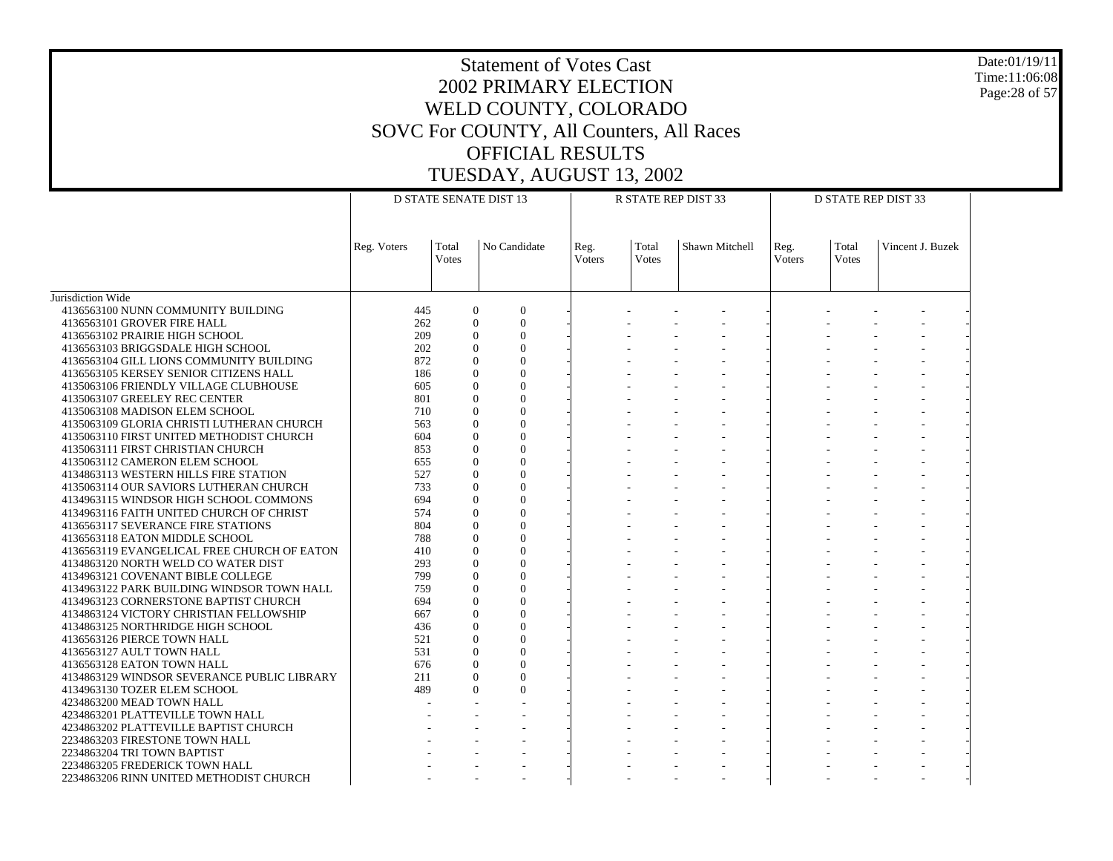Date:01/19/11 Time:11:06:08 Page:28 of 57

|                                             | <b>D STATE SENATE DIST 13</b> |                |                                | R STATE REP DIST 33 |                | <b>D STATE REP DIST 33</b> |                |                |                  |  |
|---------------------------------------------|-------------------------------|----------------|--------------------------------|---------------------|----------------|----------------------------|----------------|----------------|------------------|--|
|                                             | Reg. Voters                   | Total<br>Votes | No Candidate                   | Reg.<br>Voters      | Total<br>Votes | Shawn Mitchell             | Reg.<br>Voters | Total<br>Votes | Vincent J. Buzek |  |
| Jurisdiction Wide                           |                               |                |                                |                     |                |                            |                |                |                  |  |
| 4136563100 NUNN COMMUNITY BUILDING          |                               | 445            | $\overline{0}$<br>$\mathbf{0}$ |                     |                |                            |                |                |                  |  |
| 4136563101 GROVER FIRE HALL                 |                               | 262            | $\overline{0}$<br>$\Omega$     |                     |                |                            |                |                |                  |  |
| 4136563102 PRAIRIE HIGH SCHOOL              |                               | 209            | $\theta$<br>$\Omega$           |                     |                |                            |                |                |                  |  |
| 4136563103 BRIGGSDALE HIGH SCHOOL           |                               | 202            | $\Omega$<br>$\Omega$           |                     |                |                            |                |                |                  |  |
| 4136563104 GILL LIONS COMMUNITY BUILDING    |                               | 872            | $\Omega$<br>$\Omega$           |                     |                |                            |                |                |                  |  |
| 4136563105 KERSEY SENIOR CITIZENS HALL      |                               | 186            | $\Omega$<br>$\Omega$           |                     |                |                            |                |                |                  |  |
| 4135063106 FRIENDLY VILLAGE CLUBHOUSE       |                               | 605            | $\Omega$<br>$\overline{0}$     |                     |                |                            |                |                |                  |  |
| 4135063107 GREELEY REC CENTER               |                               | 801            | $\Omega$<br>$\Omega$           |                     |                |                            |                |                |                  |  |
| 4135063108 MADISON ELEM SCHOOL              |                               | 710            | $\theta$<br>$\Omega$           |                     |                |                            |                |                |                  |  |
| 4135063109 GLORIA CHRISTI LUTHERAN CHURCH   |                               | 563            | $\Omega$<br>$\Omega$           |                     |                |                            |                |                |                  |  |
| 4135063110 FIRST UNITED METHODIST CHURCH    |                               | 604            | $\Omega$<br>$\Omega$           |                     |                |                            |                |                |                  |  |
| 4135063111 FIRST CHRISTIAN CHURCH           |                               | 853            | $\Omega$<br>$\Omega$           |                     |                |                            |                |                |                  |  |
| 4135063112 CAMERON ELEM SCHOOL              |                               | 655            | $\Omega$<br>$\Omega$           |                     |                |                            |                |                |                  |  |
| 4134863113 WESTERN HILLS FIRE STATION       |                               | 527            | $\overline{0}$<br>$\Omega$     |                     |                |                            |                |                |                  |  |
| 4135063114 OUR SAVIORS LUTHERAN CHURCH      |                               | 733            | $\Omega$<br>$\Omega$           |                     |                |                            |                |                |                  |  |
| 4134963115 WINDSOR HIGH SCHOOL COMMONS      |                               | 694            | $\Omega$<br>$\Omega$           |                     |                |                            |                |                |                  |  |
| 4134963116 FAITH UNITED CHURCH OF CHRIST    |                               | 574            | $\Omega$<br>$\Omega$           |                     |                |                            |                |                |                  |  |
| 4136563117 SEVERANCE FIRE STATIONS          |                               | 804            | $\Omega$<br>$\Omega$           |                     |                |                            |                |                |                  |  |
| 4136563118 EATON MIDDLE SCHOOL              |                               | 788            | $\Omega$<br>$\Omega$           |                     |                |                            |                |                |                  |  |
| 4136563119 EVANGELICAL FREE CHURCH OF EATON |                               | 410            | $\Omega$<br>$\theta$           |                     |                |                            |                |                |                  |  |
| 4134863120 NORTH WELD CO WATER DIST         |                               | 293            | $\overline{0}$<br>$\Omega$     |                     |                |                            |                |                |                  |  |
| 4134963121 COVENANT BIBLE COLLEGE           |                               | 799            | $\Omega$<br>$\Omega$           |                     |                |                            |                |                |                  |  |
| 4134963122 PARK BUILDING WINDSOR TOWN HALL  |                               | 759            | $\theta$<br>$\Omega$           |                     |                |                            |                |                |                  |  |
| 4134963123 CORNERSTONE BAPTIST CHURCH       |                               | 694            | $\Omega$<br>$\Omega$           |                     |                |                            |                |                |                  |  |
| 4134863124 VICTORY CHRISTIAN FELLOWSHIP     |                               | 667            | $\Omega$<br>$\Omega$           |                     |                |                            |                |                |                  |  |
| 4134863125 NORTHRIDGE HIGH SCHOOL           |                               | 436            | $\Omega$<br>$\overline{0}$     |                     |                |                            |                |                |                  |  |
| 4136563126 PIERCE TOWN HALL                 |                               | 521            | $\Omega$<br>$\Omega$           |                     |                |                            |                |                |                  |  |
| 4136563127 AULT TOWN HALL                   |                               | 531            | $\theta$<br>$\Omega$           |                     |                |                            |                |                |                  |  |
| 4136563128 EATON TOWN HALL                  |                               | 676            | $\Omega$<br>$\Omega$           |                     |                |                            |                |                |                  |  |
| 4134863129 WINDSOR SEVERANCE PUBLIC LIBRARY |                               | 211            | $\theta$<br>$\Omega$           |                     |                |                            |                |                |                  |  |
| 4134963130 TOZER ELEM SCHOOL                |                               | 489            | $\theta$<br>$\Omega$           |                     |                |                            |                |                |                  |  |
| 4234863200 MEAD TOWN HALL                   |                               |                |                                |                     |                |                            |                |                |                  |  |
| 4234863201 PLATTEVILLE TOWN HALL            |                               |                |                                |                     |                |                            |                |                |                  |  |
| 4234863202 PLATTEVILLE BAPTIST CHURCH       |                               |                |                                |                     |                |                            |                |                |                  |  |
| 2234863203 FIRESTONE TOWN HALL              |                               |                |                                |                     |                |                            |                |                |                  |  |
| 2234863204 TRI TOWN BAPTIST                 |                               |                |                                |                     |                |                            |                |                |                  |  |
| 2234863205 FREDERICK TOWN HALL              |                               |                |                                |                     |                |                            |                |                |                  |  |
| 2234863206 RINN UNITED METHODIST CHURCH     |                               |                |                                |                     |                |                            |                |                |                  |  |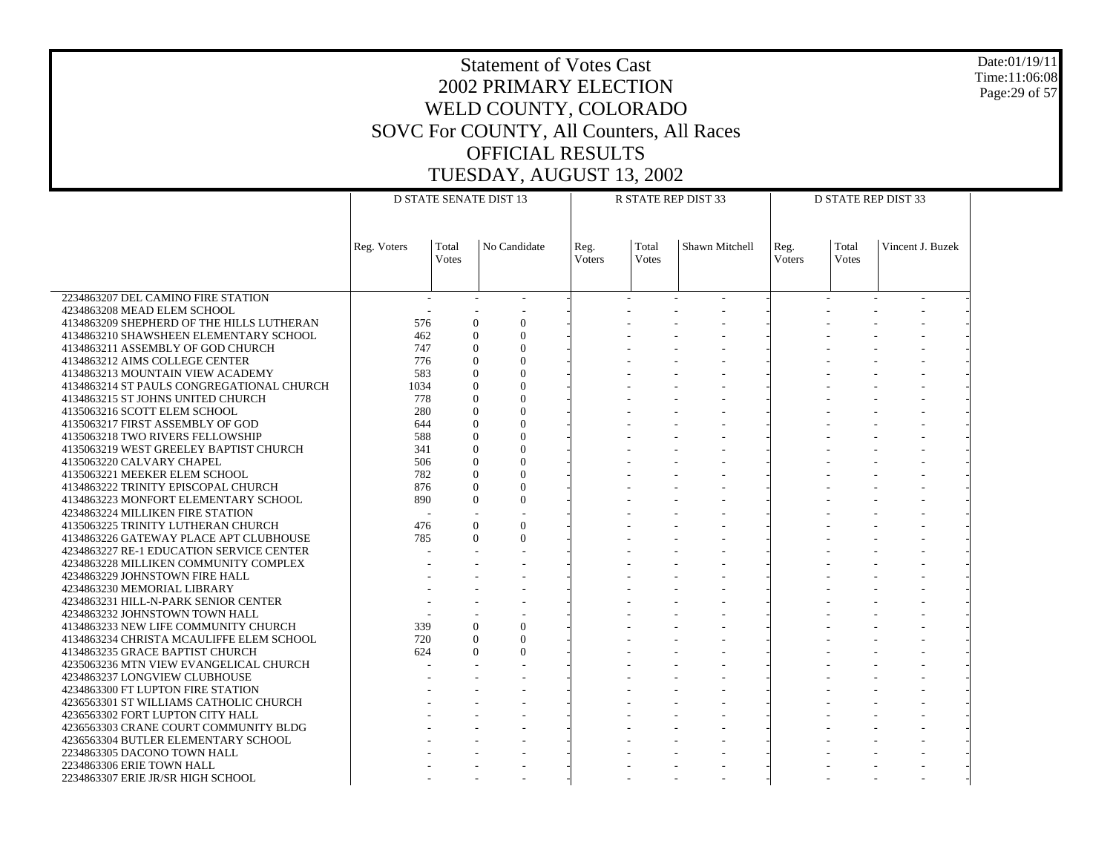Date:01/19/11 Time:11:06:08 Page:29 of 57

|                                                                    | <b>D STATE SENATE DIST 13</b> |                       |                                              |                       |                | R STATE REP DIST 33 | <b>D STATE REP DIST 33</b> |                |                  |  |
|--------------------------------------------------------------------|-------------------------------|-----------------------|----------------------------------------------|-----------------------|----------------|---------------------|----------------------------|----------------|------------------|--|
|                                                                    | Reg. Voters                   | Total<br><b>Votes</b> | No Candidate                                 | Reg.<br><b>Voters</b> | Total<br>Votes | Shawn Mitchell      | Reg.<br>Voters             | Total<br>Votes | Vincent J. Buzek |  |
| 2234863207 DEL CAMINO FIRE STATION                                 |                               | $\sim$                |                                              |                       |                |                     |                            |                |                  |  |
| 4234863208 MEAD ELEM SCHOOL                                        |                               |                       |                                              |                       |                |                     |                            |                |                  |  |
| 4134863209 SHEPHERD OF THE HILLS LUTHERAN                          | 576                           |                       | $\overline{0}$<br>$\mathbf{0}$               |                       |                |                     |                            |                |                  |  |
| 4134863210 SHAWSHEEN ELEMENTARY SCHOOL                             | 462                           |                       | $\overline{0}$<br>$\Omega$                   |                       |                |                     |                            |                |                  |  |
| 4134863211 ASSEMBLY OF GOD CHURCH                                  | 747                           |                       | $\Omega$<br>$\Omega$                         |                       |                |                     |                            |                |                  |  |
| 4134863212 AIMS COLLEGE CENTER                                     | 776                           |                       | $\theta$<br>$\Omega$                         |                       |                |                     |                            |                |                  |  |
| 4134863213 MOUNTAIN VIEW ACADEMY                                   | 583                           |                       | $\theta$<br>$\Omega$                         |                       |                |                     |                            |                |                  |  |
| 4134863214 ST PAULS CONGREGATIONAL CHURCH                          | 1034                          |                       | $\theta$<br>$\Omega$                         |                       |                |                     |                            |                |                  |  |
| 4134863215 ST JOHNS UNITED CHURCH                                  | 778<br>280                    |                       | $\Omega$<br>$\Omega$<br>$\theta$<br>$\Omega$ |                       |                |                     |                            |                |                  |  |
| 4135063216 SCOTT ELEM SCHOOL<br>4135063217 FIRST ASSEMBLY OF GOD   | 644                           |                       | $\theta$<br>$\Omega$                         |                       |                |                     |                            |                |                  |  |
| 4135063218 TWO RIVERS FELLOWSHIP                                   | 588                           |                       | $\theta$<br>$\Omega$                         |                       |                |                     |                            |                |                  |  |
| 4135063219 WEST GREELEY BAPTIST CHURCH                             | 341                           |                       | $\theta$<br>$\Omega$                         |                       |                |                     |                            |                |                  |  |
| 4135063220 CALVARY CHAPEL                                          | 506                           |                       | $\theta$<br>$\Omega$                         |                       |                |                     |                            |                |                  |  |
| 4135063221 MEEKER ELEM SCHOOL                                      | 782                           |                       | $\theta$<br>$\Omega$                         |                       |                |                     |                            |                |                  |  |
| 4134863222 TRINITY EPISCOPAL CHURCH                                | 876                           |                       | $\Omega$<br>$\Omega$                         |                       |                |                     |                            |                |                  |  |
| 4134863223 MONFORT ELEMENTARY SCHOOL                               | 890                           |                       | $\theta$<br>$\Omega$                         |                       |                |                     |                            |                |                  |  |
| 4234863224 MILLIKEN FIRE STATION                                   |                               |                       |                                              |                       |                |                     |                            |                |                  |  |
| 4135063225 TRINITY LUTHERAN CHURCH                                 | 476                           |                       | $\Omega$<br>$\Omega$                         |                       |                |                     |                            |                |                  |  |
| 4134863226 GATEWAY PLACE APT CLUBHOUSE                             | 785                           |                       | $\Omega$<br>$\Omega$                         |                       |                |                     |                            |                |                  |  |
| 4234863227 RE-1 EDUCATION SERVICE CENTER                           |                               |                       |                                              |                       |                |                     |                            |                |                  |  |
| 4234863228 MILLIKEN COMMUNITY COMPLEX                              |                               |                       |                                              |                       |                |                     |                            |                |                  |  |
| 4234863229 JOHNSTOWN FIRE HALL                                     |                               |                       |                                              |                       |                |                     |                            |                |                  |  |
| 4234863230 MEMORIAL LIBRARY                                        |                               |                       |                                              |                       |                |                     |                            |                |                  |  |
| 4234863231 HILL-N-PARK SENIOR CENTER                               |                               |                       |                                              |                       |                |                     |                            |                |                  |  |
| 4234863232 JOHNSTOWN TOWN HALL                                     |                               |                       |                                              |                       |                |                     |                            |                |                  |  |
| 4134863233 NEW LIFE COMMUNITY CHURCH                               | 339                           |                       | $\theta$<br>$\Omega$                         |                       |                |                     |                            |                |                  |  |
| 4134863234 CHRISTA MCAULIFFE ELEM SCHOOL                           | 720                           |                       | $\overline{0}$<br>$\Omega$                   |                       |                |                     |                            |                |                  |  |
| 4134863235 GRACE BAPTIST CHURCH                                    | 624                           |                       | $\theta$<br>$\theta$                         |                       |                |                     |                            |                |                  |  |
| 4235063236 MTN VIEW EVANGELICAL CHURCH                             |                               |                       |                                              |                       |                |                     |                            |                |                  |  |
| 4234863237 LONGVIEW CLUBHOUSE<br>4234863300 FT LUPTON FIRE STATION |                               |                       |                                              |                       |                |                     |                            |                |                  |  |
| 4236563301 ST WILLIAMS CATHOLIC CHURCH                             |                               |                       |                                              |                       |                |                     |                            |                |                  |  |
| 4236563302 FORT LUPTON CITY HALL                                   |                               |                       |                                              |                       |                |                     |                            |                |                  |  |
| 4236563303 CRANE COURT COMMUNITY BLDG                              |                               |                       |                                              |                       |                |                     |                            |                |                  |  |
| 4236563304 BUTLER ELEMENTARY SCHOOL                                |                               |                       |                                              |                       |                |                     |                            |                |                  |  |
| 2234863305 DACONO TOWN HALL                                        |                               |                       |                                              |                       |                |                     |                            |                |                  |  |
| 2234863306 ERIE TOWN HALL                                          |                               |                       |                                              |                       |                |                     |                            |                |                  |  |
| 2234863307 ERIE JR/SR HIGH SCHOOL                                  |                               |                       |                                              |                       |                |                     |                            |                |                  |  |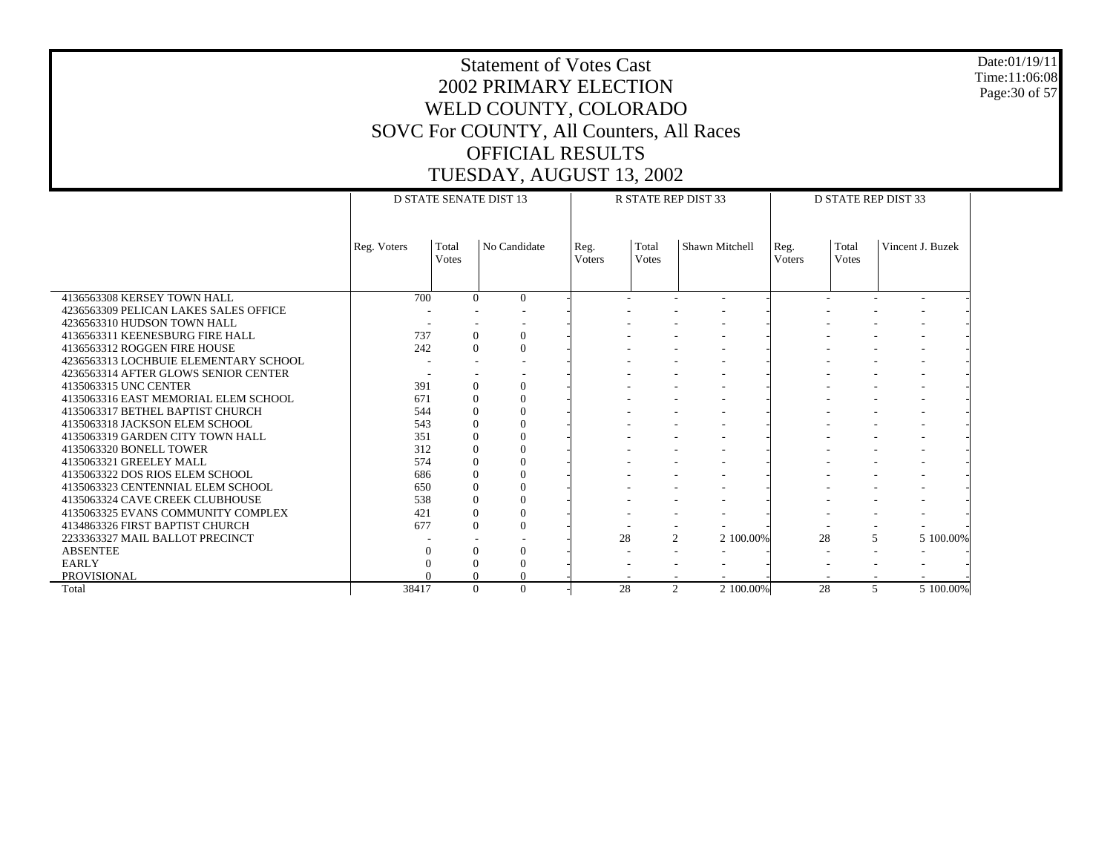Date:01/19/11 Time:11:06:08 Page:30 of 57

|                                       | <b>D STATE SENATE DIST 13</b> |                       |                |                | <b>R STATE REP DIST 33</b> |                           |                | <b>D STATE REP DIST 33</b> |                  |  |  |
|---------------------------------------|-------------------------------|-----------------------|----------------|----------------|----------------------------|---------------------------|----------------|----------------------------|------------------|--|--|
|                                       | Reg. Voters                   | Total<br><b>Votes</b> | No Candidate   | Reg.<br>Voters | Total<br>Votes             | Shawn Mitchell            | Reg.<br>Voters | Total<br><b>V</b> otes     | Vincent J. Buzek |  |  |
| 4136563308 KERSEY TOWN HALL           | 700                           | $\theta$              | $\Omega$       |                |                            | ۰                         |                |                            |                  |  |  |
| 4236563309 PELICAN LAKES SALES OFFICE |                               |                       |                |                |                            |                           |                |                            |                  |  |  |
| 4236563310 HUDSON TOWN HALL           |                               |                       |                |                |                            |                           |                |                            |                  |  |  |
| 4136563311 KEENESBURG FIRE HALL       | 737                           | $\overline{0}$        | $\overline{0}$ |                |                            |                           |                |                            |                  |  |  |
| 4136563312 ROGGEN FIRE HOUSE          | 242                           | $\overline{0}$        | $\mathbf{0}$   |                |                            |                           |                |                            |                  |  |  |
| 4236563313 LOCHBUIE ELEMENTARY SCHOOL |                               |                       |                |                |                            |                           |                |                            |                  |  |  |
| 4236563314 AFTER GLOWS SENIOR CENTER  |                               |                       |                |                |                            |                           |                |                            |                  |  |  |
| 4135063315 UNC CENTER                 | 391                           | $\theta$              | $\theta$       |                |                            |                           |                |                            |                  |  |  |
| 4135063316 EAST MEMORIAL ELEM SCHOOL  | 671                           | $\Omega$              | $\theta$       |                |                            |                           |                |                            |                  |  |  |
| 4135063317 BETHEL BAPTIST CHURCH      | 544                           | $\Omega$              | $\Omega$       |                |                            |                           |                |                            |                  |  |  |
| 4135063318 JACKSON ELEM SCHOOL        | 543                           | $\Omega$              | $\Omega$       |                |                            |                           |                |                            |                  |  |  |
| 4135063319 GARDEN CITY TOWN HALL      | 351                           | $\Omega$              | $\theta$       |                |                            |                           |                |                            |                  |  |  |
| 4135063320 BONELL TOWER               | 312                           | $\Omega$              | $\theta$       |                |                            |                           |                |                            |                  |  |  |
| 4135063321 GREELEY MALL               | 574                           | $\mathbf{0}$          | $\Omega$       |                |                            |                           |                |                            |                  |  |  |
| 4135063322 DOS RIOS ELEM SCHOOL       | 686                           | $\Omega$              | $\Omega$       |                |                            |                           |                |                            |                  |  |  |
| 4135063323 CENTENNIAL ELEM SCHOOL     | 650                           | $\mathbf{0}$          | $\theta$       |                |                            |                           |                |                            |                  |  |  |
| 4135063324 CAVE CREEK CLUBHOUSE       | 538                           | $\Omega$              | $\Omega$       |                |                            |                           |                |                            |                  |  |  |
| 4135063325 EVANS COMMUNITY COMPLEX    | 421                           | $\mathbf{0}$          | $\mathbf{0}$   |                |                            |                           |                |                            |                  |  |  |
| 4134863326 FIRST BAPTIST CHURCH       | 677                           | $\Omega$              | $\theta$       |                |                            |                           |                |                            |                  |  |  |
| 2233363327 MAIL BALLOT PRECINCT       |                               |                       |                |                | 28                         | $\mathbf{2}$<br>2 100,00% | 28             | 5                          | 5 100,00%        |  |  |
| <b>ABSENTEE</b>                       |                               | $\theta$              | $\Omega$       |                |                            |                           |                |                            |                  |  |  |
| <b>EARLY</b>                          |                               | $\Omega$              | $\theta$       |                |                            |                           |                |                            |                  |  |  |
| <b>PROVISIONAL</b>                    |                               | $\mathbf{0}$          | $\Omega$       |                |                            |                           |                |                            |                  |  |  |
| Total                                 | 38417                         | $\Omega$              | $\Omega$       |                | 28                         | 2 100.00%<br>2            | 28             | 5                          | 5 100.00%        |  |  |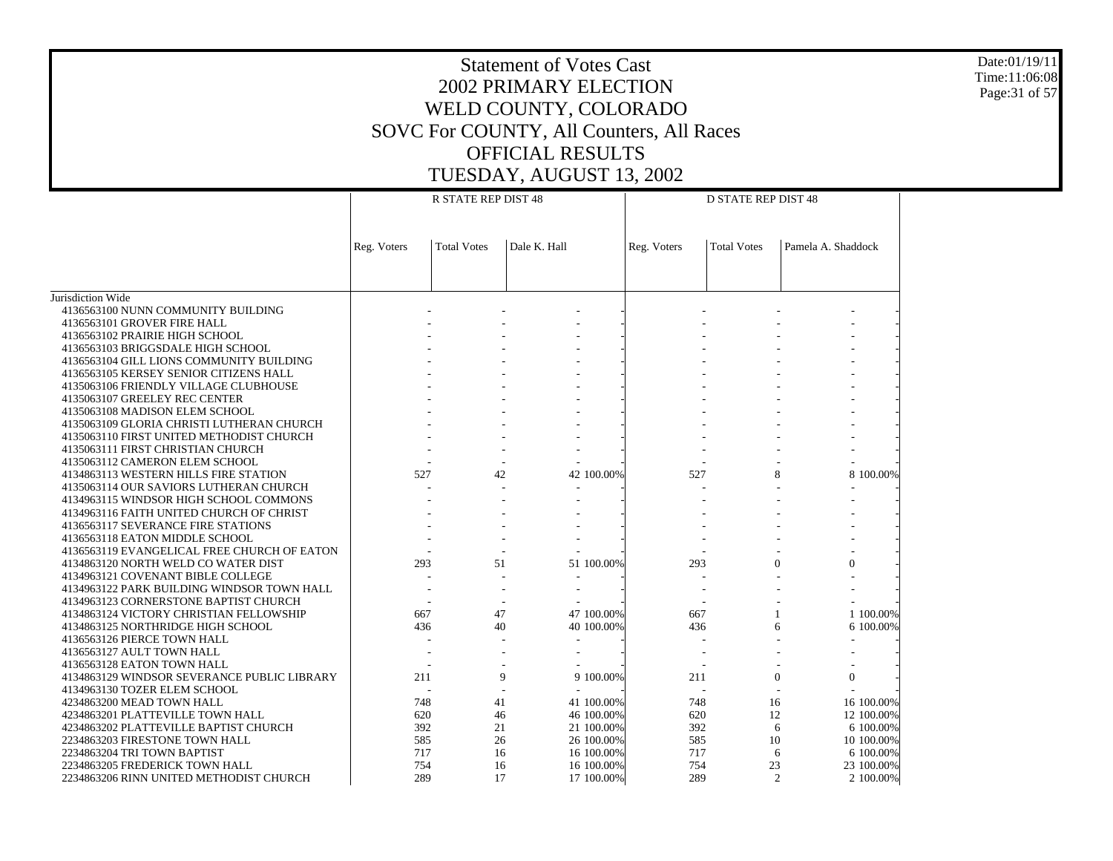Date:01/19/11 Time:11:06:08 Page:31 of 57

|                                                                                 |             | R STATE REP DIST 48      |              | <b>D STATE REP DIST 48</b> |             |                    |                    |  |
|---------------------------------------------------------------------------------|-------------|--------------------------|--------------|----------------------------|-------------|--------------------|--------------------|--|
|                                                                                 | Reg. Voters | <b>Total Votes</b>       | Dale K. Hall |                            | Reg. Voters | <b>Total Votes</b> | Pamela A. Shaddock |  |
|                                                                                 |             |                          |              |                            |             |                    |                    |  |
| Jurisdiction Wide                                                               |             |                          |              |                            |             |                    |                    |  |
| 4136563100 NUNN COMMUNITY BUILDING<br>4136563101 GROVER FIRE HALL               |             |                          |              |                            |             |                    |                    |  |
| 4136563102 PRAIRIE HIGH SCHOOL                                                  |             |                          |              |                            |             |                    |                    |  |
| 4136563103 BRIGGSDALE HIGH SCHOOL                                               |             |                          |              |                            |             |                    |                    |  |
| 4136563104 GILL LIONS COMMUNITY BUILDING                                        |             |                          |              |                            |             |                    |                    |  |
| 4136563105 KERSEY SENIOR CITIZENS HALL                                          |             |                          |              |                            |             |                    |                    |  |
| 4135063106 FRIENDLY VILLAGE CLUBHOUSE                                           |             |                          |              |                            |             |                    |                    |  |
| 4135063107 GREELEY REC CENTER                                                   |             |                          |              |                            |             |                    |                    |  |
| 4135063108 MADISON ELEM SCHOOL                                                  |             |                          |              |                            |             |                    |                    |  |
| 4135063109 GLORIA CHRISTI LUTHERAN CHURCH                                       |             |                          |              |                            |             |                    |                    |  |
| 4135063110 FIRST UNITED METHODIST CHURCH                                        |             |                          |              |                            |             |                    |                    |  |
| 4135063111 FIRST CHRISTIAN CHURCH                                               |             |                          |              |                            |             |                    |                    |  |
| 4135063112 CAMERON ELEM SCHOOL                                                  | 527         | 42                       |              | 42 100.00%                 | 527         |                    | 8 100.00%          |  |
| 4134863113 WESTERN HILLS FIRE STATION<br>4135063114 OUR SAVIORS LUTHERAN CHURCH |             |                          |              |                            |             | 8                  |                    |  |
| 4134963115 WINDSOR HIGH SCHOOL COMMONS                                          |             |                          |              |                            |             |                    |                    |  |
| 4134963116 FAITH UNITED CHURCH OF CHRIST                                        |             |                          |              |                            |             |                    |                    |  |
| 4136563117 SEVERANCE FIRE STATIONS                                              |             |                          |              |                            |             |                    |                    |  |
| 4136563118 EATON MIDDLE SCHOOL                                                  |             |                          |              |                            |             |                    |                    |  |
| 4136563119 EVANGELICAL FREE CHURCH OF EATON                                     |             |                          |              |                            |             |                    |                    |  |
| 4134863120 NORTH WELD CO WATER DIST                                             | 293         | 51                       |              | 51 100.00%                 | 293         | $\overline{0}$     | $\mathbf{0}$       |  |
| 4134963121 COVENANT BIBLE COLLEGE                                               |             | $\overline{\phantom{a}}$ |              |                            |             |                    |                    |  |
| 4134963122 PARK BUILDING WINDSOR TOWN HALL                                      |             |                          |              |                            |             |                    |                    |  |
| 4134963123 CORNERSTONE BAPTIST CHURCH                                           |             |                          |              |                            |             |                    |                    |  |
| 4134863124 VICTORY CHRISTIAN FELLOWSHIP                                         | 667         | 47                       |              | 47 100,00%                 | 667         |                    | 1 100,00%          |  |
| 4134863125 NORTHRIDGE HIGH SCHOOL                                               | 436         | 40                       |              | 40 100.00%                 | 436         | 6                  | 6 100.00%          |  |
| 4136563126 PIERCE TOWN HALL                                                     |             |                          |              |                            |             |                    |                    |  |
| 4136563127 AULT TOWN HALL                                                       |             |                          |              |                            |             |                    |                    |  |
| 4136563128 EATON TOWN HALL<br>4134863129 WINDSOR SEVERANCE PUBLIC LIBRARY       | 211         | 9                        |              | 9 100.00%                  | 211         | $\theta$           | $\Omega$           |  |
| 4134963130 TOZER ELEM SCHOOL                                                    |             |                          |              |                            |             |                    |                    |  |
| 4234863200 MEAD TOWN HALL                                                       | 748         | 41                       |              | 41 100.00%                 | 748         | 16                 | 16 100.00%         |  |
| 4234863201 PLATTEVILLE TOWN HALL                                                | 620         | 46                       |              | 46 100.00%                 | 620         | 12                 | 12 100.00%         |  |
| 4234863202 PLATTEVILLE BAPTIST CHURCH                                           | 392         | 21                       |              | 21 100.00%                 | 392         | 6                  | 6 100.00%          |  |
| 2234863203 FIRESTONE TOWN HALL                                                  | 585         | 26                       |              | 26 100.00%                 | 585         | 10                 | 10 100.00%         |  |
| 2234863204 TRI TOWN BAPTIST                                                     | 717         | 16                       |              | 16 100.00%                 | 717         | 6                  | 6 100.00%          |  |
| 2234863205 FREDERICK TOWN HALL                                                  | 754         | 16                       |              | 16 100.00%                 | 754         | 23                 | 23 100.00%         |  |
| 2234863206 RINN UNITED METHODIST CHURCH                                         | 289         | 17                       |              | 17 100.00%                 | 289         | $\overline{2}$     | 2 100.00%          |  |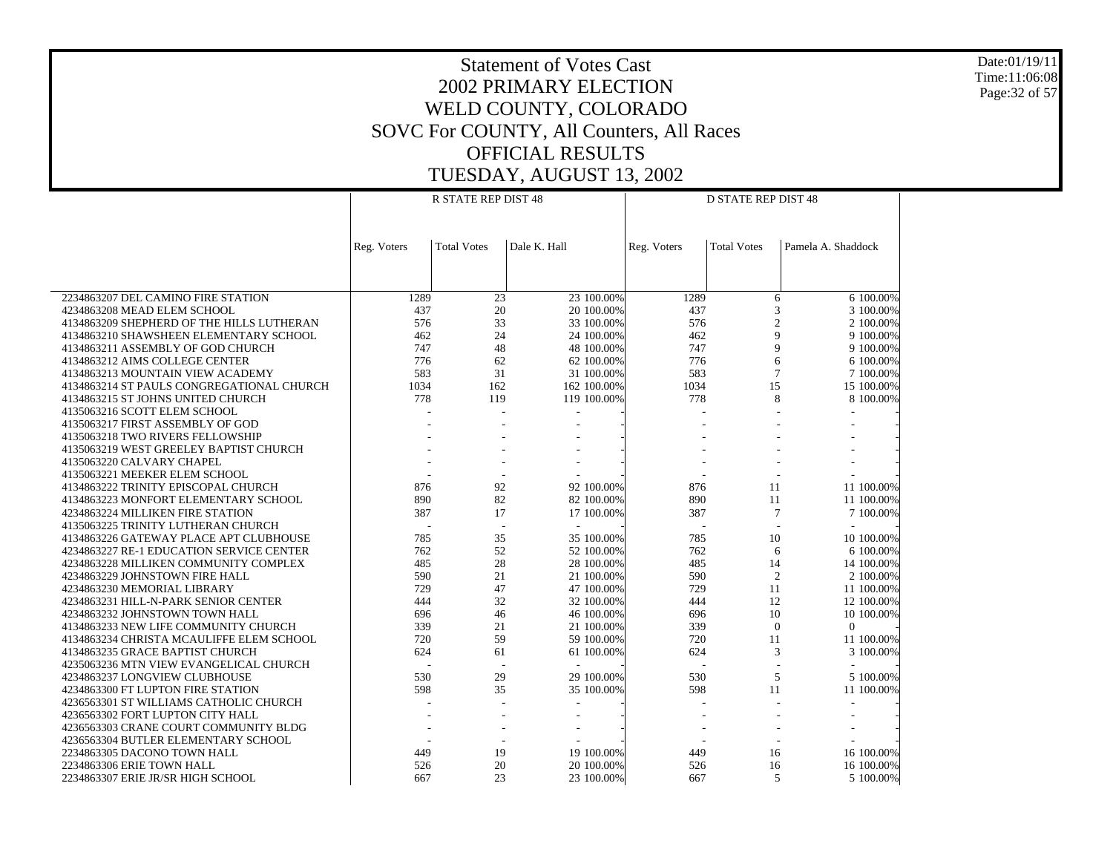Date:01/19/11 Time:11:06:08 Page:32 of 57

|                                           |             | <b>R STATE REP DIST 48</b> |                          | <b>D STATE REP DIST 48</b> |             |                          |                          |  |  |
|-------------------------------------------|-------------|----------------------------|--------------------------|----------------------------|-------------|--------------------------|--------------------------|--|--|
|                                           |             |                            |                          |                            |             |                          |                          |  |  |
|                                           | Reg. Voters | <b>Total Votes</b>         | Dale K. Hall             |                            | Reg. Voters | <b>Total Votes</b>       | Pamela A. Shaddock       |  |  |
|                                           |             |                            |                          |                            |             |                          |                          |  |  |
|                                           |             |                            |                          |                            |             |                          |                          |  |  |
| 2234863207 DEL CAMINO FIRE STATION        | 1289        | 23                         |                          | 23 100.00%                 | 1289        | 6                        | 6 100.00%                |  |  |
| 4234863208 MEAD ELEM SCHOOL               | 437         | 20                         |                          | 20 100.00%                 | 437         | 3                        | 3 100.00%                |  |  |
| 4134863209 SHEPHERD OF THE HILLS LUTHERAN | 576         | 33                         |                          | 33 100.00%                 | 576         | $\overline{c}$           | 2 100.00%                |  |  |
| 4134863210 SHAWSHEEN ELEMENTARY SCHOOL    | 462         | 24                         |                          | 24 100,00%                 | 462         | 9                        | 9 100.00%                |  |  |
| 4134863211 ASSEMBLY OF GOD CHURCH         | 747         | 48                         |                          | 48 100.00%                 | 747         | 9                        | 9 100.00%                |  |  |
| 4134863212 AIMS COLLEGE CENTER            | 776         | 62                         |                          | 62 100.00%                 | 776         | 6                        | 6 100.00%                |  |  |
| 4134863213 MOUNTAIN VIEW ACADEMY          | 583         | 31                         |                          | 31 100.00%                 | 583         | $\overline{7}$           | 7 100.00%                |  |  |
| 4134863214 ST PAULS CONGREGATIONAL CHURCH | 1034        | 162                        |                          | 162 100.00%                | 1034        | 15                       | 15 100.00%               |  |  |
| 4134863215 ST JOHNS UNITED CHURCH         | 778         | 119                        |                          | 119 100.00%                | 778         | 8                        | 8 100.00%                |  |  |
| 4135063216 SCOTT ELEM SCHOOL              |             |                            |                          |                            |             |                          |                          |  |  |
| 4135063217 FIRST ASSEMBLY OF GOD          |             |                            |                          |                            |             |                          |                          |  |  |
| 4135063218 TWO RIVERS FELLOWSHIP          |             |                            |                          |                            |             |                          |                          |  |  |
| 4135063219 WEST GREELEY BAPTIST CHURCH    |             |                            |                          |                            |             |                          |                          |  |  |
| 4135063220 CALVARY CHAPEL                 |             |                            |                          |                            |             |                          |                          |  |  |
| 4135063221 MEEKER ELEM SCHOOL             |             |                            |                          |                            |             |                          |                          |  |  |
| 4134863222 TRINITY EPISCOPAL CHURCH       | 876         | 92                         |                          | 92 100.00%                 | 876         | 11                       | 11 100.00%               |  |  |
| 4134863223 MONFORT ELEMENTARY SCHOOL      | 890         | 82                         |                          | 82 100.00%                 | 890         | 11                       | 11 100.00%               |  |  |
| 4234863224 MILLIKEN FIRE STATION          | 387         | 17                         |                          | 17 100.00%                 | 387         | $\overline{7}$           | 7 100.00%                |  |  |
| 4135063225 TRINITY LUTHERAN CHURCH        |             | $\overline{\phantom{a}}$   | $\overline{a}$           |                            | L.          | J.                       | $\overline{a}$           |  |  |
| 4134863226 GATEWAY PLACE APT CLUBHOUSE    | 785         | 35                         |                          | 35 100.00%                 | 785         | 10                       | 10 100.00%               |  |  |
| 4234863227 RE-1 EDUCATION SERVICE CENTER  | 762         | 52                         |                          | 52 100.00%                 | 762         | 6                        | 6 100,00%                |  |  |
| 4234863228 MILLIKEN COMMUNITY COMPLEX     | 485         | 28<br>21                   |                          | 28 100.00%                 | 485         | 14                       | 14 100.00%               |  |  |
| 4234863229 JOHNSTOWN FIRE HALL            | 590         |                            |                          | 21 100.00%                 | 590         | $\overline{c}$           | 2 100.00%                |  |  |
| 4234863230 MEMORIAL LIBRARY               | 729         | 47                         |                          | 47 100.00%                 | 729         | 11                       | 11 100.00%               |  |  |
| 4234863231 HILL-N-PARK SENIOR CENTER      | 444         | 32                         |                          | 32 100.00%                 | 444         | 12                       | 12 100.00%               |  |  |
| 4234863232 JOHNSTOWN TOWN HALL            | 696         | 46                         |                          | 46 100.00%                 | 696         | 10                       | 10 100.00%               |  |  |
| 4134863233 NEW LIFE COMMUNITY CHURCH      | 339         | 21                         |                          | 21 100.00%                 | 339         | $\overline{0}$           | $\overline{0}$           |  |  |
| 4134863234 CHRISTA MCAULIFFE ELEM SCHOOL  | 720         | 59                         |                          | 59 100.00%                 | 720         | 11                       | 11 100.00%               |  |  |
| 4134863235 GRACE BAPTIST CHURCH           | 624         | 61                         |                          | 61 100.00%                 | 624         | 3                        | 3 100.00%                |  |  |
| 4235063236 MTN VIEW EVANGELICAL CHURCH    |             |                            |                          |                            |             | $\overline{\phantom{a}}$ |                          |  |  |
| 4234863237 LONGVIEW CLUBHOUSE             | 530         | 29                         |                          | 29 100.00%                 | 530         | 5                        | 5 100.00%                |  |  |
| 4234863300 FT LUPTON FIRE STATION         | 598         | 35                         |                          | 35 100.00%                 | 598         | 11                       | 11 100.00%               |  |  |
| 4236563301 ST WILLIAMS CATHOLIC CHURCH    |             |                            | $\overline{\phantom{a}}$ |                            |             | ÷,                       | $\overline{\phantom{a}}$ |  |  |
| 4236563302 FORT LUPTON CITY HALL          |             |                            |                          |                            |             |                          |                          |  |  |
| 4236563303 CRANE COURT COMMUNITY BLDG     |             |                            |                          |                            |             |                          |                          |  |  |
| 4236563304 BUTLER ELEMENTARY SCHOOL       |             |                            |                          |                            |             |                          |                          |  |  |
| 2234863305 DACONO TOWN HALL               | 449         | 19                         |                          | 19 100,00%                 | 449         | 16                       | 16 100.00%               |  |  |
| 2234863306 ERIE TOWN HALL                 | 526         | 20                         |                          | 20 100.00%                 | 526         | 16                       | 16 100.00%               |  |  |
| 2234863307 ERIE JR/SR HIGH SCHOOL         | 667         | 23                         |                          | 23 100.00%                 | 667         | 5                        | 5 100.00%                |  |  |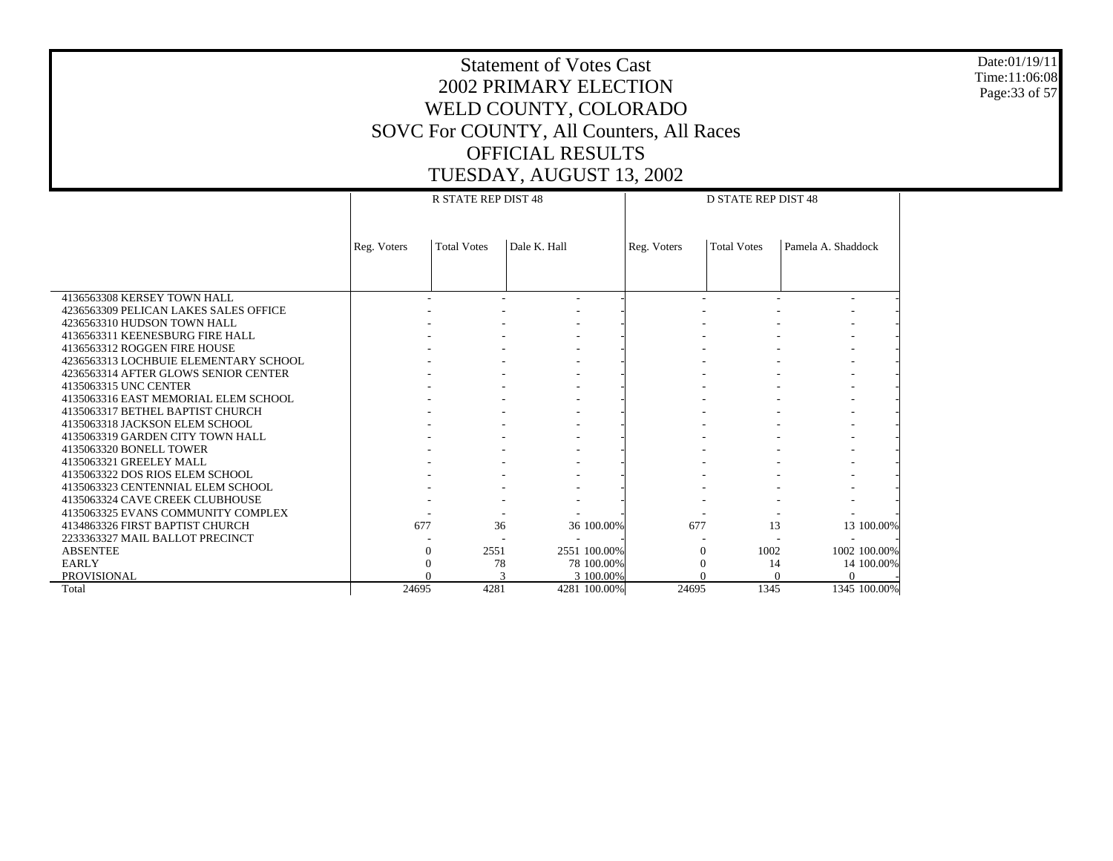Date:01/19/11 Time:11:06:08 Page:33 of 57

|                                       |             | <b>R STATE REP DIST 48</b> |              |              | <b>D STATE REP DIST 48</b> |                    |                    |  |  |  |
|---------------------------------------|-------------|----------------------------|--------------|--------------|----------------------------|--------------------|--------------------|--|--|--|
|                                       |             |                            |              |              |                            |                    |                    |  |  |  |
|                                       |             |                            |              |              |                            |                    |                    |  |  |  |
|                                       |             | <b>Total Votes</b>         | Dale K. Hall |              |                            | <b>Total Votes</b> | Pamela A. Shaddock |  |  |  |
|                                       | Reg. Voters |                            |              |              | Reg. Voters                |                    |                    |  |  |  |
|                                       |             |                            |              |              |                            |                    |                    |  |  |  |
|                                       |             |                            |              |              |                            |                    |                    |  |  |  |
| 4136563308 KERSEY TOWN HALL           |             |                            |              |              |                            |                    |                    |  |  |  |
| 4236563309 PELICAN LAKES SALES OFFICE |             |                            |              |              |                            |                    |                    |  |  |  |
| 4236563310 HUDSON TOWN HALL           |             |                            |              |              |                            |                    |                    |  |  |  |
| 4136563311 KEENESBURG FIRE HALL       |             |                            |              |              |                            |                    |                    |  |  |  |
| 4136563312 ROGGEN FIRE HOUSE          |             |                            |              |              |                            |                    |                    |  |  |  |
| 4236563313 LOCHBUIE ELEMENTARY SCHOOL |             |                            |              |              |                            |                    |                    |  |  |  |
| 4236563314 AFTER GLOWS SENIOR CENTER  |             |                            |              |              |                            |                    |                    |  |  |  |
| 4135063315 UNC CENTER                 |             |                            |              |              |                            |                    |                    |  |  |  |
| 4135063316 EAST MEMORIAL ELEM SCHOOL  |             |                            |              |              |                            |                    |                    |  |  |  |
| 4135063317 BETHEL BAPTIST CHURCH      |             |                            |              |              |                            |                    |                    |  |  |  |
| 4135063318 JACKSON ELEM SCHOOL        |             |                            |              |              |                            |                    |                    |  |  |  |
| 4135063319 GARDEN CITY TOWN HALL      |             |                            |              |              |                            |                    |                    |  |  |  |
| 4135063320 BONELL TOWER               |             |                            |              |              |                            |                    |                    |  |  |  |
| 4135063321 GREELEY MALL               |             |                            |              |              |                            |                    |                    |  |  |  |
| 4135063322 DOS RIOS ELEM SCHOOL       |             |                            |              |              |                            |                    |                    |  |  |  |
| 4135063323 CENTENNIAL ELEM SCHOOL     |             |                            |              |              |                            |                    |                    |  |  |  |
| 4135063324 CAVE CREEK CLUBHOUSE       |             |                            |              |              |                            |                    |                    |  |  |  |
| 4135063325 EVANS COMMUNITY COMPLEX    |             |                            |              |              |                            |                    |                    |  |  |  |
| 4134863326 FIRST BAPTIST CHURCH       | 677         | 36                         |              | 36 100.00%   | 677                        | 13                 | 13 100.00%         |  |  |  |
| 2233363327 MAIL BALLOT PRECINCT       |             |                            |              |              |                            |                    |                    |  |  |  |
| <b>ABSENTEE</b>                       | $\Omega$    | 2551                       |              | 2551 100.00% | $\Omega$                   | 1002               | 1002 100.00%       |  |  |  |
| <b>EARLY</b>                          | 0           | 78                         |              | 78 100.00%   | 0                          | 14                 | 14 100.00%         |  |  |  |
| <b>PROVISIONAL</b>                    |             |                            | 3            | 3 100,00%    |                            | $\Omega$           | $\Omega$           |  |  |  |
| Total                                 | 24695       | 4281                       |              | 4281 100.00% | 24695                      | 1345               | 1345 100.00%       |  |  |  |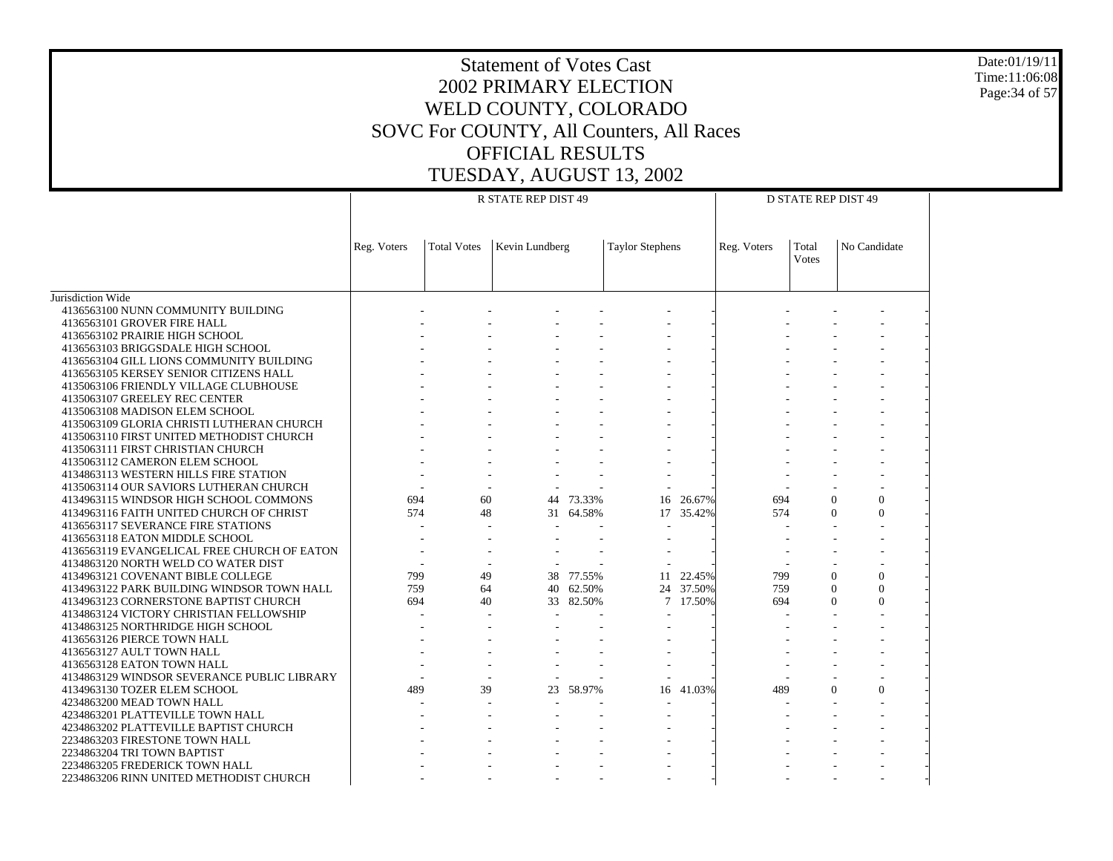Date:01/19/11 Time:11:06:08 Page:34 of 57

|                                                                                       |                          |                    | R STATE REP DIST 49 |           | <b>D STATE REP DIST 49</b> |           |             |                        |              |  |
|---------------------------------------------------------------------------------------|--------------------------|--------------------|---------------------|-----------|----------------------------|-----------|-------------|------------------------|--------------|--|
|                                                                                       | Reg. Voters              | <b>Total Votes</b> | Kevin Lundberg      |           | <b>Taylor Stephens</b>     |           | Reg. Voters | Total<br><b>V</b> otes | No Candidate |  |
| Jurisdiction Wide                                                                     |                          |                    |                     |           |                            |           |             |                        |              |  |
| 4136563100 NUNN COMMUNITY BUILDING                                                    |                          |                    |                     |           |                            |           |             |                        |              |  |
| 4136563101 GROVER FIRE HALL                                                           |                          |                    |                     |           |                            |           |             |                        |              |  |
| 4136563102 PRAIRIE HIGH SCHOOL                                                        |                          |                    |                     |           |                            |           |             |                        |              |  |
| 4136563103 BRIGGSDALE HIGH SCHOOL                                                     |                          |                    |                     |           |                            |           |             |                        |              |  |
| 4136563104 GILL LIONS COMMUNITY BUILDING                                              |                          |                    |                     |           |                            |           |             |                        |              |  |
| 4136563105 KERSEY SENIOR CITIZENS HALL                                                |                          |                    |                     |           |                            |           |             |                        |              |  |
| 4135063106 FRIENDLY VILLAGE CLUBHOUSE                                                 |                          |                    |                     |           |                            |           |             |                        |              |  |
| 4135063107 GREELEY REC CENTER                                                         |                          |                    |                     |           |                            |           |             |                        |              |  |
| 4135063108 MADISON ELEM SCHOOL                                                        |                          |                    |                     |           |                            |           |             |                        |              |  |
| 4135063109 GLORIA CHRISTI LUTHERAN CHURCH<br>4135063110 FIRST UNITED METHODIST CHURCH |                          |                    |                     |           |                            |           |             |                        |              |  |
| 4135063111 FIRST CHRISTIAN CHURCH                                                     |                          |                    |                     |           |                            |           |             |                        |              |  |
| 4135063112 CAMERON ELEM SCHOOL                                                        |                          |                    |                     |           |                            |           |             |                        |              |  |
| 4134863113 WESTERN HILLS FIRE STATION                                                 |                          |                    |                     |           |                            |           |             |                        |              |  |
| 4135063114 OUR SAVIORS LUTHERAN CHURCH                                                |                          |                    |                     |           |                            |           |             |                        |              |  |
| 4134963115 WINDSOR HIGH SCHOOL COMMONS                                                | 694                      | 60                 |                     | 44 73.33% | 16                         | 26.67%    | 694         | $\Omega$               | $\Omega$     |  |
| 4134963116 FAITH UNITED CHURCH OF CHRIST                                              | 574                      | 48                 |                     | 31 64.58% | 17                         | 35.42%    | 574         | $\Omega$               | $\mathbf{0}$ |  |
| 4136563117 SEVERANCE FIRE STATIONS                                                    |                          | $\sim$             |                     |           |                            |           |             |                        |              |  |
| 4136563118 EATON MIDDLE SCHOOL                                                        |                          |                    |                     |           |                            |           |             |                        |              |  |
| 4136563119 EVANGELICAL FREE CHURCH OF EATON                                           |                          |                    |                     |           |                            |           |             |                        |              |  |
| 4134863120 NORTH WELD CO WATER DIST                                                   | $\overline{\phantom{a}}$ |                    |                     |           |                            |           |             |                        |              |  |
| 4134963121 COVENANT BIBLE COLLEGE                                                     | 799                      | 49                 | 38                  | 77.55%    |                            | 11 22.45% | 799         | $\Omega$               | $\mathbf{0}$ |  |
| 4134963122 PARK BUILDING WINDSOR TOWN HALL                                            | 759                      | 64                 |                     | 40 62.50% |                            | 24 37.50% | 759         | $\Omega$               | $\Omega$     |  |
| 4134963123 CORNERSTONE BAPTIST CHURCH                                                 | 694                      | 40                 | 33                  | 82.50%    | $\tau$                     | 17.50%    | 694         | $\Omega$               | $\theta$     |  |
| 4134863124 VICTORY CHRISTIAN FELLOWSHIP                                               |                          | $\overline{a}$     |                     |           |                            |           |             |                        |              |  |
| 4134863125 NORTHRIDGE HIGH SCHOOL<br>4136563126 PIERCE TOWN HALL                      |                          |                    |                     |           |                            |           |             |                        |              |  |
| 4136563127 AULT TOWN HALL                                                             |                          |                    |                     |           |                            |           |             |                        |              |  |
| 4136563128 EATON TOWN HALL                                                            |                          |                    |                     |           |                            |           |             |                        |              |  |
| 4134863129 WINDSOR SEVERANCE PUBLIC LIBRARY                                           |                          | $\sim$             |                     |           |                            |           |             |                        |              |  |
| 4134963130 TOZER ELEM SCHOOL                                                          | 489                      | 39                 | 23                  | 58.97%    | 16                         | 41.03%    | 489         | $\Omega$               | $\Omega$     |  |
| 4234863200 MEAD TOWN HALL                                                             |                          |                    |                     |           |                            |           |             |                        |              |  |
| 4234863201 PLATTEVILLE TOWN HALL                                                      |                          |                    |                     |           |                            |           |             |                        |              |  |
| 4234863202 PLATTEVILLE BAPTIST CHURCH                                                 |                          |                    |                     |           |                            |           |             |                        |              |  |
| 2234863203 FIRESTONE TOWN HALL                                                        |                          |                    |                     |           |                            |           |             |                        |              |  |
| 2234863204 TRI TOWN BAPTIST                                                           |                          |                    |                     |           |                            |           |             |                        |              |  |
| 2234863205 FREDERICK TOWN HALL                                                        |                          |                    |                     |           |                            |           |             |                        |              |  |
| 2234863206 RINN UNITED METHODIST CHURCH                                               |                          |                    |                     |           |                            |           |             |                        |              |  |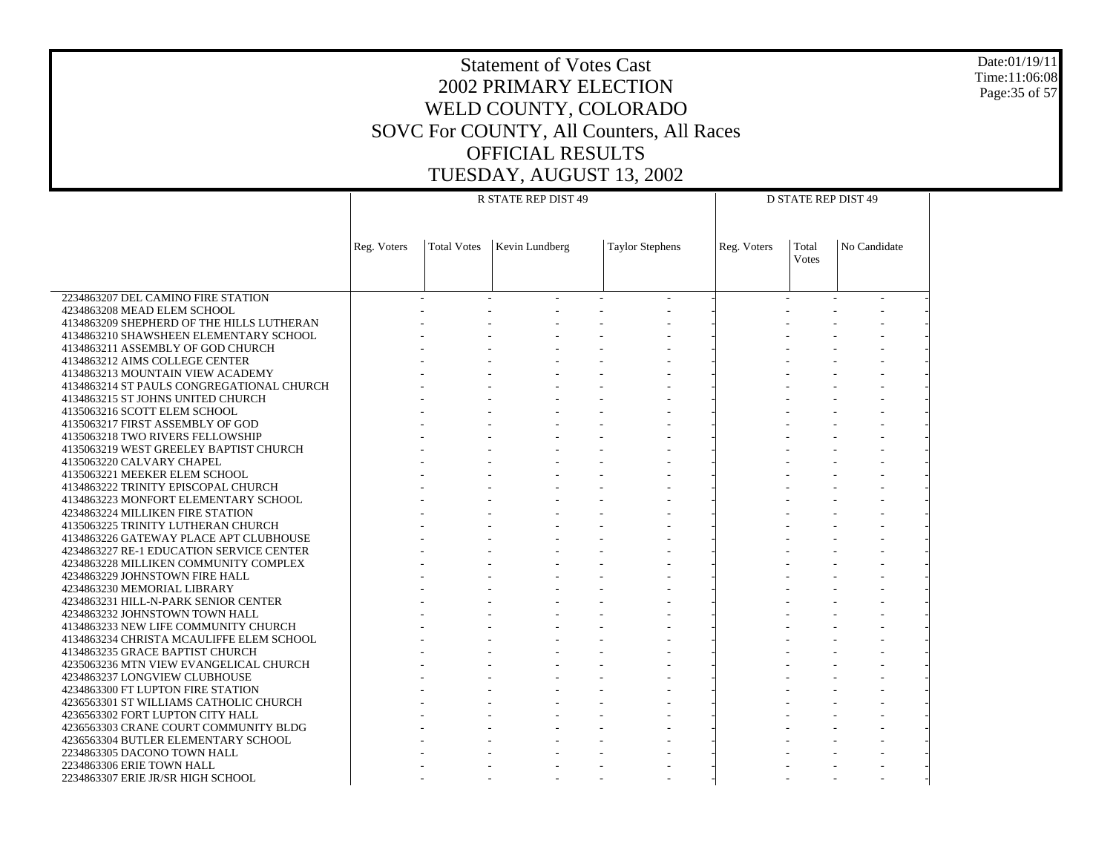Date:01/19/11 Time:11:06:08 Page:35 of 57

|                                                                             |             |                    | R STATE REP DIST 49 | <b>D STATE REP DIST 49</b> |             |                       |              |  |
|-----------------------------------------------------------------------------|-------------|--------------------|---------------------|----------------------------|-------------|-----------------------|--------------|--|
|                                                                             | Reg. Voters | <b>Total Votes</b> | Kevin Lundberg      | <b>Taylor Stephens</b>     | Reg. Voters | Total<br><b>Votes</b> | No Candidate |  |
|                                                                             |             |                    |                     |                            |             |                       |              |  |
| 2234863207 DEL CAMINO FIRE STATION                                          |             |                    |                     |                            |             |                       |              |  |
| 4234863208 MEAD ELEM SCHOOL<br>4134863209 SHEPHERD OF THE HILLS LUTHERAN    |             |                    |                     |                            |             |                       |              |  |
| 4134863210 SHAWSHEEN ELEMENTARY SCHOOL                                      |             |                    |                     |                            |             |                       |              |  |
| 4134863211 ASSEMBLY OF GOD CHURCH                                           |             |                    |                     |                            |             |                       |              |  |
| 4134863212 AIMS COLLEGE CENTER                                              |             |                    |                     |                            |             |                       |              |  |
| 4134863213 MOUNTAIN VIEW ACADEMY                                            |             |                    |                     |                            |             |                       |              |  |
| 4134863214 ST PAULS CONGREGATIONAL CHURCH                                   |             |                    |                     |                            |             |                       |              |  |
| 4134863215 ST JOHNS UNITED CHURCH<br>4135063216 SCOTT ELEM SCHOOL           |             |                    |                     |                            |             |                       |              |  |
| 4135063217 FIRST ASSEMBLY OF GOD                                            |             |                    |                     |                            |             |                       |              |  |
| 4135063218 TWO RIVERS FELLOWSHIP                                            |             |                    |                     |                            |             |                       |              |  |
| 4135063219 WEST GREELEY BAPTIST CHURCH                                      |             |                    |                     |                            |             |                       |              |  |
| 4135063220 CALVARY CHAPEL                                                   |             |                    |                     |                            |             |                       |              |  |
| 4135063221 MEEKER ELEM SCHOOL                                               |             |                    |                     |                            |             |                       |              |  |
| 4134863222 TRINITY EPISCOPAL CHURCH<br>4134863223 MONFORT ELEMENTARY SCHOOL |             |                    |                     |                            |             |                       |              |  |
| 4234863224 MILLIKEN FIRE STATION                                            |             |                    |                     |                            |             |                       |              |  |
| 4135063225 TRINITY LUTHERAN CHURCH                                          |             |                    |                     |                            |             |                       |              |  |
| 4134863226 GATEWAY PLACE APT CLUBHOUSE                                      |             |                    |                     |                            |             |                       |              |  |
| 4234863227 RE-1 EDUCATION SERVICE CENTER                                    |             |                    |                     |                            |             |                       |              |  |
| 4234863228 MILLIKEN COMMUNITY COMPLEX                                       |             |                    |                     |                            |             |                       |              |  |
| 4234863229 JOHNSTOWN FIRE HALL<br>4234863230 MEMORIAL LIBRARY               |             |                    |                     |                            |             |                       |              |  |
| 4234863231 HILL-N-PARK SENIOR CENTER                                        |             |                    |                     |                            |             |                       |              |  |
| 4234863232 JOHNSTOWN TOWN HALL                                              |             |                    |                     |                            |             |                       |              |  |
| 4134863233 NEW LIFE COMMUNITY CHURCH                                        |             |                    |                     |                            |             |                       |              |  |
| 4134863234 CHRISTA MCAULIFFE ELEM SCHOOL                                    |             |                    |                     |                            |             |                       |              |  |
| 4134863235 GRACE BAPTIST CHURCH                                             |             |                    |                     |                            |             |                       |              |  |
| 4235063236 MTN VIEW EVANGELICAL CHURCH<br>4234863237 LONGVIEW CLUBHOUSE     |             |                    |                     |                            |             |                       |              |  |
| 4234863300 FT LUPTON FIRE STATION                                           |             |                    |                     |                            |             |                       |              |  |
| 4236563301 ST WILLIAMS CATHOLIC CHURCH                                      |             |                    |                     |                            |             |                       |              |  |
| 4236563302 FORT LUPTON CITY HALL                                            |             |                    |                     |                            |             |                       |              |  |
| 4236563303 CRANE COURT COMMUNITY BLDG                                       |             |                    |                     |                            |             |                       |              |  |
| 4236563304 BUTLER ELEMENTARY SCHOOL                                         |             |                    |                     |                            |             |                       |              |  |
| 2234863305 DACONO TOWN HALL<br>2234863306 ERIE TOWN HALL                    |             |                    |                     |                            |             |                       |              |  |
|                                                                             |             |                    |                     |                            |             |                       |              |  |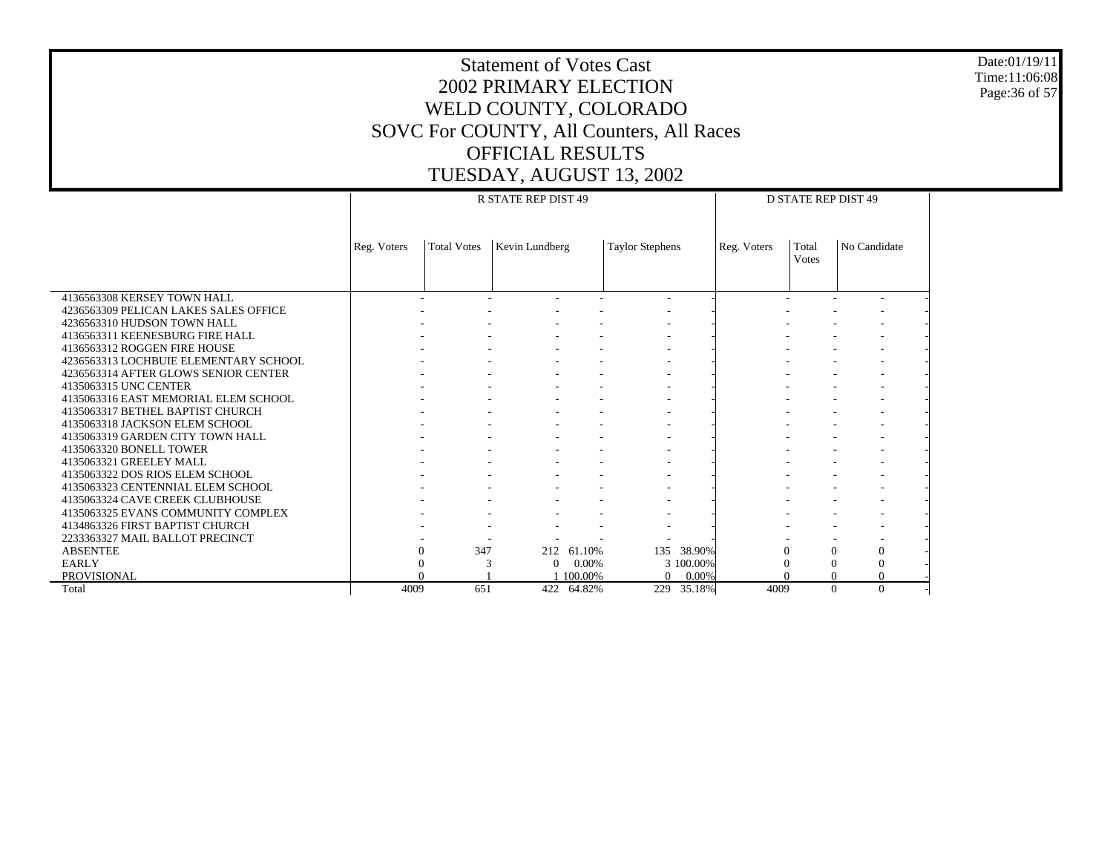Date:01/19/11 Time:11:06:08 Page:36 of 57

|                                       |             |                    | <b>R STATE REP DIST 49</b> |            | <b>D STATE REP DIST 49</b> |            |             |                       |                  |  |
|---------------------------------------|-------------|--------------------|----------------------------|------------|----------------------------|------------|-------------|-----------------------|------------------|--|
|                                       | Reg. Voters | <b>Total Votes</b> | Kevin Lundberg             |            | <b>Taylor Stephens</b>     |            | Reg. Voters | Total<br><b>Votes</b> | No Candidate     |  |
| 4136563308 KERSEY TOWN HALL           |             |                    |                            |            | $\overline{\phantom{a}}$   |            |             |                       |                  |  |
| 4236563309 PELICAN LAKES SALES OFFICE |             |                    |                            |            |                            |            |             |                       |                  |  |
| 4236563310 HUDSON TOWN HALL           |             |                    |                            |            |                            |            |             |                       |                  |  |
| 4136563311 KEENESBURG FIRE HALL       |             |                    |                            |            |                            |            |             |                       |                  |  |
| 4136563312 ROGGEN FIRE HOUSE          |             |                    |                            |            |                            |            |             |                       |                  |  |
| 4236563313 LOCHBUIE ELEMENTARY SCHOOL |             |                    |                            |            |                            |            |             |                       |                  |  |
| 4236563314 AFTER GLOWS SENIOR CENTER  |             |                    |                            |            |                            |            |             |                       |                  |  |
| 4135063315 UNC CENTER                 |             |                    |                            |            |                            |            |             |                       |                  |  |
| 4135063316 EAST MEMORIAL ELEM SCHOOL  |             |                    |                            |            |                            |            |             |                       |                  |  |
| 4135063317 BETHEL BAPTIST CHURCH      |             |                    |                            |            |                            |            |             |                       |                  |  |
| 4135063318 JACKSON ELEM SCHOOL        |             |                    |                            |            |                            |            |             |                       |                  |  |
| 4135063319 GARDEN CITY TOWN HALL      |             |                    |                            |            |                            |            |             |                       |                  |  |
| 4135063320 BONELL TOWER               |             |                    |                            |            |                            |            |             |                       |                  |  |
| 4135063321 GREELEY MALL               |             |                    |                            |            |                            |            |             |                       |                  |  |
| 4135063322 DOS RIOS ELEM SCHOOL       |             |                    |                            |            |                            |            |             |                       |                  |  |
| 4135063323 CENTENNIAL ELEM SCHOOL     |             |                    |                            |            |                            |            |             |                       |                  |  |
| 4135063324 CAVE CREEK CLUBHOUSE       |             |                    |                            |            |                            |            |             |                       |                  |  |
| 4135063325 EVANS COMMUNITY COMPLEX    |             |                    |                            |            |                            |            |             |                       |                  |  |
| 4134863326 FIRST BAPTIST CHURCH       |             |                    |                            |            |                            |            |             |                       |                  |  |
| 2233363327 MAIL BALLOT PRECINCT       |             |                    |                            |            |                            |            |             |                       |                  |  |
| <b>ABSENTEE</b>                       | 0           | 347                |                            | 212 61.10% |                            | 135 38.90% | $\Omega$    | $\Omega$              | $\mathbf{0}$     |  |
| <b>EARLY</b>                          |             |                    | $\Omega$                   | $0.00\%$   |                            | 3 100,00%  | $\Omega$    | $\overline{0}$        | $\boldsymbol{0}$ |  |
| <b>PROVISIONAL</b>                    |             |                    |                            | 100.00%    | $\Omega$                   | $0.00\%$   |             | $\Omega$              | $\Omega$         |  |
| Total                                 | 4009        | 651                |                            | 422 64.82% |                            | 229 35.18% | 4009        | $\Omega$              | $\Omega$         |  |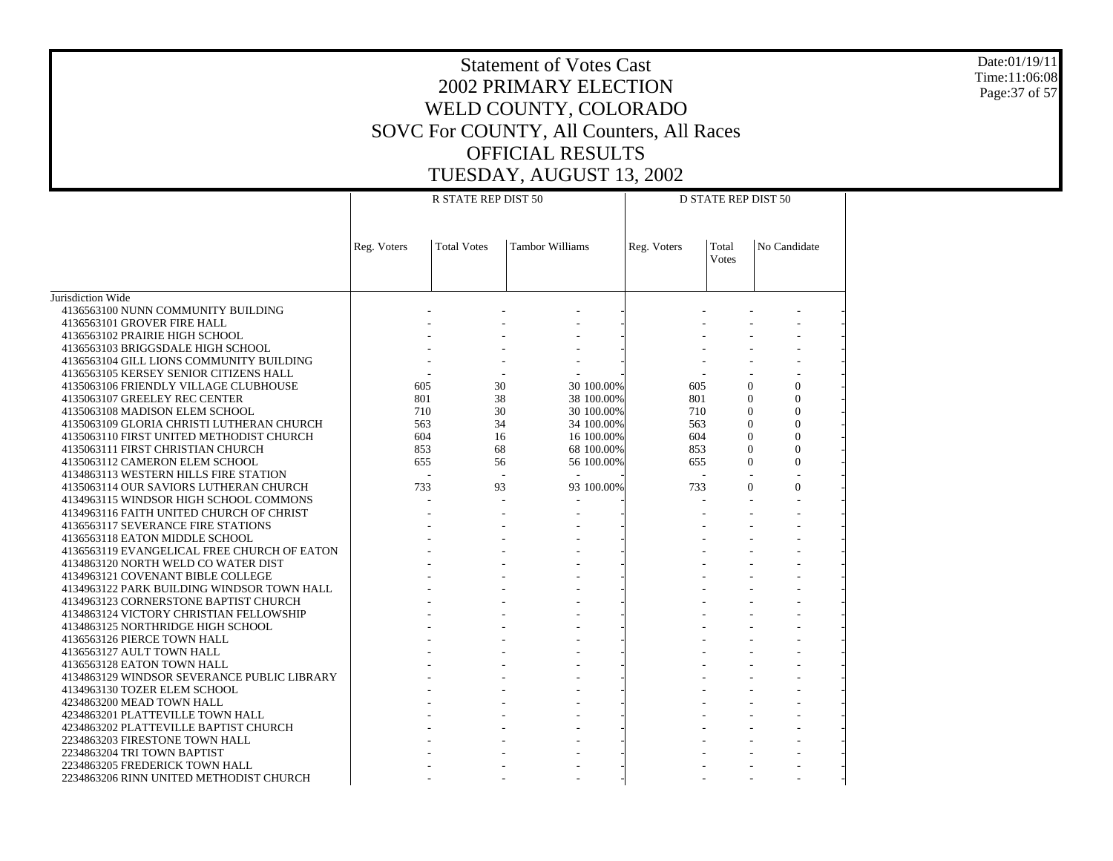Date:01/19/11 Time:11:06:08 Page:37 of 57

|                                                                                       |             | R STATE REP DIST 50 |                          | <b>D STATE REP DIST 50</b> |                       |                            |  |  |
|---------------------------------------------------------------------------------------|-------------|---------------------|--------------------------|----------------------------|-----------------------|----------------------------|--|--|
|                                                                                       | Reg. Voters | <b>Total Votes</b>  | <b>Tambor Williams</b>   | Reg. Voters                | Total<br><b>Votes</b> | No Candidate               |  |  |
| Jurisdiction Wide                                                                     |             |                     |                          |                            |                       |                            |  |  |
| 4136563100 NUNN COMMUNITY BUILDING                                                    |             |                     |                          |                            |                       |                            |  |  |
| 4136563101 GROVER FIRE HALL                                                           |             |                     |                          |                            |                       |                            |  |  |
| 4136563102 PRAIRIE HIGH SCHOOL                                                        |             |                     |                          |                            |                       |                            |  |  |
| 4136563103 BRIGGSDALE HIGH SCHOOL                                                     |             |                     |                          |                            |                       |                            |  |  |
| 4136563104 GILL LIONS COMMUNITY BUILDING                                              |             |                     |                          |                            |                       |                            |  |  |
| 4136563105 KERSEY SENIOR CITIZENS HALL                                                |             |                     |                          |                            |                       |                            |  |  |
| 4135063106 FRIENDLY VILLAGE CLUBHOUSE                                                 | 605         | 30                  | 30 100.00%               | 605                        | $\mathbf{0}$          | $\overline{0}$             |  |  |
| 4135063107 GREELEY REC CENTER                                                         | 801         | 38                  | 38 100.00%               | 801                        | $\Omega$              | $\theta$                   |  |  |
| 4135063108 MADISON ELEM SCHOOL                                                        | 710<br>563  | 30<br>34            | 30 100.00%<br>34 100.00% | 710<br>563                 | $\Omega$<br>$\Omega$  | $\Omega$<br>$\overline{0}$ |  |  |
| 4135063109 GLORIA CHRISTI LUTHERAN CHURCH<br>4135063110 FIRST UNITED METHODIST CHURCH | 604         | 16                  | 16 100.00%               | 604                        | $\Omega$              | $\theta$                   |  |  |
| 4135063111 FIRST CHRISTIAN CHURCH                                                     | 853         | 68                  | 68 100.00%               | 853                        | $\mathbf{0}$          | $\overline{0}$             |  |  |
| 4135063112 CAMERON ELEM SCHOOL                                                        | 655         | 56                  | 56 100.00%               | 655                        | $\Omega$              | $\overline{0}$             |  |  |
| 4134863113 WESTERN HILLS FIRE STATION                                                 | L.          | $\overline{a}$      | $\sim$                   |                            |                       |                            |  |  |
| 4135063114 OUR SAVIORS LUTHERAN CHURCH                                                | 733         | 93                  | 93 100.00%               | 733                        | $\Omega$              | $\mathbf{0}$               |  |  |
| 4134963115 WINDSOR HIGH SCHOOL COMMONS                                                |             |                     |                          |                            |                       |                            |  |  |
| 4134963116 FAITH UNITED CHURCH OF CHRIST                                              |             |                     |                          |                            |                       |                            |  |  |
| 4136563117 SEVERANCE FIRE STATIONS                                                    |             |                     |                          |                            |                       |                            |  |  |
| 4136563118 EATON MIDDLE SCHOOL                                                        |             |                     |                          |                            |                       |                            |  |  |
| 4136563119 EVANGELICAL FREE CHURCH OF EATON                                           |             |                     |                          |                            |                       |                            |  |  |
| 4134863120 NORTH WELD CO WATER DIST                                                   |             |                     |                          |                            |                       |                            |  |  |
| 4134963121 COVENANT BIBLE COLLEGE                                                     |             |                     |                          |                            |                       |                            |  |  |
| 4134963122 PARK BUILDING WINDSOR TOWN HALL                                            |             |                     |                          |                            |                       |                            |  |  |
| 4134963123 CORNERSTONE BAPTIST CHURCH<br>4134863124 VICTORY CHRISTIAN FELLOWSHIP      |             |                     |                          |                            |                       |                            |  |  |
| 4134863125 NORTHRIDGE HIGH SCHOOL                                                     |             |                     |                          |                            |                       |                            |  |  |
| 4136563126 PIERCE TOWN HALL                                                           |             |                     |                          |                            |                       |                            |  |  |
| 4136563127 AULT TOWN HALL                                                             |             |                     |                          |                            |                       |                            |  |  |
| 4136563128 EATON TOWN HALL                                                            |             |                     |                          |                            |                       |                            |  |  |
| 4134863129 WINDSOR SEVERANCE PUBLIC LIBRARY                                           |             |                     |                          |                            |                       |                            |  |  |
| 4134963130 TOZER ELEM SCHOOL                                                          |             |                     |                          |                            |                       |                            |  |  |
| 4234863200 MEAD TOWN HALL                                                             |             |                     |                          |                            |                       |                            |  |  |
| 4234863201 PLATTEVILLE TOWN HALL                                                      |             |                     |                          |                            |                       |                            |  |  |
| 4234863202 PLATTEVILLE BAPTIST CHURCH                                                 |             |                     |                          |                            |                       |                            |  |  |
| 2234863203 FIRESTONE TOWN HALL                                                        |             |                     |                          |                            |                       |                            |  |  |
| 2234863204 TRI TOWN BAPTIST                                                           |             |                     |                          |                            |                       |                            |  |  |
| 2234863205 FREDERICK TOWN HALL                                                        |             |                     |                          |                            |                       |                            |  |  |
| 2234863206 RINN UNITED METHODIST CHURCH                                               |             |                     |                          |                            |                       |                            |  |  |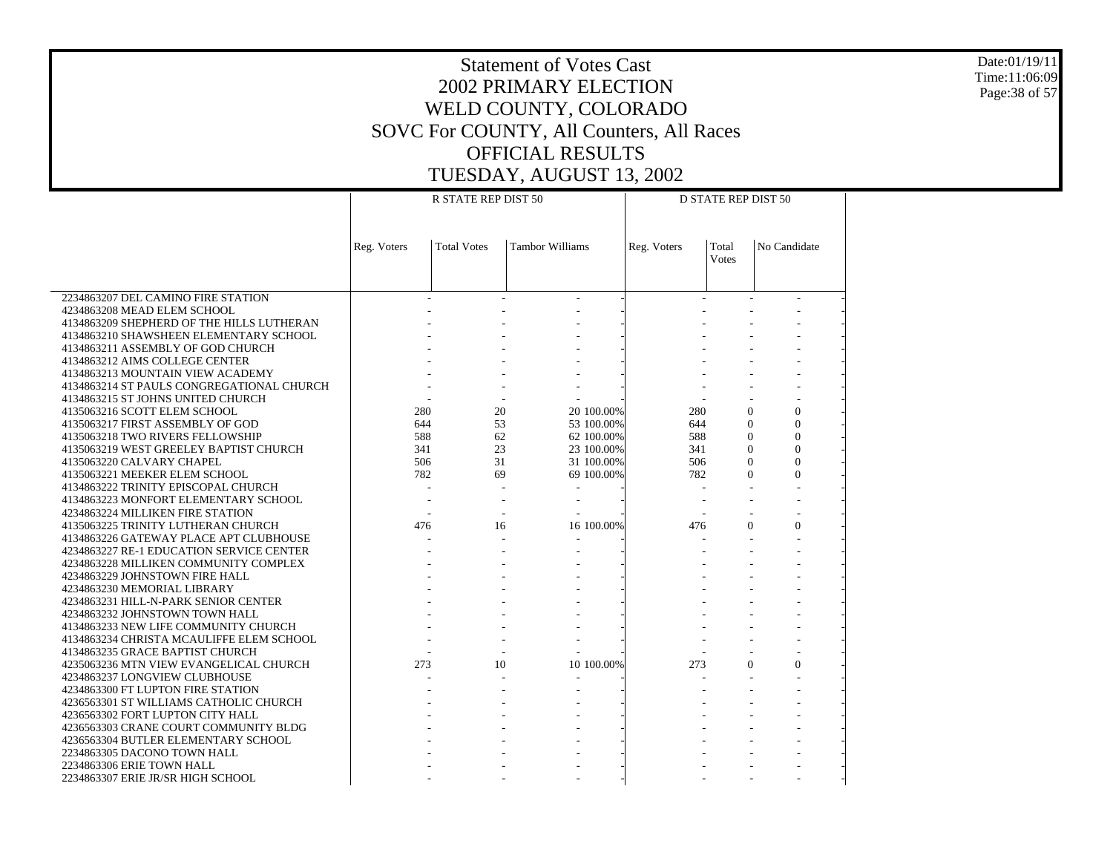Date:01/19/11 Time:11:06:09 Page:38 of 57

| No Candidate<br>Reg. Voters<br><b>Total Votes</b><br><b>Tambor Williams</b><br>Reg. Voters<br>Total<br><b>Votes</b><br>2234863207 DEL CAMINO FIRE STATION<br>4234863208 MEAD ELEM SCHOOL<br>4134863209 SHEPHERD OF THE HILLS LUTHERAN<br>4134863210 SHAWSHEEN ELEMENTARY SCHOOL<br>4134863211 ASSEMBLY OF GOD CHURCH<br>4134863212 AIMS COLLEGE CENTER<br>4134863213 MOUNTAIN VIEW ACADEMY<br>4134863214 ST PAULS CONGREGATIONAL CHURCH<br>4134863215 ST JOHNS UNITED CHURCH<br>20<br>$\overline{0}$<br>4135063216 SCOTT ELEM SCHOOL<br>280<br>20 100.00%<br>280<br>$\Omega$<br>53<br>$\Omega$<br>$\Omega$<br>4135063217 FIRST ASSEMBLY OF GOD<br>644<br>53 100.00%<br>644<br>$\Omega$<br>588<br>62<br>62 100.00%<br>588<br>$\Omega$<br>4135063218 TWO RIVERS FELLOWSHIP<br>23<br>$\Omega$<br>$\theta$<br>341<br>4135063219 WEST GREELEY BAPTIST CHURCH<br>341<br>23 100.00%<br>$\Omega$<br>$\theta$<br>506<br>31<br>506<br>4135063220 CALVARY CHAPEL<br>31 100.00%<br>782<br>69<br>782<br>$\Omega$<br>$\Omega$<br>4135063221 MEEKER ELEM SCHOOL<br>69 100.00%<br>4134863222 TRINITY EPISCOPAL CHURCH<br>4134863223 MONFORT ELEMENTARY SCHOOL<br>4234863224 MILLIKEN FIRE STATION<br>16 100.00%<br>$\Omega$<br>4135063225 TRINITY LUTHERAN CHURCH<br>476<br>476<br>$\Omega$<br>16<br>4134863226 GATEWAY PLACE APT CLUBHOUSE<br>4234863227 RE-1 EDUCATION SERVICE CENTER<br>4234863228 MILLIKEN COMMUNITY COMPLEX<br>4234863229 JOHNSTOWN FIRE HALL<br>4234863230 MEMORIAL LIBRARY<br>4234863231 HILL-N-PARK SENIOR CENTER<br>4234863232 JOHNSTOWN TOWN HALL<br>4134863233 NEW LIFE COMMUNITY CHURCH<br>4134863234 CHRISTA MCAULIFFE ELEM SCHOOL<br>4134863235 GRACE BAPTIST CHURCH<br>$\theta$<br>273<br>10<br>10 100.00%<br>273<br>$\mathbf{0}$<br>4235063236 MTN VIEW EVANGELICAL CHURCH<br>4234863237 LONGVIEW CLUBHOUSE<br>4234863300 FT LUPTON FIRE STATION<br>4236563301 ST WILLIAMS CATHOLIC CHURCH<br>4236563302 FORT LUPTON CITY HALL<br>4236563303 CRANE COURT COMMUNITY BLDG<br>4236563304 BUTLER ELEMENTARY SCHOOL<br>2234863305 DACONO TOWN HALL | R STATE REP DIST 50<br><b>D STATE REP DIST 50</b> |  |  |  |  |  |  |  |  |  |
|---------------------------------------------------------------------------------------------------------------------------------------------------------------------------------------------------------------------------------------------------------------------------------------------------------------------------------------------------------------------------------------------------------------------------------------------------------------------------------------------------------------------------------------------------------------------------------------------------------------------------------------------------------------------------------------------------------------------------------------------------------------------------------------------------------------------------------------------------------------------------------------------------------------------------------------------------------------------------------------------------------------------------------------------------------------------------------------------------------------------------------------------------------------------------------------------------------------------------------------------------------------------------------------------------------------------------------------------------------------------------------------------------------------------------------------------------------------------------------------------------------------------------------------------------------------------------------------------------------------------------------------------------------------------------------------------------------------------------------------------------------------------------------------------------------------------------------------------------------------------------------------------------------------------------------------------------------------------------------------------------------------------------------------------------------------|---------------------------------------------------|--|--|--|--|--|--|--|--|--|
|                                                                                                                                                                                                                                                                                                                                                                                                                                                                                                                                                                                                                                                                                                                                                                                                                                                                                                                                                                                                                                                                                                                                                                                                                                                                                                                                                                                                                                                                                                                                                                                                                                                                                                                                                                                                                                                                                                                                                                                                                                                               |                                                   |  |  |  |  |  |  |  |  |  |
|                                                                                                                                                                                                                                                                                                                                                                                                                                                                                                                                                                                                                                                                                                                                                                                                                                                                                                                                                                                                                                                                                                                                                                                                                                                                                                                                                                                                                                                                                                                                                                                                                                                                                                                                                                                                                                                                                                                                                                                                                                                               |                                                   |  |  |  |  |  |  |  |  |  |
|                                                                                                                                                                                                                                                                                                                                                                                                                                                                                                                                                                                                                                                                                                                                                                                                                                                                                                                                                                                                                                                                                                                                                                                                                                                                                                                                                                                                                                                                                                                                                                                                                                                                                                                                                                                                                                                                                                                                                                                                                                                               |                                                   |  |  |  |  |  |  |  |  |  |
|                                                                                                                                                                                                                                                                                                                                                                                                                                                                                                                                                                                                                                                                                                                                                                                                                                                                                                                                                                                                                                                                                                                                                                                                                                                                                                                                                                                                                                                                                                                                                                                                                                                                                                                                                                                                                                                                                                                                                                                                                                                               |                                                   |  |  |  |  |  |  |  |  |  |
|                                                                                                                                                                                                                                                                                                                                                                                                                                                                                                                                                                                                                                                                                                                                                                                                                                                                                                                                                                                                                                                                                                                                                                                                                                                                                                                                                                                                                                                                                                                                                                                                                                                                                                                                                                                                                                                                                                                                                                                                                                                               |                                                   |  |  |  |  |  |  |  |  |  |
|                                                                                                                                                                                                                                                                                                                                                                                                                                                                                                                                                                                                                                                                                                                                                                                                                                                                                                                                                                                                                                                                                                                                                                                                                                                                                                                                                                                                                                                                                                                                                                                                                                                                                                                                                                                                                                                                                                                                                                                                                                                               |                                                   |  |  |  |  |  |  |  |  |  |
|                                                                                                                                                                                                                                                                                                                                                                                                                                                                                                                                                                                                                                                                                                                                                                                                                                                                                                                                                                                                                                                                                                                                                                                                                                                                                                                                                                                                                                                                                                                                                                                                                                                                                                                                                                                                                                                                                                                                                                                                                                                               |                                                   |  |  |  |  |  |  |  |  |  |
|                                                                                                                                                                                                                                                                                                                                                                                                                                                                                                                                                                                                                                                                                                                                                                                                                                                                                                                                                                                                                                                                                                                                                                                                                                                                                                                                                                                                                                                                                                                                                                                                                                                                                                                                                                                                                                                                                                                                                                                                                                                               |                                                   |  |  |  |  |  |  |  |  |  |
|                                                                                                                                                                                                                                                                                                                                                                                                                                                                                                                                                                                                                                                                                                                                                                                                                                                                                                                                                                                                                                                                                                                                                                                                                                                                                                                                                                                                                                                                                                                                                                                                                                                                                                                                                                                                                                                                                                                                                                                                                                                               |                                                   |  |  |  |  |  |  |  |  |  |
|                                                                                                                                                                                                                                                                                                                                                                                                                                                                                                                                                                                                                                                                                                                                                                                                                                                                                                                                                                                                                                                                                                                                                                                                                                                                                                                                                                                                                                                                                                                                                                                                                                                                                                                                                                                                                                                                                                                                                                                                                                                               |                                                   |  |  |  |  |  |  |  |  |  |
|                                                                                                                                                                                                                                                                                                                                                                                                                                                                                                                                                                                                                                                                                                                                                                                                                                                                                                                                                                                                                                                                                                                                                                                                                                                                                                                                                                                                                                                                                                                                                                                                                                                                                                                                                                                                                                                                                                                                                                                                                                                               |                                                   |  |  |  |  |  |  |  |  |  |
|                                                                                                                                                                                                                                                                                                                                                                                                                                                                                                                                                                                                                                                                                                                                                                                                                                                                                                                                                                                                                                                                                                                                                                                                                                                                                                                                                                                                                                                                                                                                                                                                                                                                                                                                                                                                                                                                                                                                                                                                                                                               |                                                   |  |  |  |  |  |  |  |  |  |
|                                                                                                                                                                                                                                                                                                                                                                                                                                                                                                                                                                                                                                                                                                                                                                                                                                                                                                                                                                                                                                                                                                                                                                                                                                                                                                                                                                                                                                                                                                                                                                                                                                                                                                                                                                                                                                                                                                                                                                                                                                                               |                                                   |  |  |  |  |  |  |  |  |  |
|                                                                                                                                                                                                                                                                                                                                                                                                                                                                                                                                                                                                                                                                                                                                                                                                                                                                                                                                                                                                                                                                                                                                                                                                                                                                                                                                                                                                                                                                                                                                                                                                                                                                                                                                                                                                                                                                                                                                                                                                                                                               |                                                   |  |  |  |  |  |  |  |  |  |
|                                                                                                                                                                                                                                                                                                                                                                                                                                                                                                                                                                                                                                                                                                                                                                                                                                                                                                                                                                                                                                                                                                                                                                                                                                                                                                                                                                                                                                                                                                                                                                                                                                                                                                                                                                                                                                                                                                                                                                                                                                                               |                                                   |  |  |  |  |  |  |  |  |  |
|                                                                                                                                                                                                                                                                                                                                                                                                                                                                                                                                                                                                                                                                                                                                                                                                                                                                                                                                                                                                                                                                                                                                                                                                                                                                                                                                                                                                                                                                                                                                                                                                                                                                                                                                                                                                                                                                                                                                                                                                                                                               |                                                   |  |  |  |  |  |  |  |  |  |
|                                                                                                                                                                                                                                                                                                                                                                                                                                                                                                                                                                                                                                                                                                                                                                                                                                                                                                                                                                                                                                                                                                                                                                                                                                                                                                                                                                                                                                                                                                                                                                                                                                                                                                                                                                                                                                                                                                                                                                                                                                                               |                                                   |  |  |  |  |  |  |  |  |  |
|                                                                                                                                                                                                                                                                                                                                                                                                                                                                                                                                                                                                                                                                                                                                                                                                                                                                                                                                                                                                                                                                                                                                                                                                                                                                                                                                                                                                                                                                                                                                                                                                                                                                                                                                                                                                                                                                                                                                                                                                                                                               |                                                   |  |  |  |  |  |  |  |  |  |
|                                                                                                                                                                                                                                                                                                                                                                                                                                                                                                                                                                                                                                                                                                                                                                                                                                                                                                                                                                                                                                                                                                                                                                                                                                                                                                                                                                                                                                                                                                                                                                                                                                                                                                                                                                                                                                                                                                                                                                                                                                                               |                                                   |  |  |  |  |  |  |  |  |  |
|                                                                                                                                                                                                                                                                                                                                                                                                                                                                                                                                                                                                                                                                                                                                                                                                                                                                                                                                                                                                                                                                                                                                                                                                                                                                                                                                                                                                                                                                                                                                                                                                                                                                                                                                                                                                                                                                                                                                                                                                                                                               |                                                   |  |  |  |  |  |  |  |  |  |
|                                                                                                                                                                                                                                                                                                                                                                                                                                                                                                                                                                                                                                                                                                                                                                                                                                                                                                                                                                                                                                                                                                                                                                                                                                                                                                                                                                                                                                                                                                                                                                                                                                                                                                                                                                                                                                                                                                                                                                                                                                                               |                                                   |  |  |  |  |  |  |  |  |  |
|                                                                                                                                                                                                                                                                                                                                                                                                                                                                                                                                                                                                                                                                                                                                                                                                                                                                                                                                                                                                                                                                                                                                                                                                                                                                                                                                                                                                                                                                                                                                                                                                                                                                                                                                                                                                                                                                                                                                                                                                                                                               |                                                   |  |  |  |  |  |  |  |  |  |
|                                                                                                                                                                                                                                                                                                                                                                                                                                                                                                                                                                                                                                                                                                                                                                                                                                                                                                                                                                                                                                                                                                                                                                                                                                                                                                                                                                                                                                                                                                                                                                                                                                                                                                                                                                                                                                                                                                                                                                                                                                                               |                                                   |  |  |  |  |  |  |  |  |  |
|                                                                                                                                                                                                                                                                                                                                                                                                                                                                                                                                                                                                                                                                                                                                                                                                                                                                                                                                                                                                                                                                                                                                                                                                                                                                                                                                                                                                                                                                                                                                                                                                                                                                                                                                                                                                                                                                                                                                                                                                                                                               |                                                   |  |  |  |  |  |  |  |  |  |
|                                                                                                                                                                                                                                                                                                                                                                                                                                                                                                                                                                                                                                                                                                                                                                                                                                                                                                                                                                                                                                                                                                                                                                                                                                                                                                                                                                                                                                                                                                                                                                                                                                                                                                                                                                                                                                                                                                                                                                                                                                                               |                                                   |  |  |  |  |  |  |  |  |  |
|                                                                                                                                                                                                                                                                                                                                                                                                                                                                                                                                                                                                                                                                                                                                                                                                                                                                                                                                                                                                                                                                                                                                                                                                                                                                                                                                                                                                                                                                                                                                                                                                                                                                                                                                                                                                                                                                                                                                                                                                                                                               |                                                   |  |  |  |  |  |  |  |  |  |
|                                                                                                                                                                                                                                                                                                                                                                                                                                                                                                                                                                                                                                                                                                                                                                                                                                                                                                                                                                                                                                                                                                                                                                                                                                                                                                                                                                                                                                                                                                                                                                                                                                                                                                                                                                                                                                                                                                                                                                                                                                                               |                                                   |  |  |  |  |  |  |  |  |  |
|                                                                                                                                                                                                                                                                                                                                                                                                                                                                                                                                                                                                                                                                                                                                                                                                                                                                                                                                                                                                                                                                                                                                                                                                                                                                                                                                                                                                                                                                                                                                                                                                                                                                                                                                                                                                                                                                                                                                                                                                                                                               |                                                   |  |  |  |  |  |  |  |  |  |
|                                                                                                                                                                                                                                                                                                                                                                                                                                                                                                                                                                                                                                                                                                                                                                                                                                                                                                                                                                                                                                                                                                                                                                                                                                                                                                                                                                                                                                                                                                                                                                                                                                                                                                                                                                                                                                                                                                                                                                                                                                                               |                                                   |  |  |  |  |  |  |  |  |  |
|                                                                                                                                                                                                                                                                                                                                                                                                                                                                                                                                                                                                                                                                                                                                                                                                                                                                                                                                                                                                                                                                                                                                                                                                                                                                                                                                                                                                                                                                                                                                                                                                                                                                                                                                                                                                                                                                                                                                                                                                                                                               |                                                   |  |  |  |  |  |  |  |  |  |
|                                                                                                                                                                                                                                                                                                                                                                                                                                                                                                                                                                                                                                                                                                                                                                                                                                                                                                                                                                                                                                                                                                                                                                                                                                                                                                                                                                                                                                                                                                                                                                                                                                                                                                                                                                                                                                                                                                                                                                                                                                                               |                                                   |  |  |  |  |  |  |  |  |  |
|                                                                                                                                                                                                                                                                                                                                                                                                                                                                                                                                                                                                                                                                                                                                                                                                                                                                                                                                                                                                                                                                                                                                                                                                                                                                                                                                                                                                                                                                                                                                                                                                                                                                                                                                                                                                                                                                                                                                                                                                                                                               |                                                   |  |  |  |  |  |  |  |  |  |
|                                                                                                                                                                                                                                                                                                                                                                                                                                                                                                                                                                                                                                                                                                                                                                                                                                                                                                                                                                                                                                                                                                                                                                                                                                                                                                                                                                                                                                                                                                                                                                                                                                                                                                                                                                                                                                                                                                                                                                                                                                                               |                                                   |  |  |  |  |  |  |  |  |  |
|                                                                                                                                                                                                                                                                                                                                                                                                                                                                                                                                                                                                                                                                                                                                                                                                                                                                                                                                                                                                                                                                                                                                                                                                                                                                                                                                                                                                                                                                                                                                                                                                                                                                                                                                                                                                                                                                                                                                                                                                                                                               |                                                   |  |  |  |  |  |  |  |  |  |
|                                                                                                                                                                                                                                                                                                                                                                                                                                                                                                                                                                                                                                                                                                                                                                                                                                                                                                                                                                                                                                                                                                                                                                                                                                                                                                                                                                                                                                                                                                                                                                                                                                                                                                                                                                                                                                                                                                                                                                                                                                                               |                                                   |  |  |  |  |  |  |  |  |  |
|                                                                                                                                                                                                                                                                                                                                                                                                                                                                                                                                                                                                                                                                                                                                                                                                                                                                                                                                                                                                                                                                                                                                                                                                                                                                                                                                                                                                                                                                                                                                                                                                                                                                                                                                                                                                                                                                                                                                                                                                                                                               |                                                   |  |  |  |  |  |  |  |  |  |
|                                                                                                                                                                                                                                                                                                                                                                                                                                                                                                                                                                                                                                                                                                                                                                                                                                                                                                                                                                                                                                                                                                                                                                                                                                                                                                                                                                                                                                                                                                                                                                                                                                                                                                                                                                                                                                                                                                                                                                                                                                                               |                                                   |  |  |  |  |  |  |  |  |  |
|                                                                                                                                                                                                                                                                                                                                                                                                                                                                                                                                                                                                                                                                                                                                                                                                                                                                                                                                                                                                                                                                                                                                                                                                                                                                                                                                                                                                                                                                                                                                                                                                                                                                                                                                                                                                                                                                                                                                                                                                                                                               |                                                   |  |  |  |  |  |  |  |  |  |
|                                                                                                                                                                                                                                                                                                                                                                                                                                                                                                                                                                                                                                                                                                                                                                                                                                                                                                                                                                                                                                                                                                                                                                                                                                                                                                                                                                                                                                                                                                                                                                                                                                                                                                                                                                                                                                                                                                                                                                                                                                                               |                                                   |  |  |  |  |  |  |  |  |  |
|                                                                                                                                                                                                                                                                                                                                                                                                                                                                                                                                                                                                                                                                                                                                                                                                                                                                                                                                                                                                                                                                                                                                                                                                                                                                                                                                                                                                                                                                                                                                                                                                                                                                                                                                                                                                                                                                                                                                                                                                                                                               |                                                   |  |  |  |  |  |  |  |  |  |
|                                                                                                                                                                                                                                                                                                                                                                                                                                                                                                                                                                                                                                                                                                                                                                                                                                                                                                                                                                                                                                                                                                                                                                                                                                                                                                                                                                                                                                                                                                                                                                                                                                                                                                                                                                                                                                                                                                                                                                                                                                                               |                                                   |  |  |  |  |  |  |  |  |  |
|                                                                                                                                                                                                                                                                                                                                                                                                                                                                                                                                                                                                                                                                                                                                                                                                                                                                                                                                                                                                                                                                                                                                                                                                                                                                                                                                                                                                                                                                                                                                                                                                                                                                                                                                                                                                                                                                                                                                                                                                                                                               |                                                   |  |  |  |  |  |  |  |  |  |
| 2234863306 ERIE TOWN HALL                                                                                                                                                                                                                                                                                                                                                                                                                                                                                                                                                                                                                                                                                                                                                                                                                                                                                                                                                                                                                                                                                                                                                                                                                                                                                                                                                                                                                                                                                                                                                                                                                                                                                                                                                                                                                                                                                                                                                                                                                                     |                                                   |  |  |  |  |  |  |  |  |  |
| 2234863307 ERIE JR/SR HIGH SCHOOL                                                                                                                                                                                                                                                                                                                                                                                                                                                                                                                                                                                                                                                                                                                                                                                                                                                                                                                                                                                                                                                                                                                                                                                                                                                                                                                                                                                                                                                                                                                                                                                                                                                                                                                                                                                                                                                                                                                                                                                                                             |                                                   |  |  |  |  |  |  |  |  |  |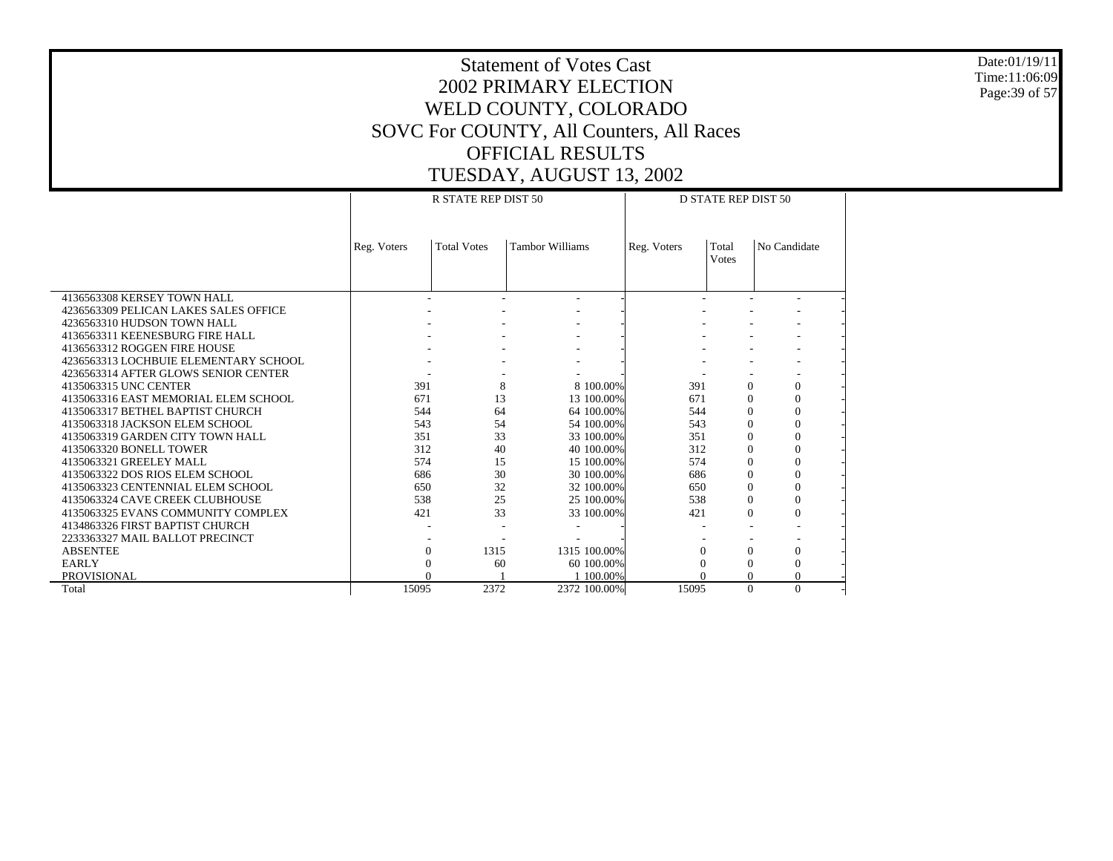Date:01/19/11 Time:11:06:09 Page:39 of 57

|                                       | R STATE REP DIST 50 |                    |                        |              |             | <b>D STATE REP DIST 50</b> |                |  |  |  |
|---------------------------------------|---------------------|--------------------|------------------------|--------------|-------------|----------------------------|----------------|--|--|--|
|                                       |                     |                    |                        |              |             |                            |                |  |  |  |
|                                       |                     |                    |                        |              |             |                            |                |  |  |  |
|                                       | Reg. Voters         | <b>Total Votes</b> | <b>Tambor Williams</b> |              | Reg. Voters | Total                      | No Candidate   |  |  |  |
|                                       |                     |                    |                        |              |             | <b>Votes</b>               |                |  |  |  |
|                                       |                     |                    |                        |              |             |                            |                |  |  |  |
|                                       |                     |                    |                        |              |             |                            |                |  |  |  |
| 4136563308 KERSEY TOWN HALL           |                     |                    | ٠                      |              |             |                            |                |  |  |  |
| 4236563309 PELICAN LAKES SALES OFFICE |                     |                    |                        |              |             |                            |                |  |  |  |
| 4236563310 HUDSON TOWN HALL           |                     |                    |                        |              |             |                            |                |  |  |  |
| 4136563311 KEENESBURG FIRE HALL       |                     |                    |                        |              |             |                            |                |  |  |  |
| 4136563312 ROGGEN FIRE HOUSE          |                     |                    |                        |              |             |                            |                |  |  |  |
| 4236563313 LOCHBUIE ELEMENTARY SCHOOL |                     |                    |                        |              |             |                            |                |  |  |  |
| 4236563314 AFTER GLOWS SENIOR CENTER  |                     |                    |                        |              |             |                            |                |  |  |  |
| 4135063315 UNC CENTER                 | 391                 | 8                  |                        | 8 100,00%    | 391         | $\Omega$                   | $\mathbf{0}$   |  |  |  |
| 4135063316 EAST MEMORIAL ELEM SCHOOL  | 671                 | 13                 |                        | 13 100.00%   | 671         | $\Omega$                   | $\mathbf{0}$   |  |  |  |
| 4135063317 BETHEL BAPTIST CHURCH      | 544                 | 64                 |                        | 64 100.00%   | 544         | $\Omega$                   | $\mathbf{0}$   |  |  |  |
| 4135063318 JACKSON ELEM SCHOOL        | 543                 | 54                 |                        | 54 100.00%   | 543         | $\Omega$                   | $\theta$       |  |  |  |
| 4135063319 GARDEN CITY TOWN HALL      | 351                 | 33                 |                        | 33 100.00%   | 351         | $\Omega$                   | $\Omega$       |  |  |  |
| 4135063320 BONELL TOWER               | 312                 | 40                 |                        | 40 100.00%   | 312         | $\Omega$                   | $\theta$       |  |  |  |
| 4135063321 GREELEY MALL               | 574                 | 15                 |                        | 15 100.00%   | 574         | $\Omega$                   | $\Omega$       |  |  |  |
| 4135063322 DOS RIOS ELEM SCHOOL       | 686                 | 30                 |                        | 30 100.00%   | 686         | $\Omega$                   | $\mathbf{0}$   |  |  |  |
| 4135063323 CENTENNIAL ELEM SCHOOL     | 650                 | 32                 |                        | 32 100.00%   | 650         | $\Omega$                   | $\overline{0}$ |  |  |  |
| 4135063324 CAVE CREEK CLUBHOUSE       | 538                 | 25                 |                        | 25 100.00%   | 538         | $\Omega$                   | $\mathbf{0}$   |  |  |  |
| 4135063325 EVANS COMMUNITY COMPLEX    | 421                 | 33                 |                        | 33 100.00%   | 421         | $\Omega$                   | $\theta$       |  |  |  |
| 4134863326 FIRST BAPTIST CHURCH       |                     |                    |                        |              |             |                            |                |  |  |  |
| 2233363327 MAIL BALLOT PRECINCT       |                     |                    |                        |              |             |                            |                |  |  |  |
| <b>ABSENTEE</b>                       | $\Omega$            | 1315               |                        | 1315 100.00% |             | $\Omega$                   | $\mathbf{0}$   |  |  |  |
| <b>EARLY</b>                          | 0                   | 60                 |                        | 60 100,00%   |             | $\Omega$                   | $\Omega$       |  |  |  |
| PROVISIONAL                           | $\Omega$            |                    |                        | 1 100,00%    |             | $\Omega$                   | $\theta$       |  |  |  |
| Total                                 | 15095               | 2372               |                        | 2372 100.00% | 15095       | $\Omega$                   | $\Omega$       |  |  |  |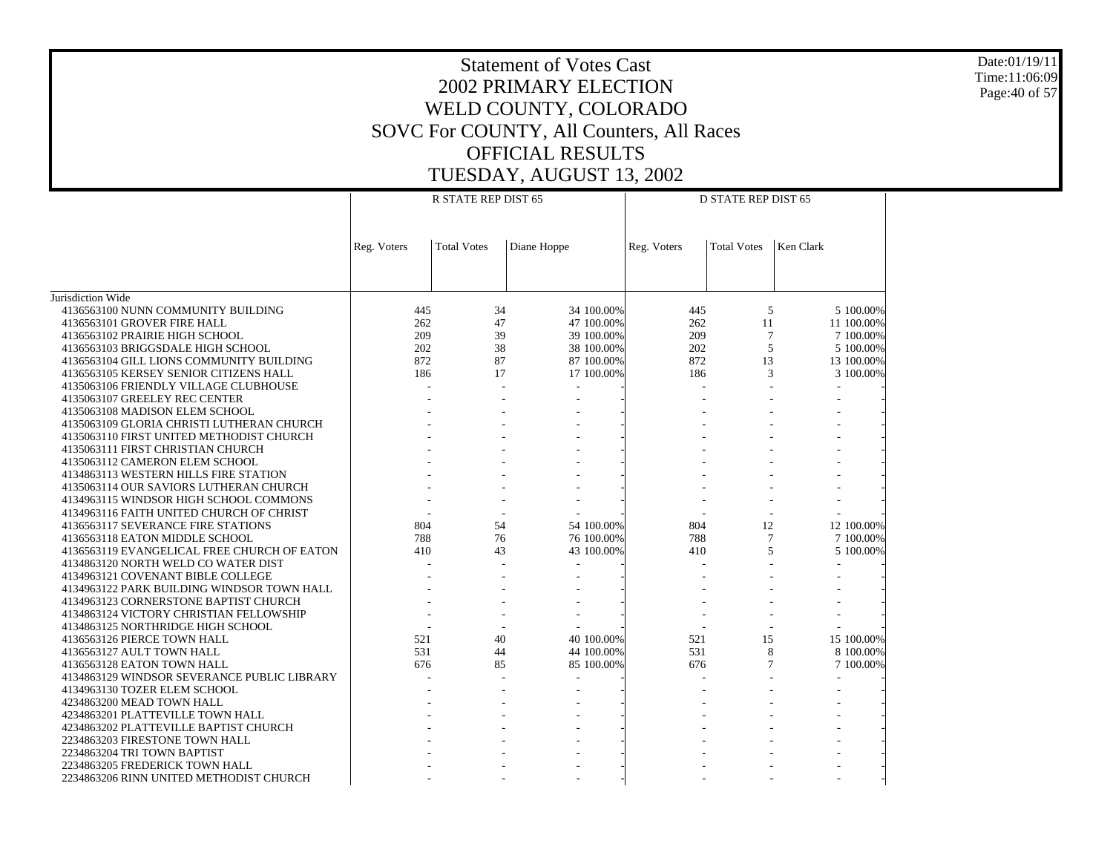Date:01/19/11 Time:11:06:09 Page:40 of 57

|                                             |             | R STATE REP DIST 65 |             |            | <b>D STATE REP DIST 65</b> |                    |           |            |
|---------------------------------------------|-------------|---------------------|-------------|------------|----------------------------|--------------------|-----------|------------|
|                                             | Reg. Voters | <b>Total Votes</b>  | Diane Hoppe |            | Reg. Voters                | <b>Total Votes</b> | Ken Clark |            |
|                                             |             |                     |             |            |                            |                    |           |            |
| Jurisdiction Wide                           |             |                     |             |            |                            |                    |           |            |
| 4136563100 NUNN COMMUNITY BUILDING          | 445         | 34                  |             | 34 100.00% | 445                        | 5                  |           | 5 100,00%  |
| 4136563101 GROVER FIRE HALL                 | 262         | 47                  |             | 47 100.00% | 262                        | 11                 |           | 11 100.00% |
| 4136563102 PRAIRIE HIGH SCHOOL              | 209         | 39                  |             | 39 100.00% | 209                        | $\overline{7}$     |           | 7 100.00%  |
| 4136563103 BRIGGSDALE HIGH SCHOOL           | 202         | 38                  |             | 38 100.00% | 202                        | 5                  |           | 5 100.00%  |
| 4136563104 GILL LIONS COMMUNITY BUILDING    | 872         | 87                  |             | 87 100.00% | 872                        | 13                 |           | 13 100.00% |
| 4136563105 KERSEY SENIOR CITIZENS HALL      | 186         | 17                  |             | 17 100.00% | 186                        | 3                  |           | 3 100.00%  |
| 4135063106 FRIENDLY VILLAGE CLUBHOUSE       |             |                     |             |            |                            |                    |           |            |
| 4135063107 GREELEY REC CENTER               |             |                     |             |            |                            |                    |           |            |
| 4135063108 MADISON ELEM SCHOOL              |             |                     |             |            |                            |                    |           |            |
| 4135063109 GLORIA CHRISTI LUTHERAN CHURCH   |             |                     |             |            |                            |                    |           |            |
| 4135063110 FIRST UNITED METHODIST CHURCH    |             |                     |             |            |                            |                    |           |            |
| 4135063111 FIRST CHRISTIAN CHURCH           |             |                     |             |            |                            |                    |           |            |
| 4135063112 CAMERON ELEM SCHOOL              |             |                     |             |            |                            |                    |           |            |
| 4134863113 WESTERN HILLS FIRE STATION       |             |                     |             |            |                            |                    |           |            |
| 4135063114 OUR SAVIORS LUTHERAN CHURCH      |             |                     |             |            |                            |                    |           |            |
| 4134963115 WINDSOR HIGH SCHOOL COMMONS      |             |                     |             |            |                            |                    |           |            |
| 4134963116 FAITH UNITED CHURCH OF CHRIST    |             |                     |             |            |                            |                    |           |            |
| 4136563117 SEVERANCE FIRE STATIONS          | 804         | 54                  |             | 54 100.00% | 804                        | 12                 |           | 12 100.00% |
| 4136563118 EATON MIDDLE SCHOOL              | 788         | 76                  |             | 76 100.00% | 788                        | $\tau$             |           | 7 100.00%  |
| 4136563119 EVANGELICAL FREE CHURCH OF EATON | 410         | 43                  |             | 43 100.00% | 410                        | 5                  |           | 5 100.00%  |
| 4134863120 NORTH WELD CO WATER DIST         |             |                     |             |            |                            |                    |           |            |
| 4134963121 COVENANT BIBLE COLLEGE           |             |                     |             |            |                            |                    |           |            |
| 4134963122 PARK BUILDING WINDSOR TOWN HALL  |             |                     |             |            |                            |                    |           |            |
| 4134963123 CORNERSTONE BAPTIST CHURCH       |             |                     |             |            |                            |                    |           |            |
| 4134863124 VICTORY CHRISTIAN FELLOWSHIP     |             |                     |             |            |                            |                    |           |            |
| 4134863125 NORTHRIDGE HIGH SCHOOL           |             |                     |             |            |                            |                    |           |            |
| 4136563126 PIERCE TOWN HALL                 | 521         | 40                  |             | 40 100.00% | 521                        | 15                 |           | 15 100.00% |
| 4136563127 AULT TOWN HALL                   | 531         | 44                  |             | 44 100.00% | 531                        | 8                  |           | 8 100,00%  |
| 4136563128 EATON TOWN HALL                  | 676         | 85                  |             | 85 100.00% | 676                        | 7                  |           | 7 100.00%  |
| 4134863129 WINDSOR SEVERANCE PUBLIC LIBRARY |             |                     |             |            |                            |                    |           |            |
| 4134963130 TOZER ELEM SCHOOL                |             |                     |             |            |                            |                    |           |            |
| 4234863200 MEAD TOWN HALL                   |             |                     |             |            |                            |                    |           |            |
| 4234863201 PLATTEVILLE TOWN HALL            |             |                     |             |            |                            |                    |           |            |
| 4234863202 PLATTEVILLE BAPTIST CHURCH       |             |                     |             |            |                            |                    |           |            |
| 2234863203 FIRESTONE TOWN HALL              |             |                     |             |            |                            |                    |           |            |
| 2234863204 TRI TOWN BAPTIST                 |             |                     |             |            |                            |                    |           |            |
| 2234863205 FREDERICK TOWN HALL              |             |                     |             |            |                            |                    |           |            |
| 2234863206 RINN UNITED METHODIST CHURCH     |             |                     |             |            |                            |                    |           |            |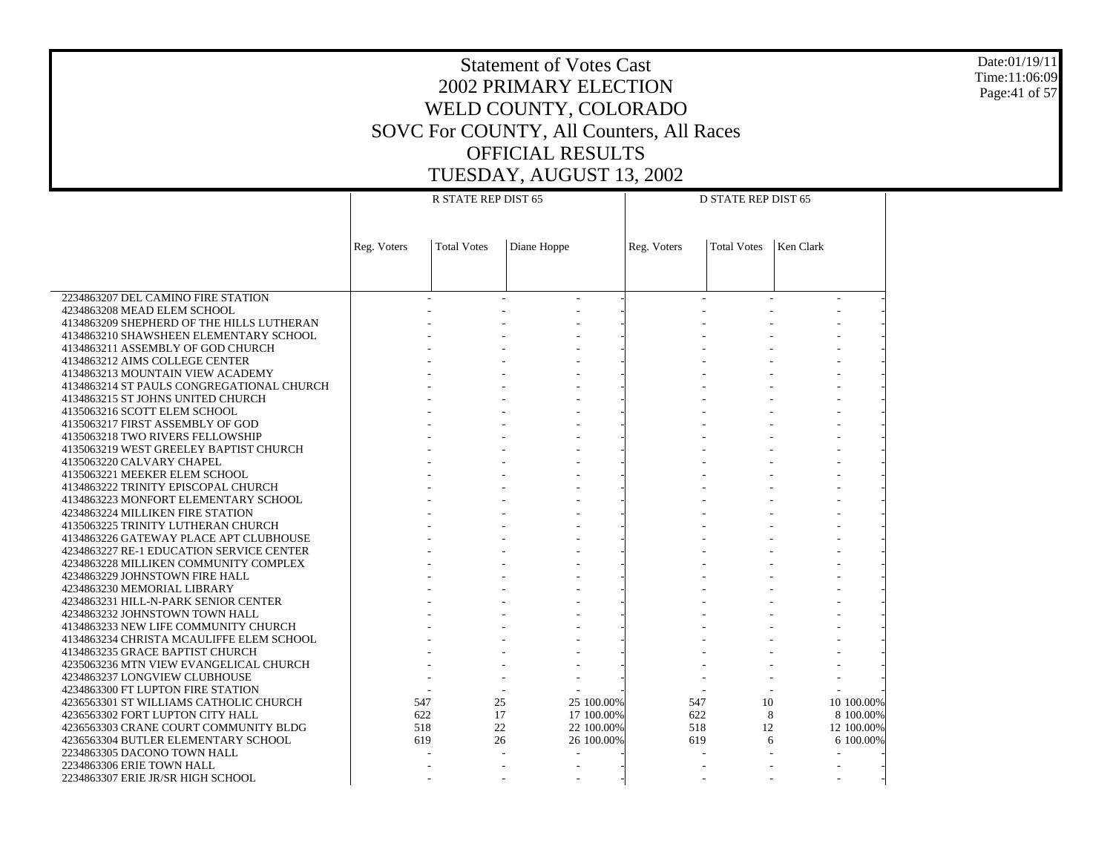Date:01/19/11 Time:11:06:09 Page:41 of 57

|                                                                   |             |                     |             | <b>D STATE REP DIST 65</b> |             |                    |           |            |  |
|-------------------------------------------------------------------|-------------|---------------------|-------------|----------------------------|-------------|--------------------|-----------|------------|--|
|                                                                   |             | R STATE REP DIST 65 |             |                            |             |                    |           |            |  |
|                                                                   |             |                     |             |                            |             |                    |           |            |  |
|                                                                   |             |                     |             |                            |             |                    |           |            |  |
|                                                                   | Reg. Voters | <b>Total Votes</b>  | Diane Hoppe |                            | Reg. Voters | <b>Total Votes</b> | Ken Clark |            |  |
|                                                                   |             |                     |             |                            |             |                    |           |            |  |
|                                                                   |             |                     |             |                            |             |                    |           |            |  |
|                                                                   |             |                     |             |                            |             |                    |           |            |  |
| 2234863207 DEL CAMINO FIRE STATION                                |             |                     |             |                            |             |                    |           |            |  |
| 4234863208 MEAD ELEM SCHOOL                                       |             |                     |             |                            |             |                    |           |            |  |
| 4134863209 SHEPHERD OF THE HILLS LUTHERAN                         |             |                     |             |                            |             |                    |           |            |  |
| 4134863210 SHAWSHEEN ELEMENTARY SCHOOL                            |             |                     |             |                            |             |                    |           |            |  |
| 4134863211 ASSEMBLY OF GOD CHURCH                                 |             |                     |             |                            |             |                    |           |            |  |
| 4134863212 AIMS COLLEGE CENTER                                    |             |                     |             |                            |             |                    |           |            |  |
| 4134863213 MOUNTAIN VIEW ACADEMY                                  |             |                     |             |                            |             |                    |           |            |  |
| 4134863214 ST PAULS CONGREGATIONAL CHURCH                         |             |                     |             |                            |             |                    |           |            |  |
| 4134863215 ST JOHNS UNITED CHURCH<br>4135063216 SCOTT ELEM SCHOOL |             |                     |             |                            |             |                    |           |            |  |
| 4135063217 FIRST ASSEMBLY OF GOD                                  |             |                     |             |                            |             |                    |           |            |  |
| 4135063218 TWO RIVERS FELLOWSHIP                                  |             |                     |             |                            |             |                    |           |            |  |
| 4135063219 WEST GREELEY BAPTIST CHURCH                            |             |                     |             |                            |             |                    |           |            |  |
| 4135063220 CALVARY CHAPEL                                         |             |                     |             |                            |             |                    |           |            |  |
| 4135063221 MEEKER ELEM SCHOOL                                     |             |                     |             |                            |             |                    |           |            |  |
| 4134863222 TRINITY EPISCOPAL CHURCH                               |             |                     |             |                            |             |                    |           |            |  |
| 4134863223 MONFORT ELEMENTARY SCHOOL                              |             |                     |             |                            |             |                    |           |            |  |
| 4234863224 MILLIKEN FIRE STATION                                  |             |                     |             |                            |             |                    |           |            |  |
| 4135063225 TRINITY LUTHERAN CHURCH                                |             |                     |             |                            |             |                    |           |            |  |
| 4134863226 GATEWAY PLACE APT CLUBHOUSE                            |             |                     |             |                            |             |                    |           |            |  |
| 4234863227 RE-1 EDUCATION SERVICE CENTER                          |             |                     |             |                            |             |                    |           |            |  |
| 4234863228 MILLIKEN COMMUNITY COMPLEX                             |             |                     |             |                            |             |                    |           |            |  |
| 4234863229 JOHNSTOWN FIRE HALL                                    |             |                     |             |                            |             |                    |           |            |  |
| 4234863230 MEMORIAL LIBRARY                                       |             |                     |             |                            |             |                    |           |            |  |
| 4234863231 HILL-N-PARK SENIOR CENTER                              |             |                     |             |                            |             |                    |           |            |  |
| 4234863232 JOHNSTOWN TOWN HALL                                    |             |                     |             |                            |             |                    |           |            |  |
| 4134863233 NEW LIFE COMMUNITY CHURCH                              |             |                     |             |                            |             |                    |           |            |  |
| 4134863234 CHRISTA MCAULIFFE ELEM SCHOOL                          |             |                     |             |                            |             |                    |           |            |  |
| 4134863235 GRACE BAPTIST CHURCH                                   |             |                     |             |                            |             |                    |           |            |  |
| 4235063236 MTN VIEW EVANGELICAL CHURCH                            |             |                     |             |                            |             |                    |           |            |  |
| 4234863237 LONGVIEW CLUBHOUSE                                     |             |                     |             |                            |             |                    |           |            |  |
| 4234863300 FT LUPTON FIRE STATION                                 |             |                     |             |                            |             |                    |           |            |  |
| 4236563301 ST WILLIAMS CATHOLIC CHURCH                            | 547         | 25                  |             | 25 100,00%                 | 547         | 10                 |           | 10 100,00% |  |
| 4236563302 FORT LUPTON CITY HALL                                  | 622         | 17                  |             | 17 100.00%                 | 622         | 8                  |           | 8 100.00%  |  |
| 4236563303 CRANE COURT COMMUNITY BLDG                             | 518         | 22                  |             | 22 100.00%                 | 518         | 12                 |           | 12 100.00% |  |
| 4236563304 BUTLER ELEMENTARY SCHOOL                               | 619         | 26                  |             | 26 100.00%                 | 619         |                    | 6         | 6 100.00%  |  |
| 2234863305 DACONO TOWN HALL<br>2234863306 ERIE TOWN HALL          |             |                     |             |                            |             |                    |           |            |  |
|                                                                   |             |                     |             |                            |             |                    |           |            |  |
| 2234863307 ERIE JR/SR HIGH SCHOOL                                 |             |                     |             |                            |             |                    |           |            |  |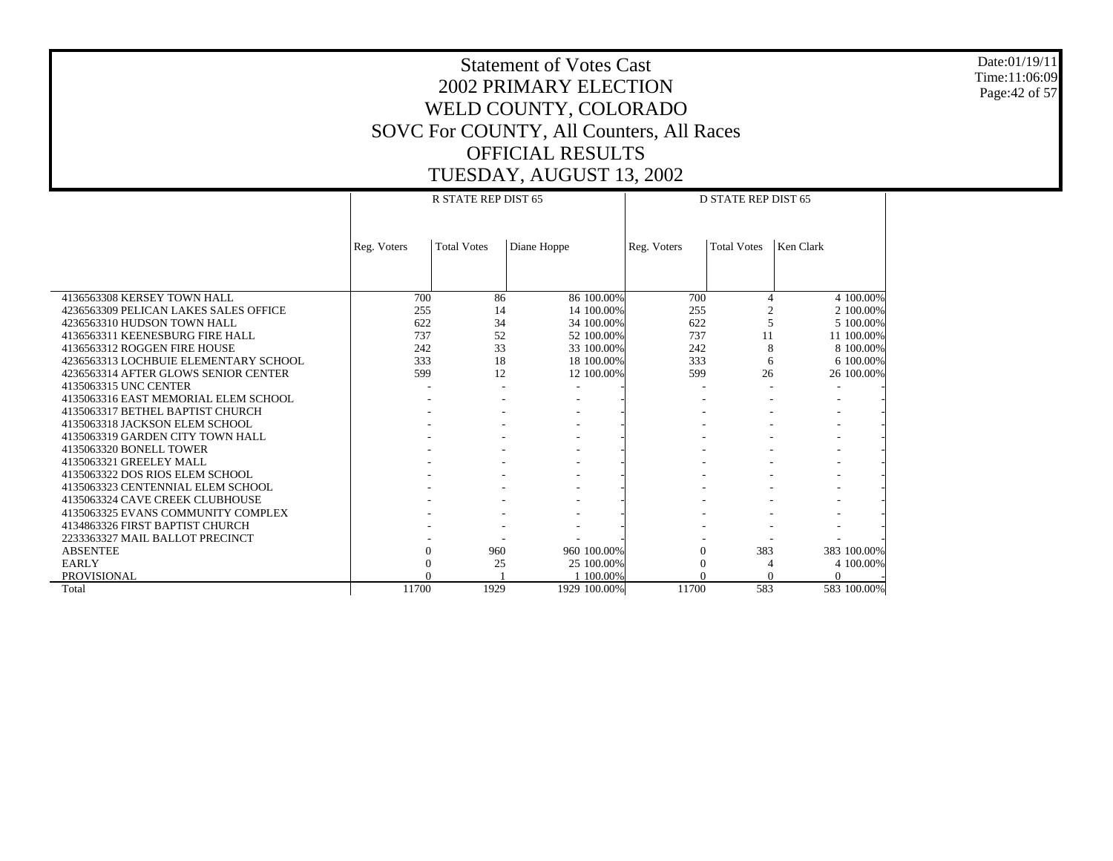Date:01/19/11 Time:11:06:09 Page:42 of 57

|                                       |             | R STATE REP DIST 65 |              |             | D STATE REP DIST 65 |             |
|---------------------------------------|-------------|---------------------|--------------|-------------|---------------------|-------------|
|                                       |             |                     |              |             |                     |             |
|                                       | Reg. Voters | <b>Total Votes</b>  | Diane Hoppe  | Reg. Voters | <b>Total Votes</b>  | Ken Clark   |
|                                       |             |                     |              |             |                     |             |
|                                       |             |                     |              |             |                     |             |
| 4136563308 KERSEY TOWN HALL           | 700         | 86                  | 86 100,00%   | 700         | $\overline{4}$      | 4 100,00%   |
| 4236563309 PELICAN LAKES SALES OFFICE | 255         | 14                  | 14 100.00%   | 255         |                     | 2 100.00%   |
| 4236563310 HUDSON TOWN HALL           | 622         | 34                  | 34 100.00%   | 622         | 5                   | 5 100,00%   |
| 4136563311 KEENESBURG FIRE HALL       | 737         | 52                  | 52 100.00%   | 737         | 11                  | 11 100.00%  |
| 4136563312 ROGGEN FIRE HOUSE          | 242         | 33                  | 33 100.00%   | 242         | 8                   | 8 100.00%   |
| 4236563313 LOCHBUIE ELEMENTARY SCHOOL | 333         | 18                  | 18 100.00%   | 333         | 6                   | 6 100.00%   |
| 4236563314 AFTER GLOWS SENIOR CENTER  | 599         | 12                  | 12 100.00%   | 599         | 26                  | 26 100.00%  |
| 4135063315 UNC CENTER                 |             |                     |              |             |                     |             |
| 4135063316 EAST MEMORIAL ELEM SCHOOL  |             |                     |              |             |                     |             |
| 4135063317 BETHEL BAPTIST CHURCH      |             |                     |              |             |                     |             |
| 4135063318 JACKSON ELEM SCHOOL        |             |                     |              |             |                     |             |
| 4135063319 GARDEN CITY TOWN HALL      |             |                     |              |             |                     |             |
| 4135063320 BONELL TOWER               |             |                     |              |             |                     |             |
| 4135063321 GREELEY MALL               |             |                     |              |             |                     |             |
| 4135063322 DOS RIOS ELEM SCHOOL       |             |                     |              |             |                     |             |
| 4135063323 CENTENNIAL ELEM SCHOOL     |             |                     |              |             |                     |             |
| 4135063324 CAVE CREEK CLUBHOUSE       |             |                     |              |             |                     |             |
| 4135063325 EVANS COMMUNITY COMPLEX    |             |                     |              |             |                     |             |
| 4134863326 FIRST BAPTIST CHURCH       |             |                     |              |             |                     |             |
| 2233363327 MAIL BALLOT PRECINCT       |             |                     |              |             |                     |             |
| <b>ABSENTEE</b>                       |             | 960                 | 960 100.00%  | 0           | 383                 | 383 100.00% |
| <b>EARLY</b>                          |             | 25                  | 25 100,00%   | $\Omega$    | 4                   | 4 100.00%   |
| <b>PROVISIONAL</b>                    |             |                     | 1 100,00%    | $\Omega$    | $\Omega$            |             |
| Total                                 | 11700       | 1929                | 1929 100.00% | 11700       | 583                 | 583 100.00% |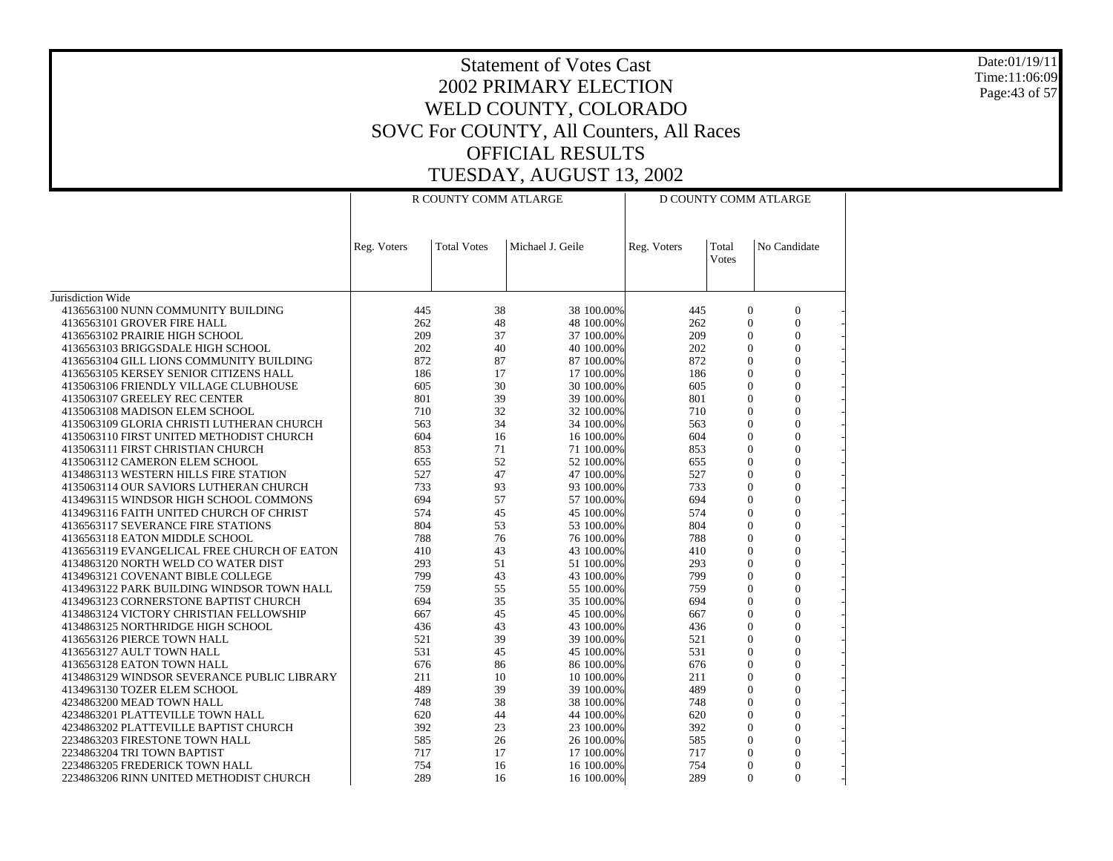Date:01/19/11 Time:11:06:09 Page:43 of 57

|                                             |             | R COUNTY COMM ATLARGE |                  | D COUNTY COMM ATLARGE |                |                  |  |
|---------------------------------------------|-------------|-----------------------|------------------|-----------------------|----------------|------------------|--|
|                                             | Reg. Voters | <b>Total Votes</b>    | Michael J. Geile | Reg. Voters           | Total<br>Votes | No Candidate     |  |
| Jurisdiction Wide                           |             |                       |                  |                       |                |                  |  |
| 4136563100 NUNN COMMUNITY BUILDING          | 445         | 38                    | 38 100.00%       | 445                   | $\mathbf{0}$   | $\mathbf{0}$     |  |
| 4136563101 GROVER FIRE HALL                 | 262         | 48                    | 48 100.00%       | 262                   | $\mathbf{0}$   | $\Omega$         |  |
| 4136563102 PRAIRIE HIGH SCHOOL              | 209         | 37                    | 37 100.00%       | 209                   | $\Omega$       | $\mathbf{0}$     |  |
| 4136563103 BRIGGSDALE HIGH SCHOOL           | 202         | 40                    | 40 100.00%       | 202                   | $\Omega$       | $\overline{0}$   |  |
| 4136563104 GILL LIONS COMMUNITY BUILDING    | 872         | 87                    | 87 100.00%       | 872                   | $\Omega$       | $\overline{0}$   |  |
| 4136563105 KERSEY SENIOR CITIZENS HALL      | 186         | 17                    | 17 100.00%       | 186                   | $\Omega$       | $\Omega$         |  |
| 4135063106 FRIENDLY VILLAGE CLUBHOUSE       | 605         | 30                    | 30 100.00%       | 605                   | $\Omega$       | $\mathbf{0}$     |  |
| 4135063107 GREELEY REC CENTER               | 801         | 39                    | 39 100.00%       | 801                   | $\theta$       | $\mathbf{0}$     |  |
| 4135063108 MADISON ELEM SCHOOL              | 710         | 32                    | 32 100.00%       | 710                   | $\Omega$       | $\overline{0}$   |  |
| 4135063109 GLORIA CHRISTI LUTHERAN CHURCH   | 563         | 34                    | 34 100.00%       | 563                   | $\theta$       | $\theta$         |  |
| 4135063110 FIRST UNITED METHODIST CHURCH    | 604         | 16                    | 16 100.00%       | 604                   | $\Omega$       | $\theta$         |  |
| 4135063111 FIRST CHRISTIAN CHURCH           | 853         | 71                    | 71 100.00%       | 853                   | $\mathbf{0}$   | $\mathbf{0}$     |  |
| 4135063112 CAMERON ELEM SCHOOL              | 655         | 52                    | 52 100.00%       | 655                   | $\Omega$       | $\mathbf{0}$     |  |
| 4134863113 WESTERN HILLS FIRE STATION       | 527         | 47                    | 47 100.00%       | 527                   | $\mathbf{0}$   | $\overline{0}$   |  |
| 4135063114 OUR SAVIORS LUTHERAN CHURCH      | 733         | 93                    | 93 100.00%       | 733                   | $\Omega$       | $\Omega$         |  |
| 4134963115 WINDSOR HIGH SCHOOL COMMONS      | 694         | 57                    | 57 100.00%       | 694                   | $\Omega$       | $\Omega$         |  |
| 4134963116 FAITH UNITED CHURCH OF CHRIST    | 574         | 45                    | 45 100.00%       | 574                   | $\theta$       | $\overline{0}$   |  |
| 4136563117 SEVERANCE FIRE STATIONS          | 804         | 53                    | 53 100.00%       | 804                   | $\Omega$       | $\theta$         |  |
| 4136563118 EATON MIDDLE SCHOOL              | 788         | 76                    | 76 100.00%       | 788                   | $\mathbf{0}$   | $\boldsymbol{0}$ |  |
| 4136563119 EVANGELICAL FREE CHURCH OF EATON | 410         | 43                    | 43 100.00%       | 410                   | $\Omega$       | $\Omega$         |  |
| 4134863120 NORTH WELD CO WATER DIST         | 293         | 51                    | 51 100.00%       | 293                   | $\Omega$       | $\overline{0}$   |  |
| 4134963121 COVENANT BIBLE COLLEGE           | 799         | 43                    | 43 100.00%       | 799                   | $\Omega$       | $\overline{0}$   |  |
| 4134963122 PARK BUILDING WINDSOR TOWN HALL  | 759         | 55                    | 55 100.00%       | 759                   | $\Omega$       | $\Omega$         |  |
| 4134963123 CORNERSTONE BAPTIST CHURCH       | 694         | 35                    | 35 100.00%       | 694                   | $\Omega$       | $\boldsymbol{0}$ |  |
| 4134863124 VICTORY CHRISTIAN FELLOWSHIP     | 667         | 45                    | 45 100,00%       | 667                   | $\Omega$       | $\Omega$         |  |
| 4134863125 NORTHRIDGE HIGH SCHOOL           | 436         | 43                    | 43 100.00%       | 436                   | $\Omega$       | $\overline{0}$   |  |
| 4136563126 PIERCE TOWN HALL                 | 521         | 39                    | 39 100.00%       | 521                   | $\theta$       | $\mathbf{0}$     |  |
| 4136563127 AULT TOWN HALL                   | 531         | 45                    | 45 100.00%       | 531                   | $\Omega$       | $\overline{0}$   |  |
| 4136563128 EATON TOWN HALL                  | 676         | 86                    | 86 100.00%       | 676                   | $\theta$       | $\overline{0}$   |  |
| 4134863129 WINDSOR SEVERANCE PUBLIC LIBRARY | 211         | 10                    | 10 100.00%       | 211                   | $\Omega$       | $\Omega$         |  |
| 4134963130 TOZER ELEM SCHOOL                | 489         | 39                    | 39 100.00%       | 489                   | $\Omega$       | $\overline{0}$   |  |
| 4234863200 MEAD TOWN HALL                   | 748         | 38                    | 38 100.00%       | 748                   | $\Omega$       | $\Omega$         |  |
| 4234863201 PLATTEVILLE TOWN HALL            | 620         | 44                    | 44 100.00%       | 620                   | $\Omega$       | $\mathbf{0}$     |  |
| 4234863202 PLATTEVILLE BAPTIST CHURCH       | 392         | 23                    | 23 100.00%       | 392                   | $\theta$       | $\overline{0}$   |  |
| 2234863203 FIRESTONE TOWN HALL              | 585         | 26                    | 26 100.00%       | 585                   | $\Omega$       | $\Omega$         |  |
| 2234863204 TRI TOWN BAPTIST                 | 717         | 17                    | 17 100.00%       | 717                   | $\Omega$       | $\mathbf{0}$     |  |
| 2234863205 FREDERICK TOWN HALL              | 754         | 16                    | 16 100.00%       | 754                   | $\Omega$       | $\theta$         |  |
| 2234863206 RINN UNITED METHODIST CHURCH     | 289         | 16                    | 16 100.00%       | 289                   | $\Omega$       | $\overline{0}$   |  |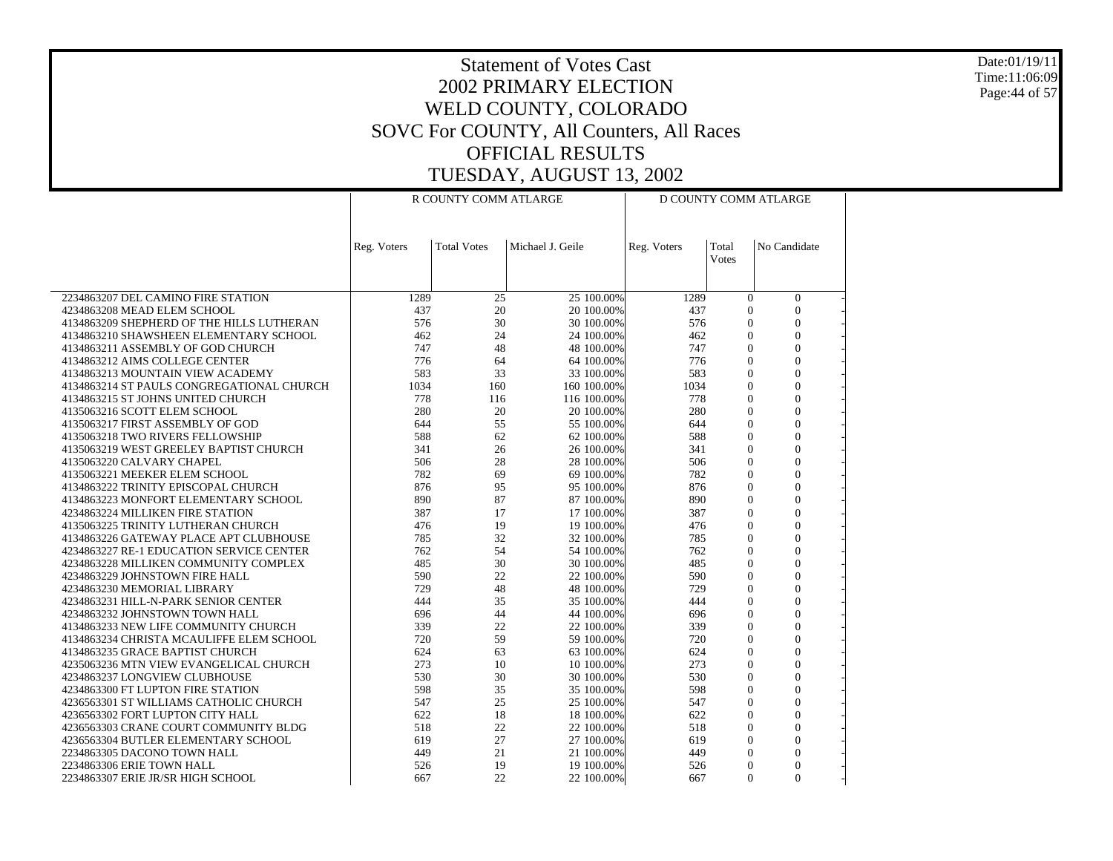Date:01/19/11 Time:11:06:09 Page:44 of 57

|                                                                           |             | R COUNTY COMM ATLARGE |                  |                          |             |                                | D COUNTY COMM ATLARGE              |  |
|---------------------------------------------------------------------------|-------------|-----------------------|------------------|--------------------------|-------------|--------------------------------|------------------------------------|--|
|                                                                           |             |                       |                  |                          |             |                                |                                    |  |
|                                                                           | Reg. Voters | <b>Total Votes</b>    | Michael J. Geile |                          | Reg. Voters | Total<br>Votes                 | No Candidate                       |  |
|                                                                           |             |                       |                  |                          |             |                                |                                    |  |
| 2234863207 DEL CAMINO FIRE STATION                                        | 1289        | 25                    | 25 100.00%       |                          | 1289        | $\Omega$                       | $\boldsymbol{0}$                   |  |
| 4234863208 MEAD ELEM SCHOOL                                               | 437         | 20                    |                  | 20 100.00%               | 437         | $\mathbf{0}$                   | $\overline{0}$                     |  |
| 4134863209 SHEPHERD OF THE HILLS LUTHERAN                                 | 576         | 30                    |                  | 30 100.00%               | 576         | $\overline{0}$                 | $\overline{0}$                     |  |
| 4134863210 SHAWSHEEN ELEMENTARY SCHOOL                                    | 462         | 24                    |                  | 24 100.00%               | 462         | $\overline{0}$                 | $\mathbf{0}$                       |  |
| 4134863211 ASSEMBLY OF GOD CHURCH                                         | 747         | 48                    |                  | 48 100.00%               | 747         | $\overline{0}$                 | $\overline{0}$                     |  |
| 4134863212 AIMS COLLEGE CENTER                                            | 776         | 64                    |                  | 64 100.00%               | 776         | $\overline{0}$                 | $\overline{0}$                     |  |
| 4134863213 MOUNTAIN VIEW ACADEMY                                          | 583         | 33                    |                  | 33 100.00%               | 583         | $\theta$                       | $\Omega$                           |  |
| 4134863214 ST PAULS CONGREGATIONAL CHURCH                                 | 1034        | 160                   | 160 100.00%      |                          | 1034        | $\overline{0}$                 | $\overline{0}$                     |  |
| 4134863215 ST JOHNS UNITED CHURCH                                         | 778         | 116                   | 116 100.00%      |                          | 778         | $\overline{0}$                 | $\overline{0}$                     |  |
| 4135063216 SCOTT ELEM SCHOOL                                              | 280         | 20                    |                  | 20 100.00%               | 280         | $\overline{0}$                 | $\boldsymbol{0}$                   |  |
| 4135063217 FIRST ASSEMBLY OF GOD                                          | 644         | 55                    |                  | 55 100.00%               | 644         | $\theta$                       | $\overline{0}$                     |  |
| 4135063218 TWO RIVERS FELLOWSHIP                                          | 588         | 62                    |                  | 62 100.00%               | 588         | $\theta$                       | $\theta$                           |  |
| 4135063219 WEST GREELEY BAPTIST CHURCH<br>4135063220 CALVARY CHAPEL       | 341<br>506  | 26<br>28              |                  | 26 100.00%<br>28 100.00% | 341<br>506  | $\mathbf{0}$<br>$\overline{0}$ | $\overline{0}$<br>$\theta$         |  |
| 4135063221 MEEKER ELEM SCHOOL                                             | 782         | 69                    |                  | 69 100.00%               | 782         | $\overline{0}$                 | $\overline{0}$                     |  |
| 4134863222 TRINITY EPISCOPAL CHURCH                                       | 876         | 95                    |                  | 95 100.00%               | 876         | $\theta$                       | $\overline{0}$                     |  |
| 4134863223 MONFORT ELEMENTARY SCHOOL                                      | 890         | 87                    |                  | 87 100.00%               | 890         | $\mathbf{0}$                   | $\overline{0}$                     |  |
| 4234863224 MILLIKEN FIRE STATION                                          | 387         | 17                    |                  | 17 100,00%               | 387         | $\theta$                       | $\overline{0}$                     |  |
| 4135063225 TRINITY LUTHERAN CHURCH                                        | 476         | 19                    |                  | 19 100.00%               | 476         | $\theta$                       | $\theta$                           |  |
| 4134863226 GATEWAY PLACE APT CLUBHOUSE                                    | 785         | 32                    |                  | 32 100.00%               | 785         | $\mathbf{0}$                   | $\overline{0}$                     |  |
| 4234863227 RE-1 EDUCATION SERVICE CENTER                                  | 762         | 54                    |                  | 54 100.00%               | 762         | $\overline{0}$                 | $\overline{0}$                     |  |
| 4234863228 MILLIKEN COMMUNITY COMPLEX                                     | 485         | 30                    |                  | 30 100.00%               | 485         | $\overline{0}$                 | $\overline{0}$                     |  |
| 4234863229 JOHNSTOWN FIRE HALL                                            | 590         | 22                    |                  | 22 100.00%               | 590         | $\theta$                       | $\overline{0}$                     |  |
| 4234863230 MEMORIAL LIBRARY                                               | 729         | 48                    |                  | 48 100.00%               | 729         | $\overline{0}$                 | $\overline{0}$                     |  |
| 4234863231 HILL-N-PARK SENIOR CENTER                                      | 444         | 35                    |                  | 35 100.00%               | 444         | $\overline{0}$                 | $\overline{0}$                     |  |
| 4234863232 JOHNSTOWN TOWN HALL                                            | 696         | 44                    | 44 100.00%       |                          | 696         | $\Omega$                       | $\Omega$                           |  |
| 4134863233 NEW LIFE COMMUNITY CHURCH                                      | 339         | 22                    |                  | 22 100.00%               | 339         | $\overline{0}$                 | $\overline{0}$                     |  |
| 4134863234 CHRISTA MCAULIFFE ELEM SCHOOL                                  | 720         | 59                    |                  | 59 100.00%               | 720         | $\overline{0}$                 | $\overline{0}$                     |  |
| 4134863235 GRACE BAPTIST CHURCH<br>4235063236 MTN VIEW EVANGELICAL CHURCH | 624<br>273  | 63<br>10              |                  | 63 100.00%               | 624<br>273  | $\overline{0}$<br>$\theta$     | $\boldsymbol{0}$<br>$\overline{0}$ |  |
| 4234863237 LONGVIEW CLUBHOUSE                                             | 530         | 30                    |                  | 10 100.00%<br>30 100.00% | 530         | $\overline{0}$                 | $\overline{0}$                     |  |
| 4234863300 FT LUPTON FIRE STATION                                         | 598         | 35                    |                  | 35 100.00%               | 598         | $\mathbf{0}$                   | $\overline{0}$                     |  |
| 4236563301 ST WILLIAMS CATHOLIC CHURCH                                    | 547         | 25                    |                  | 25 100.00%               | 547         | $\theta$                       | $\theta$                           |  |
| 4236563302 FORT LUPTON CITY HALL                                          | 622         | 18                    |                  | 18 100.00%               | 622         | $\overline{0}$                 | $\overline{0}$                     |  |
| 4236563303 CRANE COURT COMMUNITY BLDG                                     | 518         | 22                    |                  | 22 100.00%               | 518         | $\Omega$                       | $\theta$                           |  |
| 4236563304 BUTLER ELEMENTARY SCHOOL                                       | 619         | 27                    |                  | 27 100.00%               | 619         | $\mathbf{0}$                   | $\boldsymbol{0}$                   |  |
| 2234863305 DACONO TOWN HALL                                               | 449         | 21                    |                  | 21 100.00%               | 449         | $\theta$                       | $\overline{0}$                     |  |
| 2234863306 ERIE TOWN HALL                                                 | 526         | 19                    |                  | 19 100.00%               | 526         | $\Omega$                       | $\theta$                           |  |
| 2234863307 ERIE JR/SR HIGH SCHOOL                                         | 667         | 22                    |                  | 22 100.00%               | 667         | $\Omega$                       | $\theta$                           |  |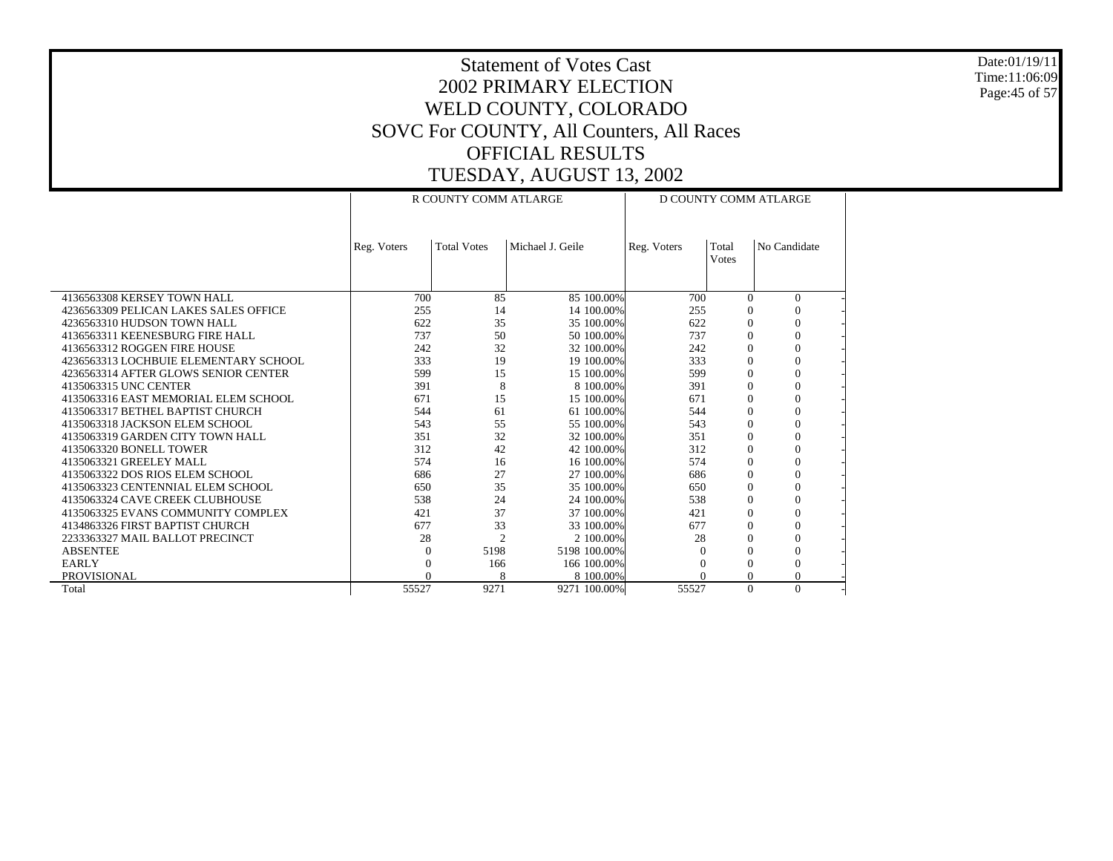Date:01/19/11 Time:11:06:09 Page:45 of 57

|                                       |             | R COUNTY COMM ATLARGE |                  | D COUNTY COMM ATLARGE |              |              |  |  |
|---------------------------------------|-------------|-----------------------|------------------|-----------------------|--------------|--------------|--|--|
|                                       |             |                       |                  |                       |              |              |  |  |
|                                       | Reg. Voters | <b>Total Votes</b>    | Michael J. Geile | Reg. Voters           | Total        | No Candidate |  |  |
|                                       |             |                       |                  |                       | <b>Votes</b> |              |  |  |
|                                       |             |                       |                  |                       |              |              |  |  |
| 4136563308 KERSEY TOWN HALL           | 700         | 85                    | 85 100.00%       | 700                   | $\Omega$     | $\mathbf{0}$ |  |  |
| 4236563309 PELICAN LAKES SALES OFFICE | 255         | 14                    | 14 100.00%       | 255                   | $\Omega$     |              |  |  |
| 4236563310 HUDSON TOWN HALL           | 622         | 35                    | 35 100.00%       | 622                   | $\Omega$     | $\theta$     |  |  |
| 4136563311 KEENESBURG FIRE HALL       | 737         | 50                    | 50 100,00%       | 737                   | $\Omega$     | $\Omega$     |  |  |
| 4136563312 ROGGEN FIRE HOUSE          | 242         | 32                    | 32 100.00%       | 242                   | $\Omega$     | $\Omega$     |  |  |
| 4236563313 LOCHBUIE ELEMENTARY SCHOOL | 333         | 19                    | 19 100.00%       | 333                   | $\Omega$     | $\Omega$     |  |  |
| 4236563314 AFTER GLOWS SENIOR CENTER  | 599         | 15                    | 15 100.00%       | 599                   | $\Omega$     | $\Omega$     |  |  |
| 4135063315 UNC CENTER                 | 391         | 8                     | 8 100,00%        | 391                   | $\Omega$     | $\Omega$     |  |  |
| 4135063316 EAST MEMORIAL ELEM SCHOOL  | 671         | 15                    | 15 100.00%       | 671                   | $\Omega$     | $\Omega$     |  |  |
| 4135063317 BETHEL BAPTIST CHURCH      | 544         | 61                    | 61 100.00%       | 544                   | $\Omega$     | $\Omega$     |  |  |
| 4135063318 JACKSON ELEM SCHOOL        | 543         | 55                    | 55 100,00%       | 543                   | $\Omega$     | $\Omega$     |  |  |
| 4135063319 GARDEN CITY TOWN HALL      | 351         | 32                    | 32 100.00%       | 351                   | $\Omega$     | $\mathbf{0}$ |  |  |
| 4135063320 BONELL TOWER               | 312         | 42                    | 42 100.00%       | 312                   | $\Omega$     | $\Omega$     |  |  |
| 4135063321 GREELEY MALL               | 574         | 16                    | 16 100.00%       | 574                   | $\Omega$     | $\Omega$     |  |  |
| 4135063322 DOS RIOS ELEM SCHOOL       | 686         | 27                    | 27 100.00%       | 686                   | $\Omega$     | $\mathbf{0}$ |  |  |
| 4135063323 CENTENNIAL ELEM SCHOOL     | 650         | 35                    | 35 100.00%       | 650                   | $\Omega$     | $\Omega$     |  |  |
| 4135063324 CAVE CREEK CLUBHOUSE       | 538         | 24                    | 24 100.00%       | 538                   | $\Omega$     | $\Omega$     |  |  |
| 4135063325 EVANS COMMUNITY COMPLEX    | 421         | 37                    | 37 100.00%       | 421                   | $\Omega$     | $\Omega$     |  |  |
| 4134863326 FIRST BAPTIST CHURCH       | 677         | 33                    | 33 100.00%       | 677                   | $\Omega$     | $\Omega$     |  |  |
| 2233363327 MAIL BALLOT PRECINCT       | 28          | $\overline{c}$        | 2 100,00%        | 28                    | $\Omega$     | $\Omega$     |  |  |
| <b>ABSENTEE</b>                       | $\Omega$    | 5198                  | 5198 100.00%     |                       | $\Omega$     | $\Omega$     |  |  |
| <b>EARLY</b>                          | $\Omega$    | 166                   | 166 100.00%      |                       | $\Omega$     | $\Omega$     |  |  |
| <b>PROVISIONAL</b>                    | $\Omega$    | 8                     | 8 100,00%        |                       | $\Omega$     | $\Omega$     |  |  |
| Total                                 | 55527       | 9271                  | 9271 100.00%     | 55527                 | $\Omega$     | $\Omega$     |  |  |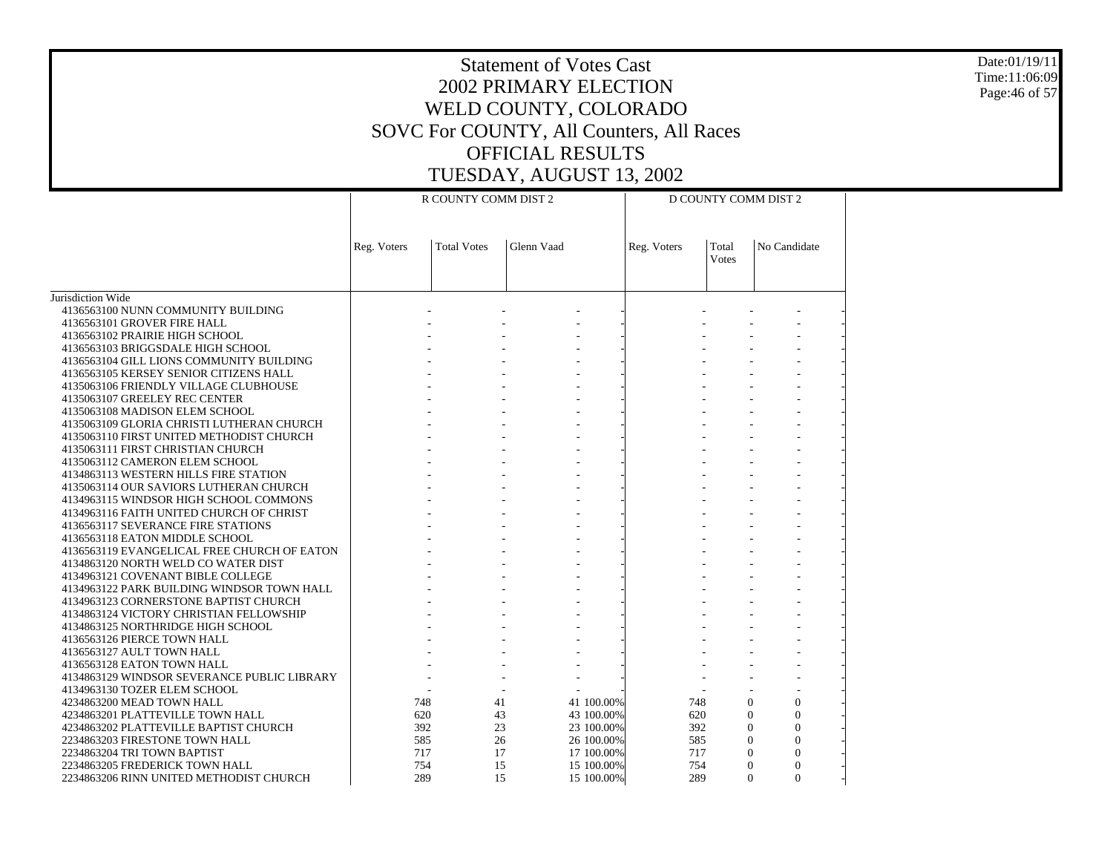Date:01/19/11 Time:11:06:09 Page:46 of 57

|                                                                              |             | R COUNTY COMM DIST 2 |            |            | D COUNTY COMM DIST 2 |                       |                                |  |
|------------------------------------------------------------------------------|-------------|----------------------|------------|------------|----------------------|-----------------------|--------------------------------|--|
|                                                                              | Reg. Voters | <b>Total Votes</b>   | Glenn Vaad |            | Reg. Voters          | Total<br><b>Votes</b> | No Candidate                   |  |
| Jurisdiction Wide                                                            |             |                      |            |            |                      |                       |                                |  |
| 4136563100 NUNN COMMUNITY BUILDING                                           |             |                      |            |            |                      |                       |                                |  |
| 4136563101 GROVER FIRE HALL                                                  |             |                      |            |            |                      |                       |                                |  |
| 4136563102 PRAIRIE HIGH SCHOOL                                               |             |                      |            |            |                      |                       |                                |  |
| 4136563103 BRIGGSDALE HIGH SCHOOL                                            |             |                      |            |            |                      |                       |                                |  |
| 4136563104 GILL LIONS COMMUNITY BUILDING                                     |             |                      |            |            |                      |                       |                                |  |
| 4136563105 KERSEY SENIOR CITIZENS HALL                                       |             |                      |            |            |                      |                       |                                |  |
| 4135063106 FRIENDLY VILLAGE CLUBHOUSE                                        |             |                      |            |            |                      |                       |                                |  |
| 4135063107 GREELEY REC CENTER                                                |             |                      |            |            |                      |                       |                                |  |
| 4135063108 MADISON ELEM SCHOOL                                               |             |                      |            |            |                      |                       |                                |  |
| 4135063109 GLORIA CHRISTI LUTHERAN CHURCH                                    |             |                      |            |            |                      |                       |                                |  |
| 4135063110 FIRST UNITED METHODIST CHURCH                                     |             |                      |            |            |                      |                       |                                |  |
| 4135063111 FIRST CHRISTIAN CHURCH<br>4135063112 CAMERON ELEM SCHOOL          |             |                      |            |            |                      |                       |                                |  |
| 4134863113 WESTERN HILLS FIRE STATION                                        |             |                      |            |            |                      |                       |                                |  |
| 4135063114 OUR SAVIORS LUTHERAN CHURCH                                       |             |                      |            |            |                      |                       |                                |  |
| 4134963115 WINDSOR HIGH SCHOOL COMMONS                                       |             |                      |            |            |                      |                       |                                |  |
| 4134963116 FAITH UNITED CHURCH OF CHRIST                                     |             |                      |            |            |                      |                       |                                |  |
| 4136563117 SEVERANCE FIRE STATIONS                                           |             |                      |            |            |                      |                       |                                |  |
| 4136563118 EATON MIDDLE SCHOOL                                               |             |                      |            |            |                      |                       |                                |  |
| 4136563119 EVANGELICAL FREE CHURCH OF EATON                                  |             |                      |            |            |                      |                       |                                |  |
| 4134863120 NORTH WELD CO WATER DIST                                          |             |                      |            |            |                      |                       |                                |  |
| 4134963121 COVENANT BIBLE COLLEGE                                            |             |                      |            |            |                      |                       |                                |  |
| 4134963122 PARK BUILDING WINDSOR TOWN HALL                                   |             |                      |            |            |                      |                       |                                |  |
| 4134963123 CORNERSTONE BAPTIST CHURCH                                        |             |                      |            |            |                      |                       |                                |  |
| 4134863124 VICTORY CHRISTIAN FELLOWSHIP<br>4134863125 NORTHRIDGE HIGH SCHOOL |             |                      |            |            |                      |                       |                                |  |
| 4136563126 PIERCE TOWN HALL                                                  |             |                      |            |            |                      |                       |                                |  |
| 4136563127 AULT TOWN HALL                                                    |             |                      |            |            |                      |                       |                                |  |
| 4136563128 EATON TOWN HALL                                                   |             |                      |            |            |                      |                       |                                |  |
| 4134863129 WINDSOR SEVERANCE PUBLIC LIBRARY                                  |             |                      |            |            |                      |                       |                                |  |
| 4134963130 TOZER ELEM SCHOOL                                                 |             |                      |            |            |                      |                       |                                |  |
| 4234863200 MEAD TOWN HALL                                                    |             | 748                  | 41         | 41 100.00% | 748                  |                       | $\theta$<br>$\theta$           |  |
| 4234863201 PLATTEVILLE TOWN HALL                                             |             | 620                  | 43         | 43 100.00% | 620                  |                       | $\mathbf{0}$<br>$\overline{0}$ |  |
| 4234863202 PLATTEVILLE BAPTIST CHURCH                                        |             | 392                  | 23         | 23 100.00% | 392                  |                       | $\Omega$<br>$\theta$           |  |
| 2234863203 FIRESTONE TOWN HALL                                               |             | 585                  | 26         | 26 100.00% | 585                  |                       | $\Omega$<br>$\Omega$           |  |
| 2234863204 TRI TOWN BAPTIST                                                  |             | 717                  | 17         | 17 100.00% | 717                  |                       | $\Omega$<br>$\theta$           |  |
| 2234863205 FREDERICK TOWN HALL                                               |             | 754                  | 15         | 15 100.00% | 754                  |                       | $\Omega$<br>$\Omega$           |  |
| 2234863206 RINN UNITED METHODIST CHURCH                                      |             | 289                  | 15         | 15 100.00% | 289                  |                       | $\theta$<br>$\Omega$           |  |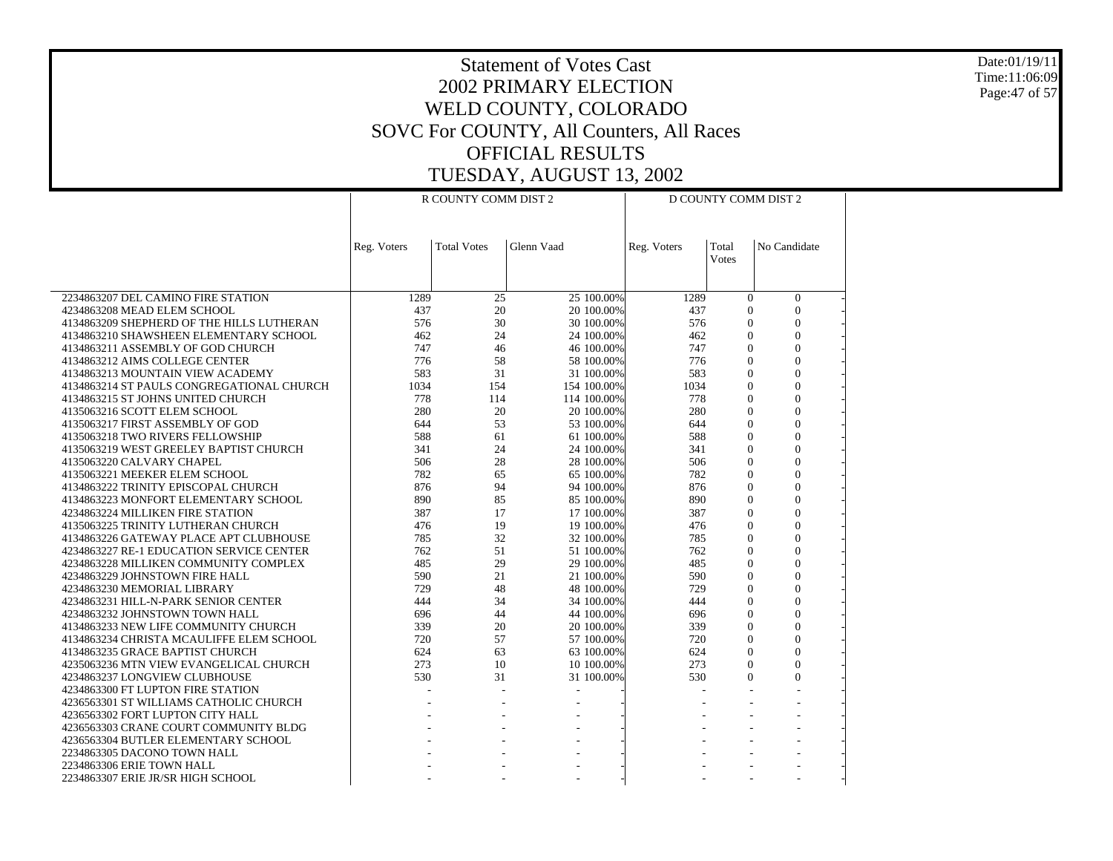Date:01/19/11 Time:11:06:09 Page:47 of 57

|                                                                             |             | R COUNTY COMM DIST 2 |            |                          |             |                                | D COUNTY COMM DIST 2           |  |
|-----------------------------------------------------------------------------|-------------|----------------------|------------|--------------------------|-------------|--------------------------------|--------------------------------|--|
|                                                                             |             |                      |            |                          |             |                                |                                |  |
|                                                                             | Reg. Voters | <b>Total Votes</b>   | Glenn Vaad |                          | Reg. Voters | Total                          | No Candidate                   |  |
|                                                                             |             |                      |            |                          |             | Votes                          |                                |  |
|                                                                             |             |                      |            |                          |             |                                |                                |  |
| 2234863207 DEL CAMINO FIRE STATION<br>4234863208 MEAD ELEM SCHOOL           | 1289<br>437 | 25<br>20             |            | 25 100.00%<br>20 100.00% | 1289<br>437 | $\overline{0}$<br>$\mathbf{0}$ | $\mathbf{0}$<br>$\overline{0}$ |  |
| 4134863209 SHEPHERD OF THE HILLS LUTHERAN                                   | 576         | 30                   |            | 30 100.00%               | 576         | $\theta$                       | $\theta$                       |  |
| 4134863210 SHAWSHEEN ELEMENTARY SCHOOL                                      | 462         | 24                   |            | 24 100.00%               | 462         | $\Omega$                       | $\overline{0}$                 |  |
| 4134863211 ASSEMBLY OF GOD CHURCH                                           | 747         | 46                   |            | 46 100.00%               | 747         | $\theta$                       | $\theta$                       |  |
| 4134863212 AIMS COLLEGE CENTER                                              | 776         | 58                   |            | 58 100.00%               | 776         | $\overline{0}$                 | $\mathbf{0}$                   |  |
| 4134863213 MOUNTAIN VIEW ACADEMY                                            | 583         | 31                   |            | 31 100.00%               | 583         | $\theta$                       | $\theta$                       |  |
| 4134863214 ST PAULS CONGREGATIONAL CHURCH                                   | 1034        | 154                  |            | 154 100.00%              | 1034        | $\overline{0}$                 | $\overline{0}$                 |  |
| 4134863215 ST JOHNS UNITED CHURCH                                           | 778         | 114                  |            | 114 100.00%              | 778         | $\overline{0}$                 | $\overline{0}$                 |  |
| 4135063216 SCOTT ELEM SCHOOL                                                | 280         | 20                   |            | 20 100.00%               | 280         | $\Omega$                       | $\theta$                       |  |
| 4135063217 FIRST ASSEMBLY OF GOD                                            | 644         | 53                   |            | 53 100.00%               | 644         | $\overline{0}$                 | $\overline{0}$                 |  |
| 4135063218 TWO RIVERS FELLOWSHIP                                            | 588         | 61                   |            | 61 100.00%               | 588         | $\theta$                       | $\theta$                       |  |
| 4135063219 WEST GREELEY BAPTIST CHURCH                                      | 341         | 24                   |            | 24 100.00%               | 341         | $\overline{0}$                 | $\overline{0}$                 |  |
| 4135063220 CALVARY CHAPEL                                                   | 506         | 28                   |            | 28 100.00%               | 506         | $\theta$                       | $\mathbf{0}$                   |  |
| 4135063221 MEEKER ELEM SCHOOL                                               | 782         | 65                   |            | 65 100.00%               | 782         | $\overline{0}$                 | $\overline{0}$                 |  |
| 4134863222 TRINITY EPISCOPAL CHURCH                                         | 876         | 94                   |            | 94 100.00%               | 876         | $\theta$                       | $\theta$                       |  |
| 4134863223 MONFORT ELEMENTARY SCHOOL                                        | 890         | 85                   |            | 85 100.00%               | 890         | $\Omega$                       | $\theta$                       |  |
| 4234863224 MILLIKEN FIRE STATION                                            | 387         | 17                   |            | 17 100.00%               | 387         | $\mathbf{0}$                   | $\mathbf{0}$                   |  |
| 4135063225 TRINITY LUTHERAN CHURCH                                          | 476         | 19                   |            | 19 100.00%               | 476         | $\overline{0}$                 | $\overline{0}$                 |  |
| 4134863226 GATEWAY PLACE APT CLUBHOUSE                                      | 785         | 32                   |            | 32 100.00%               | 785         | $\theta$                       | $\overline{0}$                 |  |
| 4234863227 RE-1 EDUCATION SERVICE CENTER                                    | 762         | 51                   |            | 51 100.00%               | 762         | $\theta$                       | $\overline{0}$                 |  |
| 4234863228 MILLIKEN COMMUNITY COMPLEX                                       | 485         | 29                   |            | 29 100.00%               | 485         | $\theta$                       | $\theta$                       |  |
| 4234863229 JOHNSTOWN FIRE HALL                                              | 590         | 21                   |            | 21 100.00%               | 590         | $\overline{0}$                 | $\overline{0}$                 |  |
| 4234863230 MEMORIAL LIBRARY                                                 | 729         | 48                   |            | 48 100.00%               | 729         | $\Omega$                       | $\Omega$                       |  |
| 4234863231 HILL-N-PARK SENIOR CENTER                                        | 444         | 34                   |            | 34 100.00%               | 444         | $\overline{0}$                 | $\overline{0}$                 |  |
| 4234863232 JOHNSTOWN TOWN HALL                                              | 696         | 44                   |            | 44 100.00%               | 696         | $\theta$<br>$\overline{0}$     | $\mathbf{0}$<br>$\overline{0}$ |  |
| 4134863233 NEW LIFE COMMUNITY CHURCH                                        | 339<br>720  | 20<br>57             |            | 20 100.00%<br>57 100.00% | 339<br>720  | $\theta$                       | $\overline{0}$                 |  |
| 4134863234 CHRISTA MCAULIFFE ELEM SCHOOL<br>4134863235 GRACE BAPTIST CHURCH | 624         | 63                   |            | 63 100.00%               | 624         | $\Omega$                       | $\theta$                       |  |
| 4235063236 MTN VIEW EVANGELICAL CHURCH                                      | 273         | 10                   |            | 10 100.00%               | 273         | $\Omega$                       | $\mathbf{0}$                   |  |
| 4234863237 LONGVIEW CLUBHOUSE                                               | 530         | 31                   |            | 31 100.00%               | 530         | $\Omega$                       | $\overline{0}$                 |  |
| 4234863300 FT LUPTON FIRE STATION                                           |             |                      |            |                          |             |                                |                                |  |
| 4236563301 ST WILLIAMS CATHOLIC CHURCH                                      |             |                      |            |                          |             |                                |                                |  |
| 4236563302 FORT LUPTON CITY HALL                                            |             |                      |            |                          |             |                                |                                |  |
| 4236563303 CRANE COURT COMMUNITY BLDG                                       |             |                      |            |                          |             |                                | L,                             |  |
| 4236563304 BUTLER ELEMENTARY SCHOOL                                         |             |                      |            |                          |             |                                |                                |  |
| 2234863305 DACONO TOWN HALL                                                 |             |                      |            |                          |             |                                |                                |  |
| 2234863306 ERIE TOWN HALL                                                   |             |                      |            |                          |             |                                |                                |  |
| 2234863307 ERIE JR/SR HIGH SCHOOL                                           |             |                      |            |                          |             |                                |                                |  |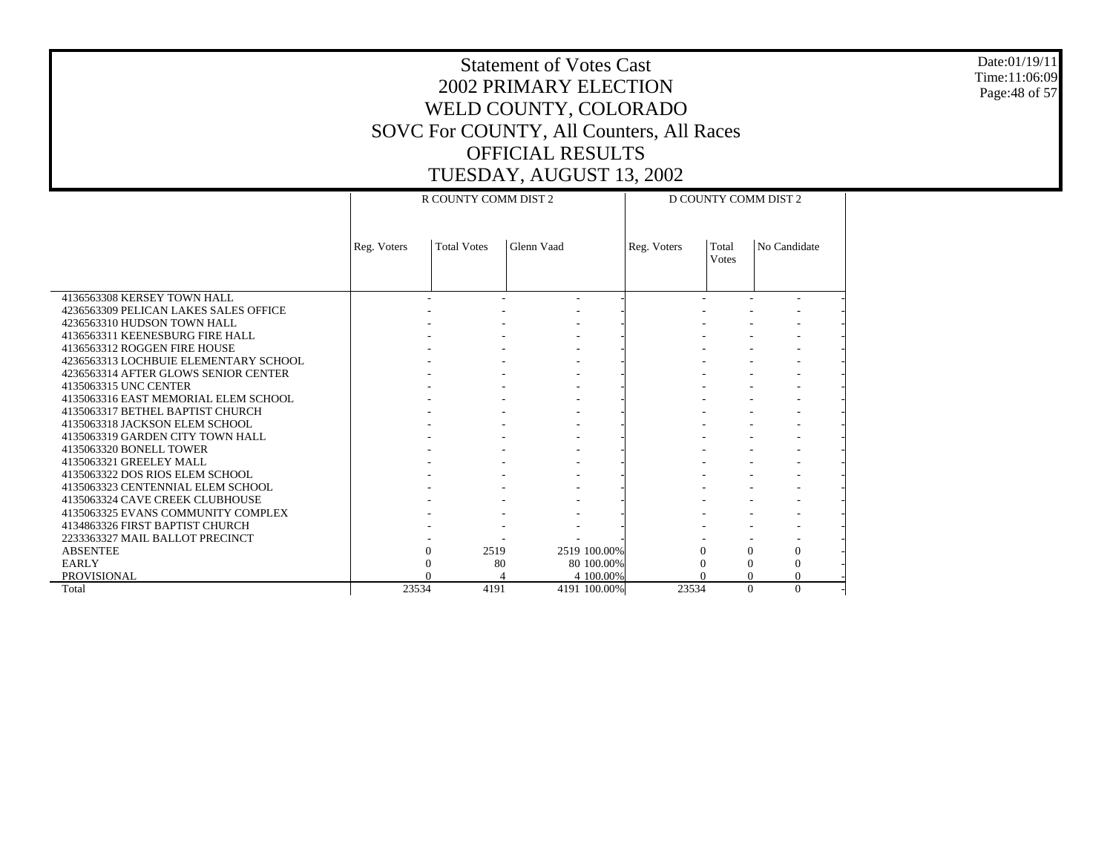Date:01/19/11 Time:11:06:09 Page:48 of 57

|                                       |             |                      |              |            | $-7$                 |              |                      |  |  |
|---------------------------------------|-------------|----------------------|--------------|------------|----------------------|--------------|----------------------|--|--|
|                                       |             | R COUNTY COMM DIST 2 |              |            | D COUNTY COMM DIST 2 |              |                      |  |  |
|                                       |             |                      |              |            |                      |              |                      |  |  |
|                                       |             |                      |              |            |                      |              |                      |  |  |
|                                       |             |                      |              |            |                      |              |                      |  |  |
|                                       | Reg. Voters | <b>Total Votes</b>   | Glenn Vaad   |            | Reg. Voters          | Total        | No Candidate         |  |  |
|                                       |             |                      |              |            |                      | <b>Votes</b> |                      |  |  |
|                                       |             |                      |              |            |                      |              |                      |  |  |
| 4136563308 KERSEY TOWN HALL           |             |                      |              |            |                      |              |                      |  |  |
|                                       |             |                      | ۰            |            |                      |              |                      |  |  |
| 4236563309 PELICAN LAKES SALES OFFICE |             |                      |              |            |                      |              |                      |  |  |
| 4236563310 HUDSON TOWN HALL           |             |                      |              |            |                      |              |                      |  |  |
| 4136563311 KEENESBURG FIRE HALL       |             |                      |              |            |                      |              |                      |  |  |
| 4136563312 ROGGEN FIRE HOUSE          |             |                      |              |            |                      |              |                      |  |  |
| 4236563313 LOCHBUIE ELEMENTARY SCHOOL |             |                      |              |            |                      |              |                      |  |  |
| 4236563314 AFTER GLOWS SENIOR CENTER  |             |                      |              |            |                      |              |                      |  |  |
| 4135063315 UNC CENTER                 |             |                      |              |            |                      |              |                      |  |  |
| 4135063316 EAST MEMORIAL ELEM SCHOOL  |             |                      |              |            |                      |              |                      |  |  |
| 4135063317 BETHEL BAPTIST CHURCH      |             |                      |              |            |                      |              |                      |  |  |
| 4135063318 JACKSON ELEM SCHOOL        |             |                      |              |            |                      |              |                      |  |  |
| 4135063319 GARDEN CITY TOWN HALL      |             |                      |              |            |                      |              |                      |  |  |
| 4135063320 BONELL TOWER               |             |                      |              |            |                      |              |                      |  |  |
| 4135063321 GREELEY MALL               |             |                      |              |            |                      |              |                      |  |  |
| 4135063322 DOS RIOS ELEM SCHOOL       |             |                      |              |            |                      |              |                      |  |  |
| 4135063323 CENTENNIAL ELEM SCHOOL     |             |                      |              |            |                      |              |                      |  |  |
| 4135063324 CAVE CREEK CLUBHOUSE       |             |                      |              |            |                      |              |                      |  |  |
| 4135063325 EVANS COMMUNITY COMPLEX    |             |                      |              |            |                      |              |                      |  |  |
| 4134863326 FIRST BAPTIST CHURCH       |             |                      |              |            |                      |              |                      |  |  |
| 2233363327 MAIL BALLOT PRECINCT       |             |                      |              |            |                      |              |                      |  |  |
| <b>ABSENTEE</b>                       | $\Omega$    | 2519                 | 2519 100.00% |            | 0                    |              | 0<br>$\Omega$        |  |  |
| EARLY                                 | $\Omega$    | 80                   |              | 80 100,00% |                      |              | $\Omega$             |  |  |
| PROVISIONAL                           |             |                      |              | 4 100,00%  |                      |              | $\Omega$             |  |  |
| Total                                 | 23534       | 4191                 | 4191 100.00% |            | 23534                |              | $\Omega$<br>$\Omega$ |  |  |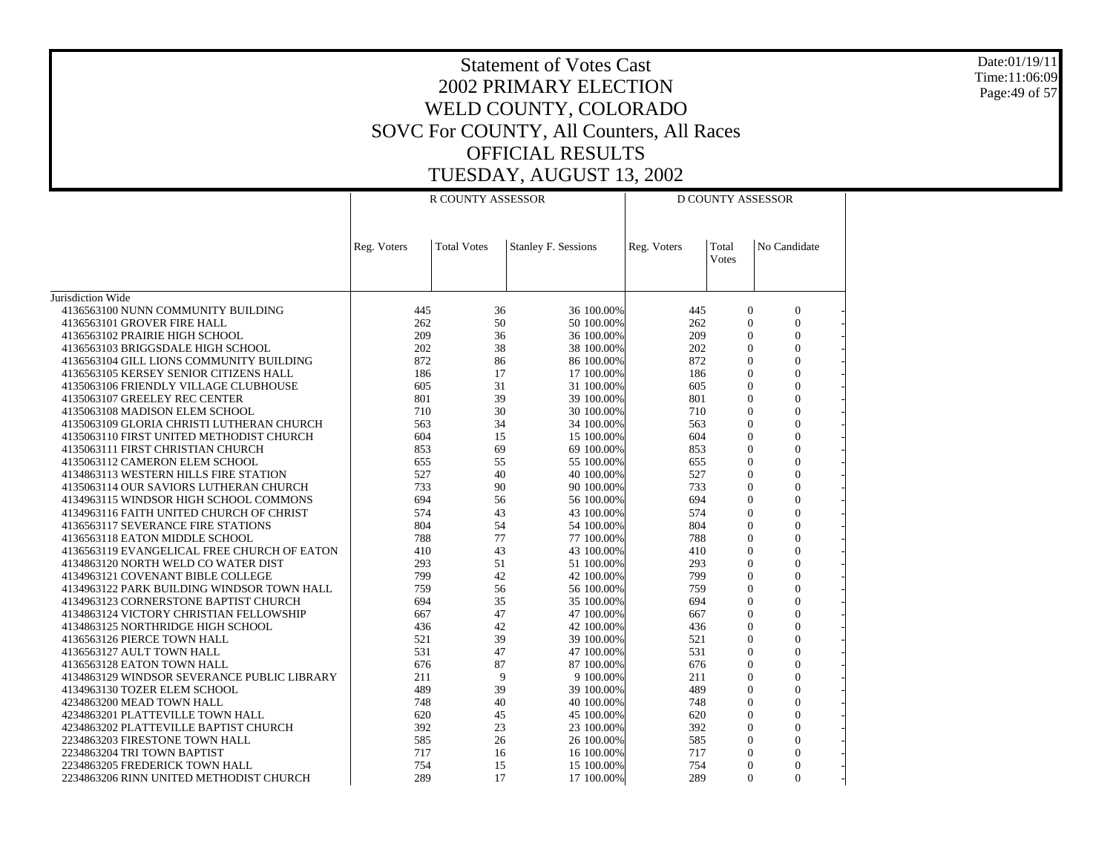Date:01/19/11 Time:11:06:09 Page:49 of 57

|                                                                          |             | R COUNTY ASSESSOR  |                          | <b>D COUNTY ASSESSOR</b> |                                  |                                |  |
|--------------------------------------------------------------------------|-------------|--------------------|--------------------------|--------------------------|----------------------------------|--------------------------------|--|
|                                                                          | Reg. Voters | <b>Total Votes</b> | Stanley F. Sessions      | Reg. Voters              | Total<br><b>Votes</b>            | No Candidate                   |  |
| Jurisdiction Wide                                                        |             |                    |                          |                          |                                  |                                |  |
| 4136563100 NUNN COMMUNITY BUILDING                                       | 445         | 36                 | 36 100.00%               | 445                      | $\mathbf{0}$                     | $\mathbf{0}$                   |  |
| 4136563101 GROVER FIRE HALL                                              | 262         | 50                 | 50 100.00%               | 262                      | $\mathbf{0}$                     | $\theta$                       |  |
| 4136563102 PRAIRIE HIGH SCHOOL                                           | 209         | 36                 | 36 100.00%               | 209                      | $\boldsymbol{0}$                 | $\mathbf{0}$                   |  |
| 4136563103 BRIGGSDALE HIGH SCHOOL                                        | 202         | 38                 | 38 100.00%               | 202                      | $\overline{0}$                   | $\overline{0}$                 |  |
| 4136563104 GILL LIONS COMMUNITY BUILDING                                 | 872         | 86                 | 86 100.00%               | 872                      | $\Omega$                         | $\theta$                       |  |
| 4136563105 KERSEY SENIOR CITIZENS HALL                                   | 186         | 17                 | 17 100,00%               | 186                      | $\Omega$                         | $\theta$                       |  |
| 4135063106 FRIENDLY VILLAGE CLUBHOUSE                                    | 605         | 31                 | 31 100.00%               | 605                      | $\Omega$                         | $\theta$                       |  |
| 4135063107 GREELEY REC CENTER                                            | 801         | 39                 | 39 100.00%               | 801                      | $\Omega$                         | $\theta$                       |  |
| 4135063108 MADISON ELEM SCHOOL                                           | 710         | 30                 | 30 100.00%               | 710                      | $\theta$                         | $\Omega$                       |  |
| 4135063109 GLORIA CHRISTI LUTHERAN CHURCH                                | 563         | 34                 | 34 100.00%               | 563                      | $\mathbf{0}$                     | $\mathbf{0}$                   |  |
| 4135063110 FIRST UNITED METHODIST CHURCH                                 | 604         | 15                 | 15 100.00%               | 604                      | $\Omega$                         | $\theta$                       |  |
| 4135063111 FIRST CHRISTIAN CHURCH                                        | 853         | 69                 | 69 100.00%               | 853                      | $\overline{0}$                   | $\overline{0}$                 |  |
| 4135063112 CAMERON ELEM SCHOOL                                           | 655         | 55                 | 55 100.00%               | 655                      | $\overline{0}$                   | $\overline{0}$                 |  |
| 4134863113 WESTERN HILLS FIRE STATION                                    | 527         | 40                 | 40 100.00%               | 527                      | $\Omega$                         | $\theta$                       |  |
| 4135063114 OUR SAVIORS LUTHERAN CHURCH                                   | 733         | 90                 | 90 100.00%               | 733                      | $\theta$                         | $\theta$                       |  |
| 4134963115 WINDSOR HIGH SCHOOL COMMONS                                   | 694         | 56                 | 56 100.00%               | 694                      | $\Omega$                         | $\Omega$                       |  |
| 4134963116 FAITH UNITED CHURCH OF CHRIST                                 | 574         | 43                 | 43 100.00%               | 574                      | $\mathbf{0}$                     | $\mathbf{0}$                   |  |
| 4136563117 SEVERANCE FIRE STATIONS                                       | 804         | 54                 | 54 100.00%               | 804                      | $\theta$                         | $\theta$                       |  |
| 4136563118 EATON MIDDLE SCHOOL                                           | 788         | 77                 | 77 100.00%               | 788                      | $\mathbf{0}$                     | $\mathbf{0}$                   |  |
| 4136563119 EVANGELICAL FREE CHURCH OF EATON                              | 410<br>293  | 43<br>51           | 43 100.00%               | 410<br>293               | $\overline{0}$<br>$\overline{0}$ | $\mathbf{0}$<br>$\overline{0}$ |  |
| 4134863120 NORTH WELD CO WATER DIST<br>4134963121 COVENANT BIBLE COLLEGE | 799         | 42                 | 51 100.00%<br>42 100.00% | 799                      | $\overline{0}$                   | $\overline{0}$                 |  |
| 4134963122 PARK BUILDING WINDSOR TOWN HALL                               | 759         | 56                 | 56 100.00%               | 759                      | $\theta$                         | $\theta$                       |  |
| 4134963123 CORNERSTONE BAPTIST CHURCH                                    | 694         | 35                 | 35 100.00%               | 694                      | $\overline{0}$                   | $\theta$                       |  |
| 4134863124 VICTORY CHRISTIAN FELLOWSHIP                                  | 667         | 47                 | 47 100.00%               | 667                      | $\Omega$                         | $\theta$                       |  |
| 4134863125 NORTHRIDGE HIGH SCHOOL                                        | 436         | 42                 | 42 100.00%               | 436                      | $\mathbf{0}$                     | $\mathbf{0}$                   |  |
| 4136563126 PIERCE TOWN HALL                                              | 521         | 39                 | 39 100.00%               | 521                      | $\Omega$                         | $\theta$                       |  |
| 4136563127 AULT TOWN HALL                                                | 531         | 47                 | 47 100.00%               | 531                      | $\mathbf{0}$                     | $\overline{0}$                 |  |
| 4136563128 EATON TOWN HALL                                               | 676         | 87                 | 87 100.00%               | 676                      | $\mathbf{0}$                     | $\mathbf{0}$                   |  |
| 4134863129 WINDSOR SEVERANCE PUBLIC LIBRARY                              | 211         | 9                  | 9 100.00%                | 211                      | $\Omega$                         | $\theta$                       |  |
| 4134963130 TOZER ELEM SCHOOL                                             | 489         | 39                 | 39 100.00%               | 489                      | $\boldsymbol{0}$                 | $\overline{0}$                 |  |
| 4234863200 MEAD TOWN HALL                                                | 748         | 40                 | 40 100.00%               | 748                      | $\overline{0}$                   | $\theta$                       |  |
| 4234863201 PLATTEVILLE TOWN HALL                                         | 620         | 45                 | 45 100.00%               | 620                      | $\mathbf{0}$                     | $\overline{0}$                 |  |
| 4234863202 PLATTEVILLE BAPTIST CHURCH                                    | 392         | 23                 | 23 100.00%               | 392                      | $\Omega$                         | $\theta$                       |  |
| 2234863203 FIRESTONE TOWN HALL                                           | 585         | 26                 | 26 100.00%               | 585                      | $\mathbf{0}$                     | $\overline{0}$                 |  |
| 2234863204 TRI TOWN BAPTIST                                              | 717         | 16                 | 16 100.00%               | 717                      | $\Omega$                         | $\overline{0}$                 |  |
| 2234863205 FREDERICK TOWN HALL                                           | 754         | 15                 | 15 100.00%               | 754                      | $\Omega$                         | $\theta$                       |  |
| 2234863206 RINN UNITED METHODIST CHURCH                                  | 289         | 17                 | 17 100.00%               | 289                      | $\Omega$                         | $\theta$                       |  |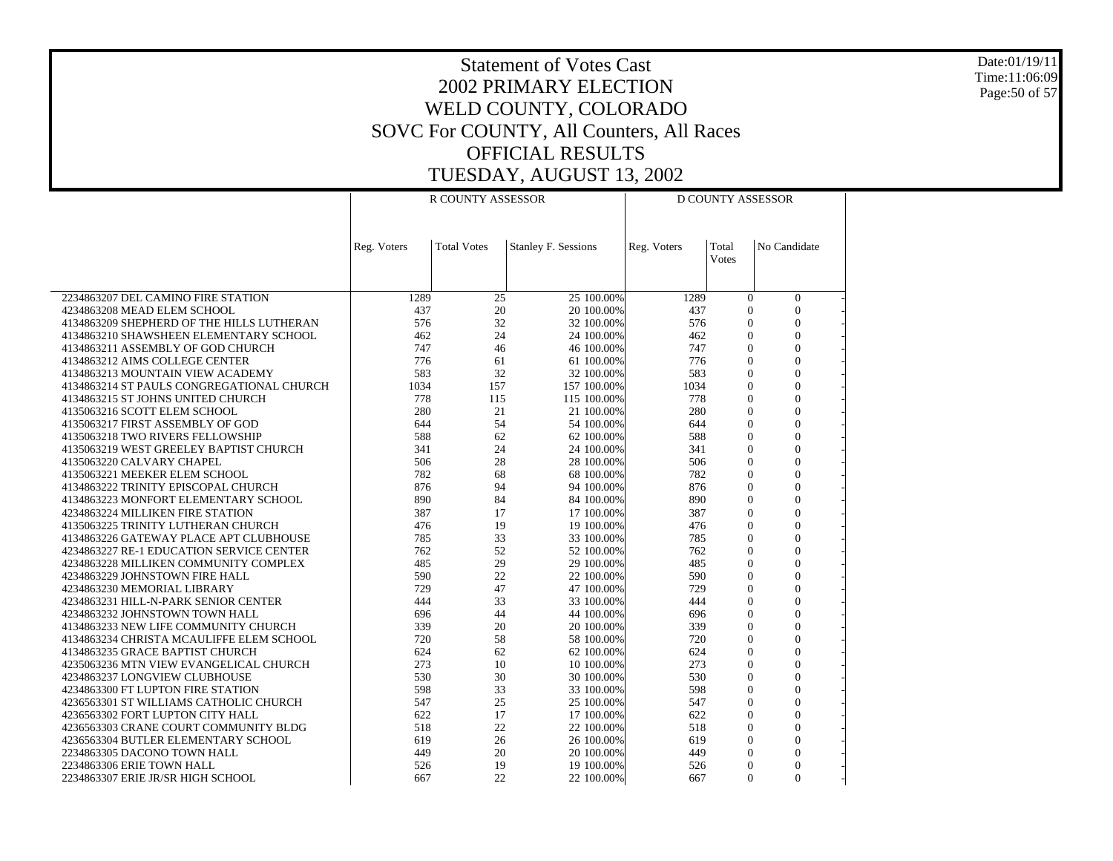Date:01/19/11 Time:11:06:09 Page:50 of 57

|                                                                                   |             | R COUNTY ASSESSOR  |                          |             | <b>D COUNTY ASSESSOR</b>   |                                  |  |  |
|-----------------------------------------------------------------------------------|-------------|--------------------|--------------------------|-------------|----------------------------|----------------------------------|--|--|
|                                                                                   |             |                    |                          |             |                            |                                  |  |  |
|                                                                                   | Reg. Voters | <b>Total Votes</b> | Stanley F. Sessions      | Reg. Voters | Total                      | No Candidate                     |  |  |
|                                                                                   |             |                    |                          |             | Votes                      |                                  |  |  |
|                                                                                   |             |                    |                          |             |                            |                                  |  |  |
| 2234863207 DEL CAMINO FIRE STATION                                                | 1289        | 25                 | 25 100.00%               | 1289        | $\overline{0}$             | $\mathbf{0}$                     |  |  |
| 4234863208 MEAD ELEM SCHOOL                                                       | 437         | 20<br>32           | 20 100.00%               | 437         | $\theta$<br>$\overline{0}$ | $\overline{0}$<br>$\theta$       |  |  |
| 4134863209 SHEPHERD OF THE HILLS LUTHERAN                                         | 576<br>462  | 24                 | 32 100.00%               | 576<br>462  | $\mathbf{0}$               | $\overline{0}$                   |  |  |
| 4134863210 SHAWSHEEN ELEMENTARY SCHOOL<br>4134863211 ASSEMBLY OF GOD CHURCH       | 747         | 46                 | 24 100.00%<br>46 100.00% | 747         | $\Omega$                   | $\theta$                         |  |  |
| 4134863212 AIMS COLLEGE CENTER                                                    | 776         | 61                 | 61 100.00%               | 776         | $\overline{0}$             | $\mathbf{0}$                     |  |  |
| 4134863213 MOUNTAIN VIEW ACADEMY                                                  | 583         | 32                 | 32 100.00%               | 583         | $\theta$                   | $\theta$                         |  |  |
| 4134863214 ST PAULS CONGREGATIONAL CHURCH                                         | 1034        | 157                | 157 100.00%              | 1034        | $\theta$                   | $\overline{0}$                   |  |  |
| 4134863215 ST JOHNS UNITED CHURCH                                                 | 778         | 115                | 115 100.00%              | 778         | $\overline{0}$             | $\overline{0}$                   |  |  |
| 4135063216 SCOTT ELEM SCHOOL                                                      | 280         | 21                 | 21 100.00%               | 280         | $\overline{0}$             | $\overline{0}$                   |  |  |
| 4135063217 FIRST ASSEMBLY OF GOD                                                  | 644         | 54                 | 54 100.00%               | 644         | $\theta$                   | $\overline{0}$                   |  |  |
| 4135063218 TWO RIVERS FELLOWSHIP                                                  | 588         | 62                 | 62 100.00%               | 588         | $\theta$                   | $\theta$                         |  |  |
| 4135063219 WEST GREELEY BAPTIST CHURCH                                            | 341         | 24                 | 24 100.00%               | 341         | $\overline{0}$             | $\overline{0}$                   |  |  |
| 4135063220 CALVARY CHAPEL                                                         | 506         | 28                 | 28 100.00%               | 506         | $\theta$                   | $\theta$                         |  |  |
| 4135063221 MEEKER ELEM SCHOOL                                                     | 782         | 68                 | 68 100.00%               | 782         | $\overline{0}$             | $\overline{0}$                   |  |  |
| 4134863222 TRINITY EPISCOPAL CHURCH                                               | 876         | 94                 | 94 100.00%               | 876         | $\overline{0}$             | $\overline{0}$                   |  |  |
| 4134863223 MONFORT ELEMENTARY SCHOOL                                              | 890         | 84                 | 84 100.00%               | 890         | $\overline{0}$             | $\overline{0}$                   |  |  |
| 4234863224 MILLIKEN FIRE STATION                                                  | 387         | 17                 | 17 100.00%               | 387         | $\overline{0}$             | $\overline{0}$                   |  |  |
| 4135063225 TRINITY LUTHERAN CHURCH                                                | 476         | 19                 | 19 100.00%               | 476         | $\theta$                   | $\theta$                         |  |  |
| 4134863226 GATEWAY PLACE APT CLUBHOUSE                                            | 785         | 33                 | 33 100.00%               | 785         | $\overline{0}$<br>$\Omega$ | $\overline{0}$<br>$\overline{0}$ |  |  |
| 4234863227 RE-1 EDUCATION SERVICE CENTER<br>4234863228 MILLIKEN COMMUNITY COMPLEX | 762<br>485  | 52<br>29           | 52 100.00%<br>29 100.00% | 762<br>485  | $\mathbf{0}$               | $\overline{0}$                   |  |  |
| 4234863229 JOHNSTOWN FIRE HALL                                                    | 590         | 22                 | 22 100.00%               | 590         | $\overline{0}$             | $\overline{0}$                   |  |  |
| 4234863230 MEMORIAL LIBRARY                                                       | 729         | 47                 | 47 100.00%               | 729         | $\overline{0}$             | $\overline{0}$                   |  |  |
| 4234863231 HILL-N-PARK SENIOR CENTER                                              | 444         | 33                 | 33 100.00%               | 444         | $\theta$                   | $\overline{0}$                   |  |  |
| 4234863232 JOHNSTOWN TOWN HALL                                                    | 696         | 44                 | 44 100.00%               | 696         | $\theta$                   | $\theta$                         |  |  |
| 4134863233 NEW LIFE COMMUNITY CHURCH                                              | 339         | 20                 | 20 100.00%               | 339         | $\overline{0}$             | $\overline{0}$                   |  |  |
| 4134863234 CHRISTA MCAULIFFE ELEM SCHOOL                                          | 720         | 58                 | 58 100.00%               | 720         | $\overline{0}$             | $\overline{0}$                   |  |  |
| 4134863235 GRACE BAPTIST CHURCH                                                   | 624         | 62                 | 62 100.00%               | 624         | $\overline{0}$             | $\boldsymbol{0}$                 |  |  |
| 4235063236 MTN VIEW EVANGELICAL CHURCH                                            | 273         | 10                 | 10 100,00%               | 273         | $\theta$                   | $\overline{0}$                   |  |  |
| 4234863237 LONGVIEW CLUBHOUSE                                                     | 530         | 30                 | 30 100.00%               | 530         | $\theta$                   | $\theta$                         |  |  |
| 4234863300 FT LUPTON FIRE STATION                                                 | 598         | 33                 | 33 100.00%               | 598         | $\mathbf{0}$               | $\overline{0}$                   |  |  |
| 4236563301 ST WILLIAMS CATHOLIC CHURCH                                            | 547         | 25                 | 25 100.00%               | 547         | $\theta$                   | $\theta$                         |  |  |
| 4236563302 FORT LUPTON CITY HALL                                                  | 622         | 17                 | 17 100.00%               | 622         | $\mathbf{0}$               | $\boldsymbol{0}$                 |  |  |
| 4236563303 CRANE COURT COMMUNITY BLDG                                             | 518         | 22                 | 22 100.00%               | 518         | $\theta$                   | $\overline{0}$                   |  |  |
| 4236563304 BUTLER ELEMENTARY SCHOOL                                               | 619         | 26                 | 26 100.00%               | 619         | $\theta$                   | $\overline{0}$                   |  |  |
| 2234863305 DACONO TOWN HALL                                                       | 449         | 20                 | 20 100,00%               | 449         | $\theta$                   | $\overline{0}$                   |  |  |
| 2234863306 ERIE TOWN HALL                                                         | 526         | 19                 | 19 100.00%               | 526         | $\Omega$                   | $\theta$                         |  |  |
| 2234863307 ERIE JR/SR HIGH SCHOOL                                                 | 667         | 22                 | 22 100.00%               | 667         | $\Omega$                   | $\overline{0}$                   |  |  |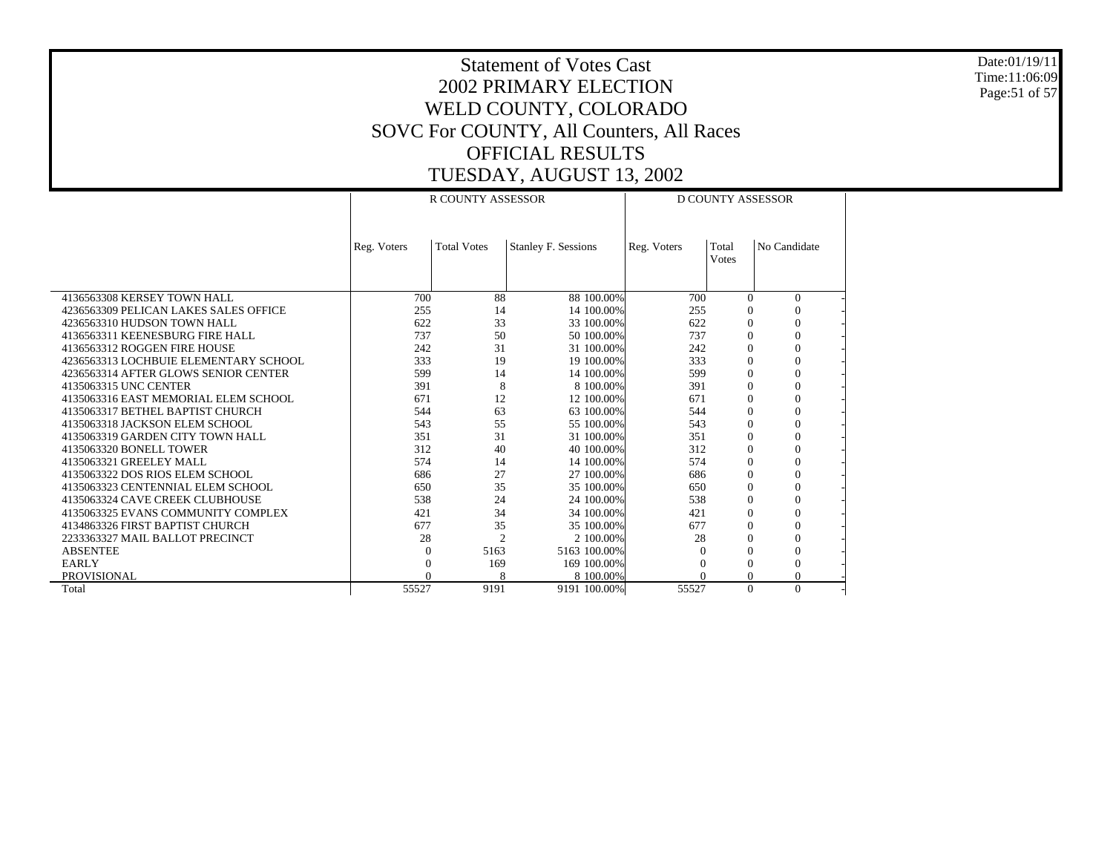Date:01/19/11 Time:11:06:09 Page:51 of 57

|                                       | <b>R COUNTY ASSESSOR</b> |                    |                            | <b>D COUNTY ASSESSOR</b> |                |                |  |
|---------------------------------------|--------------------------|--------------------|----------------------------|--------------------------|----------------|----------------|--|
|                                       | Reg. Voters              | <b>Total Votes</b> | <b>Stanley F. Sessions</b> | Reg. Voters              | Total<br>Votes | No Candidate   |  |
| 4136563308 KERSEY TOWN HALL           | 700                      | 88                 | 88 100,00%                 | 700                      | $\Omega$       | $\mathbf{0}$   |  |
| 4236563309 PELICAN LAKES SALES OFFICE | 255                      | 14                 | 14 100.00%                 | 255                      | $\theta$       |                |  |
| 4236563310 HUDSON TOWN HALL           | 622                      | 33                 | 33 100.00%                 | 622                      | $\Omega$       | $\Omega$       |  |
| 4136563311 KEENESBURG FIRE HALL       | 737                      | 50                 | 50 100.00%                 | 737                      | $\Omega$       | $\theta$       |  |
| 4136563312 ROGGEN FIRE HOUSE          | 242                      | 31                 | 31 100.00%                 | 242                      | $\Omega$       | $\Omega$       |  |
| 4236563313 LOCHBUIE ELEMENTARY SCHOOL | 333                      | 19                 | 19 100.00%                 | 333                      | $\Omega$       | $\Omega$       |  |
| 4236563314 AFTER GLOWS SENIOR CENTER  | 599                      | 14                 | 14 100.00%                 | 599                      | $\Omega$       | $\Omega$       |  |
| 4135063315 UNC CENTER                 | 391                      | 8                  | 8 100,00%                  | 391                      | $\Omega$       | $\Omega$       |  |
| 4135063316 EAST MEMORIAL ELEM SCHOOL  | 671                      | 12                 | 12 100.00%                 | 671                      | $\Omega$       | $\Omega$       |  |
| 4135063317 BETHEL BAPTIST CHURCH      | 544                      | 63                 | 63 100.00%                 | 544                      | $\Omega$       | $\Omega$       |  |
| 4135063318 JACKSON ELEM SCHOOL        | 543                      | 55                 | 55 100,00%                 | 543                      | $\Omega$       | $\theta$       |  |
| 4135063319 GARDEN CITY TOWN HALL      | 351                      | 31                 | 31 100.00%                 | 351                      | $\Omega$       | $\overline{0}$ |  |
| 4135063320 BONELL TOWER               | 312                      | 40                 | 40 100.00%                 | 312                      | $\Omega$       | $\Omega$       |  |
| 4135063321 GREELEY MALL               | 574                      | 14                 | 14 100.00%                 | 574                      | $\Omega$       | $\Omega$       |  |
| 4135063322 DOS RIOS ELEM SCHOOL       | 686                      | 27                 | 27 100.00%                 | 686                      | $\Omega$       | $\Omega$       |  |
| 4135063323 CENTENNIAL ELEM SCHOOL     | 650                      | 35                 | 35 100.00%                 | 650                      | $\Omega$       | $\Omega$       |  |
| 4135063324 CAVE CREEK CLUBHOUSE       | 538                      | 24                 | 24 100.00%                 | 538                      | $\Omega$       | $\theta$       |  |
| 4135063325 EVANS COMMUNITY COMPLEX    | 421                      | 34                 | 34 100.00%                 | 421                      | $\Omega$       | $\Omega$       |  |
| 4134863326 FIRST BAPTIST CHURCH       | 677                      | 35                 | 35 100.00%                 | 677                      | $\Omega$       | $\Omega$       |  |
| 2233363327 MAIL BALLOT PRECINCT       | 28                       | $\overline{c}$     | 2 100,00%                  | 28                       | $\Omega$       | $\Omega$       |  |
| <b>ABSENTEE</b>                       | 0                        | 5163               | 5163 100.00%               |                          | 0              | $\Omega$       |  |
| <b>EARLY</b>                          |                          | 169                | 169 100.00%                |                          | $\Omega$       | $\theta$       |  |
| <b>PROVISIONAL</b>                    |                          | 8                  | 8 100,00%                  |                          | 0              | $\Omega$       |  |
| Total                                 | 55527                    | 9191               | 9191 100.00%               | 55527                    | $\Omega$       | $\theta$       |  |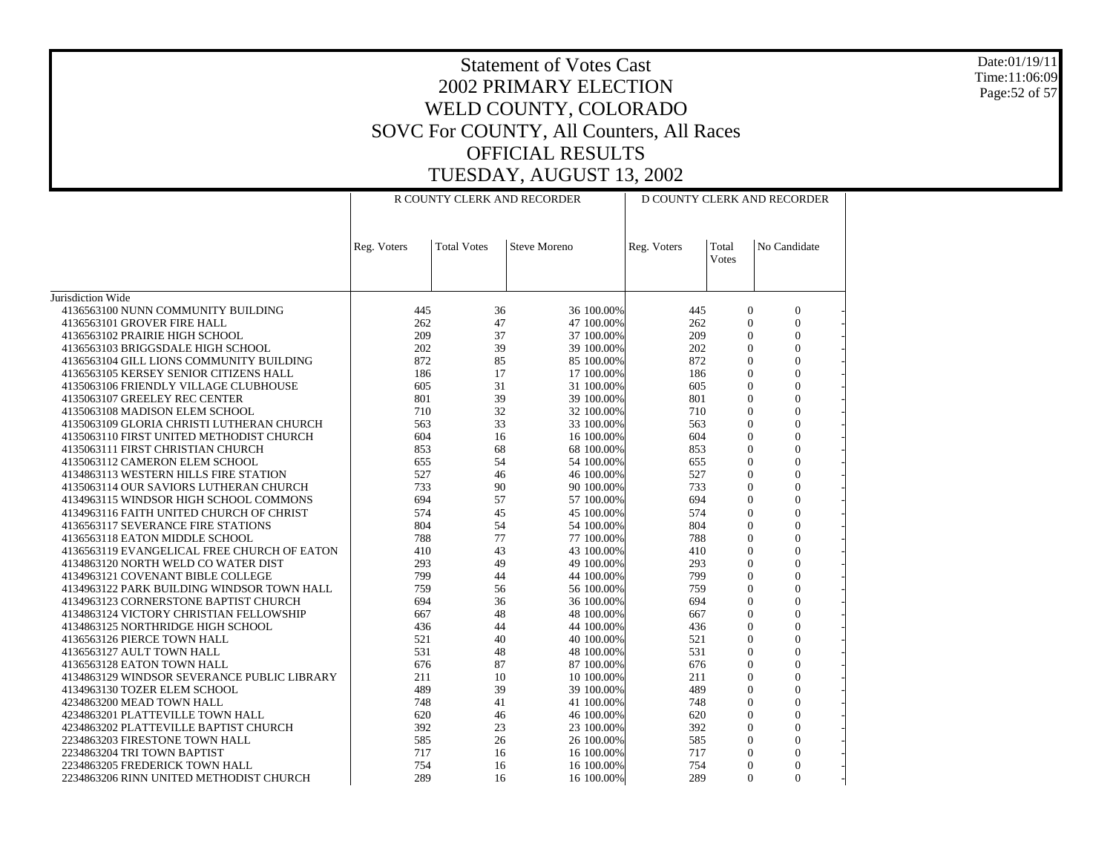Date:01/19/11 Time:11:06:09 Page:52 of 57

|                                                                                     | R COUNTY CLERK AND RECORDER |                    |                          | D COUNTY CLERK AND RECORDER |                            |                                |  |
|-------------------------------------------------------------------------------------|-----------------------------|--------------------|--------------------------|-----------------------------|----------------------------|--------------------------------|--|
|                                                                                     | Reg. Voters                 | <b>Total Votes</b> | <b>Steve Moreno</b>      | Reg. Voters                 | Total<br>Votes             | No Candidate                   |  |
| Jurisdiction Wide                                                                   |                             |                    |                          |                             |                            |                                |  |
| 4136563100 NUNN COMMUNITY BUILDING                                                  | 445                         | 36                 | 36 100.00%               | 445                         | $\mathbf{0}$               | $\mathbf{0}$                   |  |
| 4136563101 GROVER FIRE HALL                                                         | 262                         | 47                 | 47 100.00%               | 262                         | $\boldsymbol{0}$           | $\boldsymbol{0}$               |  |
| 4136563102 PRAIRIE HIGH SCHOOL                                                      | 209                         | 37                 | 37 100.00%               | 209                         | $\theta$                   | $\overline{0}$                 |  |
| 4136563103 BRIGGSDALE HIGH SCHOOL                                                   | 202                         | 39                 | 39 100.00%               | 202                         | $\theta$                   | $\Omega$                       |  |
| 4136563104 GILL LIONS COMMUNITY BUILDING                                            | 872                         | 85                 | 85 100.00%               | 872                         | $\theta$                   | $\mathbf{0}$                   |  |
| 4136563105 KERSEY SENIOR CITIZENS HALL                                              | 186                         | 17                 | 17 100.00%               | 186                         | $\theta$                   | $\theta$                       |  |
| 4135063106 FRIENDLY VILLAGE CLUBHOUSE                                               | 605                         | 31                 | 31 100.00%               | 605                         | $\overline{0}$             | $\overline{0}$                 |  |
| 4135063107 GREELEY REC CENTER                                                       | 801                         | 39                 | 39 100.00%               | 801                         | $\theta$                   | $\Omega$                       |  |
| 4135063108 MADISON ELEM SCHOOL                                                      | 710                         | 32                 | 32 100.00%               | 710                         | $\overline{0}$             | $\mathbf{0}$                   |  |
| 4135063109 GLORIA CHRISTI LUTHERAN CHURCH                                           | 563                         | 33                 | 33 100.00%               | 563                         | $\overline{0}$             | $\overline{0}$                 |  |
| 4135063110 FIRST UNITED METHODIST CHURCH                                            | 604                         | 16                 | 16 100.00%               | 604                         | $\theta$                   | $\theta$                       |  |
| 4135063111 FIRST CHRISTIAN CHURCH                                                   | 853                         | 68                 | 68 100.00%               | 853                         | $\theta$                   | $\Omega$                       |  |
| 4135063112 CAMERON ELEM SCHOOL                                                      | 655                         | 54                 | 54 100.00%               | 655                         | $\theta$                   | $\Omega$                       |  |
| 4134863113 WESTERN HILLS FIRE STATION                                               | 527                         | 46                 | 46 100.00%               | 527                         | $\mathbf{0}$               | $\mathbf{0}$                   |  |
| 4135063114 OUR SAVIORS LUTHERAN CHURCH                                              | 733                         | 90                 | 90 100.00%               | 733                         | $\theta$                   | $\theta$                       |  |
| 4134963115 WINDSOR HIGH SCHOOL COMMONS                                              | 694                         | 57                 | 57 100.00%               | 694                         | $\theta$                   | $\theta$                       |  |
| 4134963116 FAITH UNITED CHURCH OF CHRIST                                            | 574                         | 45                 | 45 100.00%               | 574                         | $\theta$                   | $\mathbf{0}$                   |  |
| 4136563117 SEVERANCE FIRE STATIONS                                                  | 804                         | 54                 | 54 100.00%               | 804                         | $\theta$                   | $\Omega$                       |  |
| 4136563118 EATON MIDDLE SCHOOL                                                      | 788                         | 77                 | 77 100.00%               | 788                         | $\theta$                   | $\theta$                       |  |
| 4136563119 EVANGELICAL FREE CHURCH OF EATON                                         | 410                         | 43                 | 43 100.00%               | 410                         | $\theta$                   | $\theta$                       |  |
| 4134863120 NORTH WELD CO WATER DIST                                                 | 293                         | 49                 | 49 100.00%               | 293                         | $\overline{0}$<br>$\theta$ | $\mathbf{0}$                   |  |
| 4134963121 COVENANT BIBLE COLLEGE                                                   | 799<br>759                  | 44<br>56           | 44 100.00%               | 799<br>759                  | $\overline{0}$             | $\mathbf{0}$<br>$\overline{0}$ |  |
| 4134963122 PARK BUILDING WINDSOR TOWN HALL<br>4134963123 CORNERSTONE BAPTIST CHURCH | 694                         | 36                 | 56 100.00%<br>36 100.00% | 694                         | $\theta$                   | $\Omega$                       |  |
| 4134863124 VICTORY CHRISTIAN FELLOWSHIP                                             | 667                         | 48                 | 48 100.00%               | 667                         | $\theta$                   | $\Omega$                       |  |
| 4134863125 NORTHRIDGE HIGH SCHOOL                                                   | 436                         | 44                 | 44 100.00%               | 436                         | $\overline{0}$             | $\mathbf{0}$                   |  |
| 4136563126 PIERCE TOWN HALL                                                         | 521                         | 40                 | 40 100.00%               | 521                         | $\overline{0}$             | $\overline{0}$                 |  |
| 4136563127 AULT TOWN HALL                                                           | 531                         | 48                 | 48 100.00%               | 531                         | $\theta$                   | $\theta$                       |  |
| 4136563128 EATON TOWN HALL                                                          | 676                         | 87                 | 87 100.00%               | 676                         | $\theta$                   | $\overline{0}$                 |  |
| 4134863129 WINDSOR SEVERANCE PUBLIC LIBRARY                                         | 211                         | 10                 | 10 100.00%               | 211                         | $\overline{0}$             | $\Omega$                       |  |
| 4134963130 TOZER ELEM SCHOOL                                                        | 489                         | 39                 | 39 100.00%               | 489                         | $\overline{0}$             | $\overline{0}$                 |  |
| 4234863200 MEAD TOWN HALL                                                           | 748                         | 41                 | 41 100.00%               | 748                         | $\Omega$                   | $\Omega$                       |  |
| 4234863201 PLATTEVILLE TOWN HALL                                                    | 620                         | 46                 | 46 100.00%               | 620                         | $\overline{0}$             | $\mathbf{0}$                   |  |
| 4234863202 PLATTEVILLE BAPTIST CHURCH                                               | 392                         | 23                 | 23 100.00%               | 392                         | $\theta$                   | $\Omega$                       |  |
| 2234863203 FIRESTONE TOWN HALL                                                      | 585                         | 26                 | 26 100.00%               | 585                         | $\overline{0}$             | $\overline{0}$                 |  |
| 2234863204 TRI TOWN BAPTIST                                                         | 717                         | 16                 | 16 100.00%               | 717                         | $\theta$                   | $\mathbf{0}$                   |  |
| 2234863205 FREDERICK TOWN HALL                                                      | 754                         | 16                 | 16 100.00%               | 754                         | $\theta$                   | $\Omega$                       |  |
| 2234863206 RINN UNITED METHODIST CHURCH                                             | 289                         | 16                 | 16 100.00%               | 289                         | $\theta$                   | $\Omega$                       |  |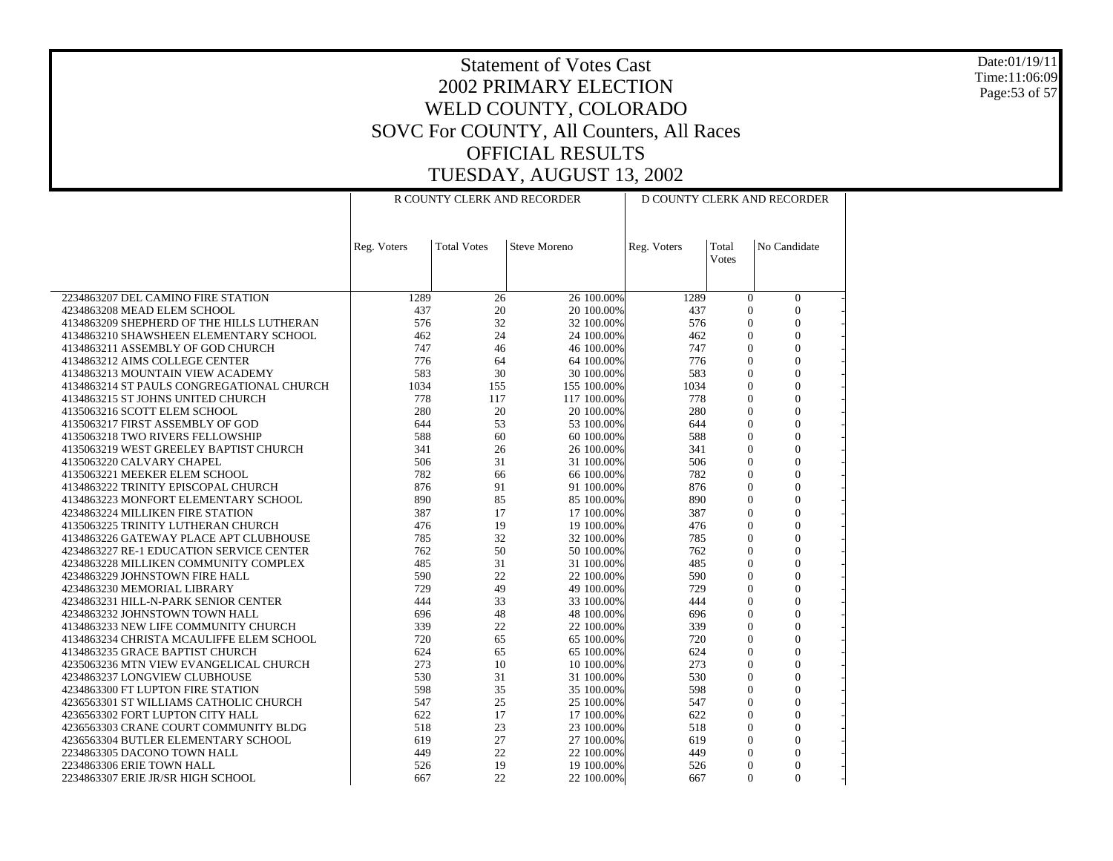Date:01/19/11 Time:11:06:09 Page:53 of 57

|                                                                      |             |                    | R COUNTY CLERK AND RECORDER |             |                            | D COUNTY CLERK AND RECORDER |
|----------------------------------------------------------------------|-------------|--------------------|-----------------------------|-------------|----------------------------|-----------------------------|
|                                                                      |             |                    |                             |             |                            |                             |
|                                                                      | Reg. Voters | <b>Total Votes</b> | <b>Steve Moreno</b>         | Reg. Voters | Total                      | No Candidate                |
|                                                                      |             |                    |                             |             | <b>Votes</b>               |                             |
|                                                                      |             |                    |                             |             |                            |                             |
| 2234863207 DEL CAMINO FIRE STATION                                   | 1289        | 26                 | 26 100.00%                  | 1289        | $\mathbf{0}$               | $\boldsymbol{0}$            |
| 4234863208 MEAD ELEM SCHOOL                                          | 437         | 20                 | 20 100.00%                  | 437         | $\Omega$                   | $\Omega$                    |
| 4134863209 SHEPHERD OF THE HILLS LUTHERAN                            | 576         | 32                 | 32 100.00%                  | 576         | $\overline{0}$             | $\mathbf{0}$                |
| 4134863210 SHAWSHEEN ELEMENTARY SCHOOL                               | 462         | 24                 | 24 100.00%                  | 462         | $\mathbf{0}$               | $\mathbf{0}$                |
| 4134863211 ASSEMBLY OF GOD CHURCH                                    | 747         | 46                 | 46 100.00%                  | 747         | $\Omega$                   | $\Omega$                    |
| 4134863212 AIMS COLLEGE CENTER                                       | 776         | 64                 | 64 100.00%                  | 776         | $\overline{0}$             | $\overline{0}$              |
| 4134863213 MOUNTAIN VIEW ACADEMY                                     | 583         | 30                 | 30 100.00%                  | 583         | $\mathbf{0}$               | $\Omega$                    |
| 4134863214 ST PAULS CONGREGATIONAL CHURCH                            | 1034        | 155                | 155 100.00%                 | 1034        | $\Omega$                   | $\theta$                    |
| 4134863215 ST JOHNS UNITED CHURCH                                    | 778         | 117                | 117 100.00%                 | 778         | $\Omega$                   | $\Omega$                    |
| 4135063216 SCOTT ELEM SCHOOL                                         | 280         | 20                 | 20 100.00%                  | 280         | $\overline{0}$             | $\overline{0}$              |
| 4135063217 FIRST ASSEMBLY OF GOD                                     | 644         | 53                 | 53 100.00%                  | 644         | $\overline{0}$             | $\overline{0}$              |
| 4135063218 TWO RIVERS FELLOWSHIP                                     | 588         | 60                 | 60 100.00%                  | 588         | $\overline{0}$             | $\Omega$                    |
| 4135063219 WEST GREELEY BAPTIST CHURCH                               | 341         | 26                 | 26 100.00%                  | 341         | $\mathbf{0}$               | $\mathbf{0}$<br>$\theta$    |
| 4135063220 CALVARY CHAPEL                                            | 506<br>782  | 31<br>66           | 31 100.00%<br>66 100.00%    | 506<br>782  | $\Omega$<br>$\overline{0}$ | $\overline{0}$              |
| 4135063221 MEEKER ELEM SCHOOL<br>4134863222 TRINITY EPISCOPAL CHURCH | 876         | 91                 | 91 100.00%                  | 876         | $\mathbf{0}$               | $\Omega$                    |
| 4134863223 MONFORT ELEMENTARY SCHOOL                                 | 890         | 85                 | 85 100.00%                  | 890         | $\mathbf{0}$               | $\mathbf{0}$                |
| 4234863224 MILLIKEN FIRE STATION                                     | 387         | 17                 | 17 100.00%                  | 387         | $\overline{0}$             | $\theta$                    |
| 4135063225 TRINITY LUTHERAN CHURCH                                   | 476         | 19                 | 19 100.00%                  | 476         | $\mathbf{0}$               | $\Omega$                    |
| 4134863226 GATEWAY PLACE APT CLUBHOUSE                               | 785         | 32                 | 32 100.00%                  | 785         | $\Omega$                   | $\Omega$                    |
| 4234863227 RE-1 EDUCATION SERVICE CENTER                             | 762         | 50                 | 50 100,00%                  | 762         | $\Omega$                   | $\Omega$                    |
| 4234863228 MILLIKEN COMMUNITY COMPLEX                                | 485         | 31                 | 31 100.00%                  | 485         | $\overline{0}$             | $\overline{0}$              |
| 4234863229 JOHNSTOWN FIRE HALL                                       | 590         | 22                 | 22 100.00%                  | 590         | $\mathbf{0}$               | $\theta$                    |
| 4234863230 MEMORIAL LIBRARY                                          | 729         | 49                 | 49 100.00%                  | 729         | $\overline{0}$             | $\overline{0}$              |
| 4234863231 HILL-N-PARK SENIOR CENTER                                 | 444         | 33                 | 33 100.00%                  | 444         | $\Omega$                   | $\Omega$                    |
| 4234863232 JOHNSTOWN TOWN HALL                                       | 696         | 48                 | 48 100.00%                  | 696         | $\Omega$                   | $\Omega$                    |
| 4134863233 NEW LIFE COMMUNITY CHURCH                                 | 339         | 22                 | 22 100.00%                  | 339         | $\overline{0}$             | $\overline{0}$              |
| 4134863234 CHRISTA MCAULIFFE ELEM SCHOOL                             | 720         | 65                 | 65 100.00%                  | 720         | $\Omega$                   | $\Omega$                    |
| 4134863235 GRACE BAPTIST CHURCH                                      | 624         | 65                 | 65 100.00%                  | 624         | $\mathbf{0}$               | $\overline{0}$              |
| 4235063236 MTN VIEW EVANGELICAL CHURCH                               | 273         | 10<br>31           | 10 100.00%                  | 273         | $\mathbf{0}$<br>$\Omega$   | $\overline{0}$<br>$\Omega$  |
| 4234863237 LONGVIEW CLUBHOUSE<br>4234863300 FT LUPTON FIRE STATION   | 530<br>598  | 35                 | 31 100.00%<br>35 100.00%    | 530<br>598  | $\Omega$                   | $\Omega$                    |
| 4236563301 ST WILLIAMS CATHOLIC CHURCH                               | 547         | 25                 | 25 100.00%                  | 547         | $\Omega$                   | $\theta$                    |
| 4236563302 FORT LUPTON CITY HALL                                     | 622         | 17                 | 17 100.00%                  | 622         | $\Omega$                   | $\overline{0}$              |
| 4236563303 CRANE COURT COMMUNITY BLDG                                | 518         | 23                 | 23 100.00%                  | 518         | $\mathbf{0}$               | $\Omega$                    |
| 4236563304 BUTLER ELEMENTARY SCHOOL                                  | 619         | 27                 | 27 100.00%                  | 619         | $\mathbf{0}$               | $\mathbf{0}$                |
| 2234863305 DACONO TOWN HALL                                          | 449         | 22                 | 22 100.00%                  | 449         | $\overline{0}$             | $\overline{0}$              |
| 2234863306 ERIE TOWN HALL                                            | 526         | 19                 | 19 100.00%                  | 526         | $\Omega$                   | $\Omega$                    |
| 2234863307 ERIE JR/SR HIGH SCHOOL                                    | 667         | 22                 | 22 100.00%                  | 667         | $\Omega$                   | $\Omega$                    |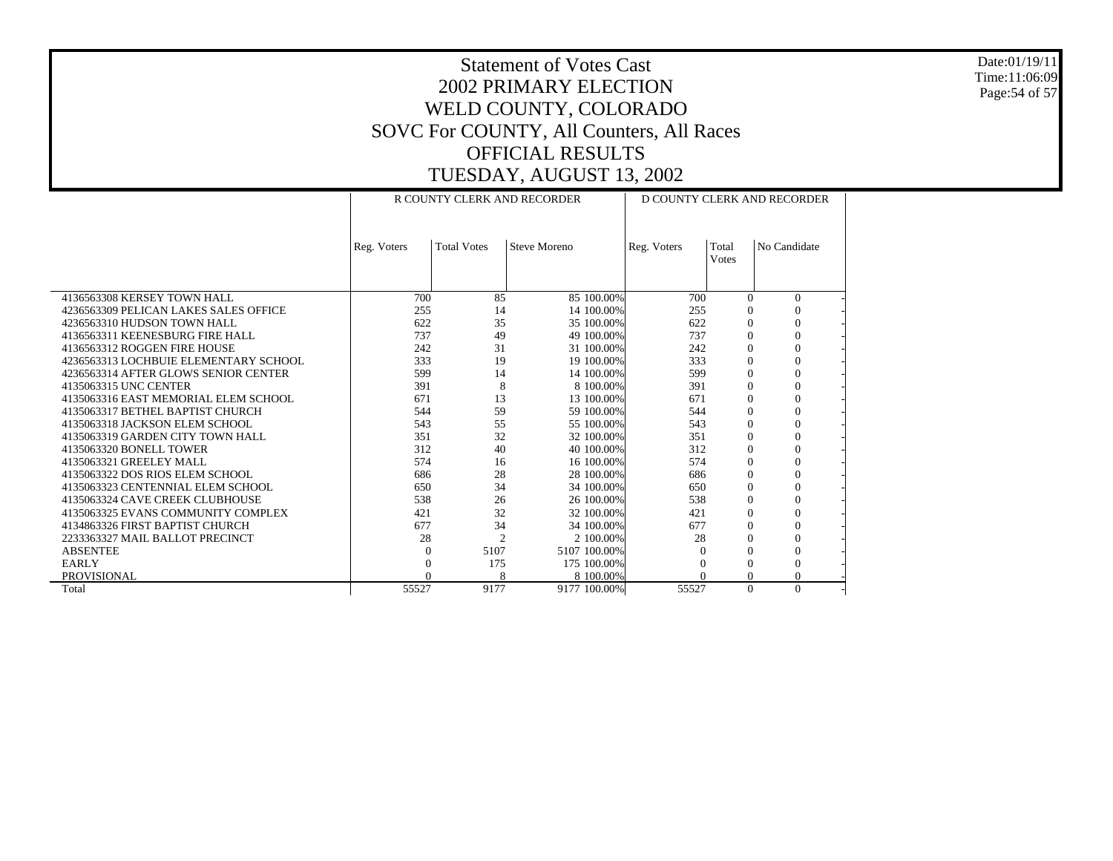Date:01/19/11 Time:11:06:09 Page:54 of 57

|                                       | R COUNTY CLERK AND RECORDER |                    |                     | D COUNTY CLERK AND RECORDER |              |              |  |
|---------------------------------------|-----------------------------|--------------------|---------------------|-----------------------------|--------------|--------------|--|
|                                       |                             |                    |                     |                             |              |              |  |
|                                       |                             |                    |                     |                             |              |              |  |
|                                       | Reg. Voters                 | <b>Total Votes</b> | <b>Steve Moreno</b> | Reg. Voters                 | Total        | No Candidate |  |
|                                       |                             |                    |                     |                             | <b>Votes</b> |              |  |
|                                       |                             |                    |                     |                             |              |              |  |
|                                       |                             |                    |                     |                             |              |              |  |
| 4136563308 KERSEY TOWN HALL           | 700                         | 85                 | 85 100,00%          | 700                         | $\Omega$     | $\Omega$     |  |
| 4236563309 PELICAN LAKES SALES OFFICE | 255                         | 14                 | 14 100.00%          | 255                         | $\Omega$     | $\Omega$     |  |
| 4236563310 HUDSON TOWN HALL           | 622                         | 35                 | 35 100.00%          | 622                         | $\Omega$     | $\Omega$     |  |
| 4136563311 KEENESBURG FIRE HALL       | 737                         | 49                 | 49 100.00%          | 737                         | $\Omega$     | $\Omega$     |  |
| 4136563312 ROGGEN FIRE HOUSE          | 242                         | 31                 | 31 100.00%          | 242                         | $\Omega$     | $\Omega$     |  |
| 4236563313 LOCHBUIE ELEMENTARY SCHOOL | 333                         | 19                 | 19 100.00%          | 333                         | $\Omega$     | $\Omega$     |  |
| 4236563314 AFTER GLOWS SENIOR CENTER  | 599                         | 14                 | 14 100.00%          | 599                         | $\Omega$     | $\Omega$     |  |
| 4135063315 UNC CENTER                 | 391                         | 8                  | 8 100,00%           | 391                         | $\Omega$     | $\Omega$     |  |
| 4135063316 EAST MEMORIAL ELEM SCHOOL  | 671                         | 13                 | 13 100.00%          | 671                         | $\theta$     | $\Omega$     |  |
| 4135063317 BETHEL BAPTIST CHURCH      | 544                         | 59                 | 59 100.00%          | 544                         | $\Omega$     | $\Omega$     |  |
| 4135063318 JACKSON ELEM SCHOOL        | 543                         | 55                 | 55 100.00%          | 543                         | $\Omega$     | $\Omega$     |  |
| 4135063319 GARDEN CITY TOWN HALL      | 351                         | 32                 | 32 100.00%          | 351                         | $\Omega$     | $\Omega$     |  |
| 4135063320 BONELL TOWER               | 312                         | 40                 | 40 100.00%          | 312                         | $\Omega$     | $\Omega$     |  |
| 4135063321 GREELEY MALL               | 574                         | 16                 | 16 100.00%          | 574                         | $\Omega$     | $\Omega$     |  |
| 4135063322 DOS RIOS ELEM SCHOOL       | 686                         | 28                 | 28 100.00%          | 686                         | $\Omega$     | $\Omega$     |  |
| 4135063323 CENTENNIAL ELEM SCHOOL     | 650                         | 34                 | 34 100.00%          | 650                         | 0            | $\Omega$     |  |
| 4135063324 CAVE CREEK CLUBHOUSE       | 538                         | 26                 | 26 100.00%          | 538                         | $\Omega$     | $\Omega$     |  |
| 4135063325 EVANS COMMUNITY COMPLEX    | 421                         | 32                 | 32 100.00%          | 421                         | $\Omega$     | $\Omega$     |  |
| 4134863326 FIRST BAPTIST CHURCH       | 677                         | 34                 | 34 100.00%          | 677                         | $\Omega$     | $\Omega$     |  |
| 2233363327 MAIL BALLOT PRECINCT       | 28                          | $\overline{c}$     | 2 100,00%           | 28                          | 0            | $\Omega$     |  |
| <b>ABSENTEE</b>                       | $\Omega$                    | 5107               | 5107 100.00%        |                             | $\Omega$     | $\Omega$     |  |
| <b>EARLY</b>                          |                             | 175                | 175 100,00%         |                             | $\Omega$     | $\Omega$     |  |
| <b>PROVISIONAL</b>                    | $\Omega$                    | 8                  | 8 100,00%           |                             | $\Omega$     | $\Omega$     |  |
| Total                                 | 55527                       | 9177               | 9177 100.00%        | 55527                       | $\Omega$     | $\Omega$     |  |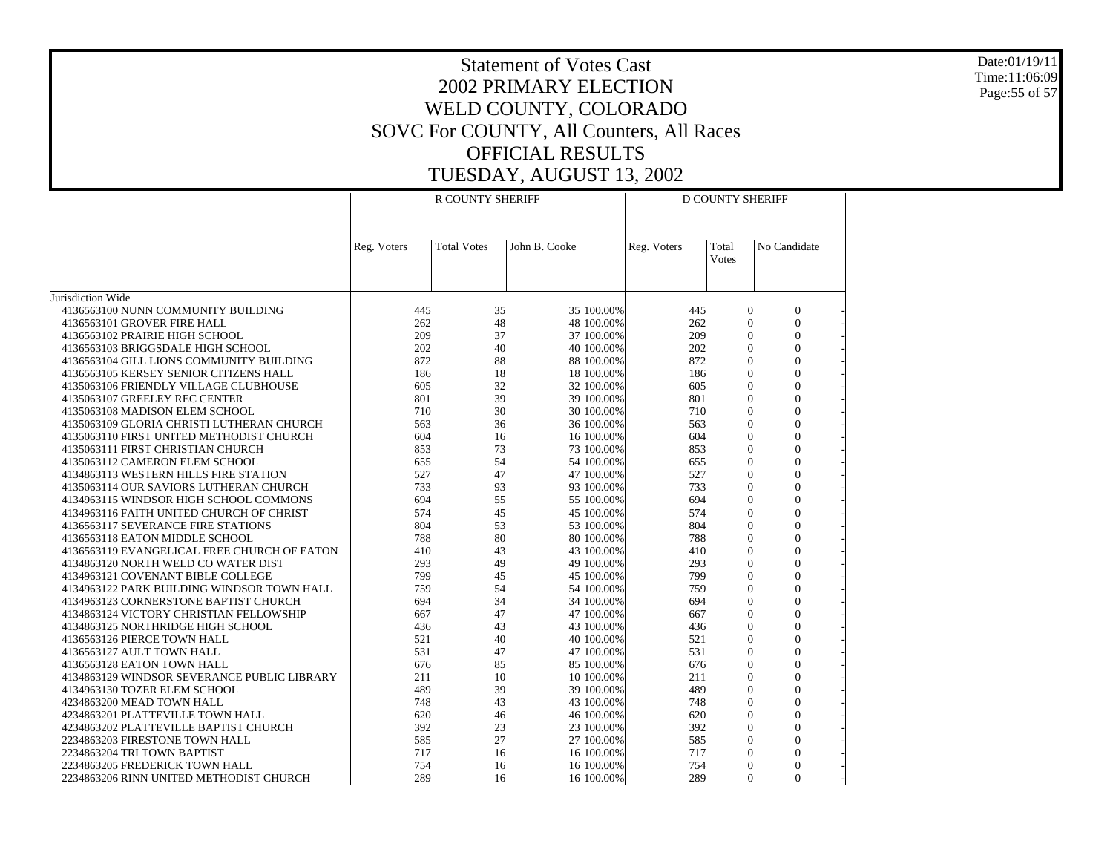Date:01/19/11 Time:11:06:09 Page:55 of 57

|                                                                                     |             | R COUNTY SHERIFF   |                          |             | D COUNTY SHERIFF      |                          |  |
|-------------------------------------------------------------------------------------|-------------|--------------------|--------------------------|-------------|-----------------------|--------------------------|--|
|                                                                                     | Reg. Voters | <b>Total Votes</b> | John B. Cooke            | Reg. Voters | Total<br><b>Votes</b> | No Candidate             |  |
| Jurisdiction Wide                                                                   |             |                    |                          |             |                       |                          |  |
| 4136563100 NUNN COMMUNITY BUILDING                                                  | 445         | 35                 | 35 100.00%               | 445         | $\mathbf{0}$          | $\mathbf{0}$             |  |
| 4136563101 GROVER FIRE HALL                                                         | 262         | 48                 | 48 100.00%               | 262         | $\Omega$              | $\Omega$                 |  |
| 4136563102 PRAIRIE HIGH SCHOOL                                                      | 209         | 37                 | 37 100.00%               | 209         | $\Omega$              | $\mathbf{0}$             |  |
| 4136563103 BRIGGSDALE HIGH SCHOOL                                                   | 202         | 40                 | 40 100,00%               | 202         | $\Omega$              | $\Omega$                 |  |
| 4136563104 GILL LIONS COMMUNITY BUILDING                                            | 872         | 88                 | 88 100.00%               | 872         | $\Omega$              | $\mathbf{0}$             |  |
| 4136563105 KERSEY SENIOR CITIZENS HALL                                              | 186         | 18                 | 18 100.00%               | 186         | $\theta$              | $\mathbf{0}$             |  |
| 4135063106 FRIENDLY VILLAGE CLUBHOUSE                                               | 605         | 32                 | 32 100.00%               | 605         | $\Omega$              | $\overline{0}$           |  |
| 4135063107 GREELEY REC CENTER                                                       | 801         | 39                 | 39 100.00%               | 801         | $\Omega$              | $\mathbf{0}$             |  |
| 4135063108 MADISON ELEM SCHOOL                                                      | 710         | 30                 | 30 100.00%               | 710         | $\theta$              | $\Omega$                 |  |
| 4135063109 GLORIA CHRISTI LUTHERAN CHURCH                                           | 563         | 36                 | 36 100.00%               | 563         | $\overline{0}$        | $\overline{0}$           |  |
| 4135063110 FIRST UNITED METHODIST CHURCH                                            | 604         | 16                 | 16 100,00%               | 604         | $\Omega$              | $\Omega$                 |  |
| 4135063111 FIRST CHRISTIAN CHURCH                                                   | 853         | 73                 | 73 100.00%               | 853         | $\Omega$              | $\overline{0}$           |  |
| 4135063112 CAMERON ELEM SCHOOL                                                      | 655         | 54                 | 54 100,00%               | 655         | $\theta$              | $\Omega$                 |  |
| 4134863113 WESTERN HILLS FIRE STATION                                               | 527         | 47                 | 47 100.00%               | 527         | $\Omega$              | $\overline{0}$           |  |
| 4135063114 OUR SAVIORS LUTHERAN CHURCH                                              | 733         | 93                 | 93 100.00%               | 733         | $\Omega$              | $\mathbf{0}$             |  |
| 4134963115 WINDSOR HIGH SCHOOL COMMONS                                              | 694         | 55                 | 55 100.00%               | 694         | $\Omega$              | $\Omega$                 |  |
| 4134963116 FAITH UNITED CHURCH OF CHRIST                                            | 574         | 45                 | 45 100.00%               | 574         | $\mathbf{0}$          | $\boldsymbol{0}$         |  |
| 4136563117 SEVERANCE FIRE STATIONS                                                  | 804         | 53                 | 53 100,00%               | 804         | $\Omega$              | $\theta$                 |  |
| 4136563118 EATON MIDDLE SCHOOL                                                      | 788         | 80                 | 80 100.00%               | 788         | $\Omega$              | $\overline{0}$           |  |
| 4136563119 EVANGELICAL FREE CHURCH OF EATON                                         | 410         | 43                 | 43 100,00%               | 410         | $\Omega$              | $\Omega$                 |  |
| 4134863120 NORTH WELD CO WATER DIST                                                 | 293         | 49                 | 49 100.00%               | 293         | $\Omega$<br>$\theta$  | $\overline{0}$           |  |
| 4134963121 COVENANT BIBLE COLLEGE                                                   | 799<br>759  | 45<br>54           | 45 100.00%               | 799         | $\Omega$              | $\mathbf{0}$<br>$\Omega$ |  |
| 4134963122 PARK BUILDING WINDSOR TOWN HALL<br>4134963123 CORNERSTONE BAPTIST CHURCH | 694         | 34                 | 54 100.00%<br>34 100.00% | 759<br>694  | $\theta$              | $\boldsymbol{0}$         |  |
| 4134863124 VICTORY CHRISTIAN FELLOWSHIP                                             | 667         | 47                 | 47 100.00%               | 667         | $\Omega$              | $\overline{0}$           |  |
| 4134863125 NORTHRIDGE HIGH SCHOOL                                                   | 436         | 43                 | 43 100.00%               | 436         | $\Omega$              | $\overline{0}$           |  |
| 4136563126 PIERCE TOWN HALL                                                         | 521         | 40                 | 40 100.00%               | 521         | $\Omega$              | $\Omega$                 |  |
| 4136563127 AULT TOWN HALL                                                           | 531         | 47                 | 47 100.00%               | 531         | $\Omega$              | $\theta$                 |  |
| 4136563128 EATON TOWN HALL                                                          | 676         | 85                 | 85 100,00%               | 676         | $\theta$              | $\mathbf{0}$             |  |
| 4134863129 WINDSOR SEVERANCE PUBLIC LIBRARY                                         | 211         | 10                 | 10 100.00%               | 211         | $\Omega$              | $\Omega$                 |  |
| 4134963130 TOZER ELEM SCHOOL                                                        | 489         | 39                 | 39 100.00%               | 489         | $\mathbf{0}$          | $\overline{0}$           |  |
| 4234863200 MEAD TOWN HALL                                                           | 748         | 43                 | 43 100.00%               | 748         | $\Omega$              | $\theta$                 |  |
| 4234863201 PLATTEVILLE TOWN HALL                                                    | 620         | 46                 | 46 100.00%               | 620         | $\mathbf{0}$          | $\overline{0}$           |  |
| 4234863202 PLATTEVILLE BAPTIST CHURCH                                               | 392         | 23                 | 23 100.00%               | 392         | $\Omega$              | $\Omega$                 |  |
| 2234863203 FIRESTONE TOWN HALL                                                      | 585         | 27                 | 27 100.00%               | 585         | $\Omega$              | $\Omega$                 |  |
| 2234863204 TRI TOWN BAPTIST                                                         | 717         | 16                 | 16 100,00%               | 717         | $\Omega$              | $\mathbf{0}$             |  |
| 2234863205 FREDERICK TOWN HALL                                                      | 754         | 16                 | 16 100.00%               | 754         | $\Omega$              | $\Omega$                 |  |
| 2234863206 RINN UNITED METHODIST CHURCH                                             | 289         | 16                 | 16 100.00%               | 289         | $\Omega$              | $\Omega$                 |  |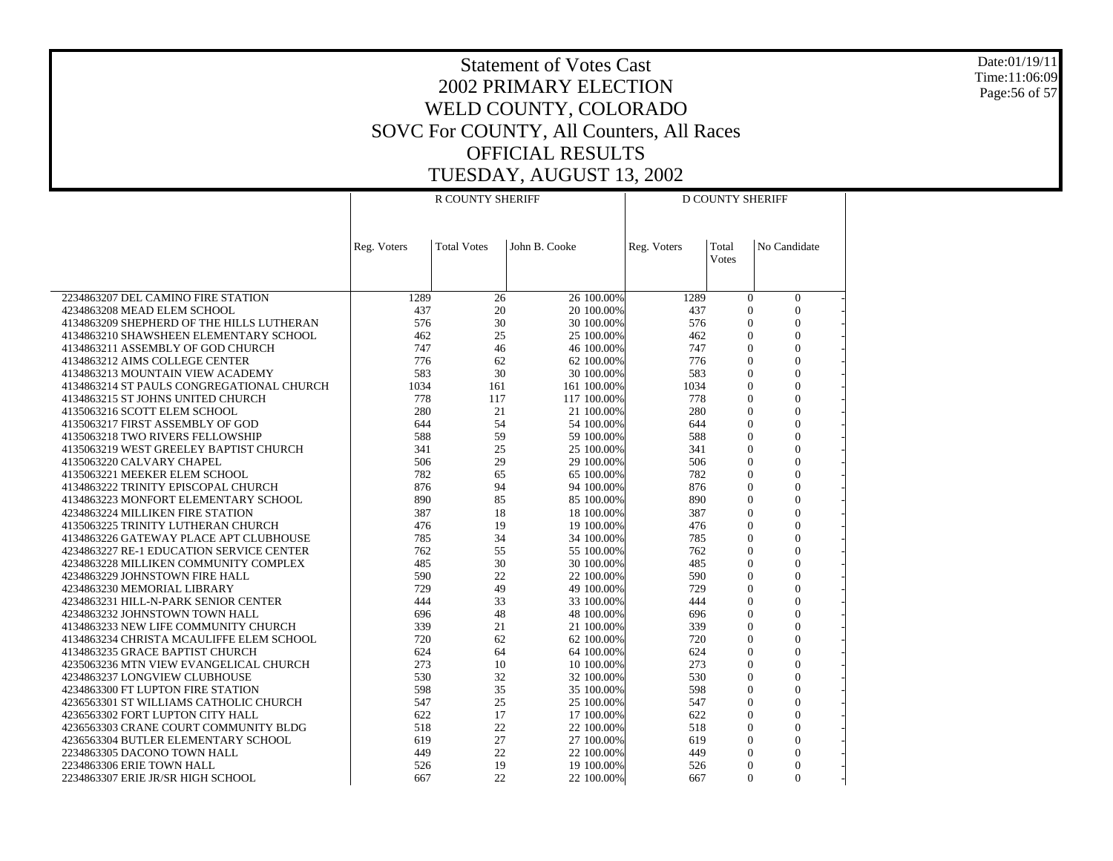Date:01/19/11 Time:11:06:09 Page:56 of 57

|                                                                           |             | R COUNTY SHERIFF   |               |                          |             | <b>D COUNTY SHERIFF</b>        |                                  |  |
|---------------------------------------------------------------------------|-------------|--------------------|---------------|--------------------------|-------------|--------------------------------|----------------------------------|--|
|                                                                           |             |                    |               |                          |             |                                |                                  |  |
|                                                                           |             |                    |               |                          |             |                                |                                  |  |
|                                                                           | Reg. Voters | <b>Total Votes</b> | John B. Cooke |                          | Reg. Voters | Total<br>Votes                 | No Candidate                     |  |
|                                                                           |             |                    |               |                          |             |                                |                                  |  |
|                                                                           |             |                    |               |                          |             |                                |                                  |  |
| 2234863207 DEL CAMINO FIRE STATION<br>4234863208 MEAD ELEM SCHOOL         | 1289<br>437 | 26<br>20           |               | 26 100.00%<br>20 100,00% | 1289<br>437 | $\overline{0}$<br>$\theta$     | $\overline{0}$<br>$\overline{0}$ |  |
| 4134863209 SHEPHERD OF THE HILLS LUTHERAN                                 | 576         | 30                 |               | 30 100.00%               | 576         | $\Omega$                       | $\theta$                         |  |
| 4134863210 SHAWSHEEN ELEMENTARY SCHOOL                                    | 462         | 25                 |               | 25 100.00%               | 462         | $\mathbf{0}$                   | $\overline{0}$                   |  |
| 4134863211 ASSEMBLY OF GOD CHURCH                                         | 747         | 46                 |               | 46 100.00%               | 747         | $\mathbf{0}$                   | $\overline{0}$                   |  |
| 4134863212 AIMS COLLEGE CENTER                                            | 776         | 62                 |               | 62 100.00%               | 776         | $\overline{0}$                 | $\mathbf{0}$                     |  |
| 4134863213 MOUNTAIN VIEW ACADEMY                                          | 583         | 30                 |               | 30 100.00%               | 583         | $\theta$                       | $\theta$                         |  |
| 4134863214 ST PAULS CONGREGATIONAL CHURCH                                 | 1034        | 161                |               | 161 100.00%              | 1034        | $\overline{0}$                 | $\overline{0}$                   |  |
| 4134863215 ST JOHNS UNITED CHURCH                                         | 778         | 117                |               | 117 100.00%              | 778         | $\overline{0}$                 | $\overline{0}$                   |  |
| 4135063216 SCOTT ELEM SCHOOL                                              | 280         | 21                 |               | 21 100.00%               | 280         | $\Omega$                       | $\theta$                         |  |
| 4135063217 FIRST ASSEMBLY OF GOD                                          | 644         | 54                 |               | 54 100.00%               | 644         | $\mathbf{0}$                   | $\mathbf{0}$                     |  |
| 4135063218 TWO RIVERS FELLOWSHIP                                          | 588         | 59                 |               | 59 100.00%               | 588         | $\overline{0}$                 | $\overline{0}$                   |  |
| 4135063219 WEST GREELEY BAPTIST CHURCH                                    | 341         | 25                 |               | 25 100.00%               | 341         | $\theta$                       | $\overline{0}$                   |  |
| 4135063220 CALVARY CHAPEL                                                 | 506         | 29                 |               | 29 100.00%               | 506         | $\theta$                       | $\overline{0}$                   |  |
| 4135063221 MEEKER ELEM SCHOOL                                             | 782         | 65                 |               | 65 100.00%               | 782         | $\overline{0}$                 | $\overline{0}$                   |  |
| 4134863222 TRINITY EPISCOPAL CHURCH                                       | 876         | 94<br>85           |               | 94 100.00%               | 876<br>890  | $\overline{0}$<br>$\theta$     | $\overline{0}$<br>$\theta$       |  |
| 4134863223 MONFORT ELEMENTARY SCHOOL<br>4234863224 MILLIKEN FIRE STATION  | 890<br>387  | 18                 |               | 85 100.00%<br>18 100.00% | 387         | $\overline{0}$                 | $\overline{0}$                   |  |
| 4135063225 TRINITY LUTHERAN CHURCH                                        | 476         | 19                 |               | 19 100.00%               | 476         | $\theta$                       | $\theta$                         |  |
| 4134863226 GATEWAY PLACE APT CLUBHOUSE                                    | 785         | 34                 |               | 34 100.00%               | 785         | $\overline{0}$                 | $\overline{0}$                   |  |
| 4234863227 RE-1 EDUCATION SERVICE CENTER                                  | 762         | 55                 |               | 55 100.00%               | 762         | $\theta$                       | $\mathbf{0}$                     |  |
| 4234863228 MILLIKEN COMMUNITY COMPLEX                                     | 485         | 30                 |               | 30 100.00%               | 485         | $\overline{0}$                 | $\overline{0}$                   |  |
| 4234863229 JOHNSTOWN FIRE HALL                                            | 590         | 22                 |               | 22 100.00%               | 590         | $\overline{0}$                 | $\overline{0}$                   |  |
| 4234863230 MEMORIAL LIBRARY                                               | 729         | 49                 |               | 49 100,00%               | 729         | $\theta$                       | $\theta$                         |  |
| 4234863231 HILL-N-PARK SENIOR CENTER                                      | 444         | 33                 |               | 33 100.00%               | 444         | $\theta$                       | $\overline{0}$                   |  |
| 4234863232 JOHNSTOWN TOWN HALL                                            | 696         | 48                 |               | 48 100.00%               | 696         | $\theta$                       | $\theta$                         |  |
| 4134863233 NEW LIFE COMMUNITY CHURCH                                      | 339         | 21                 |               | 21 100.00%               | 339         | $\overline{0}$                 | $\overline{0}$                   |  |
| 4134863234 CHRISTA MCAULIFFE ELEM SCHOOL                                  | 720         | 62                 |               | 62 100.00%               | 720         | $\mathbf{0}$                   | $\mathbf{0}$                     |  |
| 4134863235 GRACE BAPTIST CHURCH                                           | 624         | 64                 |               | 64 100.00%               | 624         | $\overline{0}$                 | $\overline{0}$                   |  |
| 4235063236 MTN VIEW EVANGELICAL CHURCH                                    | 273         | 10                 |               | 10 100.00%               | 273         | $\theta$                       | $\theta$                         |  |
| 4234863237 LONGVIEW CLUBHOUSE                                             | 530         | 32                 |               | 32 100.00%               | 530         | $\Omega$                       | $\theta$                         |  |
| 4234863300 FT LUPTON FIRE STATION                                         | 598         | 35                 |               | 35 100.00%               | 598         | $\overline{0}$                 | $\overline{0}$                   |  |
| 4236563301 ST WILLIAMS CATHOLIC CHURCH                                    | 547<br>622  | 25<br>17           |               | 25 100.00%               | 547<br>622  | $\overline{0}$<br>$\mathbf{0}$ | $\theta$<br>$\mathbf{0}$         |  |
| 4236563302 FORT LUPTON CITY HALL<br>4236563303 CRANE COURT COMMUNITY BLDG | 518         | 22                 |               | 17 100.00%<br>22 100.00% | 518         | $\overline{0}$                 | $\overline{0}$                   |  |
| 4236563304 BUTLER ELEMENTARY SCHOOL                                       | 619         | 27                 |               | 27 100.00%               | 619         | $\theta$                       | $\theta$                         |  |
| 2234863305 DACONO TOWN HALL                                               | 449         | 22                 |               | 22 100,00%               | 449         | $\theta$                       | $\mathbf{0}$                     |  |
| 2234863306 ERIE TOWN HALL                                                 | 526         | 19                 |               | 19 100.00%               | 526         | $\theta$                       | $\theta$                         |  |
| 2234863307 ERIE JR/SR HIGH SCHOOL                                         | 667         | 22                 |               | 22 100.00%               | 667         | $\mathbf{0}$                   | $\overline{0}$                   |  |